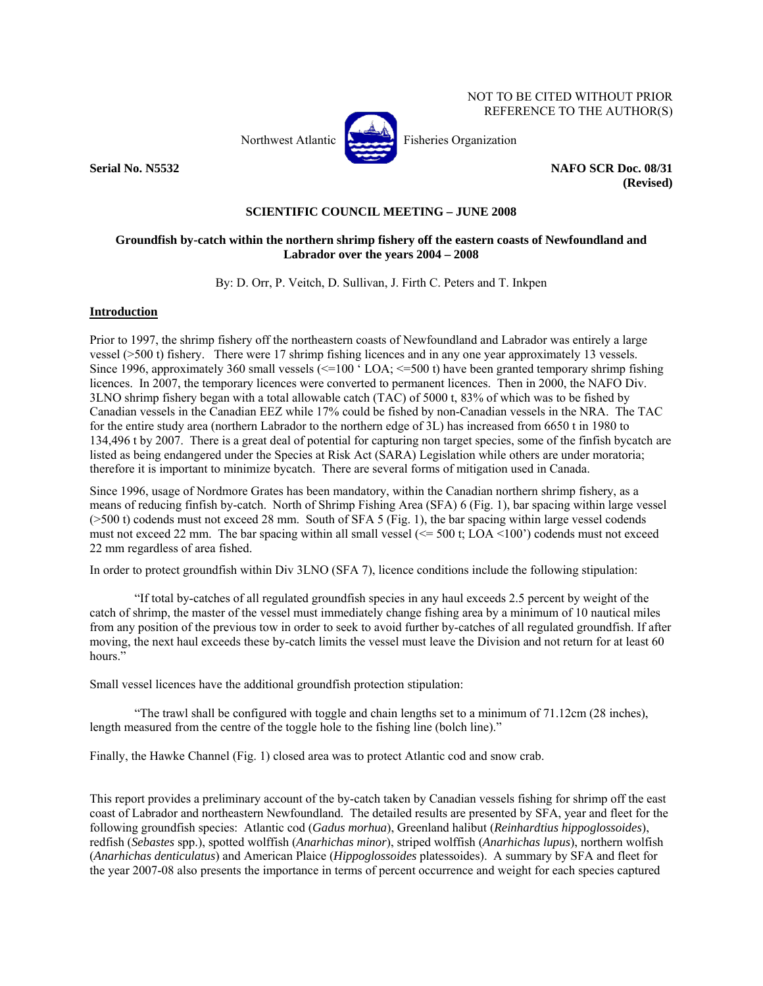NOT TO BE CITED WITHOUT PRIOR REFERENCE TO THE AUTHOR(S)



Northwest Atlantic **Atlantic** Fisheries Organization

**Serial No. N5532** NAFO SCR Doc. 08/31 **(Revised)** 

#### **SCIENTIFIC COUNCIL MEETING – JUNE 2008**

#### **Groundfish by-catch within the northern shrimp fishery off the eastern coasts of Newfoundland and Labrador over the years 2004 – 2008**

By: D. Orr, P. Veitch, D. Sullivan, J. Firth C. Peters and T. Inkpen

## **Introduction**

Prior to 1997, the shrimp fishery off the northeastern coasts of Newfoundland and Labrador was entirely a large vessel (>500 t) fishery. There were 17 shrimp fishing licences and in any one year approximately 13 vessels. Since 1996, approximately 360 small vessels (<=100  $\cdot$  LOA; <=500 t) have been granted temporary shrimp fishing licences. In 2007, the temporary licences were converted to permanent licences. Then in 2000, the NAFO Div. 3LNO shrimp fishery began with a total allowable catch (TAC) of 5000 t, 83% of which was to be fished by Canadian vessels in the Canadian EEZ while 17% could be fished by non-Canadian vessels in the NRA. The TAC for the entire study area (northern Labrador to the northern edge of 3L) has increased from 6650 t in 1980 to 134,496 t by 2007. There is a great deal of potential for capturing non target species, some of the finfish bycatch are listed as being endangered under the Species at Risk Act (SARA) Legislation while others are under moratoria; therefore it is important to minimize bycatch. There are several forms of mitigation used in Canada.

Since 1996, usage of Nordmore Grates has been mandatory, within the Canadian northern shrimp fishery, as a means of reducing finfish by-catch. North of Shrimp Fishing Area (SFA) 6 (Fig. 1), bar spacing within large vessel (>500 t) codends must not exceed 28 mm. South of SFA 5 (Fig. 1), the bar spacing within large vessel codends must not exceed 22 mm. The bar spacing within all small vessel  $(\leq 500 \text{ t}; \text{LOA} \leq 100)$  codends must not exceed 22 mm regardless of area fished.

In order to protect groundfish within Div 3LNO (SFA 7), licence conditions include the following stipulation:

"If total by-catches of all regulated groundfish species in any haul exceeds 2.5 percent by weight of the catch of shrimp, the master of the vessel must immediately change fishing area by a minimum of 10 nautical miles from any position of the previous tow in order to seek to avoid further by-catches of all regulated groundfish. If after moving, the next haul exceeds these by-catch limits the vessel must leave the Division and not return for at least 60 hours."

Small vessel licences have the additional groundfish protection stipulation:

"The trawl shall be configured with toggle and chain lengths set to a minimum of 71.12cm (28 inches), length measured from the centre of the toggle hole to the fishing line (bolch line)."

Finally, the Hawke Channel (Fig. 1) closed area was to protect Atlantic cod and snow crab.

This report provides a preliminary account of the by-catch taken by Canadian vessels fishing for shrimp off the east coast of Labrador and northeastern Newfoundland. The detailed results are presented by SFA, year and fleet for the following groundfish species: Atlantic cod (*Gadus morhua*), Greenland halibut (*Reinhardtius hippoglossoides*), redfish (*Sebastes* spp.), spotted wolffish (*Anarhichas minor*), striped wolffish (*Anarhichas lupus*), northern wolfish (*Anarhichas denticulatus*) and American Plaice (*Hippoglossoides* platessoides). A summary by SFA and fleet for the year 2007-08 also presents the importance in terms of percent occurrence and weight for each species captured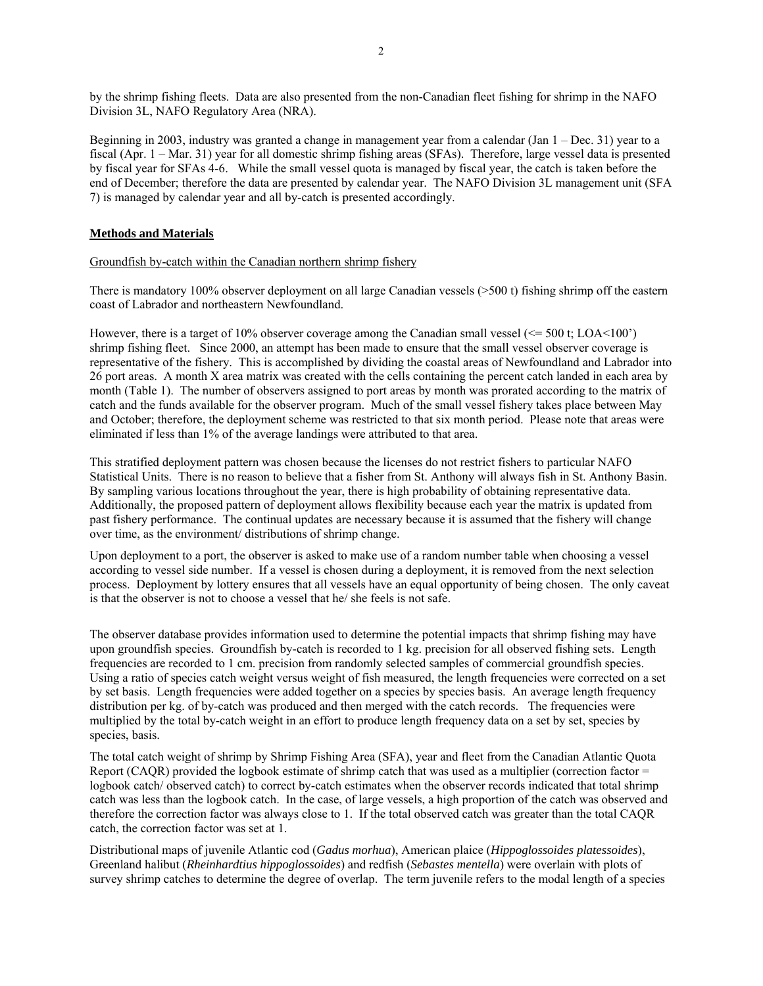by the shrimp fishing fleets. Data are also presented from the non-Canadian fleet fishing for shrimp in the NAFO Division 3L, NAFO Regulatory Area (NRA).

Beginning in 2003, industry was granted a change in management year from a calendar (Jan 1 – Dec. 31) year to a fiscal (Apr. 1 – Mar. 31) year for all domestic shrimp fishing areas (SFAs). Therefore, large vessel data is presented by fiscal year for SFAs 4-6. While the small vessel quota is managed by fiscal year, the catch is taken before the end of December; therefore the data are presented by calendar year. The NAFO Division 3L management unit (SFA 7) is managed by calendar year and all by-catch is presented accordingly.

## **Methods and Materials**

#### Groundfish by-catch within the Canadian northern shrimp fishery

There is mandatory 100% observer deployment on all large Canadian vessels (>500 t) fishing shrimp off the eastern coast of Labrador and northeastern Newfoundland.

However, there is a target of 10% observer coverage among the Canadian small vessel  $(\leq 500 \text{ t}; \text{LOA} < 100)$ shrimp fishing fleet. Since 2000, an attempt has been made to ensure that the small vessel observer coverage is representative of the fishery. This is accomplished by dividing the coastal areas of Newfoundland and Labrador into 26 port areas. A month X area matrix was created with the cells containing the percent catch landed in each area by month (Table 1). The number of observers assigned to port areas by month was prorated according to the matrix of catch and the funds available for the observer program. Much of the small vessel fishery takes place between May and October; therefore, the deployment scheme was restricted to that six month period. Please note that areas were eliminated if less than 1% of the average landings were attributed to that area.

This stratified deployment pattern was chosen because the licenses do not restrict fishers to particular NAFO Statistical Units. There is no reason to believe that a fisher from St. Anthony will always fish in St. Anthony Basin. By sampling various locations throughout the year, there is high probability of obtaining representative data. Additionally, the proposed pattern of deployment allows flexibility because each year the matrix is updated from past fishery performance. The continual updates are necessary because it is assumed that the fishery will change over time, as the environment/ distributions of shrimp change.

Upon deployment to a port, the observer is asked to make use of a random number table when choosing a vessel according to vessel side number. If a vessel is chosen during a deployment, it is removed from the next selection process. Deployment by lottery ensures that all vessels have an equal opportunity of being chosen. The only caveat is that the observer is not to choose a vessel that he/ she feels is not safe.

The observer database provides information used to determine the potential impacts that shrimp fishing may have upon groundfish species. Groundfish by-catch is recorded to 1 kg. precision for all observed fishing sets. Length frequencies are recorded to 1 cm. precision from randomly selected samples of commercial groundfish species. Using a ratio of species catch weight versus weight of fish measured, the length frequencies were corrected on a set by set basis. Length frequencies were added together on a species by species basis. An average length frequency distribution per kg. of by-catch was produced and then merged with the catch records. The frequencies were multiplied by the total by-catch weight in an effort to produce length frequency data on a set by set, species by species, basis.

The total catch weight of shrimp by Shrimp Fishing Area (SFA), year and fleet from the Canadian Atlantic Quota Report (CAQR) provided the logbook estimate of shrimp catch that was used as a multiplier (correction factor = logbook catch/ observed catch) to correct by-catch estimates when the observer records indicated that total shrimp catch was less than the logbook catch. In the case, of large vessels, a high proportion of the catch was observed and therefore the correction factor was always close to 1. If the total observed catch was greater than the total CAQR catch, the correction factor was set at 1.

Distributional maps of juvenile Atlantic cod (*Gadus morhua*), American plaice (*Hippoglossoides platessoides*), Greenland halibut (*Rheinhardtius hippoglossoides*) and redfish (*Sebastes mentella*) were overlain with plots of survey shrimp catches to determine the degree of overlap. The term juvenile refers to the modal length of a species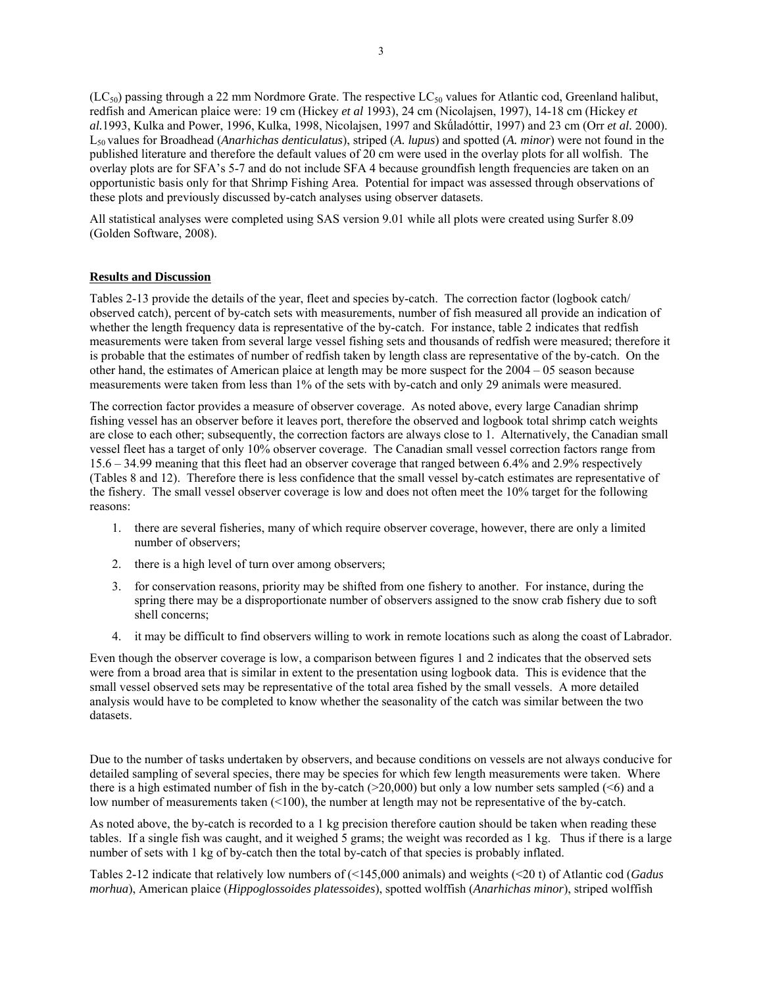$(LC_{50})$  passing through a 22 mm Nordmore Grate. The respective  $LC_{50}$  values for Atlantic cod, Greenland halibut, redfish and American plaice were: 19 cm (Hickey *et al* 1993), 24 cm (Nicolajsen, 1997), 14-18 cm (Hickey *et al.*1993, Kulka and Power, 1996, Kulka, 1998, Nicolajsen, 1997 and Skǘladóttir, 1997) and 23 cm (Orr *et al.* 2000). L50 values for Broadhead (*Anarhichas denticulatus*), striped (*A. lupus*) and spotted (*A. minor*) were not found in the published literature and therefore the default values of 20 cm were used in the overlay plots for all wolfish. The overlay plots are for SFA's 5-7 and do not include SFA 4 because groundfish length frequencies are taken on an opportunistic basis only for that Shrimp Fishing Area. Potential for impact was assessed through observations of these plots and previously discussed by-catch analyses using observer datasets.

All statistical analyses were completed using SAS version 9.01 while all plots were created using Surfer 8.09 (Golden Software, 2008).

#### **Results and Discussion**

Tables 2-13 provide the details of the year, fleet and species by-catch. The correction factor (logbook catch/ observed catch), percent of by-catch sets with measurements, number of fish measured all provide an indication of whether the length frequency data is representative of the by-catch. For instance, table 2 indicates that redfish measurements were taken from several large vessel fishing sets and thousands of redfish were measured; therefore it is probable that the estimates of number of redfish taken by length class are representative of the by-catch. On the other hand, the estimates of American plaice at length may be more suspect for the 2004 – 05 season because measurements were taken from less than 1% of the sets with by-catch and only 29 animals were measured.

The correction factor provides a measure of observer coverage. As noted above, every large Canadian shrimp fishing vessel has an observer before it leaves port, therefore the observed and logbook total shrimp catch weights are close to each other; subsequently, the correction factors are always close to 1. Alternatively, the Canadian small vessel fleet has a target of only 10% observer coverage. The Canadian small vessel correction factors range from 15.6 – 34.99 meaning that this fleet had an observer coverage that ranged between 6.4% and 2.9% respectively (Tables 8 and 12). Therefore there is less confidence that the small vessel by-catch estimates are representative of the fishery. The small vessel observer coverage is low and does not often meet the 10% target for the following reasons:

- 1. there are several fisheries, many of which require observer coverage, however, there are only a limited number of observers;
- 2. there is a high level of turn over among observers;
- 3. for conservation reasons, priority may be shifted from one fishery to another. For instance, during the spring there may be a disproportionate number of observers assigned to the snow crab fishery due to soft shell concerns;
- 4. it may be difficult to find observers willing to work in remote locations such as along the coast of Labrador.

Even though the observer coverage is low, a comparison between figures 1 and 2 indicates that the observed sets were from a broad area that is similar in extent to the presentation using logbook data. This is evidence that the small vessel observed sets may be representative of the total area fished by the small vessels. A more detailed analysis would have to be completed to know whether the seasonality of the catch was similar between the two datasets.

Due to the number of tasks undertaken by observers, and because conditions on vessels are not always conducive for detailed sampling of several species, there may be species for which few length measurements were taken. Where there is a high estimated number of fish in the by-catch ( $>$ 20,000) but only a low number sets sampled ( $\leq$ 6) and a low number of measurements taken (<100), the number at length may not be representative of the by-catch.

As noted above, the by-catch is recorded to a 1 kg precision therefore caution should be taken when reading these tables. If a single fish was caught, and it weighed 5 grams; the weight was recorded as 1 kg. Thus if there is a large number of sets with 1 kg of by-catch then the total by-catch of that species is probably inflated.

Tables 2-12 indicate that relatively low numbers of (<145,000 animals) and weights (<20 t) of Atlantic cod (*Gadus morhua*), American plaice (*Hippoglossoides platessoides*), spotted wolffish (*Anarhichas minor*), striped wolffish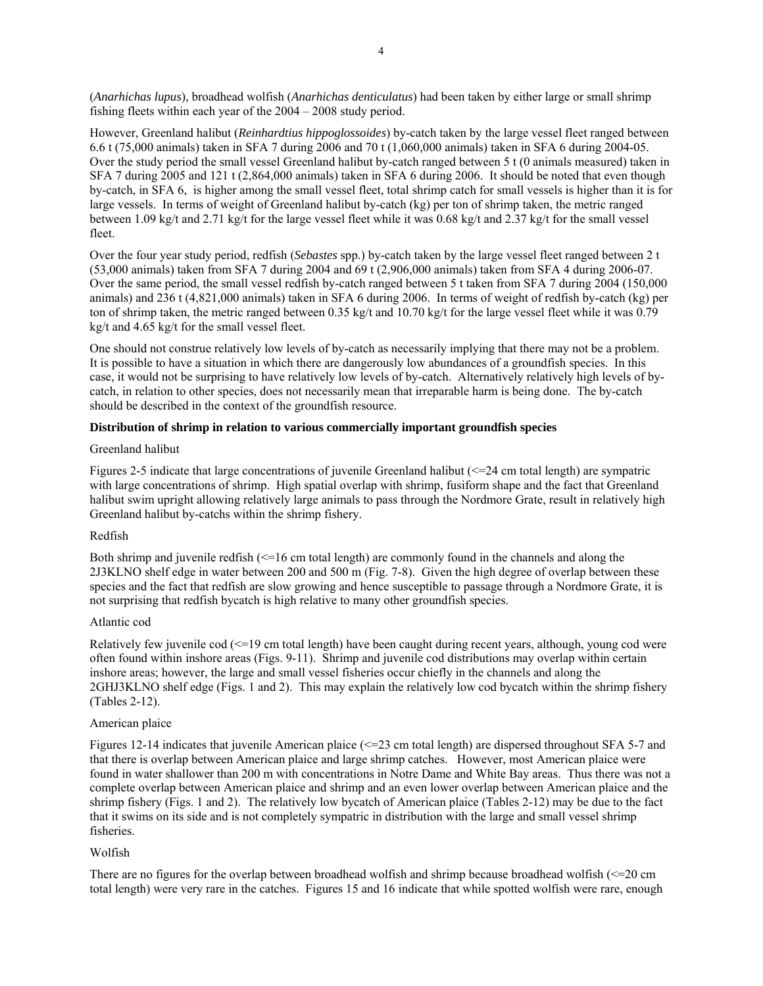(*Anarhichas lupus*), broadhead wolfish (*Anarhichas denticulatus*) had been taken by either large or small shrimp fishing fleets within each year of the 2004 – 2008 study period.

However, Greenland halibut (*Reinhardtius hippoglossoides*) by-catch taken by the large vessel fleet ranged between 6.6 t (75,000 animals) taken in SFA 7 during 2006 and 70 t (1,060,000 animals) taken in SFA 6 during 2004-05. Over the study period the small vessel Greenland halibut by-catch ranged between 5 t (0 animals measured) taken in SFA 7 during 2005 and 121 t (2,864,000 animals) taken in SFA 6 during 2006. It should be noted that even though by-catch, in SFA 6, is higher among the small vessel fleet, total shrimp catch for small vessels is higher than it is for large vessels. In terms of weight of Greenland halibut by-catch (kg) per ton of shrimp taken, the metric ranged between 1.09 kg/t and 2.71 kg/t for the large vessel fleet while it was 0.68 kg/t and 2.37 kg/t for the small vessel fleet.

Over the four year study period, redfish (*Sebastes* spp.) by-catch taken by the large vessel fleet ranged between 2 t (53,000 animals) taken from SFA 7 during 2004 and 69 t (2,906,000 animals) taken from SFA 4 during 2006-07. Over the same period, the small vessel redfish by-catch ranged between 5 t taken from SFA 7 during 2004 (150,000 animals) and 236 t (4,821,000 animals) taken in SFA 6 during 2006. In terms of weight of redfish by-catch (kg) per ton of shrimp taken, the metric ranged between 0.35 kg/t and 10.70 kg/t for the large vessel fleet while it was 0.79 kg/t and 4.65 kg/t for the small vessel fleet.

One should not construe relatively low levels of by-catch as necessarily implying that there may not be a problem. It is possible to have a situation in which there are dangerously low abundances of a groundfish species. In this case, it would not be surprising to have relatively low levels of by-catch. Alternatively relatively high levels of bycatch, in relation to other species, does not necessarily mean that irreparable harm is being done. The by-catch should be described in the context of the groundfish resource.

#### **Distribution of shrimp in relation to various commercially important groundfish species**

#### Greenland halibut

Figures 2-5 indicate that large concentrations of juvenile Greenland halibut  $\ll$  =24 cm total length) are sympatric with large concentrations of shrimp. High spatial overlap with shrimp, fusiform shape and the fact that Greenland halibut swim upright allowing relatively large animals to pass through the Nordmore Grate, result in relatively high Greenland halibut by-catchs within the shrimp fishery.

#### Redfish

Both shrimp and juvenile redfish (<=16 cm total length) are commonly found in the channels and along the 2J3KLNO shelf edge in water between 200 and 500 m (Fig. 7-8). Given the high degree of overlap between these species and the fact that redfish are slow growing and hence susceptible to passage through a Nordmore Grate, it is not surprising that redfish bycatch is high relative to many other groundfish species.

#### Atlantic cod

Relatively few juvenile cod (<=19 cm total length) have been caught during recent years, although, young cod were often found within inshore areas (Figs. 9-11). Shrimp and juvenile cod distributions may overlap within certain inshore areas; however, the large and small vessel fisheries occur chiefly in the channels and along the 2GHJ3KLNO shelf edge (Figs. 1 and 2). This may explain the relatively low cod bycatch within the shrimp fishery (Tables 2-12).

#### American plaice

Figures 12-14 indicates that juvenile American plaice  $\ll$  =23 cm total length) are dispersed throughout SFA 5-7 and that there is overlap between American plaice and large shrimp catches. However, most American plaice were found in water shallower than 200 m with concentrations in Notre Dame and White Bay areas. Thus there was not a complete overlap between American plaice and shrimp and an even lower overlap between American plaice and the shrimp fishery (Figs. 1 and 2). The relatively low bycatch of American plaice (Tables 2-12) may be due to the fact that it swims on its side and is not completely sympatric in distribution with the large and small vessel shrimp fisheries.

#### Wolfish

There are no figures for the overlap between broadhead wolfish and shrimp because broadhead wolfish  $\leq 20 \text{ cm}$ total length) were very rare in the catches. Figures 15 and 16 indicate that while spotted wolfish were rare, enough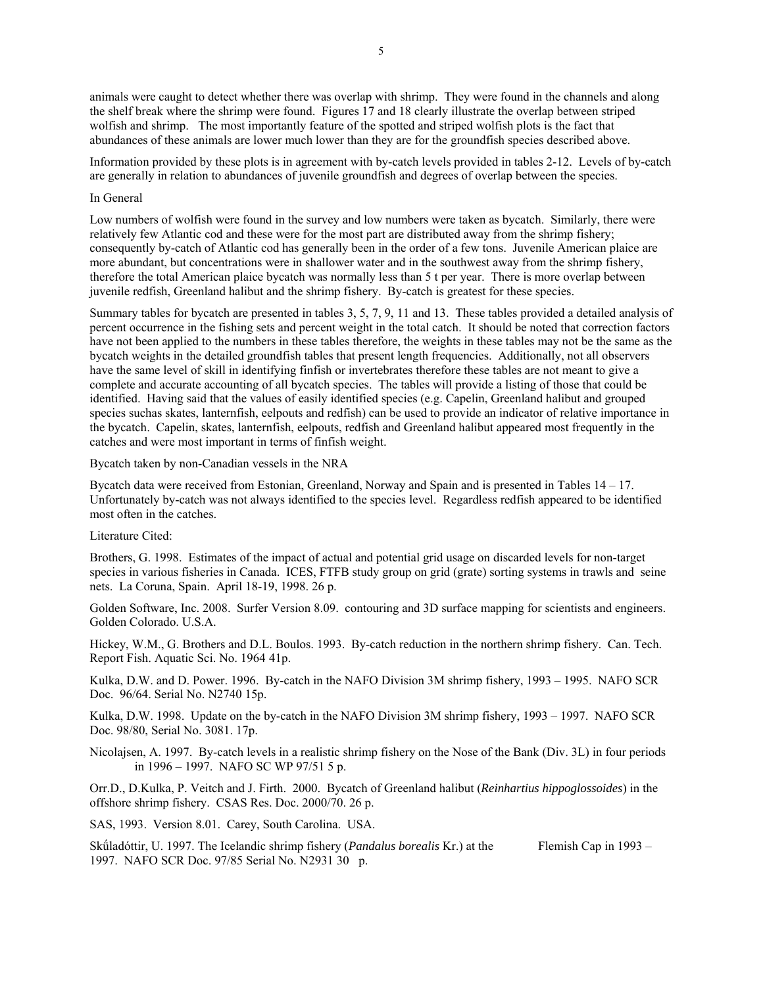animals were caught to detect whether there was overlap with shrimp. They were found in the channels and along the shelf break where the shrimp were found. Figures 17 and 18 clearly illustrate the overlap between striped wolfish and shrimp. The most importantly feature of the spotted and striped wolfish plots is the fact that abundances of these animals are lower much lower than they are for the groundfish species described above.

Information provided by these plots is in agreement with by-catch levels provided in tables 2-12. Levels of by-catch are generally in relation to abundances of juvenile groundfish and degrees of overlap between the species.

#### In General

Low numbers of wolfish were found in the survey and low numbers were taken as bycatch. Similarly, there were relatively few Atlantic cod and these were for the most part are distributed away from the shrimp fishery; consequently by-catch of Atlantic cod has generally been in the order of a few tons. Juvenile American plaice are more abundant, but concentrations were in shallower water and in the southwest away from the shrimp fishery, therefore the total American plaice bycatch was normally less than 5 t per year. There is more overlap between juvenile redfish, Greenland halibut and the shrimp fishery. By-catch is greatest for these species.

Summary tables for bycatch are presented in tables 3, 5, 7, 9, 11 and 13. These tables provided a detailed analysis of percent occurrence in the fishing sets and percent weight in the total catch. It should be noted that correction factors have not been applied to the numbers in these tables therefore, the weights in these tables may not be the same as the bycatch weights in the detailed groundfish tables that present length frequencies. Additionally, not all observers have the same level of skill in identifying finfish or invertebrates therefore these tables are not meant to give a complete and accurate accounting of all bycatch species. The tables will provide a listing of those that could be identified. Having said that the values of easily identified species (e.g. Capelin, Greenland halibut and grouped species suchas skates, lanternfish, eelpouts and redfish) can be used to provide an indicator of relative importance in the bycatch. Capelin, skates, lanternfish, eelpouts, redfish and Greenland halibut appeared most frequently in the catches and were most important in terms of finfish weight.

Bycatch taken by non-Canadian vessels in the NRA

Bycatch data were received from Estonian, Greenland, Norway and Spain and is presented in Tables 14 – 17. Unfortunately by-catch was not always identified to the species level. Regardless redfish appeared to be identified most often in the catches.

Literature Cited:

Brothers, G. 1998. Estimates of the impact of actual and potential grid usage on discarded levels for non-target species in various fisheries in Canada. ICES, FTFB study group on grid (grate) sorting systems in trawls and seine nets. La Coruna, Spain. April 18-19, 1998. 26 p.

Golden Software, Inc. 2008. Surfer Version 8.09. contouring and 3D surface mapping for scientists and engineers. Golden Colorado. U.S.A.

Hickey, W.M., G. Brothers and D.L. Boulos. 1993. By-catch reduction in the northern shrimp fishery. Can. Tech. Report Fish. Aquatic Sci. No. 1964 41p.

Kulka, D.W. and D. Power. 1996. By-catch in the NAFO Division 3M shrimp fishery, 1993 – 1995. NAFO SCR Doc. 96/64. Serial No. N2740 15p.

Kulka, D.W. 1998. Update on the by-catch in the NAFO Division 3M shrimp fishery, 1993 – 1997. NAFO SCR Doc. 98/80, Serial No. 3081. 17p.

Nicolajsen, A. 1997. By-catch levels in a realistic shrimp fishery on the Nose of the Bank (Div. 3L) in four periods in 1996 – 1997. NAFO SC WP 97/51 5 p.

Orr.D., D.Kulka, P. Veitch and J. Firth. 2000. Bycatch of Greenland halibut (*Reinhartius hippoglossoides*) in the offshore shrimp fishery. CSAS Res. Doc. 2000/70. 26 p.

SAS, 1993. Version 8.01. Carey, South Carolina. USA.

Skǘladóttir, U. 1997. The Icelandic shrimp fishery (*Pandalus borealis* Kr.) at the Flemish Cap in 1993 – 1997. NAFO SCR Doc. 97/85 Serial No. N2931 30 p.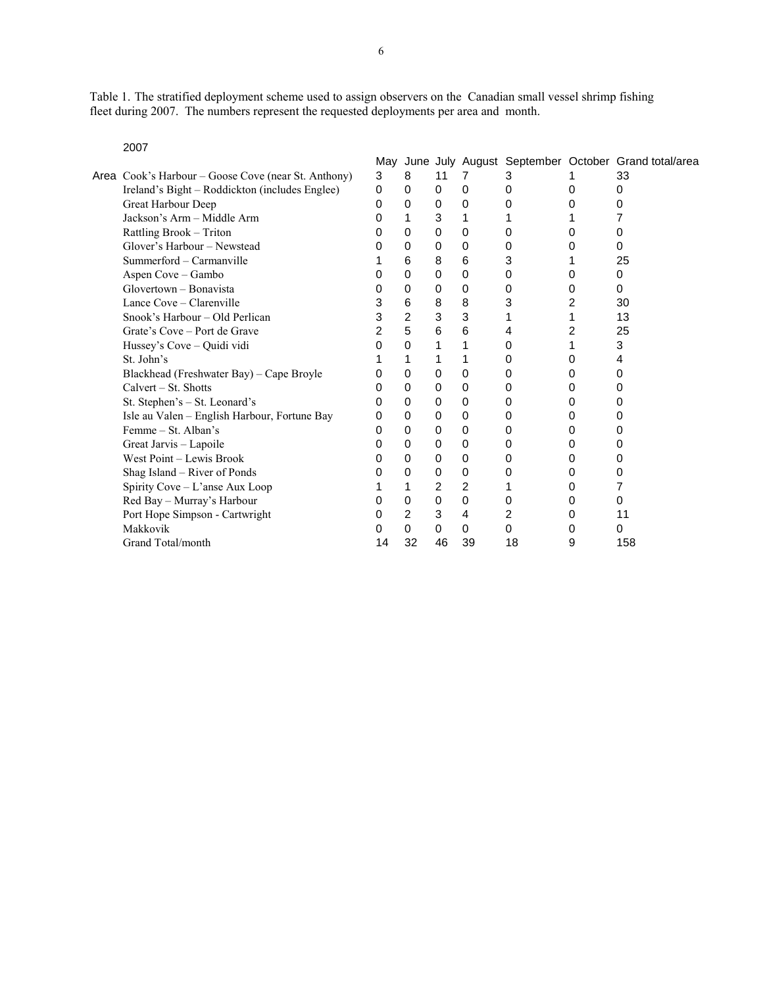Table 1. The stratified deployment scheme used to assign observers on the Canadian small vessel shrimp fishing fleet during 2007. The numbers represent the requested deployments per area and month.

2007

|                                                     | Mav      |                |                |                |          |   | June July August September October Grand total/area |
|-----------------------------------------------------|----------|----------------|----------------|----------------|----------|---|-----------------------------------------------------|
| Area Cook's Harbour – Goose Cove (near St. Anthony) | 3        | 8              | 11             | 7              | 3        |   | 33                                                  |
| Ireland's Bight - Roddickton (includes Englee)      | $\Omega$ | $\Omega$       | $\Omega$       | 0              | 0        | 0 | 0                                                   |
| Great Harbour Deep                                  | 0        | 0              | 0              | 0              | 0        | 0 | 0                                                   |
| Jackson's Arm - Middle Arm                          | 0        | 1              | 3              | 1              |          |   | 7                                                   |
| Rattling Brook - Triton                             | 0        | 0              | 0              | 0              | 0        | 0 | 0                                                   |
| Glover's Harbour – Newstead                         | 0        | $\Omega$       | 0              | 0              | 0        | 0 | 0                                                   |
| Summerford - Carmanville                            |          | 6              | 8              | 6              | 3        |   | 25                                                  |
| Aspen Cove - Gambo                                  | 0        | $\Omega$       | 0              | 0              | 0        | 0 | 0                                                   |
| Glovertown – Bonavista                              | 0        | 0              | 0              | 0              | 0        | 0 | 0                                                   |
| Lance Cove – Clarenville                            | 3        | 6              | 8              | 8              | 3        | 2 | 30                                                  |
| Snook's Harbour – Old Perlican                      | 3        | $\overline{2}$ | 3              | 3              |          | 1 | 13                                                  |
| Grate's Cove – Port de Grave                        | 2        | 5              | 6              | 6              | 4        | 2 | 25                                                  |
| Hussey's Cove - Quidi vidi                          | 0        | 0              | 1              | 1              | 0        | 1 | 3                                                   |
| St. John's                                          |          | 1              | 1              | 1              | 0        | 0 | 4                                                   |
| Blackhead (Freshwater Bay) - Cape Broyle            | 0        | 0              | $\Omega$       | 0              | 0        | 0 | 0                                                   |
| Calvert – St. Shotts                                | 0        | 0              | 0              | 0              | 0        | 0 | 0                                                   |
| St. Stephen's - St. Leonard's                       | 0        | $\Omega$       | 0              | 0              | 0        | 0 | 0                                                   |
| Isle au Valen - English Harbour, Fortune Bay        | 0        | $\Omega$       | $\Omega$       | 0              | 0        | 0 | 0                                                   |
| Femme – St. Alban's                                 | 0        | 0              | 0              | 0              | 0        | 0 | 0                                                   |
| Great Jarvis - Lapoile                              | 0        | $\Omega$       | 0              | 0              | 0        | 0 | 0                                                   |
| West Point – Lewis Brook                            | 0        | 0              | 0              | 0              | 0        | 0 | 0                                                   |
| Shag Island - River of Ponds                        | 0        | 0              | 0              | 0              | 0        | 0 | 0                                                   |
| Spirity Cove - L'anse Aux Loop                      |          | 1              | $\overline{2}$ | $\overline{2}$ |          | 0 | 7                                                   |
| Red Bay - Murray's Harbour                          | 0        | 0              | 0              | $\mathbf 0$    | 0        | 0 | 0                                                   |
| Port Hope Simpson - Cartwright                      | 0        | $\overline{2}$ | 3              | 4              | 2        | 0 | 11                                                  |
| Makkovik                                            | 0        | $\Omega$       | $\Omega$       | 0              | $\Omega$ | 0 | 0                                                   |
| Grand Total/month                                   | 14       | 32             | 46             | 39             | 18       | 9 | 158                                                 |
|                                                     |          |                |                |                |          |   |                                                     |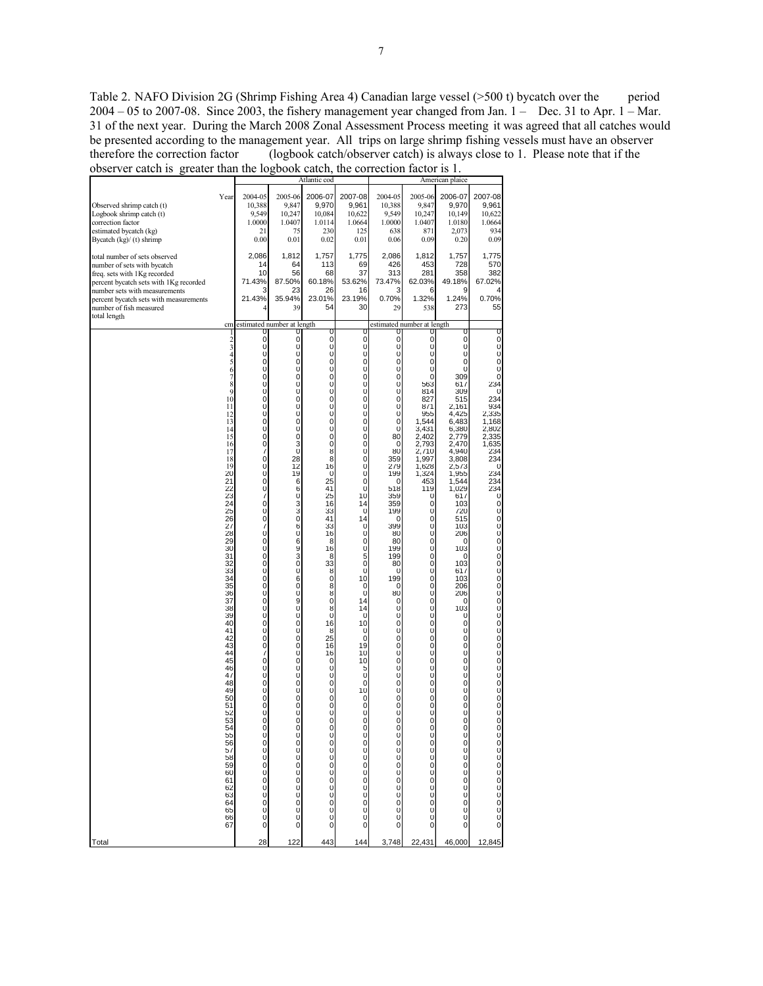Table 2. NAFO Division 2G (Shrimp Fishing Area 4) Canadian large vessel (>500 t) bycatch over the period  $2004 - 05$  to  $2007-08$ . Since  $2003$ , the fishery management year changed from Jan.  $1 -$  Dec. 31 to Apr.  $1 -$  Mar. 31 of the next year. During the March 2008 Zonal Assessment Process meeting it was agreed that all catches would be presented according to the management year. All trips on large shrimp fishing vessels must have an observer therefore the correction factor (logbook catch/observer catch) is always close to 1. Please note that if the observer catch is greater than the logbook catch, the correction factor is 1.

|                                                                                                                                                                                                                                                                             |                                                                                                                                                                                                                                                                                                                                                                               |                                                                                                                                                                                                                                                                                                                                                                                                                                      |                                                                                                                                                                                                                                                                                                                                                                                                                                                                                                                                                                                                                                                                                                                                                                                                                                   | Atlantic cod                                                                                                                                                                                                                                                                                                                                                                    |                                                                                                                                                                                                                                                                                                          | American plaice                                                                                                                                                                                                                                                                                                                  |                                                                                                                                                                                                                                                                                                                                                                                                                                                                                                                                                                      |                                                                                                                                                                                                                                                                                                                                                                                   |                                                                                                                                                                                                         |  |  |
|-----------------------------------------------------------------------------------------------------------------------------------------------------------------------------------------------------------------------------------------------------------------------------|-------------------------------------------------------------------------------------------------------------------------------------------------------------------------------------------------------------------------------------------------------------------------------------------------------------------------------------------------------------------------------|--------------------------------------------------------------------------------------------------------------------------------------------------------------------------------------------------------------------------------------------------------------------------------------------------------------------------------------------------------------------------------------------------------------------------------------|-----------------------------------------------------------------------------------------------------------------------------------------------------------------------------------------------------------------------------------------------------------------------------------------------------------------------------------------------------------------------------------------------------------------------------------------------------------------------------------------------------------------------------------------------------------------------------------------------------------------------------------------------------------------------------------------------------------------------------------------------------------------------------------------------------------------------------------|---------------------------------------------------------------------------------------------------------------------------------------------------------------------------------------------------------------------------------------------------------------------------------------------------------------------------------------------------------------------------------|----------------------------------------------------------------------------------------------------------------------------------------------------------------------------------------------------------------------------------------------------------------------------------------------------------|----------------------------------------------------------------------------------------------------------------------------------------------------------------------------------------------------------------------------------------------------------------------------------------------------------------------------------|----------------------------------------------------------------------------------------------------------------------------------------------------------------------------------------------------------------------------------------------------------------------------------------------------------------------------------------------------------------------------------------------------------------------------------------------------------------------------------------------------------------------------------------------------------------------|-----------------------------------------------------------------------------------------------------------------------------------------------------------------------------------------------------------------------------------------------------------------------------------------------------------------------------------------------------------------------------------|---------------------------------------------------------------------------------------------------------------------------------------------------------------------------------------------------------|--|--|
| Observed shrimp catch (t)<br>Logbook shrimp catch (t)<br>correction factor<br>estimated bycatch (kg)<br>Bycatch (kg)/ (t) shrimp                                                                                                                                            | Year                                                                                                                                                                                                                                                                                                                                                                          | 2004-05<br>10,388<br>9,549<br>1.0000<br>21<br>0.00                                                                                                                                                                                                                                                                                                                                                                                   | 2005-06<br>9,847<br>10,247<br>1.0407<br>75<br>0.01                                                                                                                                                                                                                                                                                                                                                                                                                                                                                                                                                                                                                                                                                                                                                                                | 2006-07<br>9,970<br>10,084<br>1.0114<br>230<br>0.02                                                                                                                                                                                                                                                                                                                             | 2007-08<br>9,961<br>10,622<br>1.0664<br>125<br>0.01                                                                                                                                                                                                                                                      | 2004-05<br>10,388<br>9,549<br>1.0000<br>638<br>0.06                                                                                                                                                                                                                                                                              | 2005-06<br>9,847<br>10,247<br>1.0407<br>871<br>0.09                                                                                                                                                                                                                                                                                                                                                                                                                                                                                                                  | 2006-07<br>9,970<br>10,149<br>1.0180<br>2,073<br>0.20                                                                                                                                                                                                                                                                                                                             | 2007-08<br>9,961<br>10,622<br>1.0664<br>934<br>0.09                                                                                                                                                     |  |  |
| total number of sets observed<br>number of sets with bycatch<br>manuse of such and speeched<br>freq. sets with 1Kg recorded<br>percent bycatch sets with 1Kg recorded<br>number sets with measurements<br>percent bycatch sets with measurements<br>number of fish measured |                                                                                                                                                                                                                                                                                                                                                                               | 2,086<br>14<br>10<br>71.43%<br>3<br>21.43%                                                                                                                                                                                                                                                                                                                                                                                           | 1,812<br>64<br>56<br>87.50%<br>23<br>35.94%<br>39                                                                                                                                                                                                                                                                                                                                                                                                                                                                                                                                                                                                                                                                                                                                                                                 | 1,757<br>113<br>68<br>60.18%<br>26<br>23.01%<br>54                                                                                                                                                                                                                                                                                                                              | 1,775<br>69<br>37<br>53.62%<br>16<br>23.19%<br>30                                                                                                                                                                                                                                                        | 2,086<br>426<br>313<br>73.47%<br>3<br>0.70%<br>29                                                                                                                                                                                                                                                                                | 1,812<br>453<br>281<br>62.03%<br>6<br>1.32%<br>538                                                                                                                                                                                                                                                                                                                                                                                                                                                                                                                   | 1,757<br>728<br>358<br>49.18%<br>9<br>1.24%<br>273                                                                                                                                                                                                                                                                                                                                | 1,775<br>570<br>382<br>67.02%<br>4<br>0.70%<br>55                                                                                                                                                       |  |  |
| total length                                                                                                                                                                                                                                                                | cm                                                                                                                                                                                                                                                                                                                                                                            | estimated number at length                                                                                                                                                                                                                                                                                                                                                                                                           |                                                                                                                                                                                                                                                                                                                                                                                                                                                                                                                                                                                                                                                                                                                                                                                                                                   |                                                                                                                                                                                                                                                                                                                                                                                 |                                                                                                                                                                                                                                                                                                          |                                                                                                                                                                                                                                                                                                                                  | estimated number at length                                                                                                                                                                                                                                                                                                                                                                                                                                                                                                                                           |                                                                                                                                                                                                                                                                                                                                                                                   |                                                                                                                                                                                                         |  |  |
|                                                                                                                                                                                                                                                                             | 1<br>2345678<br>9<br>10<br>11<br>12<br>13<br>14<br>15<br>16<br>17<br>18<br>19<br>20<br>21<br>22<br>23<br>24<br>25<br>26<br>27<br>28<br>29<br>30<br>31<br>32<br>33<br>34<br>35<br>36<br>37<br>38<br>39<br>40<br>41<br>42<br>43<br>44<br>45<br>46<br>47<br>48<br>49<br>50<br>51<br>52<br>53<br>54<br>55<br>56<br>57<br>58<br>59<br>60<br>61<br>62<br>63<br>64<br>65<br>66<br>67 | 0<br>0<br>0<br>0<br>0<br>$\mathsf{O}\xspace$<br>$\mathsf{O}\xspace$<br>0<br>0<br>0<br>0<br>0<br>0<br>0<br>0<br>0<br>7<br>0<br>0<br>0<br>0<br>0<br>7<br>0<br>0<br>0<br>7<br>0<br>0<br>0<br>0<br>0<br>0<br>0<br>0<br>0<br>0<br>0<br>0<br>0<br>0<br>0<br>0<br>7<br>0<br>0<br>0<br>0<br>0<br>0<br>0<br>0<br>0<br>0<br>$\begin{matrix} 0 \\ 0 \\ 0 \end{matrix}$<br>0<br>0<br>0<br>0<br>$\bar{0}$<br>0<br>$\mathbf 0$<br>$\mathbf 0$<br>0 | 0<br>0<br>0<br>0<br>0<br>O<br>O<br>$\overline{0}$<br>$\overline{0}$<br>$\overline{0}$<br>$\overline{0}$<br>$\overline{0}$<br>$\overline{0}$<br>$\overline{0}$<br>$\overline{0}$<br>$\overline{\mathbf{3}}$<br>$\vert 0 \vert$<br>28<br>12<br>19<br>6<br>6<br>$\overline{0}$<br>3<br>3<br>$\overline{0}$<br>6<br>$\overline{0}$<br>6<br>9<br>3<br>$\overline{0}$<br>$\overline{0}$<br>6<br>$\overline{0}$<br>$\overline{0}$<br>9<br>$\overline{0}$<br>$\overline{0}$<br>$\overline{0}$<br>$\overline{0}$<br>$\overline{0}$<br>$\overline{0}$<br>$\overline{0}$<br>$\overline{0}$<br>$\overline{0}$<br>$\overline{0}$<br>$\overline{0}$<br>$\overline{0}$<br>$\overline{0}$<br>$\overline{0}$<br>$\overline{0}$<br>$\overline{0}$<br>$\overline{0}$<br>$\frac{0}{0}$<br>0<br>$\pmb{0}$<br>00000<br>$\overline{0}$<br>$\overline{0}$ | U<br>0<br>0<br>0<br>0<br>$\cup$<br>$\mathsf{O}\xspace$<br>0<br>0<br>0<br>0<br>0<br>0<br>0<br>0<br>0<br>8<br>8<br>16<br>0<br>25<br>41<br>25<br>16<br>33<br>41<br>33<br>16<br>8<br>16<br>8<br>33<br>8<br>0<br>8<br>8<br>$\mathbf 0$<br>8<br>$\mathbf 0$<br>16<br>8<br>25<br>16<br>16<br>0<br>0<br>0<br>0<br>0<br>0<br>0<br>0<br>0<br>0<br>00000<br>0<br>00000<br>0<br>$\mathbf 0$ | 0<br>0<br>0<br>0<br>0<br>O<br>O<br>0<br>0<br>0<br>0<br>0<br>0<br>0<br>0<br>0<br>0<br>0<br>0<br>0<br>0<br>0<br>10<br>14<br>0<br>14<br>0<br>0<br>0<br>0<br>5<br>0<br>0<br>10<br>0<br>0<br>14<br>14<br>0<br>10<br>0<br>0<br>19<br>10<br>10<br>5<br>0<br>0<br>10<br>0<br>0<br>0<br>0<br>0<br>0000000000<br>0 | $\mathbf 0$<br>0<br>0<br>0<br>0<br>O<br>O<br>0<br>0<br>0<br>0<br>0<br>0<br>0<br>80<br>0<br>80<br>359<br>279<br>199<br>0<br>518<br>359<br>359<br>199<br>0<br>399<br>80<br>80<br>199<br>199<br>80<br>0<br>199<br>0<br>80<br>0<br>0<br>0<br>0<br>0<br>0<br>0<br>0<br>0<br>0<br>0<br>0<br>0<br>0<br>0<br>0<br>0<br>0<br>000000000000 | 0<br>0<br>0<br>0<br>0<br>$\cup$<br>$\cup$<br>563<br>814<br>827<br>871<br>955<br>1,544<br>3,431<br>2,402<br>2,793<br>2,710<br>1,997<br>1,628<br>1,324<br>453<br>119<br>0<br>0<br>0<br>0<br>0<br>0<br>$\mathbf 0$<br>0<br>0<br>0<br>$\mathbf 0$<br>$\mathbf 0$<br>$\mathbf 0$<br>$\mathbf 0$<br>$\mathbf 0$<br>0<br>$\mathbf 0$<br>$\mathbf 0$<br>$\mathbf 0$<br>$\mathbf 0$<br>$\mathbf 0$<br>$\mathbf 0$<br>$\mathbf 0$<br>$\mathbf 0$<br>$\mathbf 0$<br>$\mathbf 0$<br>$\mathbf 0$<br>$\mathbf 0$<br>$\mathbf 0$<br>$\mathbf 0$<br>$\mathbf 0$<br>0<br>000000000000 | 0<br>0<br>0<br>0<br>0<br>$\cup$<br>309<br>617<br>309<br>515<br>2,161<br>4,425<br>6,483<br>6,380<br>2,779<br>2,470<br>4,940<br>3,808<br>2,573<br>1,955<br>1,544<br>1,029<br>617<br>103<br>720<br>515<br>103<br>206<br>0<br>103<br>0<br>103<br>617<br>103<br>206<br>206<br>0<br>103<br>0<br>0<br>0<br>0<br>0<br>0<br>0<br>0<br>0<br>0<br>0<br>0<br>0<br>0<br>0<br>0<br>000000000000 | 0<br>0<br>0<br>$_0^0$<br>$\mathsf{U}$<br>$\mathsf{U}$<br>234<br>$\mathbf 0$<br>234<br>934<br>2,335<br>1,168<br>2,802<br>2,335<br>1,635<br>234<br>234<br>0<br>234<br>234<br>234<br>0<br>0<br>00000000000 |  |  |
| Total                                                                                                                                                                                                                                                                       |                                                                                                                                                                                                                                                                                                                                                                               | 28                                                                                                                                                                                                                                                                                                                                                                                                                                   | 122                                                                                                                                                                                                                                                                                                                                                                                                                                                                                                                                                                                                                                                                                                                                                                                                                               | 443                                                                                                                                                                                                                                                                                                                                                                             | 144                                                                                                                                                                                                                                                                                                      | 3,748                                                                                                                                                                                                                                                                                                                            | 22,431                                                                                                                                                                                                                                                                                                                                                                                                                                                                                                                                                               | 46,000                                                                                                                                                                                                                                                                                                                                                                            | 12,845                                                                                                                                                                                                  |  |  |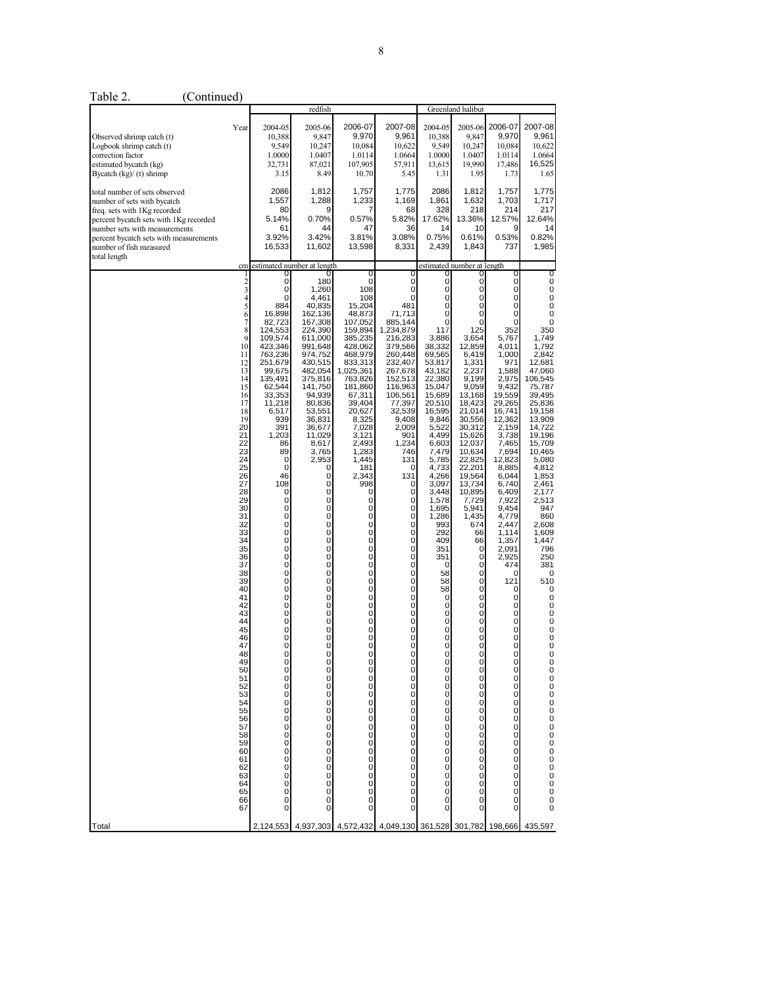|                                                                                                                                                                                                                                              |                                                                                                                                                                                                                                                                                                                                                      |                                                                                                                                                                                                                                                                                                                           | redfish                                                                                                                                                                                                                                                                                                                                                                                                                                                                                                               |                                                                                                                                                                                                                                                                                                                                                                                                                     |                                                                                                                                                                                                                                                                                                                                                                                                                                                                                                                                                                                             | Greenland halibut                                                                                                                                                                                                                                                                                                                                                                                                                                                                                                                                             |                                                                                                                                                                                                                                                                                                                                                                                                                                               |                                                                                                                                                                                                                                                                                                                                                                                                                                          |                                                                                                                                                                                                                                                                                                                                                                                                                                                                    |
|----------------------------------------------------------------------------------------------------------------------------------------------------------------------------------------------------------------------------------------------|------------------------------------------------------------------------------------------------------------------------------------------------------------------------------------------------------------------------------------------------------------------------------------------------------------------------------------------------------|---------------------------------------------------------------------------------------------------------------------------------------------------------------------------------------------------------------------------------------------------------------------------------------------------------------------------|-----------------------------------------------------------------------------------------------------------------------------------------------------------------------------------------------------------------------------------------------------------------------------------------------------------------------------------------------------------------------------------------------------------------------------------------------------------------------------------------------------------------------|---------------------------------------------------------------------------------------------------------------------------------------------------------------------------------------------------------------------------------------------------------------------------------------------------------------------------------------------------------------------------------------------------------------------|---------------------------------------------------------------------------------------------------------------------------------------------------------------------------------------------------------------------------------------------------------------------------------------------------------------------------------------------------------------------------------------------------------------------------------------------------------------------------------------------------------------------------------------------------------------------------------------------|---------------------------------------------------------------------------------------------------------------------------------------------------------------------------------------------------------------------------------------------------------------------------------------------------------------------------------------------------------------------------------------------------------------------------------------------------------------------------------------------------------------------------------------------------------------|-----------------------------------------------------------------------------------------------------------------------------------------------------------------------------------------------------------------------------------------------------------------------------------------------------------------------------------------------------------------------------------------------------------------------------------------------|------------------------------------------------------------------------------------------------------------------------------------------------------------------------------------------------------------------------------------------------------------------------------------------------------------------------------------------------------------------------------------------------------------------------------------------|--------------------------------------------------------------------------------------------------------------------------------------------------------------------------------------------------------------------------------------------------------------------------------------------------------------------------------------------------------------------------------------------------------------------------------------------------------------------|
| Observed shrimp catch (t)<br>Logbook shrimp catch (t)<br>correction factor<br>estimated bycatch (kg)<br>Bycatch $(kg) / (t)$ shrimp                                                                                                          | Year                                                                                                                                                                                                                                                                                                                                                 | 2004-05<br>10,388<br>9,549<br>1.0000<br>32,731<br>3.15                                                                                                                                                                                                                                                                    | 2005-06<br>9,847<br>10,247<br>1.0407<br>87,021<br>8.49                                                                                                                                                                                                                                                                                                                                                                                                                                                                | 2006-07<br>9,970<br>10,084<br>1.0114<br>107,905<br>10.70                                                                                                                                                                                                                                                                                                                                                            | 2007-08<br>9,961<br>10,622<br>1.0664<br>57,911<br>5.45                                                                                                                                                                                                                                                                                                                                                                                                                                                                                                                                      | 2004-05<br>10,388<br>9,549<br>1.0000<br>13,615<br>1.31                                                                                                                                                                                                                                                                                                                                                                                                                                                                                                        | 2005-06<br>9,847<br>10,247<br>1.0407<br>19,990<br>1.95                                                                                                                                                                                                                                                                                                                                                                                        | 2006-07<br>9.970<br>10,084<br>1.0114<br>17,486<br>1.73                                                                                                                                                                                                                                                                                                                                                                                   | 2007-08<br>9,961<br>10,622<br>1.0664<br>16,525<br>1.65                                                                                                                                                                                                                                                                                                                                                                                                             |
| total number of sets observed<br>number of sets with bycatch<br>freq. sets with 1Kg recorded<br>percent bycatch sets with 1Kg recorded<br>number sets with measurements<br>percent bycatch sets with measurements<br>number of fish measured |                                                                                                                                                                                                                                                                                                                                                      | 2086<br>1,557<br>80<br>5.14%<br>61<br>3.92%<br>16,533                                                                                                                                                                                                                                                                     | 1,812<br>1,288<br>0.70%<br>44<br>3.42%<br>11,602                                                                                                                                                                                                                                                                                                                                                                                                                                                                      | 1,757<br>1,233<br>0.57%<br>47<br>3.81%<br>13,598                                                                                                                                                                                                                                                                                                                                                                    | 1,775<br>1,169<br>68<br>5.82%<br>36<br>3.08%<br>8,331                                                                                                                                                                                                                                                                                                                                                                                                                                                                                                                                       | 2086<br>1,861<br>328<br>17.62%<br>14<br>0.75%<br>2,439                                                                                                                                                                                                                                                                                                                                                                                                                                                                                                        | 1,812<br>1,632<br>218<br>13.36%<br>10<br>0.61%<br>1,843                                                                                                                                                                                                                                                                                                                                                                                       | 1,757<br>1,703<br>214<br>12.57%<br>9<br>0.53%<br>737                                                                                                                                                                                                                                                                                                                                                                                     | 1,775<br>1,717<br>217<br>12.64%<br>14<br>0.82%<br>1,985                                                                                                                                                                                                                                                                                                                                                                                                            |
| total length                                                                                                                                                                                                                                 | cm                                                                                                                                                                                                                                                                                                                                                   |                                                                                                                                                                                                                                                                                                                           | estimated number at length                                                                                                                                                                                                                                                                                                                                                                                                                                                                                            |                                                                                                                                                                                                                                                                                                                                                                                                                     |                                                                                                                                                                                                                                                                                                                                                                                                                                                                                                                                                                                             |                                                                                                                                                                                                                                                                                                                                                                                                                                                                                                                                                               | estimated number at length                                                                                                                                                                                                                                                                                                                                                                                                                    |                                                                                                                                                                                                                                                                                                                                                                                                                                          |                                                                                                                                                                                                                                                                                                                                                                                                                                                                    |
| Total                                                                                                                                                                                                                                        | 23456789<br>10<br>11<br>12<br>13<br>14<br>15<br>16<br>17<br>18<br>19<br>20<br>21<br>22<br>23<br>24<br>25<br>26<br>27<br>28<br>29<br>30<br>31<br>32<br>33<br>34<br>35<br>36<br>37<br>38<br>39<br>40<br>41<br>42<br>43<br>44<br>45<br>46<br>47<br>48<br>50<br>$\frac{51}{52}$<br>53<br>54555675859<br>60<br>61<br>62<br>63<br>$64$<br>$65$<br>66<br>67 | 0<br>$\mathbf 0$<br>0<br>884<br>16,898<br>82,723<br>124,553<br>109,574<br>423,346<br>763,236<br>251.679<br>99,675<br>135,491<br>62,544<br>33,353<br>11,218<br>6,517<br>939<br>391<br>1,203<br>86<br>89<br>0<br>0<br>46<br>108<br>0<br>$\bar{0}$<br>0<br>0<br>000000<br>000000000<br>0<br>0<br>$\overline{0}$<br>2,124,553 | 180<br>1,260<br>4,461<br>40,835<br>162,136<br>167,308<br>224,390<br>611,000<br>991,648<br>974,752<br>430,515<br>482,054<br>375,816<br>141,750<br>94,939<br>80,836<br>53,551<br>36,831<br>36,677<br>11,029<br>8,617<br>3,765<br>2,953<br>0<br>$\mathbf 0$<br>0<br>0<br>$\sigma$<br>0<br>$\mathbf 0$<br>$\mathbf 0$<br>0<br>$\overline{0}$<br>$\sigma$<br>0<br>0<br>$\mathbf 0$<br>0<br>$\mathbf 0$<br>$\mathbf 0$<br>0<br>$\mathbf 0$<br>$\pmb{0}$<br>0<br>0<br>$\overline{0}$<br>0<br>0000000000000<br>0<br>4,937,303 | 0<br>$\mathbf 0$<br>108<br>108<br>15,204<br>48,873<br>107,052<br>159,894<br>385,235<br>428,062<br>468,979<br>833,313<br>1,025,361<br>763,826<br>181,860<br>67.311<br>39,404<br>20,627<br>8,325<br>7,028<br>3,121<br>2,493<br>1,283<br>1,445<br>181<br>2,343<br>998<br>0<br>$\overline{0}$<br>0<br>$\begin{matrix} 0 \\ 0 \\ 0 \end{matrix}$<br>0000000000000<br>0<br>000000000000000<br>$\overline{0}$<br>4,572,432 | 0<br>0<br>0<br>0<br>481<br>71,713<br>885,144<br>1,234,879<br>216,283<br>379,566<br>260,448<br>232,407<br>267,678<br>152,513<br>116,963<br>106,561<br>77,397<br>32,539<br>9,408<br>2,009<br>901<br>1,234<br>746<br>131<br>0<br>131<br>0<br>0<br>$\mathbf 0$<br>0<br>0<br>$\mathbf 0$<br>0<br>0<br>$\mathbf 0$<br>0<br>0<br>$\mathbf 0$<br>0<br>0<br>0<br>0<br>0<br>0<br>0<br>0<br>0<br>0<br>0<br>0<br>$\bf{0}$<br>0<br>000<br>$\begin{matrix} 0 \\ 0 \\ 0 \end{matrix}$<br>$\begin{matrix} 0 \\ 0 \\ 0 \end{matrix}$<br>$_0^0$<br>0<br>0<br>$\mathbf 0$<br>4,049,130 361,528 301,782 198,666 | 0<br>0<br>0<br>Ō<br>0<br>0<br>117<br>3,886<br>38,332<br>69,565<br>53,817<br>43,182<br>22,380<br>15,047<br>15,689<br>20,510<br>16,595<br>9,846<br>5,522<br>4,499<br>6,603<br>7,479<br>5,785<br>4,733<br>4,266<br>3,097<br>3,448<br>1,578<br>1,695<br>1,286<br>993<br>292<br>409<br>351<br>351<br>0<br>58<br>58<br>58<br>0<br>0<br>0<br>$\mathbf 0$<br>0<br>$\mathbf 0$<br>$\mathbf{0}$<br>0<br>0<br>$\begin{matrix} 0 \\ 0 \\ 0 \end{matrix}$<br>0<br>$\rm\frac{0}{0}$<br>0<br>$\mathbf 0$<br>Ō<br>0<br>$\mathbf 0$<br>Ō<br>0<br>0<br>0<br>0<br>$\overline{0}$ | 0<br>0<br>0<br>$\overline{0}$<br>$\overline{0}$<br>0<br>125<br>3,654<br>12,859<br>6,419<br>1,331<br>2,237<br>9,199<br>9,059<br>13,168<br>18,423<br>21.014<br>30,556<br>30,312<br>15,626<br>12,037<br>10,634<br>22,825<br>22,201<br>19,564<br>13,734<br>10,895<br>7,729<br>5,941<br>1,435<br>674<br>66<br>66<br>$\mathbf 0$<br>0<br>0<br>$\mathbf 0$<br>0<br>0<br>$\bar{0}$<br>0<br>0<br>ō<br>0<br>0<br>Ō<br>0<br>000<br>00000000000<br>0<br>Ü | 0<br>Ō<br>$\boldsymbol{0}$<br>0<br>Ō<br>$\mathbf 0$<br>0<br>352<br>5,767<br>4,011<br>1,000<br>971<br>1,588<br>2,975<br>9,432<br>19,559<br>29,265<br>16.741<br>12,362<br>2,159<br>3,738<br>7,465<br>7,694<br>12,823<br>8,885<br>6,044<br>6,740<br>6,409<br>7,922<br>9,454<br>4,779<br>2,447<br>1,114<br>1,357<br>2,091<br>2,925<br>474<br>0<br>121<br>0<br>$\pmb{0}$<br>0<br>0<br>0<br>0<br>0<br>Ō<br>0<br>000000<br>000000<br>00000<br>0 | 0<br>0<br>$\bf 0$<br>$\pmb{0}$<br>$\tilde{0}$<br>$\mathbf 0$<br>0<br>350<br>1,749<br>1,792<br>2,842<br>12,681<br>47,060<br>106,545<br>75,787<br>39,495<br>25,836<br>19,158<br>13,909<br>14,722<br>19,196<br>15,709<br>10,465<br>5,080<br>4,812<br>1,853<br>2,461<br>2,177<br>2,513<br>947<br>860<br>2,608<br>1,609<br>1,447<br>796<br>250<br>381<br>$\mathbf 0$<br>510<br>0<br>0<br>0<br>$\pmb{0}$<br>0<br>0<br>$\pmb{0}$<br>0<br>0<br>0000000000000000<br>435,597 |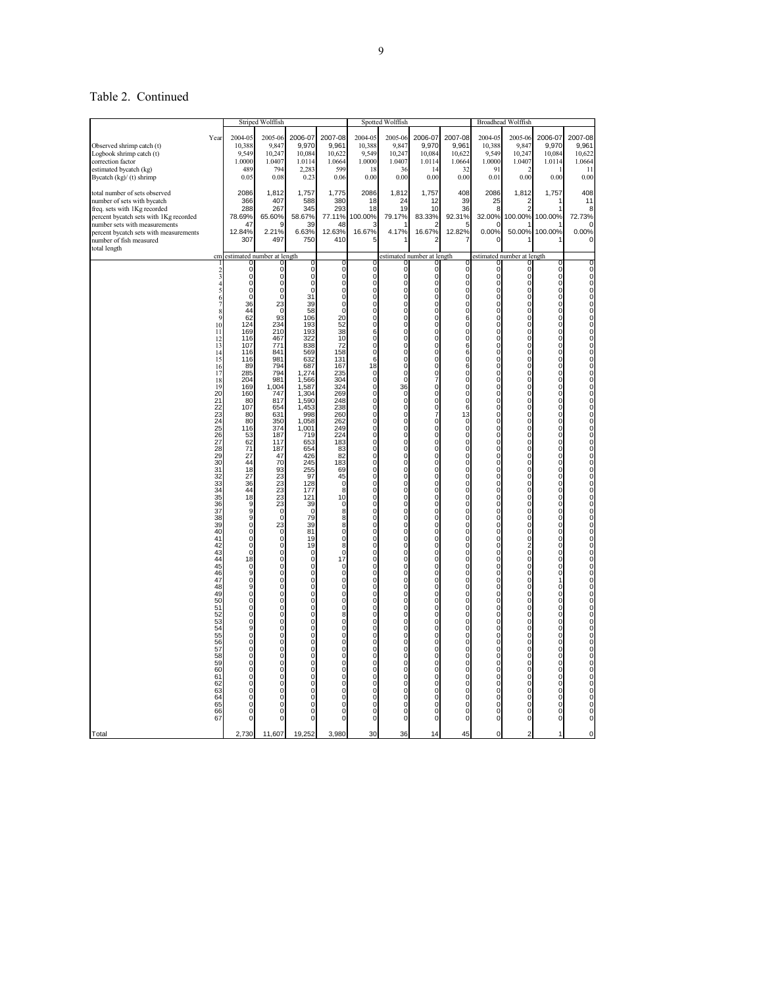# Table 2. Continued

|                                                                                                                                                                                                                                                              |                                                                                                                                                                                                                                                                                                                                                                                                                                 |                                                                                                                                                                                                                                                                                                                                                                                                                                                                                                                                                                                                                   | Striped Wolffish                                                                                                                                                                                                                                                                                                                                                                                                                                                                                                                                                                              |                                                                                                                                                                                                                                                                                                                                                                                                                                                                 |                                                                                                                                                                                                                                                                                                                                                                                                                                                      |                                                                                                                                                                                                                                                                                                                                                                                                                                                                                                                                                                                                                                                                                 | Spotted Wolffish                                                                                                                                                                                                                                                                                                                                                                                                                                                                                                                                                                                                                                                                                   |                                                                                                                                                                                                                                                                                                                                                                                                                                                                                                                                                                                                                                                                                                                         |                                                                                                                                                                                                                                                                                                                                                                                                                                                                                                                                                                                                                                                                                                                                                                                                                          |                                                                                                                                                                                                                                                                                                                                                                                                                                                                                            | <b>Broadhead Wolffish</b>                                                                                                                                                                                                                                                                                                                                                                                                                                                                                                                                                                                                                                                                                                                                                                               |                                                                                                                                                                                                                                                                                                                                                                                                                                                                                                                                                                     |                                                                                                                                                                                                                                                                                                                                                                                                                                   |
|--------------------------------------------------------------------------------------------------------------------------------------------------------------------------------------------------------------------------------------------------------------|---------------------------------------------------------------------------------------------------------------------------------------------------------------------------------------------------------------------------------------------------------------------------------------------------------------------------------------------------------------------------------------------------------------------------------|-------------------------------------------------------------------------------------------------------------------------------------------------------------------------------------------------------------------------------------------------------------------------------------------------------------------------------------------------------------------------------------------------------------------------------------------------------------------------------------------------------------------------------------------------------------------------------------------------------------------|-----------------------------------------------------------------------------------------------------------------------------------------------------------------------------------------------------------------------------------------------------------------------------------------------------------------------------------------------------------------------------------------------------------------------------------------------------------------------------------------------------------------------------------------------------------------------------------------------|-----------------------------------------------------------------------------------------------------------------------------------------------------------------------------------------------------------------------------------------------------------------------------------------------------------------------------------------------------------------------------------------------------------------------------------------------------------------|------------------------------------------------------------------------------------------------------------------------------------------------------------------------------------------------------------------------------------------------------------------------------------------------------------------------------------------------------------------------------------------------------------------------------------------------------|---------------------------------------------------------------------------------------------------------------------------------------------------------------------------------------------------------------------------------------------------------------------------------------------------------------------------------------------------------------------------------------------------------------------------------------------------------------------------------------------------------------------------------------------------------------------------------------------------------------------------------------------------------------------------------|----------------------------------------------------------------------------------------------------------------------------------------------------------------------------------------------------------------------------------------------------------------------------------------------------------------------------------------------------------------------------------------------------------------------------------------------------------------------------------------------------------------------------------------------------------------------------------------------------------------------------------------------------------------------------------------------------|-------------------------------------------------------------------------------------------------------------------------------------------------------------------------------------------------------------------------------------------------------------------------------------------------------------------------------------------------------------------------------------------------------------------------------------------------------------------------------------------------------------------------------------------------------------------------------------------------------------------------------------------------------------------------------------------------------------------------|--------------------------------------------------------------------------------------------------------------------------------------------------------------------------------------------------------------------------------------------------------------------------------------------------------------------------------------------------------------------------------------------------------------------------------------------------------------------------------------------------------------------------------------------------------------------------------------------------------------------------------------------------------------------------------------------------------------------------------------------------------------------------------------------------------------------------|--------------------------------------------------------------------------------------------------------------------------------------------------------------------------------------------------------------------------------------------------------------------------------------------------------------------------------------------------------------------------------------------------------------------------------------------------------------------------------------------|---------------------------------------------------------------------------------------------------------------------------------------------------------------------------------------------------------------------------------------------------------------------------------------------------------------------------------------------------------------------------------------------------------------------------------------------------------------------------------------------------------------------------------------------------------------------------------------------------------------------------------------------------------------------------------------------------------------------------------------------------------------------------------------------------------|---------------------------------------------------------------------------------------------------------------------------------------------------------------------------------------------------------------------------------------------------------------------------------------------------------------------------------------------------------------------------------------------------------------------------------------------------------------------------------------------------------------------------------------------------------------------|-----------------------------------------------------------------------------------------------------------------------------------------------------------------------------------------------------------------------------------------------------------------------------------------------------------------------------------------------------------------------------------------------------------------------------------|
| Observed shrimp catch (t)<br>Logbook shrimp catch (t)<br>correction factor<br>estimated bycatch (kg)<br>Bycatch (kg)/ (t) shrimp                                                                                                                             | Year                                                                                                                                                                                                                                                                                                                                                                                                                            | 2004-05<br>10,388<br>9.549<br>1.0000<br>489<br>0.05                                                                                                                                                                                                                                                                                                                                                                                                                                                                                                                                                               | 2005-06<br>9,847<br>10,247<br>1.0407<br>794<br>0.08                                                                                                                                                                                                                                                                                                                                                                                                                                                                                                                                           | 2006-07<br>9,970<br>10,084<br>1.0114<br>2,283<br>0.23                                                                                                                                                                                                                                                                                                                                                                                                           | 2007-08<br>9,961<br>10,622<br>1.0664<br>599<br>0.06                                                                                                                                                                                                                                                                                                                                                                                                  | 2004-05<br>10,388<br>9,549<br>1.0000<br>18<br>0.00                                                                                                                                                                                                                                                                                                                                                                                                                                                                                                                                                                                                                              | 2005-06<br>9,847<br>10,247<br>1.0407<br>36<br>0.00                                                                                                                                                                                                                                                                                                                                                                                                                                                                                                                                                                                                                                                 | 2006-07<br>9,970<br>10,084<br>1.0114<br>14<br>0.00                                                                                                                                                                                                                                                                                                                                                                                                                                                                                                                                                                                                                                                                      | 2007-08<br>9,961<br>10,622<br>1.0664<br>32<br>0.00                                                                                                                                                                                                                                                                                                                                                                                                                                                                                                                                                                                                                                                                                                                                                                       | 2004-05<br>10,388<br>9,549<br>1.0000<br>91<br>0.01                                                                                                                                                                                                                                                                                                                                                                                                                                         | 2005-06<br>9,847<br>10,247<br>1.0407<br>0.00                                                                                                                                                                                                                                                                                                                                                                                                                                                                                                                                                                                                                                                                                                                                                            | 2006-07<br>9,970<br>10,084<br>1.0114<br>0.00                                                                                                                                                                                                                                                                                                                                                                                                                                                                                                                        | 2007-08<br>9,961<br>10,622<br>1.0664<br>11<br>0.00                                                                                                                                                                                                                                                                                                                                                                                |
| total number of sets observed<br>number of sets with bycatch<br>freq. sets with 1Kg recorded<br>percent bycatch sets with 1Kg recorded<br>number sets with measurements<br>percent bycatch sets with measurements<br>number of fish measured<br>total length |                                                                                                                                                                                                                                                                                                                                                                                                                                 | 2086<br>366<br>288<br>78.69%<br>47<br>12.84%<br>307                                                                                                                                                                                                                                                                                                                                                                                                                                                                                                                                                               | 1,812<br>407<br>267<br>65.60%<br><b>g</b><br>2.21%<br>497                                                                                                                                                                                                                                                                                                                                                                                                                                                                                                                                     | 1,757<br>588<br>345<br>58.67%<br>39<br>6.63%<br>750                                                                                                                                                                                                                                                                                                                                                                                                             | 1,775<br>380<br>293<br>77.11%<br>48<br>12.63%<br>410                                                                                                                                                                                                                                                                                                                                                                                                 | 2086<br>18<br>18<br>100.00%<br>P<br>16.67%<br>5                                                                                                                                                                                                                                                                                                                                                                                                                                                                                                                                                                                                                                 | 1,812<br>24<br>19<br>79.17%<br>4.17%                                                                                                                                                                                                                                                                                                                                                                                                                                                                                                                                                                                                                                                               | 1,757<br>12<br>10<br>83.33%<br>2<br>16.67%<br>2                                                                                                                                                                                                                                                                                                                                                                                                                                                                                                                                                                                                                                                                         | 408<br>39<br>36<br>92.31%<br>5<br>12.82%<br>7                                                                                                                                                                                                                                                                                                                                                                                                                                                                                                                                                                                                                                                                                                                                                                            | 2086<br>25<br>8<br>32.00%<br>ſ<br>0.00%                                                                                                                                                                                                                                                                                                                                                                                                                                                    | 1,812<br>2<br>100.00%<br>50.00%                                                                                                                                                                                                                                                                                                                                                                                                                                                                                                                                                                                                                                                                                                                                                                         | 1,757<br>100.00%<br>100.00%                                                                                                                                                                                                                                                                                                                                                                                                                                                                                                                                         | 408<br>11<br>8<br>72.73%<br>O<br>0.00%<br>0                                                                                                                                                                                                                                                                                                                                                                                       |
|                                                                                                                                                                                                                                                              | $\overline{\mathbf{c}}$                                                                                                                                                                                                                                                                                                                                                                                                         | cm estimated number at length<br>C<br>0                                                                                                                                                                                                                                                                                                                                                                                                                                                                                                                                                                           | $\Omega$                                                                                                                                                                                                                                                                                                                                                                                                                                                                                                                                                                                      | 0<br>$\pmb{0}$                                                                                                                                                                                                                                                                                                                                                                                                                                                  | 0                                                                                                                                                                                                                                                                                                                                                                                                                                                    | 0                                                                                                                                                                                                                                                                                                                                                                                                                                                                                                                                                                                                                                                                               | 0                                                                                                                                                                                                                                                                                                                                                                                                                                                                                                                                                                                                                                                                                                  | estimated number at length                                                                                                                                                                                                                                                                                                                                                                                                                                                                                                                                                                                                                                                                                              | C                                                                                                                                                                                                                                                                                                                                                                                                                                                                                                                                                                                                                                                                                                                                                                                                                        | 0                                                                                                                                                                                                                                                                                                                                                                                                                                                                                          | estimated number at length<br>O<br>0                                                                                                                                                                                                                                                                                                                                                                                                                                                                                                                                                                                                                                                                                                                                                                    | $\mathbf 0$                                                                                                                                                                                                                                                                                                                                                                                                                                                                                                                                                         | 0<br>0                                                                                                                                                                                                                                                                                                                                                                                                                            |
|                                                                                                                                                                                                                                                              | $\overline{4}$<br>6<br>$\frac{8}{9}$<br>10<br>$11$<br>$12$<br>$13$<br>$14$<br>$15$<br>$16$<br>$17$<br>$\frac{18}{19}$<br>20<br>21<br>22<br>23<br>24<br>25<br>26<br>27<br>$\frac{28}{29}$<br>30<br>31<br>32 33 34 35 36 37 38<br>$\frac{39}{40}$<br>41<br>42<br>$43$<br>$44$<br>$45$<br>46<br>47<br>$\frac{48}{49}$<br>50<br>51<br>$\frac{52}{53}$<br>55<br>56<br>57<br>58<br>59<br>60<br>61<br>62<br>63<br>64<br>65<br>66<br>67 | O<br>0<br>$\Omega$<br>$\sqrt{ }$<br>36<br>44<br>62<br>124<br>169<br>116<br>107<br>116<br>116<br>89<br>285<br>204<br>169<br>160<br>80<br>107<br>80<br>80<br>116<br>53<br>62<br>71<br>$\frac{1}{27}$<br>44<br>18<br>27<br>36<br>$\frac{44}{18}$<br>9<br>9<br>$\mathbf 0$<br>$\ddot{o}$<br>$\pmb{0}$<br>$\mathbf 0$<br>$\ddot{o}$<br>$\begin{matrix} 18 \\ 0 \end{matrix}$<br>$\frac{9}{0}$<br>9<br>ō<br>0<br>$\mathbf 0$<br>$\mathbf 0$<br>0<br>9<br>$\ddot{o}$<br>0<br>$\mathbf 0$<br>$\ddot{o}$<br>0<br>$\mathbf 0$<br>$\mathbf 0$<br>0<br>$\ddot{o}$<br>$\mathbf 0$<br>$\mathbf 0$<br>$\mathbf 0$<br>$\mathbf 0$ | $\Omega$<br>0<br>$\Omega$<br>$\Omega$<br>23<br>$\mathbf 0$<br>93<br>234<br>210<br>467<br>771<br>841<br>981<br>794<br>794<br>981<br>1,004<br>747<br>817<br>654<br>631<br>350<br>374<br>187<br>117<br>187<br>47<br>70<br>93<br>23<br>23<br>23<br>23<br>23<br>$\mathbf 0$<br>$\Omega$<br>23<br>Ö<br>$\pmb{0}$<br>$\mathbf 0$<br>$\Omega$<br>0<br>$\Omega$<br>$\Omega$<br>0<br>0<br>$\mathbf 0$<br>$\Omega$<br>0<br>$\mathbf 0$<br>0<br>$\overline{0}$<br>$\mathbf 0$<br>0<br>$\mathbf 0$<br>$\Omega$<br>0<br>$\Omega$<br>$\Omega$<br>$\Omega$<br>$\Omega$<br>$\Omega$<br>$\mathbf 0$<br>$\Omega$ | ō<br>0<br>$\Omega$<br>31<br>39<br>58<br>106<br>193<br>193<br>322<br>838<br>569<br>632<br>687<br>1.274<br>1,566<br>1,587<br>1,304<br>1,590<br>1,453<br>998<br>1,058<br>1,001<br>719<br>653<br>654<br>426<br>245<br>255<br>97<br>128<br>177<br>121<br>39<br>$\Omega$<br>79<br>39<br>81<br>19<br>19<br>$\Omega$<br>0<br>0<br>0<br>0<br>0<br>0<br>0<br>0<br>0<br>0<br>0<br>0<br>0<br>0<br>0<br>0<br>0<br>0<br>0<br>0<br>0<br>$\overline{0}$<br>$\Omega$<br>$\Omega$ | $\bar{0}$<br>0<br>0<br>0<br>0<br>$\mathbf 0$<br>20<br>52<br>$\frac{38}{10}$<br>72<br>158<br>131<br>167<br>235<br>304<br>324<br>269<br>248<br>238<br>260<br>262<br>249<br>224<br>183<br>83<br>$\frac{82}{183}$<br>69<br>45<br>0<br>8<br>10<br>0<br>8<br>8<br>8<br>Ō<br>$\ddot{\mathbf{0}}$<br>8<br>$\mathbf 0$<br>17<br>Ö<br>0<br>0<br>ō<br>0<br>0<br>8<br>$^{\rm 0}_{\rm 0}$<br>0<br>0<br>0<br>ō<br>0<br>0<br>Ö<br>0<br>Ö<br>0<br>0<br>0<br>$\Omega$ | Ö<br>0<br>$\mathbf 0$<br>0<br>0<br>$\overline{0}$<br>$\mathbf 0$<br>0<br>$\bar{6}$<br>0<br>$\mathbf 0$<br>6<br>$\begin{matrix} 18 \\ 0 \end{matrix}$<br>$\overline{0}$<br>$\mathbf 0$<br>0<br>0<br>0<br>$\ddot{0}$<br>0<br>0<br>ō<br>0<br>$\mathbf 0$<br>$_{\rm 0}^{\rm 0}$<br>$\mathbf 0$<br>0<br>$\mathbf 0$<br>0<br>ō<br>$\mathbf 0$<br>$\mathbf 0$<br>0<br>0<br>Ö<br>$\bar{0}$<br>$\ddot{o}$<br>$_{\rm 0}^{\rm 0}$<br>$\mathbf 0$<br>$\pmb{0}$<br>$\mathbf 0$<br>ō<br>0<br>$\mathbf 0$<br>$\mathbf 0$<br>$_{\rm 0}^{\rm 0}$<br>$\ddot{\mathbf{0}}$<br>0<br>0<br>ō<br>0<br>$\mathbf 0$<br>$\ddot{\mathbf{0}}$<br>0<br>Ö<br>$\mathbf 0$<br>0<br>$\mathbf 0$<br>$\overline{0}$ | $\bar{0}$<br>0<br>$\bar{0}$<br>0<br>$\bar{0}$<br>0<br>$\bar{0}$<br>0<br>$\bar{0}$<br>$\begin{smallmatrix}0\\0\\0\end{smallmatrix}$<br>36<br>$\begin{smallmatrix}0\0\0\end{smallmatrix}$<br>$\bar{0}$<br>$\begin{matrix} 0 \\ 0 \\ 0 \end{matrix}$<br>$\begin{smallmatrix}0\0\0\end{smallmatrix}$<br>$\mathbf 0$<br>$\bar{0}$<br>0<br>$\begin{matrix} 0 \\ 0 \\ 0 \end{matrix}$<br>$\begin{matrix}0\\0\\0\end{matrix}$<br>$\begin{matrix}0\\0\\0\end{matrix}$<br>Ö<br>$^{\rm o}_{\rm o}$<br>00000<br>$\mathbf 0$<br>$\bar{0}$<br>$\bar{0}$<br>Ö<br>0<br>$\begin{matrix} 0 \\ 0 \\ 0 \end{matrix}$<br>$\begin{matrix} 0 \\ 0 \end{matrix}$<br>$^{\rm o}_{\rm o}$<br>$\overline{0}$<br>0<br>$\bar{0}$ | $\begin{matrix} 0 \\ 0 \\ 0 \\ 0 \end{matrix}$<br>$\mathbf 0$<br>$\check{0}$<br>$\overline{0}$<br>$\tilde{0}$<br>0<br>$\begin{matrix} 0 \\ 0 \\ 0 \end{matrix}$<br>$\rm\check{0}$<br>00070<br>00070<br>$\begin{matrix} 0 \\ 0 \\ 0 \end{matrix}$<br>$\mathbf 0$<br>$\check{0}$<br>$\mathbf 0$<br>$\bar{0}$<br>$\begin{matrix} 0 \\ 0 \\ 0 \end{matrix}$<br>$\mathbf 0$<br>$\tilde{0}$<br>0<br>$\ddot{o}$<br>$\check{0}$<br>$\begin{matrix}0\\0\\0\end{matrix}$<br>$\bar{0}$<br>$\begin{matrix} 0 \\ 0 \\ 0 \end{matrix}$<br>$\mathbf 0$<br>$\begin{matrix} 0 \\ 0 \\ 0 \end{matrix}$<br>$\rm\check{0}$<br>0<br>$\frac{0}{0}$<br>$\mathbf 0$<br>$\check{0}$<br>Ö<br>$\check{\circ}$<br>0<br>$\ddot{o}$<br>$\overline{0}$ | $\bar{0}$<br>$\mathbf 0$<br>$\mathbf 0$<br>$\ddot{\mathbf{0}}$<br>0<br>$\mathbf 0$<br>$\ddot{\mathbf{6}}$<br>0<br>$\bar{0}$<br>6<br>$\bar{6}$ <sup>6</sup><br>$\frac{6}{0}$<br>ō<br>$\mathbf 0$<br>$\bar{0}$<br>6<br>$\begin{matrix} 1\bar{3} \\ 0 \end{matrix}$<br>$\mathbf 0$<br>$\frac{0}{0}$<br>$\mathbf 0$<br>$\overline{0}$<br>$\mathbf 0$<br>$\mathbf 0$<br>0<br>$\begin{matrix} 0 \\ 0 \\ 0 \end{matrix}$<br>$\mathbf 0$<br>$\ddot{\mathbf{0}}$<br>0<br>Ö<br>$\ddot{\mathbf{0}}$<br>0<br>$\ddot{\mathbf{0}}$<br>0<br>O<br>$\bar{0}$<br>$\mathbf 0$<br>ō<br>$\ddot{\mathbf{0}}$<br>$\mathbf 0$<br>$\ddot{\mathbf{0}}$<br>$\mathbf 0$<br>0<br>$\ddot{\mathbf{0}}$<br>$\mathbf 0$<br>$\begin{matrix} 0 \\ 0 \\ 0 \end{matrix}$<br>$\mathbf 0$<br>$\overline{0}$<br>0<br>Ö<br>$\overline{0}$<br>0<br>0<br>$\ddot{o}$ | $\bar{0}$<br>0<br>$\mathbf 0$<br>$\check{0}$<br>$\bar{0}$<br>$\begin{matrix} 0 \\ 0 \\ 0 \end{matrix}$<br>$\begin{matrix} 0 \\ 0 \\ 0 \end{matrix}$<br>$\begin{matrix} 0 \\ 0 \\ 0 \end{matrix}$<br>000000<br>$\begin{matrix} 0 \\ 0 \\ 0 \end{matrix}$<br>$\begin{matrix} 0 \\ 0 \\ 0 \end{matrix}$<br>00000000<br>00000000<br>$\begin{matrix} 0 \\ 0 \\ 0 \end{matrix}$<br>000000<br>00000<br>$\begin{matrix} 0 \\ 0 \\ 0 \end{matrix}$<br>$\begin{smallmatrix}0\0\0\0\end{smallmatrix}$ | $\mathbf 0$<br>$\bf 0$<br>$\mathbf 0$<br>0<br>$\bf 0$<br>$\mathbf 0$<br>$\mathbf 0$<br>$\mathbf 0$<br>$\bar{0}$<br>$\mathbf 0$<br>$\mathbf 0$<br>0<br>$\mathbf 0$<br>$\ddot{\mathbf{0}}$<br>$\mathbf 0$<br>$\mathbf 0$<br>$\pmb{0}$<br>0<br>$\mathbf 0$<br>$\pmb{0}$<br>0<br>$\mathbf 0$<br>ō<br>0<br>$\mathbf 0$<br>$\begin{matrix} 0 \\ 0 \end{matrix}$<br>$\mathbf 0$<br>$\pmb{0}$<br>0<br>$\mathbf 0$<br>ō<br>0<br>$\mathbf 0$<br>0<br>0<br>$\ddot{\mathbf{0}}$<br>$\begin{matrix} 0 \\ 2 \\ 0 \end{matrix}$<br>$_{0}^{0}$<br>$\mathbf 0$<br>$\bf 0$<br>$\mathbf 0$<br>ō<br>$\bf 0$<br>$\mathbf 0$<br>$\mathbf 0$<br>$\pmb{0}$<br>$\mathbf 0$<br>$\mathbf 0$<br>0<br>$\mathbf 0$<br>ō<br>0<br>$\mathbf 0$<br>$\ddot{o}$<br>0<br>$\ddot{o}$<br>$\mathbf 0$<br>$\mathbf 0$<br>$\mathbf 0$<br>$\Omega$ | $\Omega$<br>0<br>$\Omega$<br>0<br>0<br>$\mathbf 0$<br>0<br>0<br>$\Omega$<br>0<br>0<br>$\overline{0}$<br>0<br>0<br>$\mathbf 0$<br>0<br>0<br>$\mathbf 0$<br>0<br>0<br>$\overline{0}$<br>0<br>$\Omega$<br>$\ddot{0}$<br>0<br>$\mathbf 0$<br>$\pmb{0}$<br>0<br>0<br>0<br>0<br>$\Omega$<br>$\mathbf 0$<br>0<br>$\mathbf 0$<br>$\Omega$<br>0<br>$\mathbf 0$<br>$\mathbf 0$<br>0<br>$\mathbf 0$<br>0<br>0<br>$\Omega$<br>$\Omega$<br>0<br>0<br>0<br>0<br>$\mathbf 0$<br>0<br>$\Omega$<br>$\Omega$<br>0<br>$\mathbf 0$<br>0<br>$\Omega$<br>$\Omega$<br>$\Omega$<br>$\Omega$ | $\ddot{\mathrm{o}}$<br>$\mathbf 0$<br>$\begin{smallmatrix}0\0\0\end{smallmatrix}$<br>00000<br>$\bar{0}$<br>00000000<br>$\begin{smallmatrix}0\0\0\end{smallmatrix}$<br>$\begin{smallmatrix}0\0\0\end{smallmatrix}$<br>$\begin{smallmatrix}0\0\0\end{smallmatrix}$<br>$\begin{smallmatrix}0\0\0\end{smallmatrix}$<br>00000<br>$\begin{smallmatrix}0\0\0\end{smallmatrix}$<br>0000<br>0000<br>$\bar{0}$<br>00000000<br>$\frac{0}{0}$ |
| Total                                                                                                                                                                                                                                                        |                                                                                                                                                                                                                                                                                                                                                                                                                                 | 2.730                                                                                                                                                                                                                                                                                                                                                                                                                                                                                                                                                                                                             | 11.607                                                                                                                                                                                                                                                                                                                                                                                                                                                                                                                                                                                        | 19.252                                                                                                                                                                                                                                                                                                                                                                                                                                                          | 3,980                                                                                                                                                                                                                                                                                                                                                                                                                                                | 30                                                                                                                                                                                                                                                                                                                                                                                                                                                                                                                                                                                                                                                                              | 36                                                                                                                                                                                                                                                                                                                                                                                                                                                                                                                                                                                                                                                                                                 | 14                                                                                                                                                                                                                                                                                                                                                                                                                                                                                                                                                                                                                                                                                                                      | 45                                                                                                                                                                                                                                                                                                                                                                                                                                                                                                                                                                                                                                                                                                                                                                                                                       | $\Omega$                                                                                                                                                                                                                                                                                                                                                                                                                                                                                   | $\overline{a}$                                                                                                                                                                                                                                                                                                                                                                                                                                                                                                                                                                                                                                                                                                                                                                                          |                                                                                                                                                                                                                                                                                                                                                                                                                                                                                                                                                                     |                                                                                                                                                                                                                                                                                                                                                                                                                                   |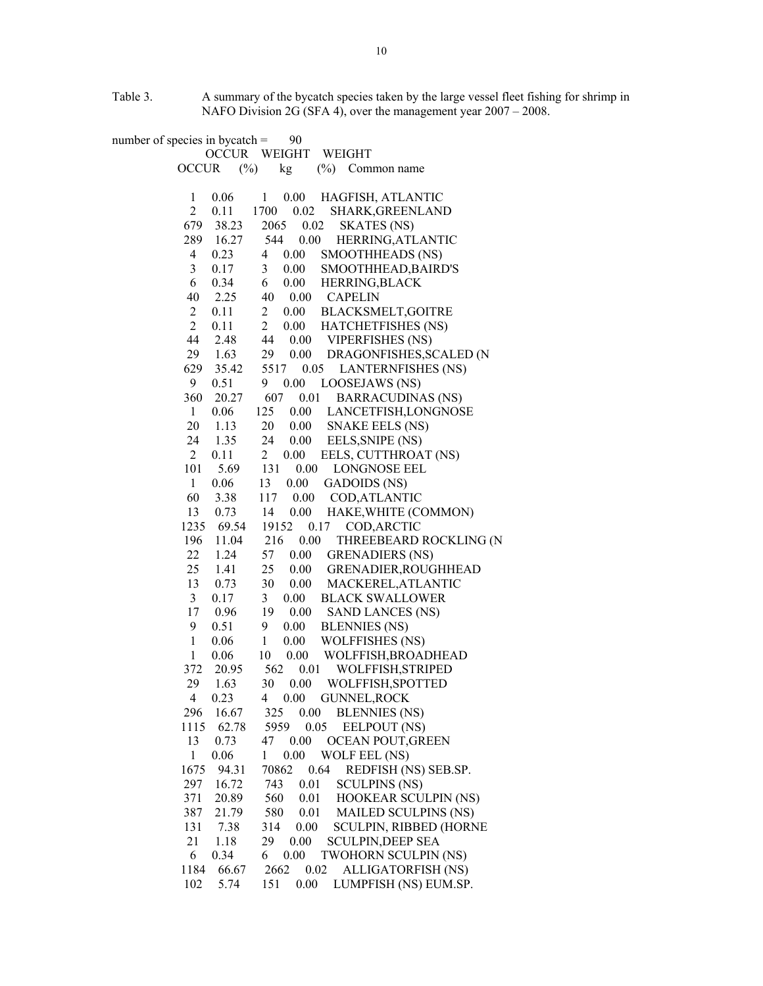Table 3. A summary of the bycatch species taken by the large vessel fleet fishing for shrimp in NAFO Division 2G (SFA 4), over the management year 2007 – 2008.

number of species in bycatch  $=$  90 OCCUR WEIGHT WEIGHT OCCUR (%) kg (%) Common name 1 0.06 1 0.00 HAGFISH, ATLANTIC 2 0.11 1700 0.02 SHARK,GREENLAND 679 38.23 2065 0.02 SKATES (NS) 289 16.27 544 0.00 HERRING,ATLANTIC 4 0.23 4 0.00 SMOOTHHEADS (NS) 3 0.17 3 0.00 SMOOTHHEAD,BAIRD'S 6 0.34 6 0.00 HERRING,BLACK 40 2.25 40 0.00 CAPELIN 2 0.11 2 0.00 BLACKSMELT,GOITRE 2 0.11 2 0.00 HATCHETFISHES (NS) 44 2.48 44 0.00 VIPERFISHES (NS) 29 1.63 29 0.00 DRAGONFISHES,SCALED (N 629 35.42 5517 0.05 LANTERNFISHES (NS) 9 0.51 9 0.00 LOOSEJAWS (NS) 360 20.27 607 0.01 BARRACUDINAS (NS) 1 0.06 125 0.00 LANCETFISH,LONGNOSE 20 1.13 20 0.00 SNAKE EELS (NS) 24 1.35 24 0.00 EELS,SNIPE (NS) 2 0.11 2 0.00 EELS, CUTTHROAT (NS) 101 5.69 131 0.00 LONGNOSE EEL 1 0.06 13 0.00 GADOIDS (NS) 60 3.38 117 0.00 COD,ATLANTIC 13 0.73 14 0.00 HAKE,WHITE (COMMON) 1235 69.54 19152 0.17 COD,ARCTIC 196 11.04 216 0.00 THREEBEARD ROCKLING (N 22 1.24 57 0.00 GRENADIERS (NS) 25 1.41 25 0.00 GRENADIER,ROUGHHEAD 13 0.73 30 0.00 MACKEREL,ATLANTIC 3 0.17 3 0.00 BLACK SWALLOWER 17 0.96 19 0.00 SAND LANCES (NS) 9 0.51 9 0.00 BLENNIES (NS) 1 0.06 1 0.00 WOLFFISHES (NS) 1 0.06 10 0.00 WOLFFISH,BROADHEAD 372 20.95 562 0.01 WOLFFISH,STRIPED 29 1.63 30 0.00 WOLFFISH,SPOTTED 4 0.23 4 0.00 GUNNEL,ROCK 296 16.67 325 0.00 BLENNIES (NS) 1115 62.78 5959 0.05 EELPOUT (NS) 13 0.73 47 0.00 OCEAN POUT,GREEN 1 0.06 1 0.00 WOLF EEL (NS) 1675 94.31 70862 0.64 REDFISH (NS) SEB.SP. 297 16.72 743 0.01 SCULPINS (NS) 371 20.89 560 0.01 HOOKEAR SCULPIN (NS) 387 21.79 580 0.01 MAILED SCULPINS (NS) 131 7.38 314 0.00 SCULPIN, RIBBED (HORNE 21 1.18 29 0.00 SCULPIN,DEEP SEA 6 0.34 6 0.00 TWOHORN SCULPIN (NS) 1184 66.67 2662 0.02 ALLIGATORFISH (NS) 102 5.74 151 0.00 LUMPFISH (NS) EUM.SP.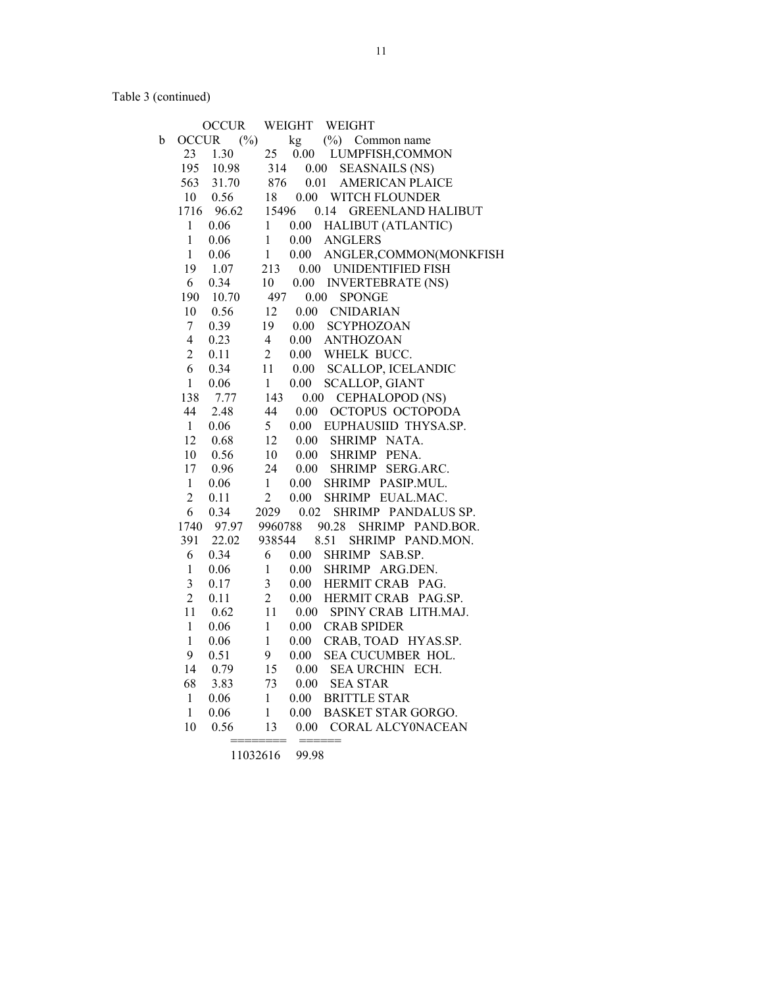Table 3 (continued)

|             |                | <b>OCCUR</b> |                | WEIGHT   | WEIGHT                     |
|-------------|----------------|--------------|----------------|----------|----------------------------|
| $\mathbf b$ | <b>OCCUR</b>   | $(\%)$       |                | kg       | $(\%)$ Common name         |
|             | 23             | 1.30         | 25             | 0.00     | LUMPFISH, COMMON           |
|             | 195            | 10.98        | 314            | $0.00\,$ | <b>SEASNAILS (NS)</b>      |
|             | 563            | 31.70        | 876            | 0.01     | <b>AMERICAN PLAICE</b>     |
|             | 10             | 0.56         | 18             |          | 0.00 WITCH FLOUNDER        |
|             | 1716           | 96.62        | 15496          |          | 0.14 GREENLAND HALIBUT     |
|             | $\mathbf{1}$   | 0.06         | $\mathbf{1}$   | 0.00     | HALIBUT (ATLANTIC)         |
|             | $\mathbf{1}$   | 0.06         | $\,1$          | 0.00     | <b>ANGLERS</b>             |
|             | $\mathbf{1}$   | 0.06         | $\mathbf{1}$   | 0.00     | ANGLER, COMMON(MONKFISH    |
|             | 19             | 1.07         | 213            |          | 0.00 UNIDENTIFIED FISH     |
|             | 6              | 0.34         | 10             | 0.00     | <b>INVERTEBRATE (NS)</b>   |
|             | 190            | 10.70        | 497            | 0.00     | <b>SPONGE</b>              |
|             | 10             | 0.56         | 12             |          | 0.00 CNIDARIAN             |
|             | $\tau$         | 0.39         | 19             | $0.00\,$ | <b>SCYPHOZOAN</b>          |
|             | 4              | 0.23         | $\overline{4}$ | 0.00     | <b>ANTHOZOAN</b>           |
|             | $\overline{2}$ | 0.11         | $\overline{2}$ | 0.00     | WHELK BUCC.                |
|             | 6              | 0.34         | 11             | 0.00     | <b>SCALLOP, ICELANDIC</b>  |
|             | $\mathbf{1}$   | 0.06         | $\mathbf{1}$   | 0.00     | <b>SCALLOP, GIANT</b>      |
|             | 138            | 7.77         | 143            | 0.00     | CEPHALOPOD (NS)            |
|             | 44             | 2.48         | 44             | 0.00     | OCTOPUS OCTOPODA           |
|             | $\mathbf{1}$   | 0.06         | 5 <sup>5</sup> | 0.00     | EUPHAUSIID THYSA.SP.       |
|             | 12             | 0.68         | 12             | 0.00     | SHRIMP NATA.               |
|             | 10             | 0.56         | 10             | 0.00     | SHRIMP PENA.               |
|             | 17             | 0.96         | 24             | 0.00     | <b>SHRIMP</b><br>SERG.ARC. |
|             | $\mathbf{1}$   | 0.06         | $\mathbf{1}$   | 0.00     | SHRIMP PASIP.MUL.          |
|             | $\sqrt{2}$     | 0.11         | $\overline{c}$ | $0.00\,$ | SHRIMP EUAL.MAC.           |
|             | 6              | 0.34         | 2029           | 0.02     | SHRIMP PANDALUS SP.        |
|             | 1740           | 97.97        | 9960788        |          | 90.28<br>SHRIMP PAND.BOR.  |
|             | 391            | 22.02        | 938544         |          | 8.51<br>SHRIMP PAND.MON.   |
|             | 6              | 0.34         | 6              | 0.00     | SHRIMP SAB.SP.             |
|             | $\mathbf{1}$   | 0.06         | $\,1$          | 0.00     | SHRIMP ARG.DEN.            |
|             | 3              | 0.17         | 3              | 0.00     | HERMIT CRAB PAG.           |
|             | $\overline{2}$ | 0.11         | $\overline{2}$ | 0.00     | HERMIT CRAB PAG.SP.        |
|             | 11             | 0.62         | 11             | $0.00\,$ | SPINY CRAB LITH.MAJ.       |
|             | $\mathbf{1}$   | 0.06         | $\mathbf{1}$   | $0.00\,$ | <b>CRAB SPIDER</b>         |
|             | $\mathbf{1}$   | 0.06         | $\mathbf{1}$   | $0.00\,$ | CRAB, TOAD HYAS.SP.        |
|             | 9              | 0.51         | 9              | $0.00\,$ | SEA CUCUMBER HOL.          |
|             | 14             | 0.79         | 15             | 0.00     | SEA URCHIN ECH.            |
|             | 68             | 3.83         | 73             | $0.00\,$ | <b>SEA STAR</b>            |
|             | 1              | 0.06         | $\mathbf{1}$   | $0.00\,$ | <b>BRITTLE STAR</b>        |
|             | $\mathbf{1}$   | 0.06         | $\mathbf{1}$   | 0.00     | <b>BASKET STAR GORGO.</b>  |
|             | 10             | 0.56         | 13             | $0.00\,$ | CORAL ALCY0NACEAN          |
|             |                |              |                |          |                            |

11032616 99.98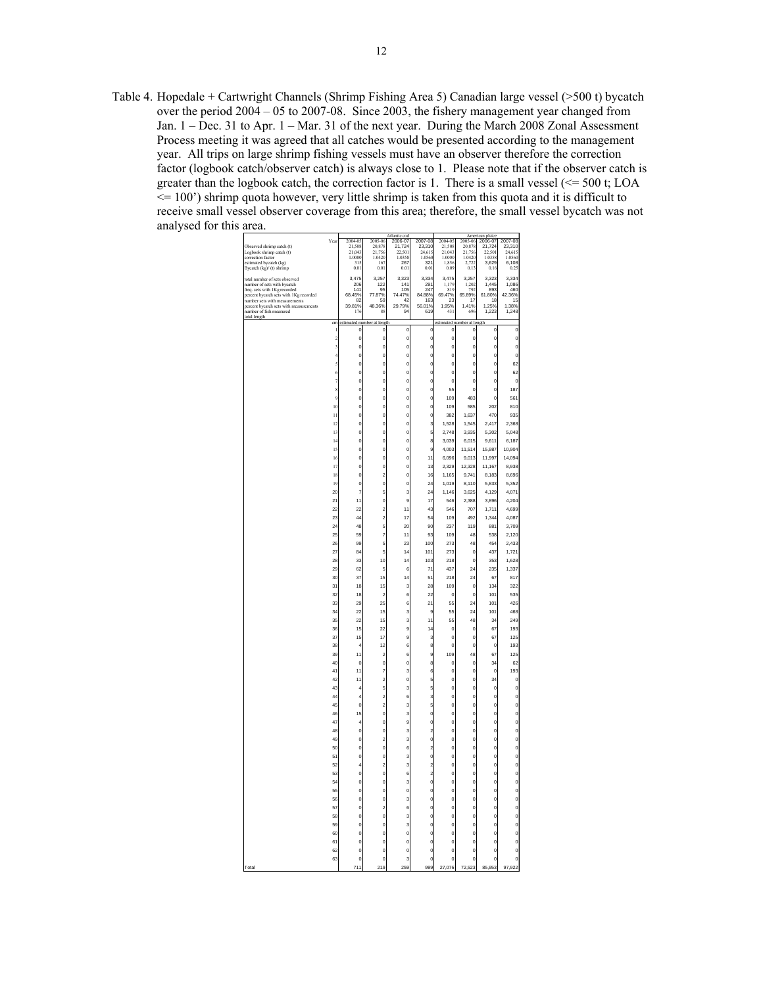Table 4. Hopedale + Cartwright Channels (Shrimp Fishing Area 5) Canadian large vessel (>500 t) bycatch over the period 2004 – 05 to 2007-08. Since 2003, the fishery management year changed from Jan. 1 – Dec. 31 to Apr. 1 – Mar. 31 of the next year. During the March 2008 Zonal Assessment Process meeting it was agreed that all catches would be presented according to the management year. All trips on large shrimp fishing vessels must have an observer therefore the correction factor (logbook catch/observer catch) is always close to 1. Please note that if the observer catch is greater than the logbook catch, the correction factor is 1. There is a small vessel  $\ll$  = 500 t; LOA  $\le$  100') shrimp quota however, very little shrimp is taken from this quota and it is difficult to receive small vessel observer coverage from this area; therefore, the small vessel bycatch was not analysed for this area.

| Observed shrimp catch (t)<br>Logbook shrimp catch (t)<br>correction factor<br>estimated bycatch (kg)<br>Bycatch (kg)/ (t) shrimp                                                                                  | Yea                                | 2004-05<br>21,508<br>21.043<br>1.0000<br>315<br>$_{0.01}$ | 2005-00<br>20,878<br>21,756<br>1.0420<br>16<br>$_{0.01}$ | Atlantic cor<br>2006-01<br>21,724<br>22.501<br>1.0358<br>267<br>0.01 | 2007-08<br>23,310<br>24,615<br>1.0560<br>321<br>0.01  | 2004-05<br>21,508<br>21.043<br>1.0000<br>1.856<br>0.05 | Ame<br>2005-06<br>20,878<br>21,756<br>1.0420<br>2.722<br>0.13 | an plaice<br>2006-07<br>21,724<br>22.501<br>1.0358<br>3.629<br>0.16 | 2007-08<br>23,310<br>24.615<br>1.0560<br>6.108<br>0.25 |  |
|-------------------------------------------------------------------------------------------------------------------------------------------------------------------------------------------------------------------|------------------------------------|-----------------------------------------------------------|----------------------------------------------------------|----------------------------------------------------------------------|-------------------------------------------------------|--------------------------------------------------------|---------------------------------------------------------------|---------------------------------------------------------------------|--------------------------------------------------------|--|
| total number of sets observed<br>number of sets with bycatch<br>freq. sets with 1Kg recorded<br>percent bycatch sets with 1Kg recorded<br>number sets with measurements<br>percent bycatch sets with measurements |                                    | 3,475<br>206<br>141<br>68.45%<br>82<br>39.81%             | 3,257<br>$\frac{122}{95}$<br>77.87%<br>59<br>48.36%      | 3,323<br>$\frac{141}{105}$<br>74.47%<br>42<br>29.79%                 | 3,334<br>291<br>247<br>84.88%<br>163<br>56.01%<br>619 | 3,475<br>$\frac{1,179}{819}$<br>69.47%<br>23<br>1.95%  | 3,257<br>1,202<br>65.89%<br>17<br>1.41%                       | 3,323<br>1,445<br>61.80%<br>18<br>1 25%                             | 3,334<br>1,086<br>460<br>42.36%<br>15<br>1 38%         |  |
| number of fish measured<br>total length                                                                                                                                                                           |                                    | 176                                                       | 88                                                       | 94                                                                   |                                                       | 431                                                    | 696                                                           | 1.223                                                               | 1.248                                                  |  |
|                                                                                                                                                                                                                   | cm<br>j                            | dn<br>$\circ$                                             | en:<br>$\mathbf{0}$                                      | $\mathbf{0}$                                                         | $\mathbf{0}$                                          | ed<br>$\circ$                                          | at i<br>$\mathbf{0}$                                          | $\circ$                                                             | O                                                      |  |
|                                                                                                                                                                                                                   | $\overline{\mathbf{c}}$            | $\circ$                                                   | 0                                                        | $\circ$                                                              | o                                                     | $\mathbf{C}$                                           | $\circ$                                                       | o                                                                   | $\circ$                                                |  |
|                                                                                                                                                                                                                   | 3                                  | $\circ$                                                   | 0                                                        | o                                                                    | $\circ$                                               | o                                                      | $\circ$                                                       | o                                                                   | $\circ$                                                |  |
|                                                                                                                                                                                                                   | $\ddot{4}$<br>5                    | $\circ$<br>$\circ$                                        | o<br>o                                                   | o<br>o                                                               | $\circ$<br>o                                          | o<br>$\circ$                                           | $\mathbf{0}$<br>O                                             | o<br>$\mathbf{0}$                                                   | $\mathbf{0}$<br>62                                     |  |
|                                                                                                                                                                                                                   | 6                                  | $\circ$                                                   | 0                                                        | o                                                                    | $\circ$                                               | o                                                      | $\mathbf{0}$                                                  | o                                                                   | 62                                                     |  |
|                                                                                                                                                                                                                   | $\overline{7}$                     | $\circ$                                                   | o                                                        | o                                                                    | $\circ$                                               | $\circ$                                                | $\circ$                                                       | o                                                                   | $\mathbf{0}$                                           |  |
|                                                                                                                                                                                                                   | 8<br>9                             | $\mathbf{0}$<br>$\circ$                                   | o<br>0                                                   | o<br>o                                                               | $\circ$<br>0                                          | 55<br>10 <sub>S</sub>                                  | $\overline{0}$<br>483                                         | $\mathbf{0}$<br>o                                                   | 187                                                    |  |
|                                                                                                                                                                                                                   | 10                                 | $\circ$                                                   | o                                                        | o                                                                    | $\circ$                                               | 10 <sub>S</sub>                                        | 585                                                           | 202                                                                 | 561<br>810                                             |  |
|                                                                                                                                                                                                                   | $\mathbf{1}$                       | $\mathbf{0}$                                              | o                                                        | o                                                                    | $\overline{0}$                                        | 382                                                    | 1,637                                                         | 470                                                                 | 935                                                    |  |
|                                                                                                                                                                                                                   | 12                                 | $\circ$                                                   | 0                                                        | o                                                                    | 3                                                     | 1,528                                                  | 1,545                                                         | 2.417                                                               | 2.368                                                  |  |
|                                                                                                                                                                                                                   | 13<br>$\overline{14}$              | $\circ$<br>$\circ$                                        | 0<br>o                                                   | o<br>o                                                               | 5<br>8                                                | 2,748<br>3,039                                         | 3,935<br>6,015                                                | 5,302<br>9,611                                                      | 5,048<br>6,187                                         |  |
|                                                                                                                                                                                                                   | 15                                 | $\mathbf{0}$                                              | o                                                        | $\mathbf{0}$                                                         | 9                                                     | 4,003                                                  | 11,514                                                        | 15,987                                                              | 10,904                                                 |  |
|                                                                                                                                                                                                                   | 16                                 | $\circ$                                                   | o                                                        | o                                                                    | 11                                                    | 6,096                                                  | 9,013                                                         | 11,997                                                              | 14.094                                                 |  |
|                                                                                                                                                                                                                   | 17<br>18                           | $\circ$<br>$\mathbf{0}$                                   | o<br>$\overline{c}$                                      | o<br>$\mathbf{0}$                                                    | 13<br>16                                              | 2,329<br>1,165                                         | 12,328<br>9,741                                               | 11,167<br>8,183                                                     | 8,938<br>8,696                                         |  |
|                                                                                                                                                                                                                   | 19                                 | $\circ$                                                   | o                                                        | o                                                                    | 24                                                    | 1,019                                                  | 8,110                                                         | 5,833                                                               | 5,352                                                  |  |
|                                                                                                                                                                                                                   | $\overline{20}$                    | 7                                                         | 5                                                        | 3                                                                    | $^{24}$                                               | 1,146                                                  | 3,625                                                         | 4,129                                                               | 4,071                                                  |  |
|                                                                                                                                                                                                                   | $\overline{21}$<br>$\overline{22}$ | 11<br>22                                                  | o<br>$\overline{\mathbf{c}}$                             | 9<br>11                                                              | 17<br>43                                              | 546<br>546                                             | 2,388<br>707                                                  | 3,896<br>1,711                                                      | 4,204<br>4,699                                         |  |
|                                                                                                                                                                                                                   | $\overline{2}$                     | 44                                                        | $\overline{\mathbf{c}}$                                  | 17                                                                   | 54                                                    | 10 <sub>S</sub>                                        | 492                                                           | 1.344                                                               | 4.087                                                  |  |
|                                                                                                                                                                                                                   | $\overline{24}$                    | 48                                                        | 5                                                        | $\overline{20}$                                                      | 90                                                    | 237                                                    | 119                                                           | 881                                                                 | 3,709                                                  |  |
|                                                                                                                                                                                                                   | 25<br>26                           | 59<br>99                                                  | 7<br>5                                                   | 11<br>23                                                             | 93<br>100                                             | 109<br>273                                             | 48<br>48                                                      | 538<br>454                                                          | 2,120<br>2,433                                         |  |
|                                                                                                                                                                                                                   | $\overline{2i}$                    | 84                                                        | 5                                                        | $\overline{14}$                                                      | 101                                                   | 273                                                    | $\mathbf{0}$                                                  | 43                                                                  | 1,721                                                  |  |
|                                                                                                                                                                                                                   | 28                                 | 33                                                        | 10                                                       | 14                                                                   | 103                                                   | 218                                                    | $\mathbf{0}$                                                  | 353                                                                 | 1,628                                                  |  |
|                                                                                                                                                                                                                   | 29                                 | 62<br>37                                                  | 5<br>15                                                  | 6<br>14                                                              | 71                                                    | 437<br>218                                             | $^{24}$<br>$\overline{24}$                                    | 235                                                                 | 1,337<br>817                                           |  |
|                                                                                                                                                                                                                   | 30<br>31                           | 18                                                        | 15                                                       | 3                                                                    | 51<br>28                                              | 10 <sub>S</sub>                                        | $\mathbf{0}$                                                  | 67<br>134                                                           | 322                                                    |  |
|                                                                                                                                                                                                                   | 32                                 | 18                                                        | $\overline{a}$                                           | 6                                                                    | 22                                                    | C                                                      | O                                                             | 101                                                                 | 535                                                    |  |
|                                                                                                                                                                                                                   | 33<br>34                           | 29<br>$\overline{22}$                                     | 25<br>15                                                 | 6<br>3                                                               | 21<br>9                                               | 55<br>55                                               | $^{24}$<br>$\overline{24}$                                    | 101<br>101                                                          | 426<br>468                                             |  |
|                                                                                                                                                                                                                   | 35                                 | $\overline{22}$                                           | 15                                                       | 3                                                                    | 11                                                    | 55                                                     | 48                                                            | 34                                                                  | 249                                                    |  |
|                                                                                                                                                                                                                   | 36                                 | 15                                                        | 22                                                       | 9                                                                    | 14                                                    | $\circ$                                                | $\mathbf c$                                                   | 67                                                                  | 193                                                    |  |
|                                                                                                                                                                                                                   | 37<br>38                           | 15<br>4                                                   | 17<br>12                                                 | g                                                                    | 3<br>8                                                | o<br>$\circ$                                           | $\mathbf{0}$<br>$\mathbf{0}$                                  | 67<br>$\circ$                                                       | 125<br>193                                             |  |
|                                                                                                                                                                                                                   | 39                                 | 11                                                        | $\overline{a}$                                           | 6<br>6                                                               | 9                                                     | 109                                                    | 48                                                            | 67                                                                  | 125                                                    |  |
|                                                                                                                                                                                                                   | 40                                 | $\circ$                                                   | o                                                        | o                                                                    | 8                                                     | C                                                      | $\mathbf c$                                                   | 34                                                                  | 62                                                     |  |
|                                                                                                                                                                                                                   | 41                                 | 11                                                        | 7                                                        | 3                                                                    | 6<br>5                                                | o                                                      | $\mathbf{0}$                                                  | $\circ$                                                             | 193                                                    |  |
|                                                                                                                                                                                                                   | 42<br>43                           | 11<br>4                                                   | $\overline{c}$<br>5                                      | o<br>3                                                               | 5                                                     | $\circ$<br>$\circ$                                     | O<br>$\overline{0}$                                           | 34<br>o                                                             | a<br>$\mathbf{0}$                                      |  |
|                                                                                                                                                                                                                   | 44                                 | 4                                                         | $\overline{c}$                                           | 6                                                                    | 3                                                     | o                                                      | $\overline{0}$                                                | o                                                                   | o                                                      |  |
|                                                                                                                                                                                                                   | 45                                 | $\circ$                                                   | $\overline{c}$                                           | 3                                                                    | 5                                                     | o                                                      | $\mathbf{0}$                                                  | o                                                                   | o                                                      |  |
|                                                                                                                                                                                                                   | 46<br>47                           | 15<br>4                                                   | o<br>o                                                   | 3<br>g                                                               | $\circ$<br>0                                          | $\circ$<br>o                                           | $\overline{0}$<br>$\overline{0}$                              | o<br>o                                                              | o<br>o                                                 |  |
|                                                                                                                                                                                                                   | 48                                 | $\circ$                                                   | o                                                        | 3                                                                    | $\overline{\mathbf{c}}$                               | o                                                      | $\mathbf{0}$                                                  | o                                                                   | o                                                      |  |
|                                                                                                                                                                                                                   | 49                                 | $\mathbf{0}$                                              | $\overline{c}$                                           | 3                                                                    | $\circ$                                               | O                                                      | O                                                             | o                                                                   | o                                                      |  |
|                                                                                                                                                                                                                   | 50<br>51                           | $\circ$<br>$\circ$                                        | $\overline{0}$<br>o                                      | 6<br>3                                                               | $\overline{\mathbf{c}}$<br>0                          | O<br>o                                                 | $\overline{0}$<br>$\mathbf{0}$                                | o<br>o                                                              | $\mathbf{0}$<br>o                                      |  |
|                                                                                                                                                                                                                   | 52                                 | 4                                                         | $\overline{c}$                                           | 3                                                                    | $\overline{\mathbf{c}}$                               | O                                                      | o                                                             | o                                                                   | o                                                      |  |
|                                                                                                                                                                                                                   | 53                                 | $\mathbf{0}$                                              | o                                                        | 6                                                                    | $\overline{\mathbf{c}}$                               | $\circ$                                                | $\overline{0}$                                                | o                                                                   | o                                                      |  |
|                                                                                                                                                                                                                   | 54<br>55                           | $\circ$<br>$\circ$                                        | $\overline{0}$<br>o                                      | 3<br>o                                                               | $\circ$<br>o                                          | O<br>o                                                 | $\Omega$<br>$\mathbf{0}$                                      | $\circ$<br>o                                                        | $\circ$<br>o                                           |  |
|                                                                                                                                                                                                                   | 56                                 | $\circ$                                                   | o                                                        | 3                                                                    | $\circ$                                               | $\circ$                                                | $\overline{0}$                                                | o                                                                   | o                                                      |  |
|                                                                                                                                                                                                                   | 57                                 | $\circ$                                                   | $\overline{\mathbf{c}}$                                  | 6                                                                    | $\circ$                                               | O                                                      | $\overline{0}$                                                | $\circ$                                                             | $\mathbf{0}$                                           |  |
|                                                                                                                                                                                                                   | 58<br>59                           | $\circ$<br>$\mathbf{0}$                                   | $\overline{0}$<br>o                                      | 3<br>3                                                               | $\circ$<br>$\mathbf{0}$                               | o<br>$\circ$                                           | $\Omega$<br>o                                                 | o<br>o                                                              | $\mathbf{0}$<br>o                                      |  |
|                                                                                                                                                                                                                   | 60                                 | $\mathbf{0}$                                              | $\overline{0}$                                           | o                                                                    | $\mathbf{0}$                                          | $\circ$                                                | $\overline{0}$                                                | o                                                                   | o                                                      |  |
|                                                                                                                                                                                                                   | 61                                 | $\circ$                                                   | $\overline{0}$                                           | $\mathbf{0}$                                                         | $\circ$                                               | O                                                      | $\Omega$                                                      | o                                                                   | $\mathbf{0}$                                           |  |
|                                                                                                                                                                                                                   | 62<br>63                           | $\circ$<br>$\mathbf{0}$                                   | o<br>$\mathbf 0$                                         | o<br>3                                                               | $\circ$<br>$\mathbf{0}$                               | o<br>$\circ$                                           | $\circ$<br>$\mathbf{0}$                                       | o<br>o                                                              | $\mathbf{0}$<br>$\mathbf{0}$                           |  |
| Total                                                                                                                                                                                                             |                                    | 711                                                       | 219                                                      | ςo<br>$\overline{c}$                                                 | 999                                                   | .076<br>27                                             | $\overline{23}$<br>72                                         | 85<br>953                                                           | 97.9<br>22                                             |  |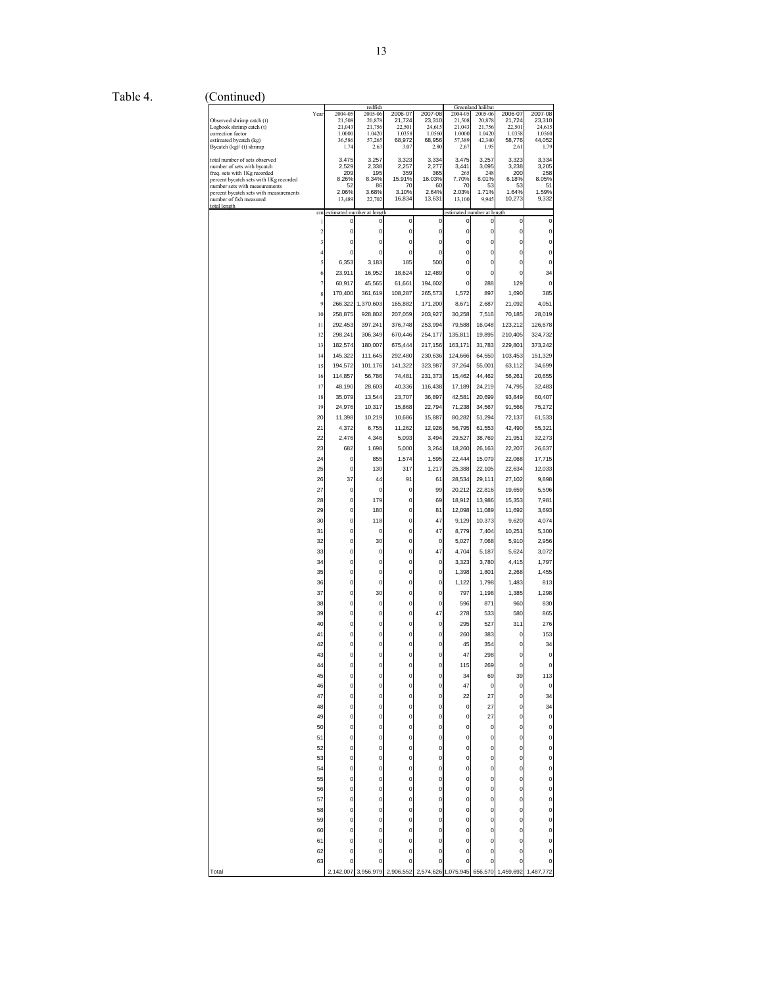Table 4. (Continued)

|                                                                         |                         |                            | redfish          |                  |                   |                            | Greenland halibut |                  |                  |
|-------------------------------------------------------------------------|-------------------------|----------------------------|------------------|------------------|-------------------|----------------------------|-------------------|------------------|------------------|
|                                                                         | Year                    | 2004-05                    | 2005-06          | 2006-07          | 2007-08<br>23,310 | 2004-05                    | 2005-06           | 2006-07          | 2007-08          |
| Observed shrimp catch (t)<br>Logbook shrimp catch (t)                   |                         | 21,508<br>21,043           | 20,878<br>21,756 | 21,724<br>22,501 | 24,615            | 21,508<br>21,043           | 20,878<br>21,756  | 21,724<br>22.501 | 23,310<br>24,615 |
| correction factor                                                       |                         | 1.0000                     | 1.0420           | 1.0358           | 1.0560            | 1.0000                     | 1.0420            | 1.0358           | 1.0560           |
| estimated bycatch (kg)                                                  |                         | 36,586                     | 57,265           | 68,972           | 68,956            | 57,389                     | 42,340            | 58,776           | 44,052           |
| Bycatch (kg)/ (t) shrimp                                                |                         | 1.74                       | 2.63             | 3.07             | 2.80              | 2.67                       | 1.95              | 2.61             | 1.79             |
| total number of sets observed                                           |                         | 3,475                      | 3,257            | 3,323            | 3,334             | 3,475                      | 3,257             | 3,323            | 3,334            |
| number of sets with bycatch                                             |                         | 2,529                      | 2,338            | 2,257            | 2,277             | 3,441                      | 3,095             | 3,238            | 3,205            |
| freq. sets with 1Kg recorded                                            |                         | 209                        | 195<br>8.34%     | 359<br>15.91%    | 365<br>16.03%     | 265<br>7.70%               | 248               | 200              | 258              |
| percent bycatch sets with 1Kg recorded<br>number sets with measurements |                         | 8.26%<br>52                | 86               | 70               | 60                | 70                         | 8.01%<br>53       | 6.18%<br>53      | 8.05%<br>51      |
| percent bycatch sets with measurements                                  |                         | 2.06%                      | 3.68%            | 3.10%            | 2.64%             | 2.03%                      | 1.71%             | 1.64%            | 1.59%            |
| number of fish measured                                                 |                         | 13,489                     | 22,702           | 16,834           | 13,631            | 13,100                     | 9,945             | 10,273           | 9,332            |
| total length                                                            | cm                      | estimated number at length |                  |                  |                   | estimated number at length |                   |                  |                  |
|                                                                         |                         |                            | $\mathbf 0$      | $\mathbf 0$      |                   |                            |                   | $\mathbf 0$      | $\pmb{0}$        |
|                                                                         | 1                       | 0                          |                  |                  | 0                 | 0                          | 0                 |                  |                  |
|                                                                         | $\overline{\mathbf{c}}$ | 0                          | $\pmb{0}$        | $\mathbf 0$      | 0                 | 0                          | 0                 | $\pmb{0}$        | 0                |
|                                                                         | 3                       | 0                          | $\mathbf{0}$     | $\mathbf 0$      | 0                 | 0                          | 0                 | 0                | 0                |
|                                                                         | $\overline{4}$          | 0                          | 0                | $\pmb{0}$        | 0                 | 0                          | 0                 | 0                | 0                |
|                                                                         | 5                       | 6.353                      | 3,183            | 185              | 500               | 0                          | 0                 | 0                | $\mathbf{0}$     |
|                                                                         |                         | 23,911                     |                  |                  |                   | 0                          | 0                 |                  |                  |
|                                                                         | 6                       |                            | 16,952           | 18,624           | 12,489            |                            |                   | 0                | 34               |
|                                                                         | $\overline{7}$          | 60,917                     | 45,565           | 61,661           | 194,602           | 0                          | 288               | 129              | 0                |
|                                                                         | 8                       | 170,400                    | 361,619          | 108,287          | 265,573           | 1,572                      | 897               | 1,690            | 385              |
|                                                                         | $\overline{9}$          | 266,322                    | 1,370,603        | 165,882          | 171,200           | 8,671                      | 2,687             | 21,092           | 4,051            |
|                                                                         | 10                      | 258,875                    | 928,802          | 207,059          | 203,927           | 30,258                     | 7,516             | 70,185           | 28,019           |
|                                                                         |                         |                            |                  |                  |                   |                            |                   |                  |                  |
|                                                                         | 11                      | 292,453                    | 397,241          | 376,748          | 253,994           | 79,588                     | 16,048            | 123,212          | 126,678          |
|                                                                         | 12                      | 298,241                    | 306,349          | 670,446          | 254,177           | 135,811                    | 19,895            | 210,405          | 324,732          |
|                                                                         | 13                      | 182,574                    | 180,007          | 675,444          | 217,156           | 163,171                    | 31,783            | 229,801          | 373,242          |
|                                                                         | 14                      | 145,322                    | 111,645          | 292,480          | 230,636           | 124,666                    | 64,550            | 103,453          | 151,329          |
|                                                                         |                         | 194,572                    | 101,176          |                  | 323,987           | 37,264                     | 55,001            | 63,112           | 34,699           |
|                                                                         | 15                      |                            |                  | 141,322          |                   |                            |                   |                  |                  |
|                                                                         | 16                      | 114,857                    | 56,786           | 74,481           | 231,373           | 15,462                     | 44,462            | 56,261           | 20,655           |
|                                                                         | 17                      | 48,190                     | 28,603           | 40,336           | 116,438           | 17,189                     | 24,219            | 74,795           | 32,483           |
|                                                                         | 18                      | 35.079                     | 13,544           | 23.707           | 36,897            | 42,581                     | 20.699            | 93,849           | 60,407           |
|                                                                         | 19                      | 24,976                     | 10,317           | 15,868           | 22,794            | 71,238                     | 34,567            | 91,566           | 75,272           |
|                                                                         | 20                      | 11,398                     | 10,219           | 10,686           | 15,887            | 80,282                     | 51,294            | 72,137           | 61,533           |
|                                                                         |                         |                            |                  |                  |                   |                            |                   |                  |                  |
|                                                                         | 21                      | 4,372                      | 6,755            | 11,262           | 12,926            | 56,795                     | 61,553            | 42,490           | 55,321           |
|                                                                         | 22                      | 2,476                      | 4,346            | 5,093            | 3.494             | 29,527                     | 38.769            | 21,951           | 32,273           |
|                                                                         | 23                      | 682                        | 1,698            | 5,000            | 3,264             | 18,260                     | 26,163            | 22,207           | 26,637           |
|                                                                         | 24                      | 0                          | 855              | 1,574            | 1,595             | 22,444                     | 15,079            | 22,068           | 17,715           |
|                                                                         |                         |                            |                  |                  |                   |                            |                   |                  |                  |
|                                                                         | 25                      | 0                          | 130              | 317              | 1,217             | 25,388                     | 22,105            | 22,634           | 12,033           |
|                                                                         | 26                      | 37                         | 44               | 91               | 61                | 28,534                     | 29,111            | 27,102           | 9,898            |
|                                                                         | 27                      | 0                          | 0                | 0                | 99                | 20,212                     | 22,816            | 19,659           | 5,596            |
|                                                                         | 28                      | $\mathbf 0$                | 179              | $\pmb{0}$        | 69                | 18,912                     | 13,986            | 15,353           | 7,981            |
|                                                                         | 29                      | 0                          | 180              | $\pmb{0}$        | 81                | 12,098                     | 11,089            | 11,692           | 3,693            |
|                                                                         | 30                      | 0                          |                  | $\pmb{0}$        | 47                |                            | 10,373            |                  |                  |
|                                                                         |                         |                            | 118              |                  |                   | 9,129                      |                   | 9,620            | 4,074            |
|                                                                         | 31                      | 0                          | 0                | 0                | 47                | 8,779                      | 7,404             | 10,251           | 5,300            |
|                                                                         | 32                      | 0                          | 30               | $\pmb{0}$        | $\pmb{0}$         | 5,027                      | 7,068             | 5,910            | 2,956            |
|                                                                         | 33                      | 0                          | 0                | $\pmb{0}$        | 47                | 4,704                      | 5,187             | 5,624            | 3,072            |
|                                                                         | 34                      | 0                          | 0                | $\mathbf{0}$     | 0                 | 3,323                      | 3,780             | 4,415            | 1,797            |
|                                                                         |                         |                            |                  |                  |                   |                            |                   |                  |                  |
|                                                                         | 35                      | 0                          | 0                | $\mathbf 0$      | 0                 | 1,398                      | 1,801             | 2,268            | 1,455            |
|                                                                         | 36                      | 0                          | 0                | $\mathbf 0$      | O                 | 1,122                      | 1,798             | 1,483            | 813              |
|                                                                         | 37                      | 0                          | 30               | $\mathbf 0$      | Ó                 | 797                        | 1,198             | 1,385            | 1,298            |
|                                                                         | 38                      | 0                          | 0                | $\pmb{0}$        | 0                 | 596                        | 871               | 960              | 830              |
|                                                                         | 39                      | 0                          | 0                | $\mathbf{0}$     | 47                | 278                        | 533               | 580              | 865              |
|                                                                         |                         | 0                          |                  |                  |                   |                            |                   |                  |                  |
|                                                                         | 40                      |                            | $\pmb{0}$        | $\pmb{0}$        | 0                 | 295                        | 527               | 311              | 276              |
|                                                                         | 41                      | 0                          | 0                | $\mathbf 0$      | 0                 | 260                        | 383               | 0                | 153              |
|                                                                         | 42                      | 0                          | 0                | $\pmb{0}$        | 0                 | 45                         | 354               | 0                | 34               |
|                                                                         | 43                      | 0                          | $\mathbf 0$      | $\mathbf 0$      | Ó                 | 47                         | 298               | $\mathbf 0$      | 0                |
|                                                                         | 44                      | 0                          | 0                | 0                | 0                 | 115                        | 269               | 0                | 0                |
|                                                                         | 45                      | 0                          | $\pmb{0}$        | 0                | 0                 | 34                         | 69                | 39               | 113              |
|                                                                         |                         |                            |                  |                  |                   |                            |                   |                  |                  |
|                                                                         | 46                      | 0                          | 0                | 0                | 0                 | 47                         | 0                 | 0                | 0                |
|                                                                         | 47                      | 0                          | 0                | $\mathbf 0$      | 0                 | 22                         | 27                | 0                | 34               |
|                                                                         | 48                      | 0                          | 0                | $\pmb{0}$        | O                 | 0                          | 27                | 0                | 34               |
|                                                                         | 49                      | 0                          | $\circ$          | $\pmb{0}$        | 0                 | 0                          | 27                | $\mathbf 0$      | 0                |
|                                                                         | 50                      | 0                          | 0                | 0                | O                 | 0                          | 0                 | 0                | 0                |
|                                                                         |                         |                            |                  |                  |                   |                            |                   |                  |                  |
|                                                                         | 51                      | 0                          | 0                | $\pmb{0}$        | O                 | 0                          | 0                 | 0                | 0                |
|                                                                         | 52                      | 0                          | $\mathbf{0}$     | $\mathbf 0$      | 0                 | 0                          | 0                 | $\mathbf 0$      | 0                |
|                                                                         | 53                      | 0                          | $\circ$          | $\mathbf 0$      | 0                 | 0                          | 0                 | $\pmb{0}$        | 0                |
|                                                                         | 54                      | 0                          | $\overline{0}$   | $\mathbf 0$      | 0                 | 0                          | 0                 | $\mathbf 0$      | $\mathbf 0$      |
|                                                                         | 55                      | 0                          | $\pmb{0}$        | $\pmb{0}$        | O                 | 0                          | 0                 | 0                | 0                |
|                                                                         | 56                      | 0                          | 0                | $\mathbf 0$      | Ó                 | 0                          | 0                 | 0                | o                |
|                                                                         |                         |                            |                  |                  |                   |                            |                   |                  |                  |
|                                                                         | 57                      | 0                          | $\circ$          | $\mathbf 0$      | 0                 | 0                          | 0                 | 0                | 0                |
|                                                                         | 58                      | 0                          | $\mathbf 0$      | $\mathbf 0$      | Ó                 | 0                          | 0                 | $\mathbf 0$      | 0                |
|                                                                         | 59                      | 0                          | 0                | $\pmb{0}$        | 0                 | 0                          | 0                 | 0                | 0                |
|                                                                         | 60                      | 0                          | 0                | 0                | Ó                 | 0                          | 0                 | 0                | o                |
|                                                                         | 61                      | 0                          | $\circ$          | $\pmb{0}$        | O                 | 0                          | 0                 | 0                | 0                |
|                                                                         |                         |                            |                  |                  |                   |                            |                   |                  |                  |
|                                                                         | 62                      | $\mathbf 0$                | $\mathbf 0$      | $\mathbf 0$      | 0                 | 0                          | 0                 | $\mathbf 0$      | $\mathbf 0$      |
|                                                                         | 63                      | 0                          | 0                | 0                | 0                 | 0                          | 0                 | 0                | 0                |
| Total                                                                   |                         | 2.142.007                  | 3,956,979        | 2,906,552        | 2,574,626         | 1,075,945                  | 656,570           | 1.459,692        | 1,487,772        |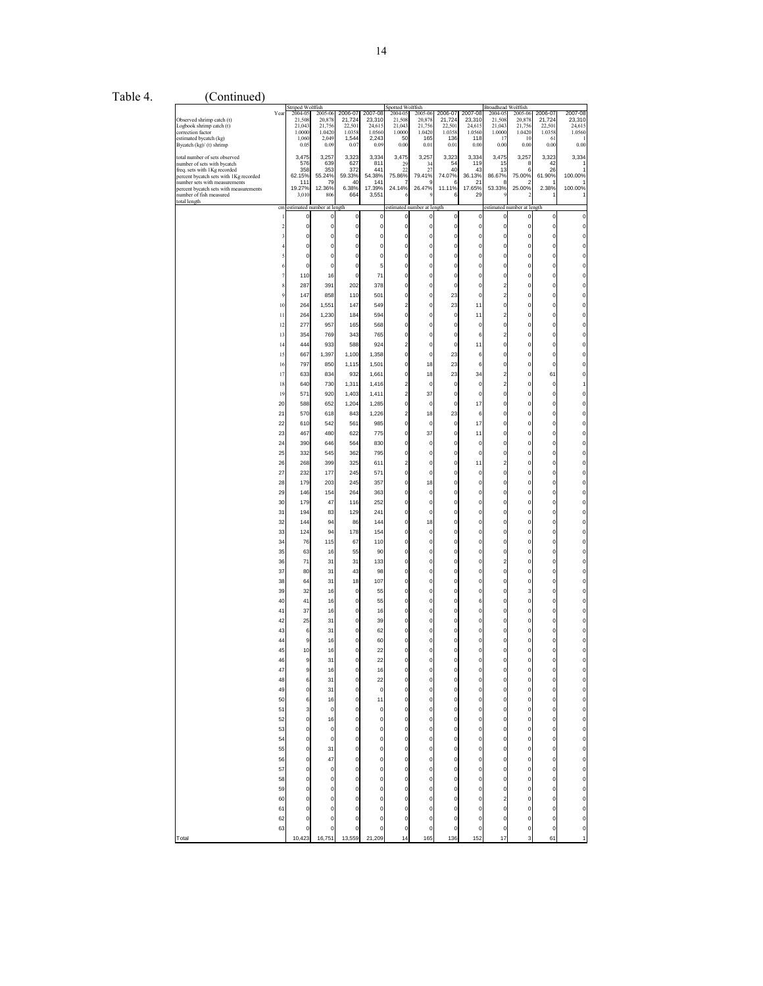| Table 4. | (Continued)                                                                                                                                                                                                                                  |                                                                                                                                                                                                                                                                                    |                                                                                                                                                                                                                                                                                                                                                                  |                                                                                                                                                                                                                                                                                                                     |                                                                                                                                                                                                                                                                                                                                                                                                                                   |                                                                                                                                                                                                                                                                                                                                                                           |                                                                                                                                                                                                                                                                                                                                                                                                                                                                                                                                                                                                                                                                                                                              |                                                                                                                                                                                                                                                                                                                                                                                                                                                                                                                            |                                                                                                                                                                                                                                                                                                                                                                                                                                                                                                                                                                                              |                                                                                                                                                                                                                                                                                   |                                                                                                                                                                                                                                                                                                                                                                                                                                   |                                                                                                                                                                                                                                                                                                                                                                                                                                                                                                                                  |                                                                                                                                                                                                                                                                                                                                                                                                                                                                                                                                                    |                                                                                                                                                                                                                                                                                                                                                                                |
|----------|----------------------------------------------------------------------------------------------------------------------------------------------------------------------------------------------------------------------------------------------|------------------------------------------------------------------------------------------------------------------------------------------------------------------------------------------------------------------------------------------------------------------------------------|------------------------------------------------------------------------------------------------------------------------------------------------------------------------------------------------------------------------------------------------------------------------------------------------------------------------------------------------------------------|---------------------------------------------------------------------------------------------------------------------------------------------------------------------------------------------------------------------------------------------------------------------------------------------------------------------|-----------------------------------------------------------------------------------------------------------------------------------------------------------------------------------------------------------------------------------------------------------------------------------------------------------------------------------------------------------------------------------------------------------------------------------|---------------------------------------------------------------------------------------------------------------------------------------------------------------------------------------------------------------------------------------------------------------------------------------------------------------------------------------------------------------------------|------------------------------------------------------------------------------------------------------------------------------------------------------------------------------------------------------------------------------------------------------------------------------------------------------------------------------------------------------------------------------------------------------------------------------------------------------------------------------------------------------------------------------------------------------------------------------------------------------------------------------------------------------------------------------------------------------------------------------|----------------------------------------------------------------------------------------------------------------------------------------------------------------------------------------------------------------------------------------------------------------------------------------------------------------------------------------------------------------------------------------------------------------------------------------------------------------------------------------------------------------------------|----------------------------------------------------------------------------------------------------------------------------------------------------------------------------------------------------------------------------------------------------------------------------------------------------------------------------------------------------------------------------------------------------------------------------------------------------------------------------------------------------------------------------------------------------------------------------------------------|-----------------------------------------------------------------------------------------------------------------------------------------------------------------------------------------------------------------------------------------------------------------------------------|-----------------------------------------------------------------------------------------------------------------------------------------------------------------------------------------------------------------------------------------------------------------------------------------------------------------------------------------------------------------------------------------------------------------------------------|----------------------------------------------------------------------------------------------------------------------------------------------------------------------------------------------------------------------------------------------------------------------------------------------------------------------------------------------------------------------------------------------------------------------------------------------------------------------------------------------------------------------------------|----------------------------------------------------------------------------------------------------------------------------------------------------------------------------------------------------------------------------------------------------------------------------------------------------------------------------------------------------------------------------------------------------------------------------------------------------------------------------------------------------------------------------------------------------|--------------------------------------------------------------------------------------------------------------------------------------------------------------------------------------------------------------------------------------------------------------------------------------------------------------------------------------------------------------------------------|
|          | Observed shrimp catch (t)<br>Logbook shrimp catch (t)<br>correction factor<br>estimated bycatch (kg)<br>Bycatch (kg)/ (t) shrimp                                                                                                             | Year                                                                                                                                                                                                                                                                               | Striped Wolffish<br>2004-05<br>21.508<br>21,043<br>1.0000<br>1,060<br>0.05                                                                                                                                                                                                                                                                                       | 2005-06<br>20,878<br>21,756<br>1.0420<br>2,049<br>0.09                                                                                                                                                                                                                                                              | 2006-07<br>21,724<br>22,501<br>1.0358<br>1,544<br>0.07                                                                                                                                                                                                                                                                                                                                                                            | 2007-08<br>23,310<br>24,615<br>1.0560<br>2,243<br>0.09                                                                                                                                                                                                                                                                                                                    | Spotted Wolffish<br>2004-05<br>21,508<br>21,043<br>1.0000<br>50<br>0.00                                                                                                                                                                                                                                                                                                                                                                                                                                                                                                                                                                                                                                                      | 2005-06<br>20,878<br>21,756<br>1.0420<br>165<br>0.01                                                                                                                                                                                                                                                                                                                                                                                                                                                                       | 2006-07<br>21,724<br>22,501<br>1.0358<br>136<br>0.01                                                                                                                                                                                                                                                                                                                                                                                                                                                                                                                                         | 2007-08<br>23,310<br>24,615<br>1.0560<br>118<br>0.00                                                                                                                                                                                                                              | <b>Broadhead Wolffish</b><br>2004-05<br>21,508<br>21,043<br>1.0000<br>17<br>0.00                                                                                                                                                                                                                                                                                                                                                  | 2005-06<br>20,878<br>21,756<br>1.0420<br>10<br>0.00                                                                                                                                                                                                                                                                                                                                                                                                                                                                              | 2006-07<br>21,724<br>22,501<br>1.0358<br>61<br>0.00                                                                                                                                                                                                                                                                                                                                                                                                                                                                                                | 2007-08<br>23,310<br>24,615<br>1.0560<br>0.00                                                                                                                                                                                                                                                                                                                                  |
|          | total number of sets observed<br>number of sets with bycatch<br>freq. sets with 1Kg recorded<br>percent bycatch sets with 1Kg recorded<br>number sets with measurements<br>percent bycatch sets with measurements<br>number of fish measured |                                                                                                                                                                                                                                                                                    | 3,475<br>576<br>358<br>62.15%<br>111<br>19.27%<br>3,010                                                                                                                                                                                                                                                                                                          | 3,257<br>639<br>353<br>55.24%<br>79<br>12.36%<br>806                                                                                                                                                                                                                                                                | 3,323<br>627<br>372<br>59.33%<br>40<br>6.38%<br>664                                                                                                                                                                                                                                                                                                                                                                               | 3,334<br>811<br>441<br>54.38%<br>141<br>17.39%<br>3,551                                                                                                                                                                                                                                                                                                                   | 3,475<br>29<br>$\overline{2}$<br>75.86%<br>24.14%                                                                                                                                                                                                                                                                                                                                                                                                                                                                                                                                                                                                                                                                            | 3,257<br>34<br>27<br>79.41%<br>26.47%<br>¢                                                                                                                                                                                                                                                                                                                                                                                                                                                                                 | 3,323<br>54<br>40<br>74.07%<br>11.11%<br>6                                                                                                                                                                                                                                                                                                                                                                                                                                                                                                                                                   | 3,334<br>119<br>43<br>36.13%<br>21<br>17.65%<br>29                                                                                                                                                                                                                                | 3,475<br>15<br>13<br>86.67%<br>53.33%                                                                                                                                                                                                                                                                                                                                                                                             | 3,257<br>8<br>$\epsilon$<br>75.00%<br>25.00%                                                                                                                                                                                                                                                                                                                                                                                                                                                                                     | 3,323<br>42<br>26<br>61.90%<br>2.38%                                                                                                                                                                                                                                                                                                                                                                                                                                                                                                               | 3,334<br>100.00%<br>100.00%                                                                                                                                                                                                                                                                                                                                                    |
|          | total length                                                                                                                                                                                                                                 | $\mathbf{1}$<br>2<br>6<br>$\overline{7}$<br>8<br>9<br>10<br>$11\,$<br>12<br>13<br>14<br>15<br>16<br>17<br>$18\,$<br>19<br>20<br>21<br>22<br>23<br>24<br>25<br>26<br>27<br>28<br>29<br>30<br>31<br>32<br>33<br>34<br>35<br>36<br>37<br>38<br>39<br>40<br>41<br>42<br>43<br>44<br>46 | cm estimated number at length<br>$\mathbf 0$<br>$\mathbf 0$<br>0<br>$\mathbf 0$<br>$\mathbf 0$<br>110<br>287<br>147<br>264<br>264<br>277<br>354<br>444<br>667<br>797<br>633<br>640<br>571<br>588<br>570<br>610<br>467<br>390<br>332<br>268<br>232<br>179<br>146<br>179<br>194<br>144<br>124<br>76<br>63<br>71<br>80<br>64<br>32<br>41<br>37<br>25<br>6<br>9<br>9 | $\pmb{0}$<br>$\Omega$<br>$\Omega$<br>0<br>16<br>391<br>858<br>1,551<br>1,230<br>957<br>769<br>933<br>1,397<br>850<br>834<br>730<br>920<br>652<br>618<br>542<br>480<br>646<br>545<br>399<br>177<br>203<br>154<br>47<br>83<br>94<br>94<br>115<br>16<br>31<br>31<br>31<br>16<br>16<br>16<br>31<br>31<br>16<br>16<br>31 | $\mathbf 0$<br>$\mathbf 0$<br>$\pmb{0}$<br>$\circ$<br>$\mathbf 0$<br>$\mathbf 0$<br>$\mathbf 0$<br>202<br>110<br>147<br>184<br>165<br>343<br>588<br>1,100<br>1,115<br>932<br>1,311<br>1,403<br>1,204<br>843<br>561<br>622<br>564<br>362<br>325<br>245<br>245<br>264<br>116<br>129<br>86<br>178<br>67<br>55<br>31<br>43<br>18<br>$\pmb{0}$<br>$\mathbf 0$<br>$\mathbf 0$<br>$\pmb{0}$<br>$\mathbf 0$<br>$\mathbf 0$<br>$\mathbf 0$ | $\mathbf 0$<br>$\mathbf 0$<br>$\mathbf 0$<br>0<br>$\mathbf 0$<br>5<br>71<br>378<br>501<br>549<br>594<br>568<br>765<br>924<br>1,358<br>1,501<br>1,661<br>1,416<br>1,411<br>1,285<br>1,226<br>985<br>775<br>830<br>795<br>611<br>571<br>357<br>363<br>252<br>241<br>144<br>154<br>110<br>90<br>133<br>98<br>107<br>55<br>55<br>16<br>39<br>62<br>60<br>$\overline{c}$<br>22 | $\overline{0}$<br>$\circ$<br>$\mathbf 0$<br>0<br>$\overline{0}$<br>$\overline{0}$<br>0<br>$\overline{0}$<br>$\overline{0}$<br>2<br>0<br>$\overline{0}$<br>$\overline{0}$<br>$\overline{2}$<br>$\overline{0}$<br>$\overline{0}$<br>$\overline{0}$<br>$\overline{2}$<br>$\overline{2}$<br>$\overline{0}$<br>$\overline{2}$<br>$\overline{0}$<br>$\overline{0}$<br>$\overline{0}$<br>0<br>$\overline{2}$<br>$\overline{0}$<br>$\overline{0}$<br>$\overline{0}$<br>$\overline{0}$<br>$\overline{0}$<br>$\overline{0}$<br>$\overline{0}$<br>$\overline{0}$<br>$\mathbf 0$<br>$\overline{0}$<br>$\overline{0}$<br>0<br>0<br>$\overline{0}$<br>$\overline{0}$<br>$\overline{0}$<br>$\overline{0}$<br>$\overline{0}$<br>$\mathbf{0}$ | estimated number at length<br>$\mathbf 0$<br>$\pmb{0}$<br>0<br>0<br>$\mathbf 0$<br>$\mathbf 0$<br>$\mathbf 0$<br>$\mathbf 0$<br>$\mathbf 0$<br>0<br>0<br>$\mathbf 0$<br>$\Omega$<br>0<br>$\bf 0$<br>18<br>18<br>$\bf{0}$<br>37<br>$\mathbf 0$<br>18<br>$\bf 0$<br>37<br>0<br>0<br>$\mathbf 0$<br>$\mathbf 0$<br>18<br>$\mathbf 0$<br>$\mathbf 0$<br>0<br>18<br>$\mathbf 0$<br>$\mathbf 0$<br>0<br>$\mathbf 0$<br>$\mathbf 0$<br>$\mathbf 0$<br>0<br>$\mathbf 0$<br>$\Omega$<br>0<br>$\mathbf 0$<br>$\Omega$<br>$\mathbf 0$ | $\mathbf 0$<br>$\mathbf 0$<br>$\bf{0}$<br>$\bf{0}$<br>$\mathbf 0$<br>$\mathbf 0$<br>$\bf{0}$<br>$\mathbf 0$<br>23<br>23<br>$\bf{0}$<br>$\mathbf 0$<br>$\pmb{0}$<br>$\mathbf 0$<br>23<br>23<br>23<br>$\bf 0$<br>$\mathbf 0$<br>$\mathbf 0$<br>23<br>$\mathbf 0$<br>$\mathbf 0$<br>$\pmb{0}$<br>$\pmb{0}$<br>$\mathbf 0$<br>$\mathbf 0$<br>$\pmb{0}$<br>$\mathbf 0$<br>$\mathbf 0$<br>$\bf 0$<br>$\bf 0$<br>$\mathbf 0$<br>$\mathbf 0$<br>$\bf{0}$<br>$\mathbf 0$<br>$\mathbf 0$<br>$\bf{0}$<br>$\bf{0}$<br>$\mathbf 0$<br>$\pmb{0}$<br>$\pmb{0}$<br>$\mathbf 0$<br>$\mathbf 0$<br>$\mathbf 0$ | $\bf 0$<br>0<br>0<br>0<br>0<br>0<br>0<br>0<br>0<br>11<br>11<br>$\pmb{0}$<br>6<br>11<br>6<br>6<br>34<br>0<br>0<br>17<br>6<br>17<br>11<br>0<br>0<br>11<br>0<br>0<br>0<br>0<br>0<br>0<br>0<br>0<br>0<br>0<br>0<br>0<br>0<br>6<br>0<br>0<br>$\mathbf 0$<br>$\mathbf 0$<br>$\mathbf 0$ | $\mathbf 0$<br>$\Omega$<br>0<br>$\Omega$<br>0<br>$\overline{2}$<br>$\overline{2}$<br>$\overline{0}$<br>$\overline{2}$<br>$\overline{0}$<br>$\overline{2}$<br>$\overline{0}$<br>$\overline{0}$<br>O<br>$\overline{2}$<br>$\overline{2}$<br>Ö<br>$\Omega$<br>0<br>O<br>O<br>0<br>$\mathfrak{p}$<br>0<br>O<br>O<br>0<br>O<br>0<br>$\Omega$<br>O<br>$\overline{2}$<br>$\Omega$<br>O<br>$\Omega$<br>0<br>0<br>$\overline{0}$<br>0<br>0 | estimated number at length<br>0<br>$\mathbf 0$<br>$\Omega$<br>0<br>$\Omega$<br>$\Omega$<br>0<br>$\mathbf 0$<br>$\Omega$<br>0<br>$\mathbf 0$<br>$\Omega$<br>0<br>$\mathbf 0$<br>$\Omega$<br>0<br>$\overline{0}$<br>$\Omega$<br>$\Omega$<br>0<br>0<br>$\Omega$<br>0<br>0<br>$\Omega$<br>$\mathbf 0$<br>$\mathbf 0$<br>$\overline{0}$<br>$\mathbf 0$<br>$\mathbf 0$<br>0<br>$\mathbf 0$<br>$\mathbf 0$<br>$\Omega$<br>0<br>$\mathbf 0$<br>$\Omega$<br>3<br>$\overline{0}$<br>$\Omega$<br>0<br>$\overline{0}$<br>$\Omega$<br>$\circ$ | $\mathbf 0$<br>$\pmb{0}$<br>$\mathbf 0$<br>$\mathbf 0$<br>$\pmb{0}$<br>$\mathbf 0$<br>$\pmb{0}$<br>0<br>$\mathbf 0$<br>0<br>0<br>$\mathbf 0$<br>0<br>$\pmb{0}$<br>$\mathbf 0$<br>$\mathbf 0$<br>61<br>$\pmb{0}$<br>$\mathbf 0$<br>$\mathbf 0$<br>$\mathbf 0$<br>0<br>$\pmb{0}$<br>$\mathbf 0$<br>0<br>0<br>$\mathbf 0$<br>$\mathbf 0$<br>0<br>$\mathbf 0$<br>$\mathbf 0$<br>0<br>$\pmb{0}$<br>$\mathbf 0$<br>0<br>$\pmb{0}$<br>$\mathbf 0$<br>0<br>$\pmb{0}$<br>$\mathbf 0$<br>$\pmb{0}$<br>$\pmb{0}$<br>$\mathbf 0$<br>$\mathbf 0$<br>$\mathbf 0$ | 0<br>0<br>0<br>0<br>0<br>$\mathbf 0$<br>0<br>0<br>$\mathbf 0$<br>0<br>0<br>$\mathbf 0$<br>$\mathbf 0$<br>0<br>$\mathbf 0$<br>$\mathbf 0$<br>0<br>0<br>0<br>0<br>$\mathbf 0$<br>0<br>0<br>0<br>$\mathbf 0$<br>$\mathbf 0$<br>0<br>$\mathbf 0$<br>$\mathbf 0$<br>0<br>0<br>0<br>0<br>$\mathbf 0$<br>0<br>$\mathbf 0$<br>0<br>0<br>0<br>$\mathbf 0$<br>0<br>o<br>0<br>$\mathbf 0$ |
|          | Total                                                                                                                                                                                                                                        | 47<br>48<br>49<br>50<br>51<br>52<br>53<br>54<br>55<br>56<br>57<br>58<br>59<br>60<br>61<br>62<br>63                                                                                                                                                                                 | 9<br>6<br>$\mathbf 0$<br>6<br>3<br>$\boldsymbol{0}$<br>$\mathbf 0$<br>$\mathbf 0$<br>$\mathfrak o$<br>$\mathbf 0$<br>$\mathbf 0$<br>$\mathbf 0$<br>$\mathbf 0$<br>O<br>$\mathbf 0$<br>$\mathbf 0$<br>0<br>10,423                                                                                                                                                 | 16<br>31<br>31<br>16<br>$\bf{0}$<br>16<br>$\bf{0}$<br>$\mathbf 0$<br>31<br>47<br>$\pmb{0}$<br>$\mathbf 0$<br>$\mathbf 0$<br>$\mathbf 0$<br>$\mathbf 0$<br>$\Omega$<br>16,751                                                                                                                                        | $\mathbf 0$<br>$\mathbf 0$<br>$\mathbf 0$<br>$\mathbf 0$<br>$\mathbf 0$<br>$\mathbf 0$<br>$\mathbf 0$<br>$\mathbf 0$<br>$\pmb{0}$<br>$\mathbf 0$<br>$\mathbf 0$<br>$\mathbf 0$<br>$\mathbf 0$<br>$\mathbf 0$<br>$\mathbf 0$<br>$\pmb{0}$<br>$\mathbf C$<br>13,559                                                                                                                                                                 | 16<br>22<br>$\mathbf 0$<br>11<br>$\circ$<br>$\mathbf 0$<br>$\mathbf 0$<br>$\mathbf 0$<br>$\mathbf 0$<br>$\mathbf 0$<br>$\mathbf 0$<br>$\mathbf{0}$<br>$\circ$<br>$\mathbf 0$<br>$\mathbf 0$<br>$\mathbf 0$<br>0<br>21,209                                                                                                                                                 | $\circ$<br>$\circ$<br>$\circ$<br>$\circ$<br>$\mathbf{0}$<br>$\mathbf{0}$<br>$\circ$<br>$\overline{0}$<br>$\mathbf{0}$<br>$\circ$<br>$\overline{0}$<br>$\mathbf{0}$<br>$\circ$<br>$\circ$<br>$\circ$<br>$\overline{0}$<br>0<br>14                                                                                                                                                                                                                                                                                                                                                                                                                                                                                             | $\mathbf 0$<br>$\mathbf 0$<br>$\mathbf 0$<br>$\mathbf 0$<br>$\mathbf 0$<br>$\mathbf 0$<br>$\pmb{0}$<br>$\mathbf 0$<br>$\mathbf 0$<br>$\pmb{0}$<br>$\mathbf 0$<br>$\mathbf 0$<br>$\mathbf 0$<br>$\mathbf 0$<br>$\mathbf 0$<br>$\mathbf 0$<br>$\mathbf 0$<br>165                                                                                                                                                                                                                                                             | $\mathbf 0$<br>$\mathbf 0$<br>$\mathbf 0$<br>$\mathbf 0$<br>$\mathbf 0$<br>$\mathbf 0$<br>$\mathbf 0$<br>$\mathbf 0$<br>$\mathbf 0$<br>$\mathbf 0$<br>$\mathbf 0$<br>$\mathbf 0$<br>$\mathbf 0$<br>$\mathbf 0$<br>$\mathbf 0$<br>$\mathbf 0$<br>$\bf 0$<br>136                                                                                                                                                                                                                                                                                                                               | 0<br>$\mathbf 0$<br>$\mathbf 0$<br>0<br>$\mathbf 0$<br>$\mathbf 0$<br>$\mathbf 0$<br>$\mathbf 0$<br>$\circ$<br>$\mathbf 0$<br>$\mathbf 0$<br>$\mathbf 0$<br>$\mathbf 0$<br>0<br>0<br>0<br>0<br>152                                                                                | $\mathbf 0$<br>$\mathbf 0$<br>$\mathbf 0$<br>$\mathbf 0$<br>$\mathbf 0$<br>$\mathbf 0$<br>$\circ$<br>$\mathbf 0$<br>$\mathbf{o}$<br>$\circ$<br>$\mathbf 0$<br>$\circ$<br>$\mathbf 0$<br>$\overline{a}$<br>$\mathbf 0$<br>$\circ$<br>$\overline{0}$<br>17                                                                                                                                                                          | $\mathbf 0$<br>$\mathbf 0$<br>$\circ$<br>$\mathbf 0$<br>$\mathbf 0$<br>$\mathbf 0$<br>$\overline{0}$<br>$\mathbf{0}$<br>$\circ$<br>$\mathbf{0}$<br>$\mathbf 0$<br>$\mathbf 0$<br>$\mathbf 0$<br>$\pmb{0}$<br>$\bf{0}$<br>$\mathbf 0$<br>0<br>3                                                                                                                                                                                                                                                                                   | $\mathbf 0$<br>$\mathbf 0$<br>$\mathbf 0$<br>$\mathbf 0$<br>$\mathbf 0$<br>$\mathbf 0$<br>$\mathbf 0$<br>$\mathbf 0$<br>$\mathbf 0$<br>$\mathbf 0$<br>$\mathbf 0$<br>$\mathbf 0$<br>$\mathbf 0$<br>$\mathbf 0$<br>$\mathbf 0$<br>$\mathbf 0$<br>$\mathbf 0$<br>61                                                                                                                                                                                                                                                                                  | $\mathbf 0$<br>O<br>0<br>0<br>$\mathbf 0$<br>$\mathbf 0$<br>0<br>0<br>0<br>0<br>0<br>0<br>$\mathbf 0$<br>0<br>0<br>$\mathbf 0$<br>$\mathbf 0$<br>$\overline{1}$                                                                                                                                                                                                                |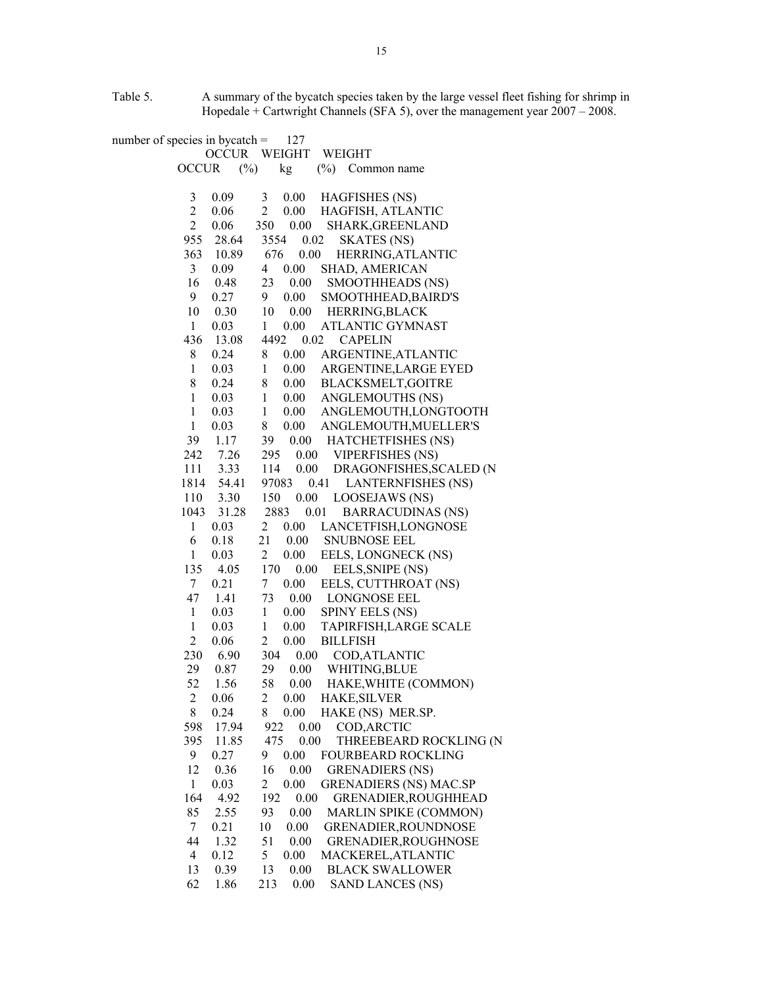Table 5. A summary of the bycatch species taken by the large vessel fleet fishing for shrimp in Hopedale + Cartwright Channels (SFA 5), over the management year 2007 – 2008.

number of species in bycatch  $=$  127 OCCUR WEIGHT WEIGHT OCCUR (%) kg (%) Common name 3 0.09 3 0.00 HAGFISHES (NS) 2 0.06 2 0.00 HAGFISH, ATLANTIC 2 0.06 350 0.00 SHARK,GREENLAND 955 28.64 3554 0.02 SKATES (NS) 363 10.89 676 0.00 HERRING,ATLANTIC 3 0.09 4 0.00 SHAD, AMERICAN 16 0.48 23 0.00 SMOOTHHEADS (NS) 9 0.27 9 0.00 SMOOTHHEAD,BAIRD'S 10 0.30 10 0.00 HERRING,BLACK 1 0.03 1 0.00 ATLANTIC GYMNAST 436 13.08 4492 0.02 CAPELIN 8 0.24 8 0.00 ARGENTINE,ATLANTIC 1 0.03 1 0.00 ARGENTINE,LARGE EYED 8 0.24 8 0.00 BLACKSMELT,GOITRE 1 0.03 1 0.00 ANGLEMOUTHS (NS) 1 0.03 1 0.00 ANGLEMOUTH,LONGTOOTH 1 0.03 8 0.00 ANGLEMOUTH,MUELLER'S 39 1.17 39 0.00 HATCHETFISHES (NS) 242 7.26 295 0.00 VIPERFISHES (NS) 111 3.33 114 0.00 DRAGONFISHES,SCALED (N 1814 54.41 97083 0.41 LANTERNFISHES (NS) 110 3.30 150 0.00 LOOSEJAWS (NS) 1043 31.28 2883 0.01 BARRACUDINAS (NS) 1 0.03 2 0.00 LANCETFISH,LONGNOSE 6 0.18 21 0.00 SNUBNOSE EEL 1 0.03 2 0.00 EELS, LONGNECK (NS) 135 4.05 170 0.00 EELS,SNIPE (NS) 7 0.21 7 0.00 EELS, CUTTHROAT (NS) 47 1.41 73 0.00 LONGNOSE EEL 1 0.03 1 0.00 SPINY EELS (NS) 1 0.03 1 0.00 TAPIRFISH,LARGE SCALE 2 0.06 2 0.00 BILLFISH 230 6.90 304 0.00 COD,ATLANTIC 29 0.87 29 0.00 WHITING,BLUE 52 1.56 58 0.00 HAKE,WHITE (COMMON) 2 0.06 2 0.00 HAKE,SILVER 8 0.24 8 0.00 HAKE (NS) MER.SP. 598 17.94 922 0.00 COD,ARCTIC 395 11.85 475 0.00 THREEBEARD ROCKLING (N 9 0.27 9 0.00 FOURBEARD ROCKLING 12 0.36 16 0.00 GRENADIERS (NS) 1 0.03 2 0.00 GRENADIERS (NS) MAC.SP 164 4.92 192 0.00 GRENADIER,ROUGHHEAD 85 2.55 93 0.00 MARLIN SPIKE (COMMON) 7 0.21 10 0.00 GRENADIER,ROUNDNOSE 44 1.32 51 0.00 GRENADIER,ROUGHNOSE 4 0.12 5 0.00 MACKEREL,ATLANTIC 13 0.39 13 0.00 BLACK SWALLOWER 62 1.86 213 0.00 SAND LANCES (NS)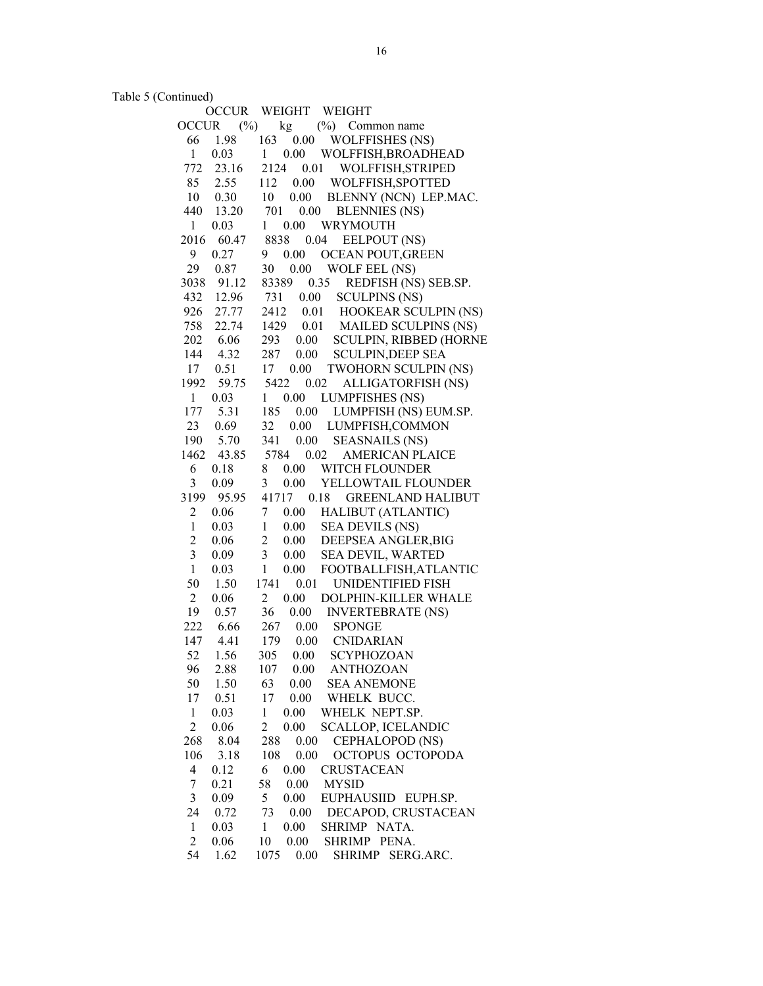Table 5 (Continued)

|                | <b>OCCUR</b> | WEIGHT<br>WEIGHT                                   |
|----------------|--------------|----------------------------------------------------|
| <b>OCCUR</b>   | $(\%)$       | $(\%)$ Common name<br>kg                           |
| 66             | 1.98         | <b>WOLFFISHES (NS)</b><br>163 0.00                 |
| $\mathbf{1}$   | 0.03         | 0.00<br>WOLFFISH, BROADHEAD<br>$\mathbf{1}$        |
| 772            | 23.16        | WOLFFISH, STRIPED<br>2124<br>0.01                  |
| 85             | 2.55         | 0.00<br>112<br>WOLFFISH, SPOTTED                   |
| 10             | 0.30         | 0.00<br>10<br>BLENNY (NCN) LEP.MAC.                |
| 440            | 13.20        | 701<br>0.00<br><b>BLENNIES (NS)</b>                |
| $\mathbf{1}$   | 0.03         | 0.00<br>WRYMOUTH<br>$\mathbf{1}$                   |
| 2016           | 60.47        | 8838<br>0.04<br>EELPOUT (NS)                       |
| 9              | 0.27         | 0.00<br>9<br>OCEAN POUT, GREEN                     |
| 29             | 0.87         | 30<br>0.00<br>WOLF EEL (NS)                        |
| 3038           |              | 0.35<br>83389                                      |
|                | 91.12        | REDFISH (NS) SEB.SP.                               |
| 432            | 12.96        | <b>SCULPINS (NS)</b><br>731<br>0.00                |
| 926            | 27.77        | 2412<br>0.01<br>HOOKEAR SCULPIN (NS)               |
| 758            |              | 22.74 1429 0.01<br><b>MAILED SCULPINS (NS)</b>     |
| 202            | 6.06         | 293 0.00<br><b>SCULPIN, RIBBED (HORNE</b>          |
|                | 144 4.32     | 287 0.00<br><b>SCULPIN, DEEP SEA</b>               |
| 17             | 0.51         | 0.00<br>17<br><b>TWOHORN SCULPIN (NS)</b>          |
| 1992           | 59.75        | 5422<br>0.02<br>ALLIGATORFISH (NS)                 |
| 1              | 0.03         | $1 \t0.00$<br><b>LUMPFISHES (NS)</b>               |
| 177            | 5.31         | 185<br>0.00<br>LUMPFISH (NS) EUM.SP.               |
| 23             | 0.69         | LUMPFISH, COMMON<br>32<br>$0.00\,$                 |
| 190            | 5.70         | 341<br>0.00<br><b>SEASNAILS (NS)</b>               |
|                |              | 1462 43.85 5784<br>0.02<br>AMERICAN PLAICE         |
| 6              | 0.18         | 8<br>0.00<br>WITCH FLOUNDER                        |
| 3              | 0.09         | 3<br>0.00<br>YELLOWTAIL FLOUNDER                   |
| 3199           | 95.95        | 41717 0.18<br><b>GREENLAND HALIBUT</b>             |
| $\overline{2}$ | 0.06         | 7<br>0.00<br>HALIBUT (ATLANTIC)                    |
| $\mathbf{1}$   | 0.03         | 0.00<br><b>SEA DEVILS (NS)</b><br>$\mathbf{1}$     |
| $\overline{c}$ | 0.06         | $\overline{c}$<br>DEEPSEA ANGLER, BIG<br>0.00      |
| 3              | 0.09         | $\mathfrak{Z}$<br>0.00<br>SEA DEVIL, WARTED        |
| $\mathbf{1}$   | 0.03         | $\mathbf{1}$<br>0.00<br>FOOTBALLFISH, ATLANTIC     |
| 50             | 1.50         | 1741<br>0.01<br>UNIDENTIFIED FISH                  |
| $\overline{2}$ | 0.06         | $\overline{c}$<br>$0.00\,$<br>DOLPHIN-KILLER WHALE |
| 19             | 0.57         | 36<br>0.00                                         |
| 222            | 6.66         | <b>INVERTEBRATE (NS)</b>                           |
|                | 147 4.41     | 267<br>0.00<br><b>SPONGE</b><br>179<br>0.00        |
|                |              | CNIDARIAN                                          |
| 52             | 1.56         | 305<br>$0.00\,$<br><b>SCYPHOZOAN</b>               |
| 96             | 2.88         | 107<br>0.00<br><b>ANTHOZOAN</b>                    |
| 50             | 1.50         | 63<br>0.00<br><b>SEA ANEMONE</b>                   |
| 17             | 0.51         | 0.00<br>17<br>WHELK BUCC.                          |
| $\mathbf{1}$   | 0.03         | 0.00<br>WHELK NEPT.SP.<br>1                        |
| $\overline{c}$ | 0.06         | $\sqrt{2}$<br>0.00<br><b>SCALLOP, ICELANDIC</b>    |
| 268            | 8.04         | 288<br>0.00<br>CEPHALOPOD (NS)                     |
| 106            | 3.18         | 108<br>0.00<br>OCTOPUS OCTOPODA                    |
| 4              | 0.12         | 6<br>0.00<br><b>CRUSTACEAN</b>                     |
| 7              | 0.21         | 58<br>0.00<br><b>MYSID</b>                         |
| 3              | 0.09         | 5<br>$0.00\,$<br>EUPHAUSIID EUPH.SP.               |
| 24             | 0.72         | 73<br>DECAPOD, CRUSTACEAN<br>0.00                  |
| $\mathbf{1}$   | 0.03         | 0.00<br>SHRIMP NATA.<br>1                          |
| $\overline{2}$ | 0.06         | 10<br>0.00<br>SHRIMP PENA.                         |
| 54             | 1.62         | 1075<br>0.00<br>SHRIMP SERG.ARC.                   |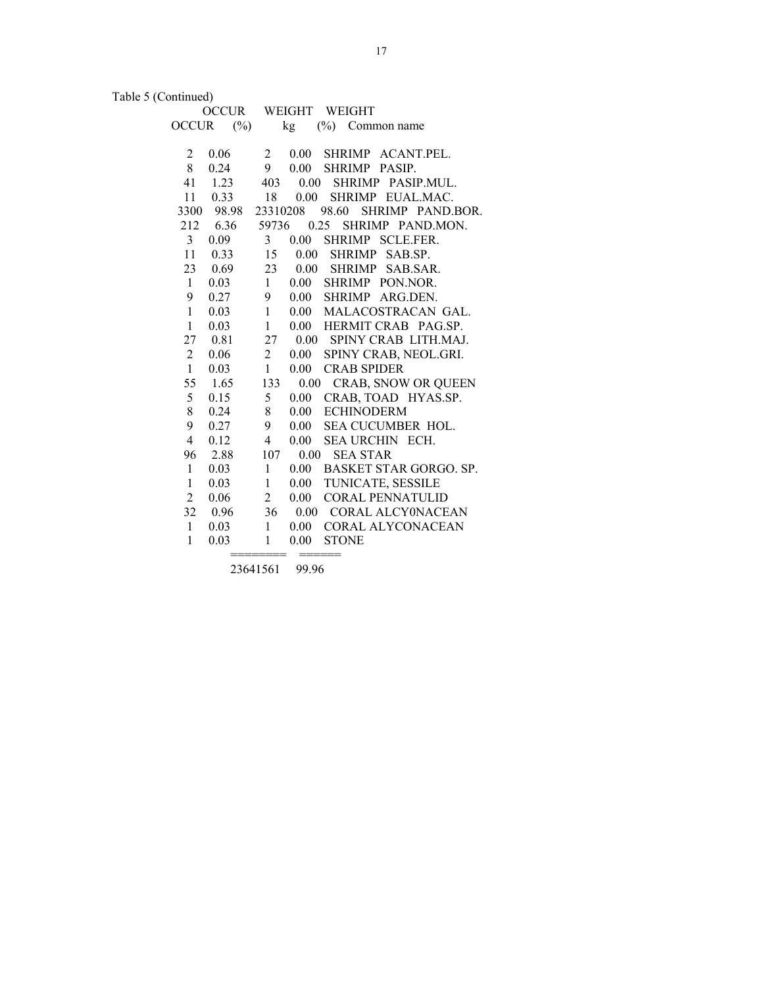Table 5 (Continued)

|                | <b>OCCUR</b> |                         |          | WEIGHT WEIGHT             |
|----------------|--------------|-------------------------|----------|---------------------------|
| <b>OCCUR</b>   | $(\%)$       |                         | kg       | $(\%)$ Common name        |
|                |              |                         |          |                           |
| 2              | 0.06         | $\overline{2}$          | 0.00     | SHRIMP ACANT.PEL.         |
| 8              | 0.24         | 9                       | $0.00\,$ | SHRIMP PASIP.             |
| 41             | 1.23         | 403                     | 0.00     | SHRIMP PASIP.MUL.         |
| 11             | 0.33         | 18                      | $0.00\,$ | SHRIMP EUAL.MAC.          |
| 3300           | 98.98        | 23310208                |          | 98.60<br>SHRIMP PAND.BOR. |
| 212            | 6.36         | 59736                   |          | SHRIMP PAND.MON.<br>0.25  |
| 3              | 0.09         | 3                       | 0.00     | SHRIMP SCLE.FER.          |
| 11             | 0.33         | 15                      | $0.00\,$ | <b>SHRIMP</b><br>SAB.SP.  |
| 23             | 0.69         | 23                      | $0.00\,$ | SHRIMP SAB.SAR.           |
| $\mathbf{1}$   | 0.03         | $\mathbf{1}$            | $0.00\,$ | SHRIMP PON.NOR.           |
| 9              | 0.27         | 9                       | 0.00     | SHRIMP ARG.DEN.           |
| $\mathbf{1}$   | 0.03         | $\mathbf{1}$            | $0.00\,$ | MALACOSTRACAN GAL.        |
| $\mathbf{1}$   | 0.03         | $\mathbf{1}$            | $0.00\,$ | HERMIT CRAB PAG.SP.       |
| 27             | 0.81         | 27                      | $0.00\,$ | SPINY CRAB LITH.MAJ.      |
| $\overline{c}$ | 0.06         | $\overline{2}$          | $0.00\,$ | SPINY CRAB, NEOL.GRI.     |
| $\mathbf{1}$   | 0.03         | $\mathbf{1}$            | 0.00     | <b>CRAB SPIDER</b>        |
| 55             | 1.65         | 133                     | 0.00     | CRAB, SNOW OR QUEEN       |
| 5              | 0.15         | 5                       | $0.00\,$ | CRAB, TOAD HYAS.SP.       |
| 8              | 0.24         | 8                       | $0.00\,$ | <b>ECHINODERM</b>         |
| 9              | 0.27         | 9                       | $0.00\,$ | SEA CUCUMBER HOL.         |
| $\overline{4}$ | 0.12         | $\overline{\mathbf{4}}$ | $0.00\,$ | <b>SEA URCHIN ECH.</b>    |
| 96             | 2.88         | 107                     | 0.00     | <b>SEA STAR</b>           |
| $\mathbf{1}$   | 0.03         | $\mathbf{1}$            | 0.00     | BASKET STAR GORGO. SP.    |
| $\mathbf{1}$   | 0.03         | $\mathbf{1}$            | $0.00\,$ | TUNICATE, SESSILE         |
| $\overline{2}$ | 0.06         | $\overline{2}$          | 0.00     | <b>CORAL PENNATULID</b>   |
| 32             | 0.96         | 36                      |          | 0.00 CORAL ALCY0NACEAN    |
| $\mathbf{1}$   | 0.03         | $\mathbf{1}$            | $0.00\,$ | CORAL ALYCONACEAN         |
| $\mathbf{1}$   | 0.03         | 1                       | 0.00     | <b>STONE</b>              |
|                |              | ======                  |          | ======                    |

23641561 99.96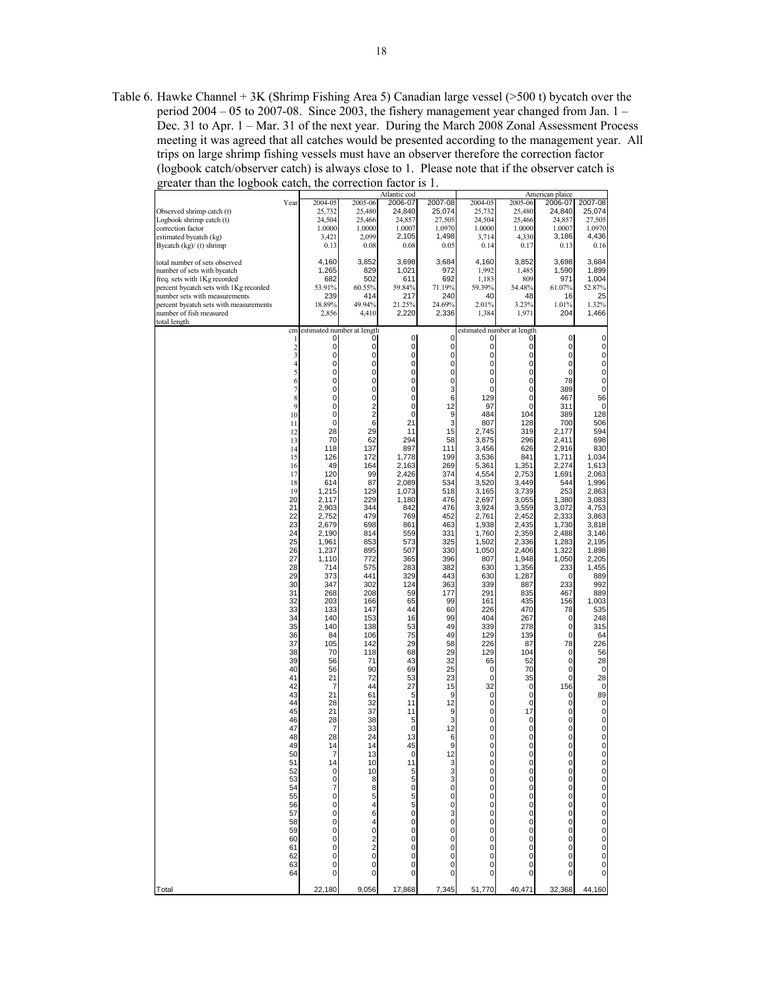Table 6. Hawke Channel + 3K (Shrimp Fishing Area 5) Canadian large vessel (>500 t) bycatch over the period 2004 – 05 to 2007-08. Since 2003, the fishery management year changed from Jan. 1 – Dec. 31 to Apr. 1 – Mar. 31 of the next year. During the March 2008 Zonal Assessment Process meeting it was agreed that all catches would be presented according to the management year. All trips on large shrimp fishing vessels must have an observer therefore the correction factor (logbook catch/observer catch) is always close to 1. Please note that if the observer catch is greater than the logbook catch, the correction factor is  $1$ .

|                                        |                          |                |                            | Atlantic cod   |                                             |                  |                                             | American plaice            |              |
|----------------------------------------|--------------------------|----------------|----------------------------|----------------|---------------------------------------------|------------------|---------------------------------------------|----------------------------|--------------|
|                                        | Year                     | 2004-05        | 2005-06                    | 2006-07        | 2007-08                                     | 2004-05          | 2005-06                                     | 2006-07                    | 2007-08      |
| Observed shrimp catch (t)              |                          | 25,732         | 25,480                     | 24,840         | 25,074                                      | 25,732           | 25,480                                      | 24,840                     | 25,074       |
| Logbook shrimp catch (t)               |                          | 24,504         | 25,466                     | 24,857         | 27,505                                      | 24,504           | 25,466                                      | 24,857                     | 27,505       |
| correction factor                      |                          | 1.0000         | 1.0000                     | 1.0007         | 1.0970                                      | 1.0000           | 1.0000                                      | 1.0007                     | 1.0970       |
| estimated bycatch (kg)                 |                          | 3,421<br>0.13  | 2,099<br>0.08              | 2,105<br>0.08  | 1,498<br>0.05                               | 3,714<br>0.14    | 4,330<br>0.17                               | 3,186<br>0.13              | 4,436        |
| Bycatch $(kg)/(t)$ shrimp              |                          |                |                            |                |                                             |                  |                                             |                            | 0.16         |
| total number of sets observed          |                          | 4.160          | 3,852                      | 3,698          | 3,684                                       | 4,160            | 3.852                                       | 3.698                      | 3.684        |
| number of sets with bycatch            |                          | 1,265          | 829                        | 1,021          | 972                                         | 1,992            | 1,485                                       | 1,590                      | 1,899        |
| freq. sets with 1Kg recorded           |                          | 682            | 502                        | 611            | 692                                         | 1,183            | 809                                         | 971                        | 1,004        |
| percent bycatch sets with 1Kg recorded |                          | 53.91%         | 60.55%                     | 59.84%         | 71.19%                                      | 59.39%           | 54.48%                                      | 61.07%                     | 52.87%       |
| number sets with measurements          |                          | 239            | 414                        | 217            | 240                                         | 40               | 48                                          | 16                         | 25           |
| percent bycatch sets with measurements |                          | 18.89%         | 49.94%                     | 21.25%         | 24.69%                                      | 2.01%            | 3.23%                                       | 1.01%                      | 1.32%        |
| number of fish measured                |                          | 2,856          | 4,410                      | 2,220          | 2,336                                       | 1,384            | 1,971                                       | 204                        | 1,466        |
| total length                           |                          |                |                            |                |                                             |                  |                                             |                            |              |
|                                        | cm                       |                | estimated number at length |                |                                             |                  | estimated number at length                  |                            |              |
|                                        | 1                        | 0              | 0                          | $\overline{0}$ | 0                                           | 0                | $\mathbf 0$                                 | $\overline{0}$             | 0            |
|                                        | $\frac{2}{3}$            | 0              | 0                          | $\mathbf 0$    | 0                                           | 0                | 0                                           | 0                          | 0            |
|                                        |                          | 0              | 0                          | $\mathbf 0$    | $\mathbf 0$                                 | 0                | 0                                           | $\mathbf 0$                | $_0^0$       |
|                                        | $\overline{\mathcal{L}}$ | 0              | 0                          | $\mathbf 0$    | 0                                           | 0                | $\mathbf 0$                                 | $\pmb{0}$                  |              |
|                                        | 5                        | 0              | 0                          | 0              | 0                                           | 0                | $\mathbf 0$                                 | $\mathbf 0$                | $_0^0$       |
|                                        | 6                        | 0              | 0                          | $\pmb{0}$      | $\pmb{0}$                                   | 0                | $\mathbf 0$                                 | 78                         |              |
|                                        | 7                        | 0              | $\mathbf 0$                | $\mathbf 0$    | 3                                           | 0                | 0                                           | 389                        | $\pmb{0}$    |
|                                        | 8                        | 0              | 0                          | $\pmb{0}$      | 6                                           | 129              | 0                                           | 467                        | 56           |
|                                        | $\mathbf{Q}$             | 0              | $\overline{\mathbf{c}}$    | $\pmb{0}$      | 12                                          | 97               | 0                                           | 311                        | 0            |
|                                        | 10                       | 0              | $\overline{c}$             | $\mathbf 0$    | 9                                           | 484              | 104                                         | 389                        | 128          |
|                                        | 11                       | 0              | 6                          | 21             | 3                                           | 807              | 128                                         | 700                        | 506          |
|                                        | 12<br>13                 | 28<br>70       | 29<br>62                   | 11<br>294      | 15<br>58                                    | 2,745            | 319<br>296                                  | 2,177                      | 594<br>698   |
|                                        |                          |                |                            |                |                                             | 3,875            |                                             | 2,411                      |              |
|                                        | 14<br>15                 | 118<br>126     | 137<br>172                 | 897<br>1,778   | 111<br>199                                  | 3,456<br>3,536   | 626<br>841                                  | 2,916<br>1,711             | 830<br>1,034 |
|                                        | 16                       | 49             | 164                        | 2,163          | 269                                         | 5.361            | 1,351                                       | 2,274                      | 1,613        |
|                                        | 17                       | 120            | 99                         | 2,426          | 374                                         | 4,554            | 2,753                                       | 1,691                      | 2,063        |
|                                        | 18                       | 614            | 87                         | 2,089          | 534                                         | 3,520            | 3,449                                       | 544                        | 1,996        |
|                                        | 19                       |                | 129                        |                | 518                                         |                  | 3,739                                       | 253                        | 2,863        |
|                                        | 20                       | 1,215          | 229                        | 1,073          | 476                                         | 3,165            |                                             |                            | 3,083        |
|                                        | 21                       | 2,117<br>2,903 | 344                        | 1,180<br>842   | 476                                         | 2,697<br>3,924   | 3,055                                       | 1,380                      | 4,753        |
|                                        | 22                       | 2,752          | 479                        | 769            | 452                                         | 2,761            | 3,559<br>2,452                              | 3,072                      | 3,863        |
|                                        | 23                       | 2,679          | 698                        | 861            | 463                                         | 1,938            | 2,435                                       | 2,333<br>1,730             | 3,818        |
|                                        | 24                       | 2,190          | 814                        | 559            | 331                                         | 1,760            | 2,359                                       | 2,488                      | 3,146        |
|                                        | 25                       | 1.961          | 853                        | 573            | 325                                         | 1,502            | 2,336                                       | 1,283                      | 2,195        |
|                                        | 26                       | 1,237          | 895                        | 507            | 330                                         | 1,050            | 2,406                                       | 1,322                      | 1,898        |
|                                        | 27                       | 1,110          | 772                        | 365            | 396                                         | 807              | 1,948                                       | 1,050                      | 2,205        |
|                                        | 28                       | 714            | 575                        | 283            | 382                                         | 630              | 1,356                                       | 233                        | 1,455        |
|                                        | 29                       | 373            | 441                        | 329            | 443                                         | 630              | 1,287                                       | 0                          | 889          |
|                                        | 30                       | 347            | 302                        | 124            | 363                                         | 339              | 887                                         | 233                        | 992          |
|                                        | 31                       |                |                            |                |                                             |                  |                                             |                            |              |
|                                        |                          | 268            | 208                        | 59             | 177                                         | 291              | 835                                         | 467                        | 889          |
|                                        | 32                       | 203            | 166                        | 65             | 99<br>60                                    | 161              | 435                                         | 156                        | 1,003        |
|                                        | 33                       | 133            | 147                        | 44             |                                             | 226              | 470                                         | 78                         | 535          |
|                                        | 34                       | 140            | 153                        | 16             | 99<br>49                                    | 404              | 267                                         | 0<br>$\mathbf 0$           | 248          |
|                                        | 35                       | 140            | 138                        | 53             |                                             | 339              | 278                                         |                            | 315          |
|                                        | 36                       | 84             | 106                        | 75             | 49                                          | 129              | 139                                         | $\mathbf 0$                | 64           |
|                                        | 37                       | 105            | 142                        | 29             | 58                                          | 226              | 87                                          | 78                         | 226          |
|                                        | 38                       | 70             | 118                        | 68             | 29                                          | 129              | 104                                         | 0                          | 56           |
|                                        | 39                       | 56             | 71                         | 43             | 32                                          | 65               | 52                                          | $\pmb{0}$                  | 28           |
|                                        | 40<br>41                 | 56             | 90                         | 69             | 25                                          | 0<br>$\mathbf 0$ | 70                                          | $\mathbf 0$<br>$\mathbf 0$ | 0            |
|                                        |                          | 21             | 72                         | 53             | 23                                          |                  | 35                                          |                            | 28           |
|                                        | 42                       | 7              | 44                         | 27             | 15                                          | 32               | 0                                           | 156                        | 0            |
|                                        | 43<br>44                 | 21             | 61                         | 5<br>11        | 9<br>12                                     | 0<br>0           | 0<br>0                                      | 0<br>$\mathbf 0$           | 89           |
|                                        |                          | 28             | 32                         |                |                                             |                  |                                             |                            | 0            |
|                                        | 45                       | 21             | 37                         | 11             | 9                                           | 0                | 17                                          | 0                          | $\mathbf 0$  |
|                                        | 46                       | 28             | 38                         | 5              | 3                                           | 0                | 0                                           | 0                          | 0            |
|                                        | 47                       | 7              | 33                         | $\mathbf 0$    | 12                                          | 0                | 0                                           | 0                          | $_0^0$       |
|                                        | 48                       | 28             | 24                         | 13             | 6                                           | 0                | $\mathbf 0$                                 | $\overline{0}$             |              |
|                                        | 49                       | 14             | 14                         | 45             | 9                                           | $\mathbf{0}$     | $\mathbf{0}$                                | $\mathbf{0}$               | 0            |
|                                        | 50                       |                | 13                         | 0              | $\begin{array}{c} 12 \\ 3 \\ 3 \end{array}$ | 0                | 0                                           | 0                          |              |
|                                        | 51                       | 14             | 10                         | 11             |                                             | 0                | $\begin{smallmatrix}0\0\0\end{smallmatrix}$ |                            |              |
|                                        | 52                       | 0              | 10                         | 5              |                                             | 0                |                                             |                            |              |
|                                        | 53                       | 0              | 8                          | 5              | 3                                           | 0                | $\mathbf 0$                                 |                            |              |
|                                        | 54                       | 7              | 8                          | $\pmb{0}$      | $\mathbf 0$                                 | 0                |                                             |                            |              |
|                                        | 55                       | 0              | 5                          | 5              | 0                                           | 0                |                                             |                            |              |
|                                        | 56                       | 0              | 4                          | 5              | $\frac{0}{3}$                               | 0                |                                             |                            |              |
|                                        | 57                       | 0              | 6                          | $\mathbf 0$    |                                             | 0                |                                             |                            |              |
|                                        | 58                       | 0              | 4                          | 0              | 0                                           | 0                | 00000                                       |                            |              |
|                                        | 59                       | 0              | 0                          | 0              | 0                                           | 0                |                                             |                            |              |
|                                        | 60                       | 0              | 2                          | 0              | $\mathbf 0$                                 | 0                | $\mathbf 0$                                 |                            |              |
|                                        | 61                       | 0              | $\overline{\mathbf{c}}$    | $\pmb{0}$      | 0                                           | 0                | $\ddot{\mathbf{0}}$                         | 000000000000               |              |
|                                        | 62                       | 0              | 0                          | 0              | 0                                           | 0                | $\mathbf 0$                                 |                            |              |
|                                        | 63<br>64                 | 0<br>0         | 0<br>0                     | 0              | 0<br>0                                      | 0<br>0           | 0<br>$\mathbf 0$                            | 0                          |              |
|                                        |                          |                |                            | 0              |                                             |                  |                                             |                            |              |
| Total                                  |                          | 22,180         | 9,056                      | 17,868         | 7,345                                       | 51,770           | 40,471                                      | 32,368                     | 44,160       |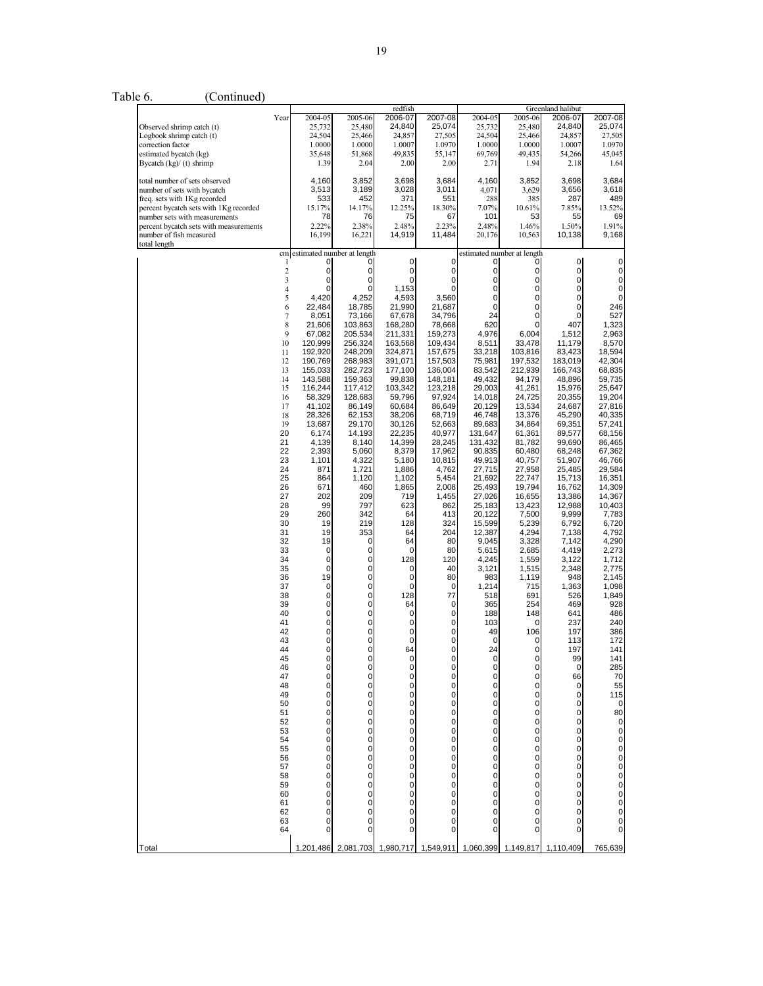Table 6. (Continued)

|                                                                        |                               |                                    |                    | redfish            |                    |                    |                                 | Greenland halibut |                   |
|------------------------------------------------------------------------|-------------------------------|------------------------------------|--------------------|--------------------|--------------------|--------------------|---------------------------------|-------------------|-------------------|
| Observed shrimp catch (t)                                              | Year                          | 2004-05<br>25,732                  | 2005-06<br>25,480  | 2006-07<br>24,840  | 2007-08<br>25,074  | 2004-05<br>25,732  | 2005-06<br>25.480               | 2006-07<br>24,840 | 2007-08<br>25,074 |
| Logbook shrimp catch (t)<br>correction factor                          |                               | 24,504                             | 25,466             | 24,857             | 27,505             | 24,504             | 25,466                          | 24,857            | 27,505            |
| estimated bycatch (kg)                                                 |                               | 1.0000<br>35,648                   | 1.0000<br>51,868   | 1.0007<br>49,835   | 1.0970<br>55,147   | 1.0000<br>69,769   | 1.0000<br>49,435                | 1.0007<br>54,266  | 1.0970<br>45,045  |
| Bycatch (kg)/ (t) shrimp                                               |                               | 1.39                               | 2.04               | 2.00               | 2.00               | 2.71               | 1.94                            | 2.18              | 1.64              |
| total number of sets observed                                          |                               | 4,160                              | 3,852              | 3,698              | 3,684              | 4,160              | 3,852                           | 3,698             | 3,684             |
| number of sets with bycatch                                            |                               | 3,513                              | 3,189              | 3,028              | 3,011              | 4,071              | 3,629                           | 3,656             | 3,618             |
| freq. sets with 1Kg recorded<br>percent bycatch sets with 1Kg recorded |                               | 533<br>15.17%                      | 452<br>14.17%      | 371<br>12.25%      | 551<br>18.30%      | 288<br>7.07%       | 385<br>10.61%                   | 287<br>7.85%      | 489<br>13.52%     |
| number sets with measurements                                          |                               | 78                                 | 76                 | 75                 | 67                 | 101                | 53                              | 55                | 69                |
| percent bycatch sets with measurements<br>number of fish measured      |                               | 2.22%<br>16,199                    | 2.38%<br>16,221    | 2.48%<br>14,919    | 2.23%<br>11,484    | 2.48%<br>20,176    | 1.46%<br>10,563                 | 1.50%<br>10,138   | 1.91%<br>9,168    |
| total length                                                           |                               |                                    |                    |                    |                    |                    |                                 |                   |                   |
|                                                                        | 1                             | cm estimated number at length<br>0 | 0                  | $\mathbf 0$        | 0                  | 0                  | estimated number at length<br>0 | $\mathbf 0$       | 0                 |
|                                                                        | $\overline{\mathbf{c}}$       | $\overline{0}$                     | $\mathbf 0$        | $\mathbf 0$        | 0                  | 0                  | $\mathbf{0}$                    | 0                 | 0                 |
|                                                                        | 3<br>$\overline{\mathcal{L}}$ | 0<br>0                             | 0<br>0             | 0<br>1,153         | 0<br>0             | 0<br>0             | $\mathsf{o}$<br>$\mathbf{0}$    | 0<br>0            | 0<br>0            |
|                                                                        | 5                             | 4,420                              | 4,252              | 4,593              | 3,560              | 0                  | $\overline{0}$                  | 0                 | 0                 |
|                                                                        | 6                             | 22,484                             | 18,785             | 21,990             | 21,687             | $\mathbf 0$<br>24  | $\mathbf{0}$<br>$\overline{0}$  | 0                 | 246               |
|                                                                        | $\overline{\mathcal{I}}$<br>8 | 8,051<br>21,606                    | 73,166<br>103,863  | 67,678<br>168,280  | 34,796<br>78,668   | 620                | 0                               | 0<br>407          | 527<br>1,323      |
|                                                                        | 9                             | 67,082                             | 205,534            | 211,331            | 159,273            | 4,976              | 6,004                           | 1,512             | 2,963             |
|                                                                        | 10<br>11                      | 120,999<br>192,920                 | 256,324<br>248,209 | 163,568<br>324,871 | 109,434<br>157,675 | 8,511<br>33,218    | 33,478<br>103,816               | 11,179<br>83,423  | 8,570<br>18,594   |
|                                                                        | 12                            | 190,769                            | 268,983            | 391,071            | 157,503            | 75,981             | 197,532                         | 183,019           | 42,304            |
|                                                                        | 13<br>14                      | 155,033<br>143,588                 | 282,723<br>159,363 | 177,100<br>99,838  | 136,004<br>148,181 | 83,542<br>49,432   | 212.939<br>94,179               | 166,743<br>48,896 | 68,835<br>59,735  |
|                                                                        | 15                            | 116,244                            | 117,412            | 103,342            | 123,218            | 29,003             | 41,261                          | 15,976            | 25,647            |
|                                                                        | 16<br>17                      | 58,329<br>41,102                   | 128,683<br>86,149  | 59,796<br>60,684   | 97,924<br>86,649   | 14,018<br>20,129   | 24,725<br>13,534                | 20,355<br>24,687  | 19,204<br>27,816  |
|                                                                        | 18                            | 28,326                             | 62,153             | 38,206             | 68,719             | 46,748             | 13,376                          | 45,290            | 40,335            |
|                                                                        | 19                            | 13,687                             | 29,170             | 30,126             | 52,663             | 89.683             | 34.864                          | 69,351            | 57,241            |
|                                                                        | 20<br>21                      | 6,174<br>4,139                     | 14,193<br>8,140    | 22,235<br>14,399   | 40,977<br>28,245   | 131,647<br>131,432 | 61,361<br>81,782                | 89,577<br>99,690  | 68,156<br>86,465  |
|                                                                        | 22                            | 2,393                              | 5,060              | 8,379              | 17,962             | 90,835             | 60,480                          | 68,248            | 67,362            |
|                                                                        | 23<br>24                      | 1,101<br>871                       | 4,322<br>1,721     | 5,180<br>1,886     | 10,815<br>4,762    | 49,913<br>27,715   | 40,757<br>27,958                | 51,907<br>25,485  | 46,766<br>29,584  |
|                                                                        | 25                            | 864                                | 1,120              | 1,102              | 5,454              | 21,692             | 22,747                          | 15,713            | 16,351            |
|                                                                        | 26<br>27                      | 671<br>202                         | 460<br>209         | 1,865<br>719       | 2,008<br>1,455     | 25,493<br>27,026   | 19,794<br>16,655                | 16,762<br>13,386  | 14,309<br>14,367  |
|                                                                        | 28                            | 99                                 | 797                | 623                | 862                | 25,183             | 13,423                          | 12,988            | 10,403            |
|                                                                        | 29<br>30                      | 260<br>19                          | 342<br>219         | 64<br>128          | 413<br>324         | 20,122<br>15,599   | 7,500<br>5,239                  | 9,999<br>6,792    | 7,783<br>6,720    |
|                                                                        | 31                            | 19                                 | 353                | 64                 | 204                | 12,387             | 4,294                           | 7,138             | 4,792             |
|                                                                        | 32                            | 19                                 | $\mathbf 0$        | 64                 | 80                 | 9,045              | 3,328                           | 7,142             | 4,290             |
|                                                                        | 33<br>34                      | $\overline{0}$<br>$\overline{0}$   | 0<br>0             | 0<br>128           | 80<br>120          | 5,615<br>4,245     | 2,685<br>1,559                  | 4,419<br>3,122    | 2,273<br>1,712    |
|                                                                        | 35                            | $\overline{0}$                     | $\pmb{0}$          | 0                  | 40                 | 3,121              | 1,515                           | 2,348             | 2,775             |
|                                                                        | 36<br>37                      | 19<br>$\overline{0}$               | $\mathbf 0$<br>0   | 0<br>0             | 80<br>0            | 983<br>1,214       | 1,119<br>715                    | 948<br>1,363      | 2,145<br>1,098    |
|                                                                        | 38                            | $\overline{0}$                     | 0                  | 128                | 77                 | 518                | 691                             | 526               | 1,849             |
|                                                                        | 39<br>40                      | $\overline{0}$<br>0                | 0<br>$\mathbf 0$   | 64<br>0            | 0<br>$\mathbf 0$   | 365<br>188         | 254<br>148                      | 469<br>641        | 928<br>486        |
|                                                                        | 41                            | 0                                  | $\pmb{0}$          | 0                  | 0                  | 103                | 0                               | 237               | 240               |
|                                                                        | 42<br>43                      | $\mathsf{o}$<br>$\overline{0}$     | $\mathbf 0$<br>0   | 0<br>$\mathbf 0$   | $\mathbf 0$<br>0   | 49<br>0            | 106<br>0                        | 197<br>113        | 386<br>172        |
|                                                                        | 44                            | $\overline{0}$                     | $\mathbf 0$        | 64                 | $\mathbf 0$        | 24                 | 0                               | 197               | 141               |
|                                                                        | 45                            | 0                                  | $\mathbf 0$        | $\mathbf 0$        | $\mathbf 0$        | 0                  | 0                               | 99                | 141<br>285        |
|                                                                        | 46<br>47                      | 0<br>$\overline{0}$                | 0<br>0             | 0<br>0             | 0<br>0             | 0<br>0             | 0<br>0                          | 0<br>66           |                   |
|                                                                        | 48                            | 0                                  | 0                  | 0                  | 0                  | 0                  | 0                               | 0                 |                   |
|                                                                        | 49<br>50                      | 0<br>0                             | 0<br>0             | 0<br>0             | 0<br>0             | 0<br>0             | 0<br>0                          | 0<br>0            |                   |
|                                                                        | 51                            | 0                                  | 0                  | 0                  | 0                  | 0                  | 0                               | 0                 |                   |
|                                                                        | 52<br>53                      | $\overline{0}$<br>$\overline{0}$   | 0<br>0             | 0<br>0             | $\mathbf 0$<br>0   | 0<br>0             | 0<br>$\overline{0}$             | 0<br>0            |                   |
|                                                                        | 54                            | $\overline{0}$                     | 0                  | 0                  | $\mathbf 0$        | 0                  | 0                               | 0                 |                   |
|                                                                        | 55<br>56                      | 0<br>0                             | 0<br>0             | 0<br>0             | 0<br>0             | 0<br>0             | 0<br>0                          | 0<br>0            |                   |
|                                                                        | 57                            | $\overline{0}$                     | 0                  | 0                  | 0                  | 0                  | 0                               | 0                 |                   |
|                                                                        | 58                            | 0<br>$\overline{0}$                | 0<br>0             | 0                  | 0<br>0             | 0<br>0             | 0<br>$\overline{0}$             | 0                 |                   |
|                                                                        | 59<br>60                      | 0                                  | 0                  | 0<br>0             | 0                  | 0                  | 0                               | 0<br>0            |                   |
|                                                                        | 61                            | 0                                  | 0                  | 0                  | 0                  | 0                  | 0                               | 0                 |                   |
|                                                                        | 62<br>63                      | 0<br>0                             | 0<br>0             | 0<br>0             | 0<br>0             | 0<br>0             | 0<br>0                          | 0<br>0            |                   |
|                                                                        | 64                            | 0                                  | 0                  | 0                  | 0                  | 0                  | $\overline{0}$                  | 0                 | $\overline{0}$    |
| Total                                                                  |                               |                                    | 2.081.703          | 1.980.717          | 1.549.911          | 1,060,399          | 1,149,817                       | 1,110,409         | 765,639           |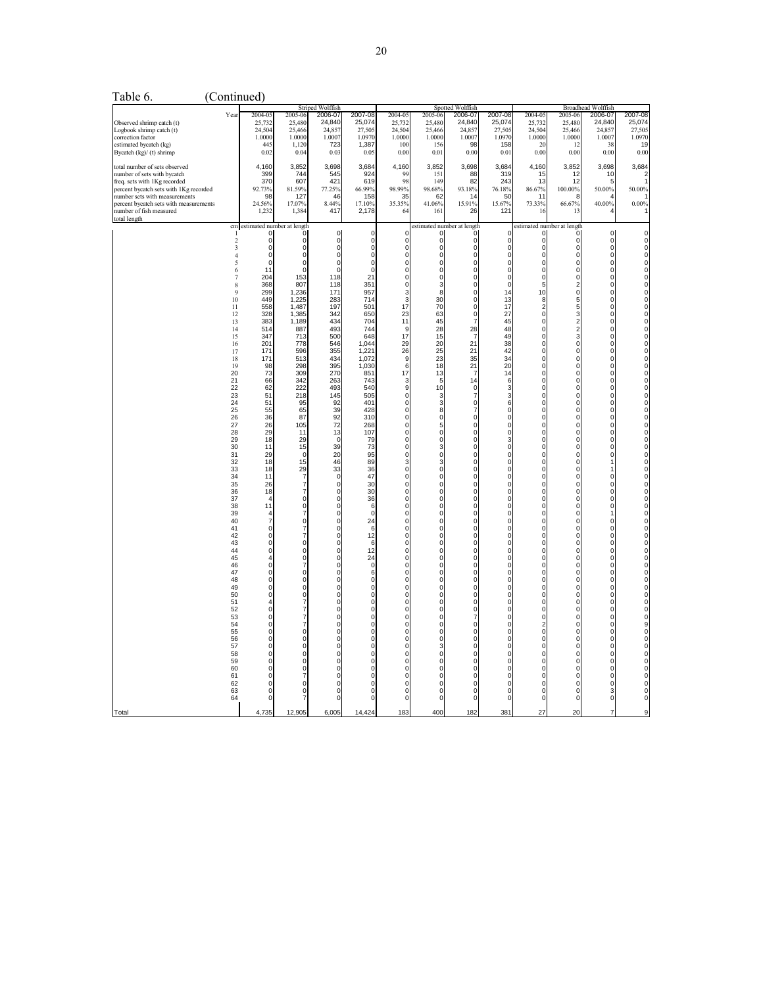| Table 6.                                                                |                     | (Continued)                               |                                  |                                                  |                         |                                      |                                        |                               |                                 |                                        |                                            |                                      |                                                |
|-------------------------------------------------------------------------|---------------------|-------------------------------------------|----------------------------------|--------------------------------------------------|-------------------------|--------------------------------------|----------------------------------------|-------------------------------|---------------------------------|----------------------------------------|--------------------------------------------|--------------------------------------|------------------------------------------------|
|                                                                         | Year                | 2004-05                                   | 2005-06                          | Striped Wolffish<br>2006-07                      | 2007-08                 | 2004-05                              | 2005-06                                | Spotted Wolffish<br>2006-07   | 2007-08                         | 2004-05                                | 2005-06                                    | <b>Broadhead Wolffish</b><br>2006-07 | 2007-08                                        |
| Observed shrimp catch (t)<br>Logbook shrimp catch (t)                   |                     | 25.732<br>24,504                          | 25,480<br>25,466                 | 24,840<br>24,857                                 | 25,074<br>27,505        | 25,732<br>24,504                     | 25.480<br>25,466                       | 24,840<br>24,857              | 25,074<br>27,505                | 25,732<br>24,504                       | 25.480<br>25,466                           | 24,840<br>24,857                     | 25,074<br>27,505                               |
| correction factor                                                       |                     | 1.0000                                    | 1.0000                           | 1.0007                                           | 1.0970                  | 1.0000                               | 1.0000                                 | 1.0007                        | 1.0970                          | 1.0000                                 | 1.0000                                     | 1.0007                               | 1.0970                                         |
| estimated bycatch (kg)<br>Bycatch (kg)/ (t) shrimp                      |                     | 445<br>0.02                               | 1,120<br>0.04                    | 723<br>0.03                                      | 1,387<br>0.05           | 100<br>0.00                          | 156<br>0.01                            | 98<br>0.00                    | 158<br>0.01                     | 20<br>0.00                             | 12<br>0.00                                 | 38<br>0.00                           | 19<br>0.00                                     |
| total number of sets observed<br>number of sets with bycatch            |                     | 4,160<br>399                              | 3,852<br>744                     | 3.698<br>545                                     | 3.684<br>924            | 4,160<br>99                          | 3.852<br>151                           | 3,698<br>88                   | 3.684<br>319                    | 4,160<br>15                            | 3,852<br>12                                | 3,698<br>10                          | 3,684                                          |
| freq. sets with 1Kg recorded<br>percent bycatch sets with 1Kg recorded  |                     | 370<br>92.73%                             | 607<br>81.59%                    | 421<br>77.25%                                    | 619<br>66.99%           | 98<br>98.99%                         | 149<br>98.68%                          | 82<br>93.18%                  | 243<br>76.18%                   | -13<br>86.67%                          | 12<br>100.00%                              | F<br>50.00%                          | 50.00%                                         |
| number sets with measurements<br>percent bycatch sets with measurements |                     | 98<br>24.56%                              | 127<br>17.07%                    | 46<br>8.44%                                      | 158<br>17.10%           | 35<br>35.35%                         | 62<br>41.06%                           | 14<br>15.91%                  | 50<br>15.67%                    | 11<br>73.33%                           | 8<br>66.67%                                | 40.00%                               | 0.00%                                          |
| number of fish measured<br>total length                                 |                     | 1,232                                     | 1,384                            | 417                                              | 2,178                   | 64                                   | 161                                    | 26                            | 121                             | 16                                     | 13                                         |                                      |                                                |
|                                                                         |                     | cm estimated number at length<br>$\Omega$ |                                  | $\overline{0}$                                   | 0                       | 0                                    | estimated number at length<br>$\Omega$ | 0                             | C                               | estimated number at length<br>$\Omega$ | $\Omega$                                   | $\overline{0}$                       |                                                |
|                                                                         | 2<br>3              | O<br>$\mathbf 0$                          | 0<br>$\mathbf 0$                 | $\ddot{\mathbf{0}}$<br>$\mathbf 0$               | $\Omega$<br>0           | 0<br>$\mathbf 0$                     | $\Omega$<br>0                          | 0<br>0                        | O<br>$\mathbf 0$                | $\mathbf 0$<br>$\overline{0}$          | 0<br>$\mathbf 0$                           | $\mathbf 0$<br>$\mathbf 0$           | $\pmb{0}$<br>$\mathbf 0$                       |
|                                                                         | $\overline{4}$<br>5 | $\Omega$<br>$\mathbf 0$                   | $\Omega$<br>$\Omega$             | $\mathbf 0$<br>$\Omega$                          | $\Omega$<br>$\Omega$    | 0<br>$\mathbf 0$                     | $\Omega$<br>$\Omega$                   | 0<br>0                        | $\Omega$<br>$\mathbf 0$         | $\overline{0}$<br>$\Omega$             | 0<br>0                                     | $\mathbf 0$<br>$\Omega$              | $\overset{}{0}$                                |
|                                                                         | 6<br>$\overline{7}$ | 11<br>204                                 | 153                              | $\overline{0}$<br>118                            | 0<br>21                 | $\pmb{0}$<br>$\mathbf 0$             | $\Omega$                               | 0<br>$\mathbf 0$              | $\boldsymbol{0}$<br>$\mathbf 0$ | $\Omega$<br>$\overline{0}$             | 0<br>0                                     | $\mathbf 0$<br>$\Omega$              | $\begin{matrix} 0 \\ 0 \end{matrix}$           |
|                                                                         | 8<br>$\mathbf{9}$   | 368<br>299                                | 807<br>1,236                     | 118<br>171                                       | 351<br>957              | 0<br>3                               | 3<br>8                                 | 0<br>$\mathbf 0$              | $\Omega$<br>14                  | 5<br>10                                | $\overline{\mathbf{c}}$<br>$\mathbf 0$     | 0<br>$\Omega$                        | $\begin{matrix} 0 \\ 0 \end{matrix}$           |
|                                                                         | $10\,$              | 449                                       | 1,225                            | 283                                              | 714                     | 3<br>17                              | 30                                     | 0                             | 13<br>17                        | 8                                      | 5                                          | $\Omega$<br>$\Omega$                 | 000000                                         |
|                                                                         | 11<br>12            | 558<br>328                                | 1,487<br>1,385                   | 197<br>342                                       | 501<br>650              | 23                                   | 70<br>63                               | $\ddot{\mathbf{0}}$<br>0      | 27                              | $\frac{2}{0}$                          | $\frac{5}{3}$                              | $\pmb{0}$                            |                                                |
|                                                                         | 13<br>14            | 383<br>514                                | 1,189<br>887                     | 434<br>493                                       | 704<br>744              | 11<br>9                              | 45<br>28                               | $\overline{7}$<br>28          | 45<br>48                        | $\Omega$<br>$\overline{0}$             | $\begin{array}{c} 2 \\ 2 \\ 3 \end{array}$ | $\Omega$<br>0                        |                                                |
|                                                                         | 15<br>16            | 347<br>201                                | 713<br>778                       | 500<br>546                                       | 648<br>1.044            | 17<br>29                             | 15<br>20                               | 7<br>21                       | 49<br>38                        | $\Omega$<br>$\overline{0}$             | $\mathbf 0$                                | 0<br>$\mathbf 0$                     |                                                |
|                                                                         | 17<br>18            | 171<br>171                                | 596<br>513                       | 355<br>434                                       | 1,221<br>1,072          | 26<br>9                              | 25<br>23                               | 21<br>35                      | $\frac{1}{42}$<br>34            | $\Omega$<br>$\mathbf{0}$               | $\overline{0}$<br>$\mathbf 0$              | $\Omega$<br>0                        | $\begin{matrix} 0 \\ 0 \\ 0 \\ 0 \end{matrix}$ |
|                                                                         | 19<br>20            | 98<br>73                                  | 298<br>309                       | 395<br>270                                       | 1,030<br>851            | 6<br>17                              | 18<br>13                               | 21<br>$\overline{7}$          | 20<br>14                        | $\mathbf 0$<br>$\overline{0}$          | $\mathbf 0$                                | 0<br>$\mathbf 0$                     |                                                |
|                                                                         | 21<br>22            | 66<br>62                                  | 342<br>222                       | 263<br>493                                       | 743<br>540              | 3<br>9                               | 5<br>10                                | 14<br>$\mathbf 0$             | $\overline{6}$<br>3             | $\Omega$<br>$\overline{0}$             | $\begin{matrix} 0 \\ 0 \end{matrix}$<br>0  | $\pmb{0}$<br>$\mathbf 0$             | 0000                                           |
|                                                                         | 23<br>24            | 51<br>51                                  | 218<br>95                        | 145<br>92                                        | 505<br>401              | $\pmb{0}$<br>$\pmb{0}$               | 3<br>3                                 | $\overline{\phantom{a}}$<br>O | 3<br>6                          | $\overline{0}$<br>$\Omega$             | 0<br>$\mathbf 0$                           | 0<br>$\Omega$                        |                                                |
|                                                                         | 25<br>26            | 55<br>36                                  | 65<br>87                         | 39                                               | 428<br>310              | 0<br>$\mathbf 0$                     | $\Omega$                               | 7<br>0                        | $\Omega$<br>$\mathbf 0$         | 0<br>$\Omega$                          | 0<br>$\mathbf 0$                           | 0<br>$\Omega$                        | $\begin{matrix} 0 \\ 0 \\ 0 \\ 0 \end{matrix}$ |
|                                                                         | 27                  | 26                                        | 105                              | 92<br>72                                         | 268                     | 0                                    |                                        | 0                             | 0                               | $\overline{0}$                         | 0                                          | 0<br>$\Omega$                        |                                                |
|                                                                         | 28<br>29            | 29<br>18                                  | 11<br>29                         | 13<br>$\mathbf 0$                                | 107<br>79               | $\pmb{0}$<br>0                       | $\Omega$<br>$\Omega$                   | 0<br>0                        | $\mathbf 0$<br>3                | $\Omega$<br>$\mathbf{0}$               | $\mathbf 0$<br>$\mathbf 0$                 | $\Omega$                             | 00000000                                       |
|                                                                         | 30<br>31            | 11<br>29                                  | 15<br>$\Omega$                   | 39<br>20                                         | 73<br>95                | $\ddot{\mathbf{0}}$<br>$\pmb{0}$     | 3<br>0                                 | $\mathbf 0$<br>0              | $\overline{0}$<br>$\mathbf 0$   | $\overline{0}$<br>$\mathbf{0}$         | $\mathsf 0$<br>$\mathbf 0$                 | $\Omega$<br>0                        |                                                |
|                                                                         | 32<br>33            | 18<br>18                                  | 15<br>29                         | 46<br>33                                         | 89<br>36                | 3<br>$\mathbf 0$                     | 3<br>$\Omega$                          | 0<br>0                        | $\Omega$<br>0                   | $\Omega$<br>$\overline{0}$             | $\ddot{\mathbf{0}}$<br>$\mathbf 0$         |                                      |                                                |
|                                                                         | 34<br>35            | 11<br>26                                  | 7<br>$\overline{7}$              | $\mathbf 0$<br>0                                 | 47<br>30                | $\mathsf 0$<br>$\mathsf 0$           | $\Omega$<br>$\Omega$                   | 0<br>0                        | $\mathbf 0$<br>$\mathbf 0$      | $\Omega$<br>$\overline{0}$             | $\mathbf 0$<br>0                           | $\Omega$<br>$\Omega$                 |                                                |
|                                                                         | 36<br>37            | 18<br>$\overline{4}$                      | 7<br>$\circ$                     | 0<br>$\mathbf 0$                                 | 30<br>36                | 0<br>0                               | O<br>$\Omega$                          | 0<br>0                        | 0<br>$\mathbf 0$                | $\overline{0}$<br>$\mathbf{0}$         | 0<br>0                                     | 0<br>0                               |                                                |
|                                                                         | 38<br>39            | 11<br>$\overline{4}$                      | $\overline{0}$<br>7              | $\mathbf 0$<br>0                                 | 6<br>$\Omega$           | $\pmb{0}$<br>0                       | $\Omega$<br>$\Omega$                   | 0<br>$\mathbf 0$              | 0<br>$\mathbf 0$                | $\overline{0}$<br>$\overline{0}$       | 0<br>0                                     | 0                                    | $\begin{matrix} 0 \\ 0 \\ 0 \\ 0 \end{matrix}$ |
|                                                                         | 40                  | $\overline{7}$                            |                                  | $\mathbf 0$                                      | 24                      | $\pmb{0}$                            | $\Omega$                               | 0                             | $\boldsymbol{0}$                | $\Omega$                               | 0                                          | $\Omega$                             |                                                |
|                                                                         | 41<br>42            | $\mathbf 0$<br>0                          |                                  | 0<br>$\mathbf 0$                                 | 6<br>12                 | $\begin{matrix} 0 \\ 0 \end{matrix}$ | $\Omega$                               | 0<br>O                        | $\mathbf 0$<br>O                | $\Omega$<br>0                          | $\mathbf 0$<br>0                           | $\Omega$<br>0                        |                                                |
|                                                                         | 43<br>44            | $\mathbf 0$<br>$\mathbf 0$                | $\Omega$<br>$\Omega$             | 0<br>$\mathbf 0$                                 | 6<br>12                 | $\mathbf 0$<br>0                     | $\Omega$<br>$\Omega$                   | 0<br>0                        | $\mathbf 0$<br>$\mathbf 0$      | $\Omega$<br>$\overline{0}$             | $\mathbf 0$<br>0                           | $\Omega$<br>0                        |                                                |
|                                                                         | 45<br>46            | 4<br>$\mathbf 0$                          | $\Omega$<br>7                    | $\mathbf 0$<br>$\mathbf 0$                       | 24<br>$\mathbf 0$       | $\pmb{0}$<br>$\mathbf 0$             | $\Omega$<br>0                          | $\mathbf 0$<br>0              | 0<br>$\mathbf 0$                | $\Omega$<br>$\mathbf{0}$               | $\mathbf 0$<br>$\mathbf 0$                 | $\Omega$<br>$\mathbf 0$              |                                                |
|                                                                         | 47<br>48            | $\mathbf 0$<br>$\mathbf 0$                | $\overline{0}$<br>$\overline{0}$ | $\mathbf 0$<br>0                                 | 6<br>0                  | $\mathbf 0$<br>0                     | $\Omega$<br>$\Omega$                   | 0<br>0                        | $\mathbf 0$<br>$\mathbf 0$      | $\overline{0}$<br>$\overline{0}$       | $\mathbf 0$<br>0                           | $\mathbf 0$<br>0                     | 00000000                                       |
|                                                                         | 49<br>50            | $\pmb{0}$<br>$\mathbf 0$                  | $\mathbf 0$<br>$\Omega$          | $\mathbf 0$<br>$\mathbf 0$                       | $\mathbf 0$<br>$\Omega$ | 0<br>0                               | $\Omega$<br>$\Omega$                   | 0<br>$\mathbf 0$              | $\pmb{0}$<br>$\mathbf 0$        | $\overline{0}$<br>$\overline{0}$       | $\mathbf 0$<br>0                           | 0<br>$\mathbf 0$                     |                                                |
|                                                                         | 51<br>52            | 4<br>$\mathbf 0$                          | 7                                | 0                                                | 0<br>$\Omega$           | $\mathbf 0$<br>$\mathbf 0$           | $\Omega$<br>$\Omega$                   | O<br>$\ddot{\theta}$          | 0<br>$\mathbf 0$                | $\overline{0}$<br>$\Omega$             | 0<br>$\ddot{\circ}$                        | 0<br>$\Omega$                        | $\begin{matrix} 0 \\ 0 \\ 0 \\ 0 \end{matrix}$ |
|                                                                         | 53<br>54            | 0<br>$\mathbf 0$                          | 7                                | $\begin{smallmatrix}0\0\0\end{smallmatrix}$<br>0 | 0<br>$\Omega$           | 0<br>0                               | $\Omega$<br>$\Omega$                   | 7<br>O                        | 0<br>$\mathbf 0$                | $\overline{0}$<br>$\overline{2}$       | 0<br>0                                     | 0<br>$\Omega$                        |                                                |
|                                                                         | 55                  | 0                                         | $\mathbf{0}$                     | $\mathbf 0$                                      | 0                       | $\mathbf 0$                          | 0                                      | 0                             | $\mathbf 0$                     | $\mathbf{0}$                           | 0                                          | $\mathbf 0$                          |                                                |
|                                                                         | 56<br>57            | $\mathbf 0$<br>0                          | $\Omega$<br>$\overline{0}$       | 0<br>0                                           | $\Omega$<br>$\Omega$    | $\mathbf 0$<br>0                     | $\Omega$                               | 0<br>0                        | $\mathbf 0$<br>0                | $\overline{0}$<br>$\overline{0}$       | 0<br>0                                     | $\Omega$<br>0                        |                                                |
|                                                                         | 58<br>59            | $\mathbf 0$<br>$\Omega$                   | $\overline{0}$<br>$\overline{0}$ | $\mathbf 0$<br>$\overline{0}$                    | $\Omega$                | $\mathbf 0$<br>$\overline{0}$        | $\Omega$                               | 0<br>Ó                        | $\mathbf 0$<br>$\Omega$         | $\Omega$<br>$\Omega$                   | $\ddot{o}$<br>0                            | $\Omega$<br>$\Omega$                 |                                                |
|                                                                         | 60<br>61            | $\Omega$<br>$\mathbf 0$                   | $\Omega$                         | 0<br>$\mathbf 0$                                 | 0<br>0                  | $\mathbf 0$<br>$\mathbf 0$           | $\Omega$<br>$\Omega$                   | 0<br>Ó                        | $\mathbf 0$<br>$\mathbf 0$      | $\Omega$<br>$\Omega$                   | 0<br>0                                     | $\Omega$<br>0                        |                                                |
|                                                                         | 62<br>63            | 0                                         | $\Omega$<br>$\Omega$             | 0<br>$\mathbf 0$                                 | $\Omega$<br>0           | 0<br>0                               | $\Omega$<br>$\Omega$                   | 0<br>Ó                        | 0<br>0                          | $\Omega$<br>$\Omega$                   | 0<br>0                                     | $\Omega$<br>3                        | 000000000                                      |
|                                                                         | 64                  | $\Omega$                                  |                                  | $\overline{0}$                                   | O                       | $\mathbf 0$                          | $\Omega$                               | 0                             | $\Omega$                        | $\Omega$                               | $\mathbf 0$                                | $\Omega$                             |                                                |
| Total                                                                   |                     | 4,735                                     | 12.905                           | 6,005                                            | 14,424                  | 183                                  | 400                                    | 182                           | 381                             | 27                                     | 20                                         |                                      |                                                |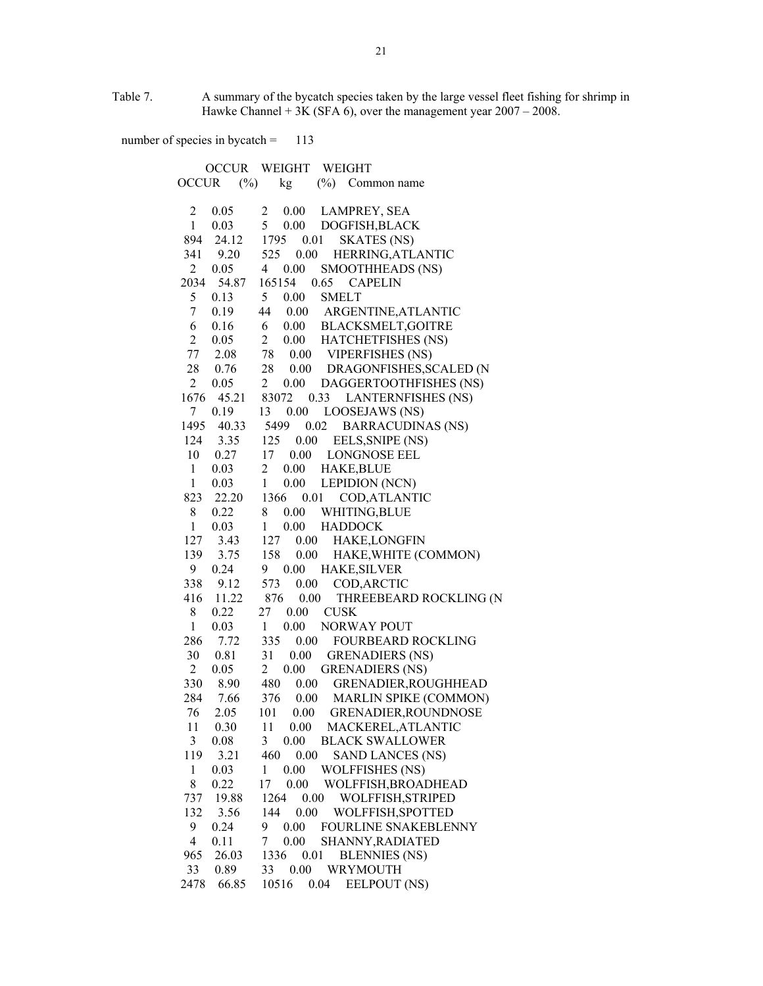Table 7. A summary of the bycatch species taken by the large vessel fleet fishing for shrimp in Hawke Channel  $+ 3K$  (SFA 6), over the management year  $2007 - 2008$ .

number of species in bycatch = 113

 OCCUR WEIGHT WEIGHT OCCUR (%) kg (%) Common name 2 0.05 2 0.00 LAMPREY, SEA 1 0.03 5 0.00 DOGFISH,BLACK 894 24.12 1795 0.01 SKATES (NS) 341 9.20 525 0.00 HERRING,ATLANTIC 2 0.05 4 0.00 SMOOTHHEADS (NS) 2034 54.87 165154 0.65 CAPELIN 5 0.13 5 0.00 SMELT 7 0.19 44 0.00 ARGENTINE,ATLANTIC 6 0.16 6 0.00 BLACKSMELT,GOITRE 2 0.05 2 0.00 HATCHETFISHES (NS) 77 2.08 78 0.00 VIPERFISHES (NS) 28 0.76 28 0.00 DRAGONFISHES,SCALED (N 2 0.05 2 0.00 DAGGERTOOTHFISHES (NS) 1676 45.21 83072 0.33 LANTERNFISHES (NS) 7 0.19 13 0.00 LOOSEJAWS (NS) 1495 40.33 5499 0.02 BARRACUDINAS (NS) 124 3.35 125 0.00 EELS,SNIPE (NS) 10 0.27 17 0.00 LONGNOSE EEL 1 0.03 2 0.00 HAKE,BLUE 1 0.03 1 0.00 LEPIDION (NCN) 823 22.20 1366 0.01 COD,ATLANTIC 8 0.22 8 0.00 WHITING,BLUE 1 0.03 1 0.00 HADDOCK 127 3.43 127 0.00 HAKE,LONGFIN 139 3.75 158 0.00 HAKE,WHITE (COMMON) 9 0.24 9 0.00 HAKE,SILVER 338 9.12 573 0.00 COD,ARCTIC 416 11.22 876 0.00 THREEBEARD ROCKLING (N 8 0.22 27 0.00 CUSK 1 0.03 1 0.00 NORWAY POUT 286 7.72 335 0.00 FOURBEARD ROCKLING 30 0.81 31 0.00 GRENADIERS (NS) 2 0.05 2 0.00 GRENADIERS (NS) 330 8.90 480 0.00 GRENADIER,ROUGHHEAD 284 7.66 376 0.00 MARLIN SPIKE (COMMON) 76 2.05 101 0.00 GRENADIER,ROUNDNOSE 11 0.30 11 0.00 MACKEREL,ATLANTIC 3 0.08 3 0.00 BLACK SWALLOWER 119 3.21 460 0.00 SAND LANCES (NS) 1 0.03 1 0.00 WOLFFISHES (NS) 8 0.22 17 0.00 WOLFFISH,BROADHEAD 737 19.88 1264 0.00 WOLFFISH,STRIPED 132 3.56 144 0.00 WOLFFISH,SPOTTED 9 0.24 9 0.00 FOURLINE SNAKEBLENNY 4 0.11 7 0.00 SHANNY,RADIATED 965 26.03 1336 0.01 BLENNIES (NS) 33 0.89 33 0.00 WRYMOUTH 2478 66.85 10516 0.04 EELPOUT (NS)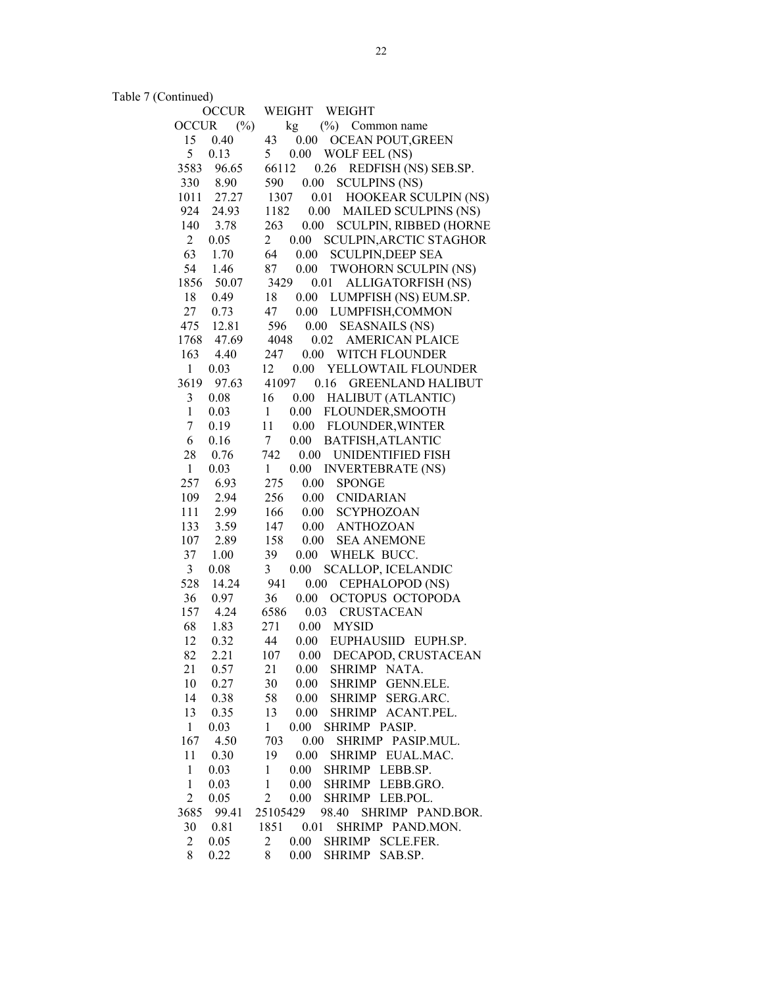Table 7 (Continued)

| <b>OCCUR</b>           | WEIGHT<br>WEIGHT                                     |
|------------------------|------------------------------------------------------|
| <b>OCCUR</b><br>$(\%)$ | $(\%)$ Common name<br>kg                             |
| 15<br>0.40             | 43<br>OCEAN POUT, GREEN<br>0.00                      |
| 5<br>0.13              | 5<br>0.00<br>WOLF EEL (NS)                           |
| 3583<br>96.65          | 66112<br>0.26<br>REDFISH (NS) SEB.SP.                |
| 330<br>8.90            | <b>SCULPINS (NS)</b><br>590<br>0.00                  |
| 1011<br>27.27          | 1307<br>0.01<br>HOOKEAR SCULPIN (NS)                 |
| 924<br>24.93           | 1182<br>0.00<br><b>MAILED SCULPINS (NS)</b>          |
| 140<br>3.78            | 263<br>$0.00\,$<br><b>SCULPIN, RIBBED (HORNE</b>     |
| $\overline{2}$<br>0.05 | $\overline{2}$<br>SCULPIN, ARCTIC STAGHOR<br>0.00    |
| 63<br>1.70             | 64<br>0.00<br><b>SCULPIN, DEEP SEA</b>               |
| 54                     |                                                      |
| 1.46                   | 87<br>$0.00\,$<br>TWOHORN SCULPIN (NS)               |
| 1856<br>50.07          | 3429<br>0.01<br>ALLIGATORFISH (NS)                   |
| 18<br>0.49             | 18<br>0.00<br>LUMPFISH (NS) EUM.SP.                  |
| 27<br>0.73             | 47<br>0.00<br>LUMPFISH, COMMON                       |
| 475<br>12.81           | 596<br>0.00<br><b>SEASNAILS (NS)</b>                 |
| 47.69<br>1768          | 4048<br>0.02<br><b>AMERICAN PLAICE</b>               |
| 163<br>4.40            | $0.00\,$<br>247<br>WITCH FLOUNDER                    |
| $\mathbf{1}$<br>0.03   | 0.00<br>12<br>YELLOWTAIL FLOUNDER                    |
| 3619<br>97.63          | 41097<br>0.16 GREENLAND HALIBUT                      |
| 3<br>0.08              | 16<br>$0.00\,$<br><b>HALIBUT (ATLANTIC)</b>          |
| $\mathbf{1}$<br>0.03   | FLOUNDER, SMOOTH<br>$\mathbf{1}$<br>0.00             |
| $\sqrt{ }$<br>0.19     | 11<br><b>FLOUNDER, WINTER</b><br>0.00                |
| 6<br>0.16              | $0.00\,$<br>BATFISH, ATLANTIC<br>7 <sup>7</sup>      |
| 28<br>0.76             | 742<br>0.00 UNIDENTIFIED FISH                        |
| $\mathbf{1}$<br>0.03   | 0.00<br>$\mathbf{1}$<br><b>INVERTEBRATE (NS)</b>     |
| 257<br>6.93            | 275<br>$0.00\,$<br><b>SPONGE</b>                     |
| 109<br>2.94            | 256<br>0.00<br><b>CNIDARIAN</b>                      |
|                        |                                                      |
| 111<br>2.99            | 166<br>$0.00\,$<br><b>SCYPHOZOAN</b>                 |
| 133<br>3.59            | 147<br>0.00<br><b>ANTHOZOAN</b>                      |
| 107<br>2.89            | 158<br>0.00<br><b>SEA ANEMONE</b>                    |
| 37<br>1.00             | 39<br>0.00<br>WHELK BUCC.                            |
| $\overline{3}$<br>0.08 | 3<br>SCALLOP, ICELANDIC<br>0.00                      |
| 528<br>14.24           | 941<br>CEPHALOPOD (NS)<br>0.00                       |
| 36<br>0.97             | 36<br>0.00<br>OCTOPUS OCTOPODA                       |
| 157<br>4.24            | 6586<br>0.03<br><b>CRUSTACEAN</b>                    |
| 68<br>1.83             | 271<br>0.00<br><b>MYSID</b>                          |
| 12<br>0.32             | 44<br>0.00<br>EUPHAUSIID EUPH.SP.                    |
| 82<br>2.21             | 107<br>0.00<br>DECAPOD, CRUSTACEAN                   |
| 21<br>0.57             | 21<br>0.00<br><b>SHRIMP</b><br>NATA.                 |
| 10<br>0.27             | <b>SHRIMP</b><br>30<br>0.00<br>GENN.ELE.             |
| 14<br>0.38             | 58<br>0.00<br><b>SHRIMP</b><br>SERG.ARC.             |
| 13<br>0.35             | 13<br>0.00<br>SHRIMP<br>ACANT.PEL.                   |
| $\mathbf{1}$<br>0.03   | $\mathbf{1}$<br>0.00<br>SHRIMP PASIP.                |
| 167<br>4.50            | 703<br>0.00<br>SHRIMP PASIP.MUL.                     |
| 11<br>0.30             | 19<br>0.00<br>SHRIMP EUAL.MAC.                       |
| $\mathbf{1}$<br>0.03   | SHRIMP LEBB.SP.<br>$\mathbf{1}$<br>0.00              |
| $\mathbf{1}$           | $\mathbf{1}$                                         |
| 0.03                   | $0.00\,$<br>SHRIMP LEBB.GRO.                         |
| $\overline{2}$<br>0.05 | $\overline{c}$<br>SHRIMP LEB.POL.<br>0.00            |
| 99.41<br>3685          | 25105429<br>98.40<br>SHRIMP PAND.BOR.                |
| 30<br>0.81             | 1851<br>0.01<br>SHRIMP PAND.MON.                     |
| 2<br>0.05              | $\overline{c}$<br>SHRIMP<br><b>SCLE.FER.</b><br>0.00 |
| 8<br>0.22              | 0.00<br><b>SHRIMP</b><br>SAB.SP.<br>8                |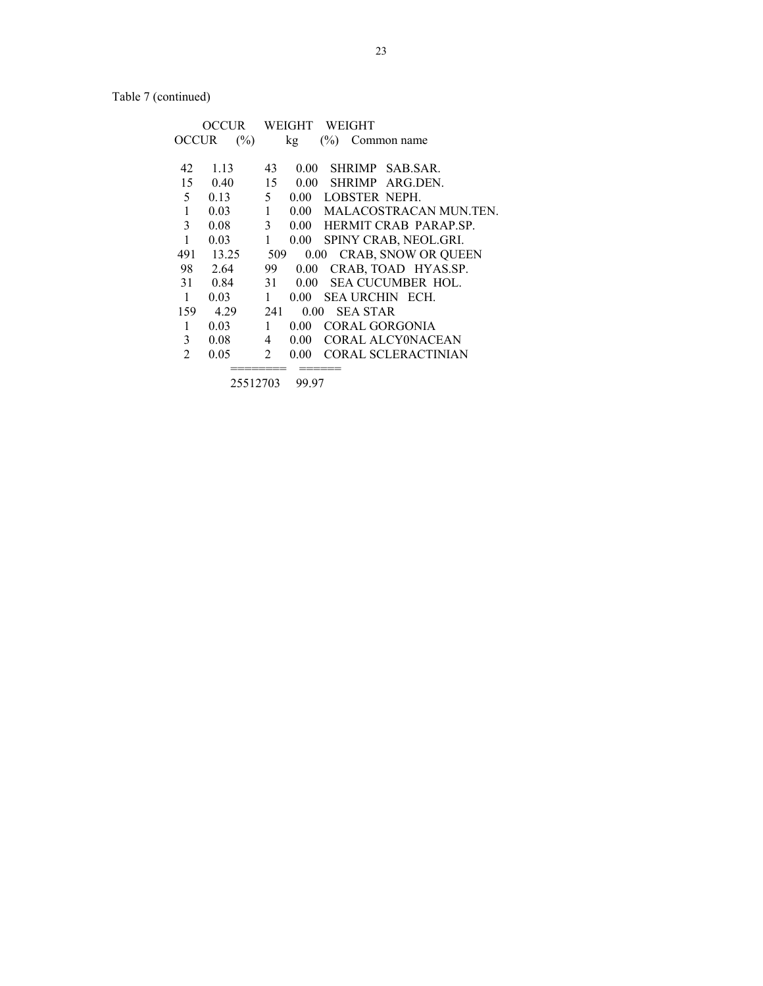Table 7 (continued)

|                | OCCUR |              | WEIGHT     |               | WEIGHT          |                             |
|----------------|-------|--------------|------------|---------------|-----------------|-----------------------------|
| OCCUR          | (%)   |              | kg         | $\frac{6}{2}$ |                 | Common name                 |
|                |       |              |            |               |                 |                             |
| 42             | 1.13  | 43           | $0.00\,$   |               |                 | SHRIMP SAB SAR.             |
| 15             | 0.40  | 15           | $0.00 -$   |               |                 | SHRIMP ARG.DEN.             |
| 5              | 0.13  | 5            | $0.00 -$   |               |                 | <b>LOBSTER NEPH.</b>        |
| 1              | 0.03  | $\mathbf{1}$ |            |               |                 | 0.00 MALACOSTRACAN MUN.TEN. |
| 3              | 0.08  | 3            |            |               |                 | 0.00 HERMIT CRAB PARAP.SP.  |
| 1              | 0.03  | 1            | 0.00       |               |                 | SPINY CRAB, NEOL.GRI.       |
| 491            | 13.25 | 509          |            |               |                 | 0.00 CRAB, SNOW OR QUEEN    |
| 98             | 2.64  | 99.          | 0.00       |               |                 | CRAB, TOAD HYAS.SP.         |
| 31             | 0.84  | 31           | $0.00 -$   |               |                 | SEA CUCUMBER HOL.           |
| 1              | 0.03  | 1            | 0.00       |               |                 | <b>SEA URCHIN ECH.</b>      |
| 159            | 4.29  | 241          | $0.00^{-}$ |               | <b>SEA STAR</b> |                             |
| 1              | 0.03  | 1            | 0.00       |               |                 | <b>CORAL GORGONIA</b>       |
| 3              | 0.08  | 4            | 0.00       |               |                 | <b>CORAL ALCYONACEAN</b>    |
| $\overline{2}$ | 0.05  | 2            | 0.00       |               |                 | <b>CORAL SCLERACTINIAN</b>  |
|                |       |              |            |               |                 |                             |

 <sup>25512703 99.97</sup>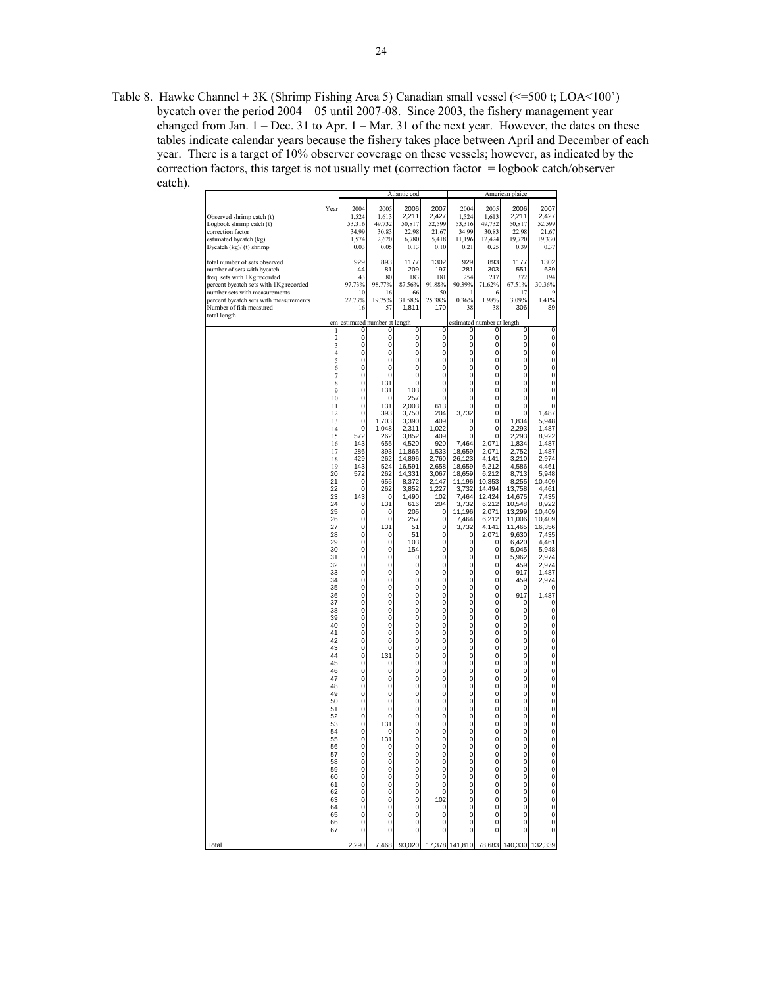Table 8. Hawke Channel + 3K (Shrimp Fishing Area 5) Canadian small vessel (<=500 t; LOA<100') bycatch over the period  $2004 - 05$  until 2007-08. Since 2003, the fishery management year changed from Jan. 1 – Dec. 31 to Apr. 1 – Mar. 31 of the next year. However, the dates on these tables indicate calendar years because the fishery takes place between April and December of each year. There is a target of 10% observer coverage on these vessels; however, as indicated by the correction factors, this target is not usually met (correction factor = logbook catch/observer catch).

|                                                                                                                                                                                                                                                              |                                                                                                                                                                                                                                                                                                                                                                                                                                      |                                                                                                                                                                                                                                                                                                                                                                                                                              |                                                                                                                                                                                                                                                                                                                                                                                                                                      | Atlantic cod                                                                                                                                                                                                                                                                                                                                                                                                                         |                                                                                                                                                                                                                                                                                                                                                                                                                                        |                                                                                                                                                                                                                                                                                                                                                                                                                                                                                |                                                                                                                                                                                                                                                                                                                                                                                                                                                   | American plaice                                                                                                                                                                                                                                                                                                                                                                                                                                                                     |                                                                                                                                                                                                                                                                                                                                                                                                                                                                                                                                               |
|--------------------------------------------------------------------------------------------------------------------------------------------------------------------------------------------------------------------------------------------------------------|--------------------------------------------------------------------------------------------------------------------------------------------------------------------------------------------------------------------------------------------------------------------------------------------------------------------------------------------------------------------------------------------------------------------------------------|------------------------------------------------------------------------------------------------------------------------------------------------------------------------------------------------------------------------------------------------------------------------------------------------------------------------------------------------------------------------------------------------------------------------------|--------------------------------------------------------------------------------------------------------------------------------------------------------------------------------------------------------------------------------------------------------------------------------------------------------------------------------------------------------------------------------------------------------------------------------------|--------------------------------------------------------------------------------------------------------------------------------------------------------------------------------------------------------------------------------------------------------------------------------------------------------------------------------------------------------------------------------------------------------------------------------------|----------------------------------------------------------------------------------------------------------------------------------------------------------------------------------------------------------------------------------------------------------------------------------------------------------------------------------------------------------------------------------------------------------------------------------------|--------------------------------------------------------------------------------------------------------------------------------------------------------------------------------------------------------------------------------------------------------------------------------------------------------------------------------------------------------------------------------------------------------------------------------------------------------------------------------|---------------------------------------------------------------------------------------------------------------------------------------------------------------------------------------------------------------------------------------------------------------------------------------------------------------------------------------------------------------------------------------------------------------------------------------------------|-------------------------------------------------------------------------------------------------------------------------------------------------------------------------------------------------------------------------------------------------------------------------------------------------------------------------------------------------------------------------------------------------------------------------------------------------------------------------------------|-----------------------------------------------------------------------------------------------------------------------------------------------------------------------------------------------------------------------------------------------------------------------------------------------------------------------------------------------------------------------------------------------------------------------------------------------------------------------------------------------------------------------------------------------|
| Observed shrimp catch (t)<br>Logbook shrimp catch (t)<br>correction factor<br>estimated bycatch (kg)<br>Bycatch (kg)/ (t) shrimp                                                                                                                             | Year                                                                                                                                                                                                                                                                                                                                                                                                                                 | 2004<br>1,524<br>53,316<br>34.99<br>1,574<br>0.03                                                                                                                                                                                                                                                                                                                                                                            | 2005<br>1,613<br>49,732<br>30.83<br>2,620<br>0.05                                                                                                                                                                                                                                                                                                                                                                                    | 2006<br>2,211<br>50,817<br>22.98<br>6,780<br>0.13                                                                                                                                                                                                                                                                                                                                                                                    | 2007<br>2,427<br>52,599<br>21.67<br>5,418<br>0.10                                                                                                                                                                                                                                                                                                                                                                                      | 2004<br>1,524<br>53,316<br>34.99<br>11,196<br>0.21                                                                                                                                                                                                                                                                                                                                                                                                                             | 2005<br>1,613<br>49,732<br>30.83<br>12,424<br>0.25                                                                                                                                                                                                                                                                                                                                                                                                | 2006<br>2,211<br>50.817<br>22.98<br>19,720<br>0.39                                                                                                                                                                                                                                                                                                                                                                                                                                  | 2007<br>2,427<br>52,599<br>21.67<br>19,330<br>0.37                                                                                                                                                                                                                                                                                                                                                                                                                                                                                            |
| total number of sets observed<br>number of sets with bycatch<br>freq. sets with 1Kg recorded<br>percent bycatch sets with 1Kg recorded<br>number sets with measurements<br>percent bycatch sets with measurements<br>Number of fish measured<br>total length |                                                                                                                                                                                                                                                                                                                                                                                                                                      | 929<br>44<br>43<br>97.73%<br>10<br>22.73%<br>16                                                                                                                                                                                                                                                                                                                                                                              | 893<br>81<br>80<br>98.77%<br>16<br>19.75%<br>57                                                                                                                                                                                                                                                                                                                                                                                      | 1177<br>209<br>183<br>87.56%<br>66<br>31.58%<br>1,811                                                                                                                                                                                                                                                                                                                                                                                | 1302<br>197<br>181<br>91.88%<br>50<br>25.38%<br>170                                                                                                                                                                                                                                                                                                                                                                                    | 929<br>281<br>254<br>90.39%<br>0.36%<br>38                                                                                                                                                                                                                                                                                                                                                                                                                                     | 893<br>303<br>217<br>71.62%<br>6<br>1.98%<br>38                                                                                                                                                                                                                                                                                                                                                                                                   | 1177<br>551<br>372<br>67.51%<br>17<br>3.09%<br>306                                                                                                                                                                                                                                                                                                                                                                                                                                  | 1302<br>639<br>194<br>30.36%<br>9<br>1.41%<br>89                                                                                                                                                                                                                                                                                                                                                                                                                                                                                              |
|                                                                                                                                                                                                                                                              | cm                                                                                                                                                                                                                                                                                                                                                                                                                                   |                                                                                                                                                                                                                                                                                                                                                                                                                              | estimated number at length                                                                                                                                                                                                                                                                                                                                                                                                           |                                                                                                                                                                                                                                                                                                                                                                                                                                      |                                                                                                                                                                                                                                                                                                                                                                                                                                        | estimated number at length                                                                                                                                                                                                                                                                                                                                                                                                                                                     |                                                                                                                                                                                                                                                                                                                                                                                                                                                   |                                                                                                                                                                                                                                                                                                                                                                                                                                                                                     |                                                                                                                                                                                                                                                                                                                                                                                                                                                                                                                                               |
|                                                                                                                                                                                                                                                              | $\mathbf{1}$<br>$\frac{2}{3}$<br>$\overline{4}$<br>5<br>6<br>7<br>8<br>9<br>10<br>11<br>12<br>13<br>14<br>15<br>16<br>17<br>18<br>19<br>20<br>21<br>22<br>23<br>24<br>25<br>26<br>27<br>28<br>29<br>30<br>31<br>32<br>33<br>34<br>35<br>36<br>37<br>38<br>39<br>40<br>41<br>42<br>43<br>44<br>45<br>46<br>47<br>48<br>49<br>50<br>51<br>52<br>53<br>54<br>55<br>56<br>57<br>58<br>59<br>60<br>61<br>62<br>63<br>64<br>65<br>66<br>67 | 0<br>0<br>0<br>0<br>0<br>0<br>0<br>0<br>0<br>0<br>0<br>$\mathbf 0$<br>0<br>0<br>572<br>143<br>286<br>429<br>143<br>572<br>0<br>0<br>143<br>0<br>0<br>0<br>0<br>0<br>$\mathbf 0$<br>0<br>0<br>0<br>0<br>0<br>0<br>0<br>0<br>0<br>0<br>0<br>0<br>0<br>0<br>0<br>0<br>0<br>$\mathbf 0$<br>0<br>$\mathbf 0$<br>$\mathbf 0$<br>0<br>0<br>0<br>0<br>0<br>$\Omega$<br>0<br>0<br>0<br>0<br>0<br>0<br>0<br>0<br>0<br>$\mathbf 0$<br>0 | 0<br>0<br>0<br>0<br>0<br>0<br>0<br>131<br>131<br>0<br>131<br>393<br>1,703<br>1,048<br>262<br>655<br>393<br>262<br>524<br>262<br>655<br>262<br>$\Omega$<br>131<br>0<br>$\mathbf 0$<br>131<br>0<br>0<br>0<br>0<br>0<br>0<br>0<br>0<br>0<br>0<br>$\mathbf 0$<br>0<br>$\mathbf 0$<br>$\mathbf 0$<br>0<br>0<br>131<br>0<br>0<br>0<br>0<br>0<br>0<br>0<br>0<br>131<br>0<br>131<br>n<br>0<br>0<br>0<br>0<br>0<br>0<br>0<br>0<br>0<br>0<br>0 | 0<br>0<br>0<br>0<br>0<br>0<br>0<br>0<br>103<br>257<br>2,003<br>3,750<br>3,390<br>2,311<br>3,852<br>4.520<br>11,865<br>14.896<br>16,591<br>14,331<br>8,372<br>3,852<br>1,490<br>616<br>205<br>257<br>51<br>51<br>103<br>154<br>0<br>0<br>0<br>0<br>0<br>0<br>0<br>$\mathbf 0$<br>0<br>0<br>0<br>0<br>0<br>0<br>0<br>0<br>0<br>0<br>0<br>0<br>0<br>0<br>0<br>0<br>0<br>$\Omega$<br>0<br>0<br>0<br>0<br>0<br>0<br>0<br>0<br>0<br>0<br>0 | O<br>0<br>0<br>0<br>0<br>$\mathbf 0$<br>$\mathbf 0$<br>0<br>0<br>$\mathbf 0$<br>613<br>204<br>409<br>1,022<br>409<br>920<br>1.533<br>2,760<br>2,658<br>3,067<br>2,147<br>1,227<br>102<br>204<br>0<br>0<br>0<br>0<br>0<br>0<br>0<br>0<br>0<br>0<br>0<br>0<br>0<br>0<br>0<br>0<br>0<br>0<br>0<br>0<br>0<br>0<br>0<br>0<br>0<br>0<br>0<br>0<br>0<br>0<br>0<br>$\Omega$<br>0<br>$\mathbf 0$<br>0<br>0<br>0<br>0<br>102<br>0<br>0<br>0<br>0 | 0<br>0<br>0<br>0<br>0<br>0<br>0<br>0<br>0<br>0<br>0<br>3,732<br>0<br>0<br>0<br>7,464<br>18,659<br>26,123<br>18,659<br>18,659<br>11,196<br>3,732<br>7,464<br>3.732<br>11,196<br>7,464<br>3,732<br>0<br>0<br>0<br>0<br>0<br>0<br>$\mathbf{0}$<br>$\mathbf{0}$<br>0<br>$\mathbf{0}$<br>$\mathbf{0}$<br>0<br>0<br>0<br>0<br>0<br>0<br>0<br>0<br>0<br>0<br>0<br>0<br>0<br>0<br>0<br>0<br>0<br>$\Omega$<br>$\begin{matrix}0\0\0\end{matrix}$<br>0<br>0<br>0<br>0<br>0<br>0<br>0<br>0 | 0<br>0<br>0<br>0<br>0<br>0<br>$\mathbf 0$<br>0<br>0<br>0<br>0<br>0<br>0<br>0<br>0<br>2,071<br>2.071<br>4,141<br>6,212<br>6,212<br>10,353<br>14,494<br>12,424<br>6,212<br>2,071<br>6,212<br>4,141<br>2,071<br>0<br>0<br>0<br>0<br>0<br>0<br>0<br>0<br>0<br>$\mathbf 0$<br>$\mathbf 0$<br>0<br>$\mathbf 0$<br>0<br>0<br>0<br>0<br>0<br>0<br>0<br>0<br>0<br>0<br>0<br>0<br>0<br>0<br>$\Omega$<br>0<br>0<br>0<br>0<br>0<br>0<br>0<br>0<br>0<br>0<br>0 | 0<br>0<br>$\overline{0}$<br>$\overline{0}$<br>$\overline{0}$<br>0<br>0<br>0<br>0<br>0<br>0<br>0<br>1,834<br>2,293<br>2,293<br>1,834<br>2,752<br>3,210<br>4,586<br>8,713<br>8,255<br>13,758<br>14,675<br>10,548<br>13,299<br>11,006<br>11,465<br>9,630<br>6,420<br>5,045<br>5,962<br>459<br>917<br>459<br>0<br>917<br>0<br>0<br>0<br>0<br>0<br>0<br>0<br>0<br>0<br>0<br>0<br>0<br>0<br>0<br>0<br>0<br>0<br>0<br>0<br>$\Omega$<br>0<br>0<br>0<br>0<br>0<br>0<br>0<br>0<br>0<br>0<br>0 | 0<br>0<br>0<br>0<br>0<br>0<br>0<br>0<br>0<br>0<br>0<br>1,487<br>5,948<br>1,487<br>8,922<br>1,487<br>1,487<br>2,974<br>4,461<br>5,948<br>10,409<br>4,461<br>7,435<br>8,922<br>10,409<br>10,409<br>16,356<br>7,435<br>4,461<br>5,948<br>2,974<br>2,974<br>1,487<br>2,974<br>0<br>1,487<br>0<br>0<br>0<br>0<br>0<br>0<br>0<br>0<br>0<br>0<br>0<br>0<br>0<br>0<br>0<br>$\overline{0}$<br>$\overline{0}$<br>$\overline{0}$<br>0<br>$\Omega$<br>0<br>$\begin{matrix} 0 \\ 0 \end{matrix}$<br>0<br>0<br>0<br>0<br>0<br>$\mathbf 0$<br>$\pmb{0}$<br>0 |
| Total                                                                                                                                                                                                                                                        |                                                                                                                                                                                                                                                                                                                                                                                                                                      | 2,290                                                                                                                                                                                                                                                                                                                                                                                                                        | 7,468                                                                                                                                                                                                                                                                                                                                                                                                                                | 93,020                                                                                                                                                                                                                                                                                                                                                                                                                               | 17,378                                                                                                                                                                                                                                                                                                                                                                                                                                 | 141,810                                                                                                                                                                                                                                                                                                                                                                                                                                                                        | 78,683                                                                                                                                                                                                                                                                                                                                                                                                                                            | 140,330                                                                                                                                                                                                                                                                                                                                                                                                                                                                             | 339<br>132                                                                                                                                                                                                                                                                                                                                                                                                                                                                                                                                    |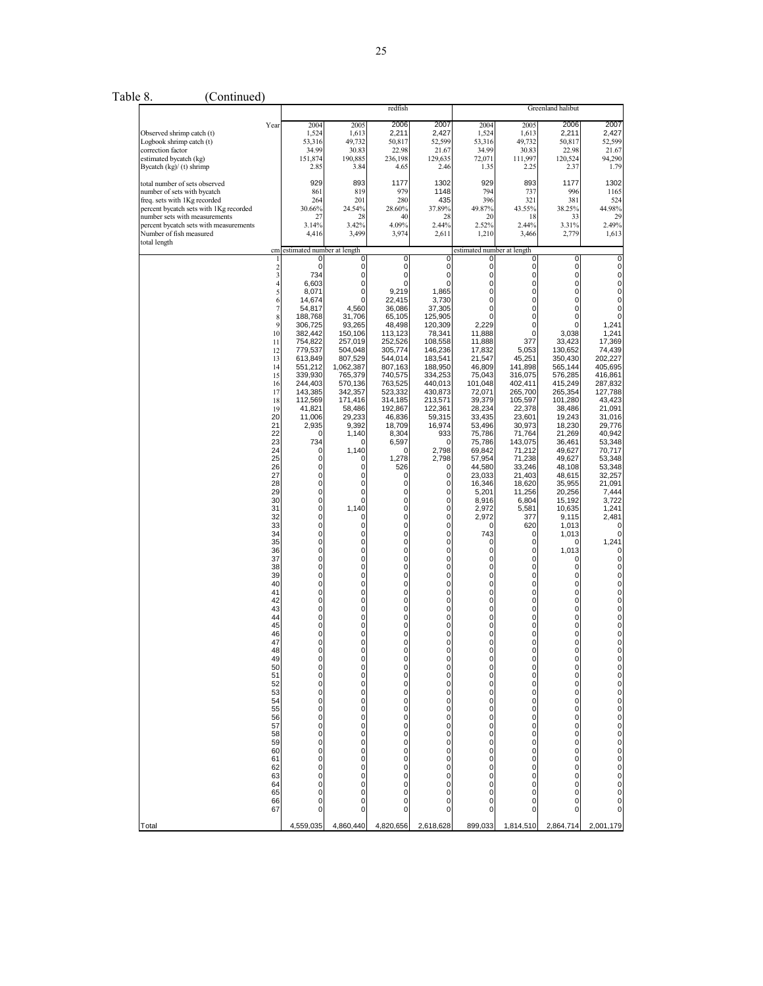| 2007<br>Year<br>2004<br>2005<br>2006<br>2004<br>2005<br>2006<br>Observed shrimp catch (t)<br>1,524<br>1,613<br>2,211<br>2,427<br>1,524<br>1,613<br>2,211<br>Logbook shrimp catch (t)<br>53,316<br>49,732<br>50,817<br>52,599<br>53,316<br>49,732<br>50,817<br>34.99<br>30.83<br>22.98<br>34.99<br>30.83<br>22.98<br>correction factor<br>21.67<br>estimated bycatch (kg)<br>151,874<br>190,885<br>236,198<br>129,635<br>72,071<br>111,997<br>120,524<br>Bycatch (kg)/ (t) shrimp<br>2.46<br>2.25<br>2.85<br>3.84<br>4.65<br>1.35<br>2.37<br>893<br>total number of sets observed<br>929<br>893<br>1177<br>1302<br>929<br>1177<br>979<br>number of sets with bycatch<br>861<br>819<br>1148<br>794<br>737<br>996<br>280<br>435<br>396<br>381<br>freq. sets with 1Kg recorded<br>264<br>201<br>321<br>percent bycatch sets with 1Kg recorded<br>24.54%<br>43.55%<br>30.66%<br>28.60%<br>37.89%<br>49.87%<br>38.25%<br>number sets with measurements<br>20<br>27<br>28<br>40<br>28<br>18<br>33<br>percent bycatch sets with measurements<br>3.14%<br>3.42%<br>4.09%<br>2.52%<br>2.44%<br>3.31%<br>2.44%<br>Number of fish measured<br>4,416<br>3,499<br>3,974<br>2,611<br>1,210<br>3,466<br>2,779<br>total length<br>estimated number at length<br>estimated number at length<br>cm<br>0<br>0<br>0<br>0<br>0<br>$\frac{2}{3}$<br>$\mathbf 0$<br>0<br>0<br>0<br>0<br>0<br>0<br>734<br>0<br>$\pmb{0}$<br>0<br>0<br>0<br>0<br>$\overline{\mathbf{4}}$<br>6,603<br>0<br>0<br>$\mathbf 0$<br>0<br>0<br>0<br>5<br>8,071<br>0<br>9,219<br>1,865<br>0<br>0<br>0<br>3,730<br>0<br>6<br>14,674<br>22,415<br>0<br>0<br>0<br>$\overline{7}$<br>4,560<br>36,086<br>0<br>54,817<br>37,305<br>0<br>0<br>8<br>0<br>188,768<br>31,706<br>65,105<br>125,905<br>0<br>0<br>9<br>$\mathbf 0$<br>306,725<br>93,265<br>48,498<br>120,309<br>2,229<br>0<br>10<br>$\mathbf 0$<br>3,038<br>382,442<br>150,106<br>113,123<br>78,341<br>11,888<br>11,888<br>377<br>33,423<br>11<br>754,822<br>257,019<br>252,526<br>108,558<br>12<br>779,537<br>504,048<br>146,236<br>17,832<br>5,053<br>130,652<br>305,774<br>13<br>613,849<br>544,014<br>45,251<br>807,529<br>183,541<br>21,547<br>350,430<br>551,212<br>1,062,387<br>807,163<br>188,950<br>141,898<br>565,144<br>14<br>46,809<br>339,930<br>765,379<br>740,575<br>334,253<br>75,043<br>316,075<br>576,285<br>15<br>244,403<br>570,136<br>763,525<br>440,013<br>101,048<br>402,411<br>415,249<br>16<br>17<br>143,385<br>342,357<br>523,332<br>430,873<br>72,071<br>265,700<br>265,354<br>112,569<br>171,416<br>105,597<br>101,280<br>314,185<br>213,571<br>39,379<br>18<br>19<br>41,821<br>58,486<br>192,867<br>122,361<br>28,234<br>22,378<br>38,486<br>20<br>29,233<br>33,435<br>11,006<br>46,836<br>59,315<br>23,601<br>19,243<br>21<br>2,935<br>9,392<br>18,709<br>16,974<br>53,496<br>30,973<br>18,230<br>22<br>8,304<br>75,786<br>71,764<br>21,269<br>1,140<br>933<br>0<br>23<br>734<br>6,597<br>75,786<br>143,075<br>36,461<br>0<br>24<br>0<br>1,140<br>2,798<br>69,842<br>71,212<br>49,627<br>$\Omega$<br>25<br>0<br>1,278<br>2,798<br>57,954<br>71,238<br>49,627<br>0<br>$\pmb{0}$<br>526<br>44,580<br>26<br>0<br>33,246<br>48,108<br>0 |
|--------------------------------------------------------------------------------------------------------------------------------------------------------------------------------------------------------------------------------------------------------------------------------------------------------------------------------------------------------------------------------------------------------------------------------------------------------------------------------------------------------------------------------------------------------------------------------------------------------------------------------------------------------------------------------------------------------------------------------------------------------------------------------------------------------------------------------------------------------------------------------------------------------------------------------------------------------------------------------------------------------------------------------------------------------------------------------------------------------------------------------------------------------------------------------------------------------------------------------------------------------------------------------------------------------------------------------------------------------------------------------------------------------------------------------------------------------------------------------------------------------------------------------------------------------------------------------------------------------------------------------------------------------------------------------------------------------------------------------------------------------------------------------------------------------------------------------------------------------------------------------------------------------------------------------------------------------------------------------------------------------------------------------------------------------------------------------------------------------------------------------------------------------------------------------------------------------------------------------------------------------------------------------------------------------------------------------------------------------------------------------------------------------------------------------------------------------------------------------------------------------------------------------------------------------------------------------------------------------------------------------------------------------------------------------------------------------------------------------------------------------------------------------------------------------------------------------------------------------------------------------------------------------------------------------------------------------------------------------------------------------------------------------------------------------------------------------------------------------------------------------------------------------------------|
|                                                                                                                                                                                                                                                                                                                                                                                                                                                                                                                                                                                                                                                                                                                                                                                                                                                                                                                                                                                                                                                                                                                                                                                                                                                                                                                                                                                                                                                                                                                                                                                                                                                                                                                                                                                                                                                                                                                                                                                                                                                                                                                                                                                                                                                                                                                                                                                                                                                                                                                                                                                                                                                                                                                                                                                                                                                                                                                                                                                                                                                                                                                                                                    |
|                                                                                                                                                                                                                                                                                                                                                                                                                                                                                                                                                                                                                                                                                                                                                                                                                                                                                                                                                                                                                                                                                                                                                                                                                                                                                                                                                                                                                                                                                                                                                                                                                                                                                                                                                                                                                                                                                                                                                                                                                                                                                                                                                                                                                                                                                                                                                                                                                                                                                                                                                                                                                                                                                                                                                                                                                                                                                                                                                                                                                                                                                                                                                                    |
|                                                                                                                                                                                                                                                                                                                                                                                                                                                                                                                                                                                                                                                                                                                                                                                                                                                                                                                                                                                                                                                                                                                                                                                                                                                                                                                                                                                                                                                                                                                                                                                                                                                                                                                                                                                                                                                                                                                                                                                                                                                                                                                                                                                                                                                                                                                                                                                                                                                                                                                                                                                                                                                                                                                                                                                                                                                                                                                                                                                                                                                                                                                                                                    |
| 27<br>0<br>0<br>0<br>23,033<br>21,403<br>48,615<br>0<br>0<br>28<br>0<br>16,346<br>$\mathbf{0}$<br>0<br>18,620<br>35,955<br>0<br>29<br>$\mathbf 0$<br>0<br>0<br>5,201<br>11,256<br>20,256<br>$\overline{0}$<br>30<br>$\mathbf 0$<br>0<br>8,916<br>6,804<br>0<br>15,192<br>0<br>31<br>1,140<br>0<br>0<br>2,972<br>5,581<br>10,635<br>$\mathbf 0$<br>32<br>0<br>0<br>2,972<br>377<br>9,115<br>0<br>$\mathbf 0$<br>33<br>0<br>0<br>0<br>620<br>1,013<br>0<br>$\begin{matrix} 0 \\ 0 \end{matrix}$<br>0<br>0<br>0<br>743<br>34<br>$\mathbf 0$<br>1,013<br>35<br>0<br>0<br>0<br>0<br>0<br>$\mathbf{0}$<br>0<br>1,013<br>36<br>0<br>0<br>0<br>0<br>$\mathbf{0}$<br>0<br>37<br>0<br>0<br>0<br>0<br>0<br>$\overline{0}$<br>0<br>$\mathbf 0$<br>0<br>$\overline{0}$<br>38<br>0<br>0<br>0<br>0<br>0<br>$\overline{0}$<br>39<br>0<br>0<br>$\mathbf{0}$<br>$\mathbf 0$<br>0<br>40<br>0<br>0<br>0<br>0<br>$\dot{\mathbf{0}}$<br>0<br>0<br>0<br>0<br>41<br>0<br>0<br>$\mathbf{0}$<br>$\mathbf 0$<br>0<br>$\mathbf 0$<br>0<br>0<br>42<br>0<br>$\overline{0}$<br>0<br>0<br>0<br>0<br>0<br>43<br>0<br>$\mathbf{0}$<br>0<br>44<br>0<br>0<br>0<br>0<br>0<br>$\overline{0}$<br>0<br>45<br>0<br>0<br>$\mathbf{0}$<br>0<br>0<br>0<br>$\overline{0}$<br>46<br>$\mathbf 0$<br>0<br>0<br>$\overline{0}$<br>0<br>$\ddot{o}$<br>$\mathbf{0}$<br>$\overline{0}$<br>47<br>0<br>0<br>$\mathbf 0$<br>0<br>18<br>O<br>49<br>0<br>0<br>0<br>0<br>0<br>0<br>0<br>0<br>50<br>0<br>0<br>0<br>0<br>0<br>0<br>$\overline{0}$<br>51<br>0<br>0<br>0<br>0<br>0<br>0<br>52<br>0<br>0<br>0<br>0<br>0<br>0<br>0<br>53<br>$\pmb{0}$<br>0<br>0<br>0<br>0<br>0<br>54<br>0<br>0<br>0<br>U<br>0<br>0<br>0<br>55<br>0<br>0<br>0<br>0<br>0<br>0<br>0<br>0<br>$\pmb{0}$<br>0<br>56<br>0<br>0<br>0<br>0<br>57<br>0<br>0<br>0<br>0<br>0<br>0<br>0<br>0<br>0<br>58<br>0<br>0<br>0<br>0<br>0<br>0<br>59<br>0<br>0<br>0<br>0<br>0<br>0<br>0<br>0<br>0<br>60<br>0<br>0<br>0<br>0<br>0<br>61<br>0<br>0<br>0<br>0<br>0<br>0<br>0<br>62<br>0<br>0<br>U<br>0<br>0<br>0<br>63<br>0<br>0<br>0<br>0<br>0<br>0<br>$\mathbf 0$<br>64<br>0<br>0<br>0<br>0<br>0<br>65<br>0<br>0<br>0<br>0<br>0<br>0                                                                                                                                                                                                                                                                                                                                                                                                                                                                                                                                                                                                                                                                                                                                                                                                                                                                                                                                                                                                                                      |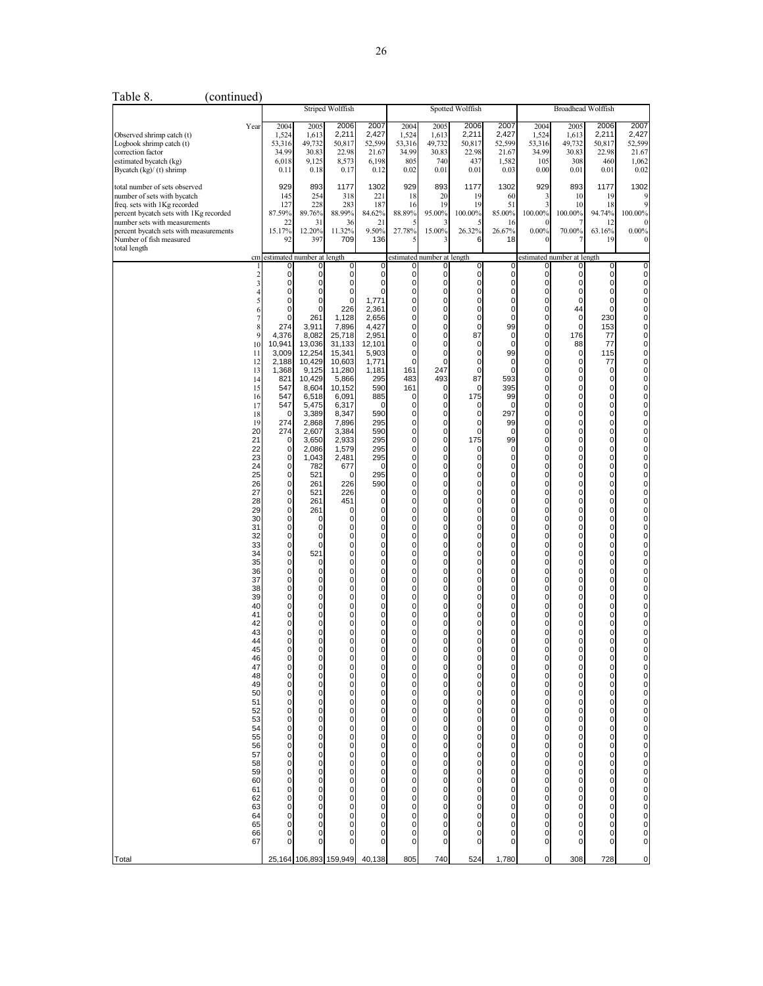| Year                                                                                                                                                                                                                                                                                                                                                                                                                | 2004<br>1,524<br>53,316<br>34.99<br>6,018<br>0.11                                                                                                                                                                                                                                                                                                                                                                                                                                                               | 2005<br>1,613<br>49,732<br>30.83<br>9,125<br>0.18                                                                                                                                                                                                                                                                                                                                                                                                                                                                                                                                                                                                                                                                                             | 2006<br>2,211<br>50,817<br>22.98<br>8,573<br>0.17                                                                                                                                                                                                                                                                                                                                                                                                                                                                                                                                                                                                                               | 2007<br>2,427<br>52,599<br>21.67<br>6,198<br>0.12                                                                                                                                                                                                                                                                                                                                                                                                                                                                                                                                                                                             | 2004<br>1,524<br>53,316<br>34.99<br>805<br>0.02                                                                                                                                                                                                                                                                                                                                                                                                                                                                                                                                                                                                                                                                                                                                                                                                                                                                                                                                                                                                                                            | 2005<br>1,613<br>49,732<br>30.83<br>740<br>0.01                                                                                                                                                                                                                                                                                                                                                                                                                                                                                                                                                                                                                                                                                 | 2006<br>2,211<br>50,817<br>22.98<br>437<br>0.01                                                                                                                                                                                                                                                                                                                                                                                                                                                                                                                                                                                                                                                                                                                                                                                                   | 2007<br>2,427<br>52,599<br>21.67<br>1,582<br>0.03                                                                                                                                                                                                                                                                                                                                                                                                                                                                                                                                                                                                                                                                                                                                                                                                                                                                                                                              | 2004<br>1,524<br>53,316<br>34.99<br>105<br>0.00                                                                                                                                                                                                                                                                                                                                                         | 2005<br>1,613<br>49,732<br>30.83<br>308<br>0.01                                                                                                                                                                                                                                                                                                                                                                                                                                                                                                                                                                                                                                                                                                                                                                                                                                                                                                                         | 2006<br>2,211<br>50,817<br>22.98<br>460<br>0.01                                                                                                                                                                                                                                                                                                                                                                                                                                                                                                                                                                                                                                                                                                                                                                                                                                                                                                                                                | 2007<br>2,427<br>52,599<br>21.67<br>1,062<br>0.02                                                                                                                                                                                                                                                                                                                                                                                                                                                                                                                                                                                                                                     |
|---------------------------------------------------------------------------------------------------------------------------------------------------------------------------------------------------------------------------------------------------------------------------------------------------------------------------------------------------------------------------------------------------------------------|-----------------------------------------------------------------------------------------------------------------------------------------------------------------------------------------------------------------------------------------------------------------------------------------------------------------------------------------------------------------------------------------------------------------------------------------------------------------------------------------------------------------|-----------------------------------------------------------------------------------------------------------------------------------------------------------------------------------------------------------------------------------------------------------------------------------------------------------------------------------------------------------------------------------------------------------------------------------------------------------------------------------------------------------------------------------------------------------------------------------------------------------------------------------------------------------------------------------------------------------------------------------------------|---------------------------------------------------------------------------------------------------------------------------------------------------------------------------------------------------------------------------------------------------------------------------------------------------------------------------------------------------------------------------------------------------------------------------------------------------------------------------------------------------------------------------------------------------------------------------------------------------------------------------------------------------------------------------------|-----------------------------------------------------------------------------------------------------------------------------------------------------------------------------------------------------------------------------------------------------------------------------------------------------------------------------------------------------------------------------------------------------------------------------------------------------------------------------------------------------------------------------------------------------------------------------------------------------------------------------------------------|--------------------------------------------------------------------------------------------------------------------------------------------------------------------------------------------------------------------------------------------------------------------------------------------------------------------------------------------------------------------------------------------------------------------------------------------------------------------------------------------------------------------------------------------------------------------------------------------------------------------------------------------------------------------------------------------------------------------------------------------------------------------------------------------------------------------------------------------------------------------------------------------------------------------------------------------------------------------------------------------------------------------------------------------------------------------------------------------|---------------------------------------------------------------------------------------------------------------------------------------------------------------------------------------------------------------------------------------------------------------------------------------------------------------------------------------------------------------------------------------------------------------------------------------------------------------------------------------------------------------------------------------------------------------------------------------------------------------------------------------------------------------------------------------------------------------------------------|---------------------------------------------------------------------------------------------------------------------------------------------------------------------------------------------------------------------------------------------------------------------------------------------------------------------------------------------------------------------------------------------------------------------------------------------------------------------------------------------------------------------------------------------------------------------------------------------------------------------------------------------------------------------------------------------------------------------------------------------------------------------------------------------------------------------------------------------------|--------------------------------------------------------------------------------------------------------------------------------------------------------------------------------------------------------------------------------------------------------------------------------------------------------------------------------------------------------------------------------------------------------------------------------------------------------------------------------------------------------------------------------------------------------------------------------------------------------------------------------------------------------------------------------------------------------------------------------------------------------------------------------------------------------------------------------------------------------------------------------------------------------------------------------------------------------------------------------|---------------------------------------------------------------------------------------------------------------------------------------------------------------------------------------------------------------------------------------------------------------------------------------------------------------------------------------------------------------------------------------------------------|-------------------------------------------------------------------------------------------------------------------------------------------------------------------------------------------------------------------------------------------------------------------------------------------------------------------------------------------------------------------------------------------------------------------------------------------------------------------------------------------------------------------------------------------------------------------------------------------------------------------------------------------------------------------------------------------------------------------------------------------------------------------------------------------------------------------------------------------------------------------------------------------------------------------------------------------------------------------------|------------------------------------------------------------------------------------------------------------------------------------------------------------------------------------------------------------------------------------------------------------------------------------------------------------------------------------------------------------------------------------------------------------------------------------------------------------------------------------------------------------------------------------------------------------------------------------------------------------------------------------------------------------------------------------------------------------------------------------------------------------------------------------------------------------------------------------------------------------------------------------------------------------------------------------------------------------------------------------------------|---------------------------------------------------------------------------------------------------------------------------------------------------------------------------------------------------------------------------------------------------------------------------------------------------------------------------------------------------------------------------------------------------------------------------------------------------------------------------------------------------------------------------------------------------------------------------------------------------------------------------------------------------------------------------------------|
|                                                                                                                                                                                                                                                                                                                                                                                                                     | 929<br>145<br>127<br>87.59%<br>22<br>15.17%<br>92                                                                                                                                                                                                                                                                                                                                                                                                                                                               | 893<br>254<br>228<br>89.76%<br>31<br>12.20%<br>397                                                                                                                                                                                                                                                                                                                                                                                                                                                                                                                                                                                                                                                                                            | 1177<br>318<br>283<br>88.99%<br>36<br>11.32%<br>709                                                                                                                                                                                                                                                                                                                                                                                                                                                                                                                                                                                                                             | 1302<br>221<br>187<br>84.62%<br>21<br>9.50%<br>136                                                                                                                                                                                                                                                                                                                                                                                                                                                                                                                                                                                            | 929<br>18<br>16<br>88.89%<br>27.78%                                                                                                                                                                                                                                                                                                                                                                                                                                                                                                                                                                                                                                                                                                                                                                                                                                                                                                                                                                                                                                                        | 893<br>20<br>19<br>95.00%<br>15.00%                                                                                                                                                                                                                                                                                                                                                                                                                                                                                                                                                                                                                                                                                             | 1177<br>19<br>19<br>100.00%<br>26.32%<br>6                                                                                                                                                                                                                                                                                                                                                                                                                                                                                                                                                                                                                                                                                                                                                                                                        | 1302<br>60<br>51<br>16<br>26.67%<br>18                                                                                                                                                                                                                                                                                                                                                                                                                                                                                                                                                                                                                                                                                                                                                                                                                                                                                                                                         | 929<br>3<br>3<br>100.00%<br>$0.00\%$                                                                                                                                                                                                                                                                                                                                                                    | 893<br>10<br>10<br>100.00%<br>70.00%                                                                                                                                                                                                                                                                                                                                                                                                                                                                                                                                                                                                                                                                                                                                                                                                                                                                                                                                    | 1177<br>19<br>18<br>94.74%<br>12<br>63.16%<br>19                                                                                                                                                                                                                                                                                                                                                                                                                                                                                                                                                                                                                                                                                                                                                                                                                                                                                                                                               | 1302<br>100.00%<br>$0.00\%$                                                                                                                                                                                                                                                                                                                                                                                                                                                                                                                                                                                                                                                           |
| cm                                                                                                                                                                                                                                                                                                                                                                                                                  |                                                                                                                                                                                                                                                                                                                                                                                                                                                                                                                 |                                                                                                                                                                                                                                                                                                                                                                                                                                                                                                                                                                                                                                                                                                                                               |                                                                                                                                                                                                                                                                                                                                                                                                                                                                                                                                                                                                                                                                                 |                                                                                                                                                                                                                                                                                                                                                                                                                                                                                                                                                                                                                                               |                                                                                                                                                                                                                                                                                                                                                                                                                                                                                                                                                                                                                                                                                                                                                                                                                                                                                                                                                                                                                                                                                            |                                                                                                                                                                                                                                                                                                                                                                                                                                                                                                                                                                                                                                                                                                                                 |                                                                                                                                                                                                                                                                                                                                                                                                                                                                                                                                                                                                                                                                                                                                                                                                                                                   |                                                                                                                                                                                                                                                                                                                                                                                                                                                                                                                                                                                                                                                                                                                                                                                                                                                                                                                                                                                |                                                                                                                                                                                                                                                                                                                                                                                                         |                                                                                                                                                                                                                                                                                                                                                                                                                                                                                                                                                                                                                                                                                                                                                                                                                                                                                                                                                                         |                                                                                                                                                                                                                                                                                                                                                                                                                                                                                                                                                                                                                                                                                                                                                                                                                                                                                                                                                                                                |                                                                                                                                                                                                                                                                                                                                                                                                                                                                                                                                                                                                                                                                                       |
| $\overline{\mathbf{c}}$<br>3<br>5<br>6<br>8<br>g<br>10<br>11<br>12<br>13<br>14<br>15<br>16<br>17<br>19<br>20<br>21<br>22<br>23<br>24<br>25<br>26<br>27<br>28<br>29<br>30<br>31<br>32<br>33<br>34<br>35<br>36<br>37<br>38<br>39<br>40<br>41<br>42<br>43<br>44<br>45<br>46<br>47<br>48<br>49<br>50<br>51<br>52<br>53<br>$\overline{54}$<br>55<br>56<br>57<br>58<br>59<br>60<br>61<br>62<br>63<br>64<br>65<br>66<br>67 | 0<br>0<br>0<br>0<br>0<br>$\Omega$<br>274<br>4,376<br>10,941<br>3,009<br>2,188<br>1,368<br>821<br>547<br>547<br>547<br>$\Omega$<br>274<br>274<br>0<br>$\mathbf 0$<br>$\mathbf 0$<br>0<br>0<br>0<br>$\mathbf 0$<br>0<br>0<br>0<br>0<br>0<br>0<br>$\mathbf 0$<br>0<br>0<br>0<br>0<br>0<br>0<br>0<br>0<br>0<br>0<br>$\mathbf 0$<br>0<br>$\mathbf 0$<br>$\mathbf 0$<br>$\mathbf 0$<br>$\mathbf 0$<br>$\mathbf 0$<br>0<br>$\mathbf 0$<br>0<br>0<br>$\mathbf 0$<br>$\mathbf 0$<br>0<br>0<br>0<br>0<br>0<br>0<br>0<br>0 | $\overline{0}$<br>$\mathbf 0$<br>$\mathbf 0$<br>$\mathbf 0$<br>$\mathbf{0}$<br>261<br>3,911<br>8,082<br>13,036<br>12,254<br>10,429<br>9,125<br>10,429<br>8,604<br>6,518<br>5,475<br>3,389<br>2,868<br>2,607<br>3,650<br>2,086<br>1,043<br>782<br>521<br>261<br>521<br>261<br>261<br>0<br>$\mathbf 0$<br>$\mathbf 0$<br>0<br>521<br>0<br>$\mathbf 0$<br>$\mathbf 0$<br>$\mathbf 0$<br>$\overline{0}$<br>$\mathbf 0$<br>$\mathbf 0$<br>$\mathbf 0$<br>$\mathbf 0$<br>$\mathbf 0$<br>$\Omega$<br>0<br>0<br>0<br>$\mathbf 0$<br>0<br>0<br>$\mathbf 0$<br>$\mathbf 0$<br>0<br>$\overline{0}$<br>0<br>0<br>$\mathbf 0$<br>0<br>$\mathbf 0$<br>$\mathbf 0$<br>$\mathbf 0$<br>$\mathbf 0$<br>$\overline{0}$<br>$\mathbf 0$<br>$\mathbf 0$<br>$\Omega$ | $\overline{0}$<br>$\overline{0}$<br>$\overline{0}$<br>226<br>1,128<br>7,896<br>25,718<br>31,133<br>15,341<br>10,603<br>11,280<br>5,866<br>10,152<br>6,091<br>6,317<br>8,347<br>7,896<br>3,384<br>2,933<br>1,579<br>2,481<br>677<br>$\overline{0}$<br>226<br>226<br>451<br>$\overline{0}$<br>$\overline{0}$<br>$\overline{0}$<br>0<br>$\overline{0}$<br>$\overline{0}$<br>$\overline{0}$<br>$\overline{0}$<br>0<br>$\overline{0}$<br>$\overline{0}$<br>$\overline{0}$<br>$\overline{0}$<br>0<br>0<br>0<br>0<br>$\overline{0}$<br>$\overline{0}$<br>0<br>0<br>$\overline{0}$<br>0<br>0<br>0<br>0<br>0<br>0<br>0<br>0<br>0<br>$\overline{0}$<br>0<br>0<br>$\overline{0}$<br>0<br>0 | $\mathbf 0$<br>$\overline{0}$<br>$\Omega$<br>1,771<br>2,361<br>2,656<br>4,427<br>2,951<br>12,101<br>5,903<br>1,771<br>1,181<br>295<br>590<br>885<br>$\Omega$<br>590<br>295<br>590<br>295<br>295<br>295<br>0<br>295<br>590<br>$\overline{0}$<br>0<br>0<br>$\Omega$<br>$\mathbf 0$<br>$\overline{0}$<br>$\overline{0}$<br>$\mathbf 0$<br>$\overline{0}$<br>$\overline{0}$<br>$\mathbf 0$<br>0<br>$\overline{0}$<br>$\mathbf 0$<br>0<br>$\Omega$<br>0<br>0<br>$\Omega$<br>$\overline{0}$<br>0<br>0<br>0<br>0<br>0<br>0<br>0<br>0<br>$\mathbf 0$<br>0<br>0<br>$\mathbf 0$<br>0<br>0<br>$\mathbf 0$<br>0<br>0<br>$\mathbf 0$<br>0<br>0<br>$\Omega$ | $\mathbf 0$<br>$\overline{0}$<br>$\overline{0}$<br>$\mathbf{0}$<br>$\overline{0}$<br>$\mathbf{0}$<br>$\mathbf 0$<br>$\overline{0}$<br>$\overline{0}$<br>$\overline{0}$<br>$\overline{0}$<br>161<br>483<br>161<br>$\mathbf 0$<br>$\overline{0}$<br>$\overline{0}$<br>$\overline{0}$<br>$\mathbf{0}$<br>$\overline{0}$<br>$\overline{0}$<br>$\mathbf 0$<br>$\mathbf 0$<br>$\mathbf{0}$<br>$\mathbf{0}$<br>$\overline{0}$<br>$\mathbf{0}$<br>$\overline{0}$<br>$\mathbf 0$<br>$\mathbf{0}$<br>$\mathbf{0}$<br>$\overline{0}$<br>$\overline{0}$<br>$\mathbf 0$<br>$\mathbf 0$<br>$\mathbf{0}$<br>$\mathbf{0}$<br>$\overline{0}$<br>$\mathbf{0}$<br>$\overline{0}$<br>$\mathbf 0$<br>$\mathbf 0$<br>$\mathbf 0$<br>$\Omega$<br>$\mathbf 0$<br>$\mathbf 0$<br>$\overline{0}$<br>$\mathbf 0$<br>$\mathbf 0$<br>$\mathbf{0}$<br>$\mathbf 0$<br>$\mathbf 0$<br>$\mathbf 0$<br>$\mathbf{0}$<br>$\mathbf 0$<br>$\mathbf 0$<br>$\begin{smallmatrix}0\0\end{smallmatrix}$<br>$\mathbf 0$<br>$\mathbf 0$<br>$\pmb{0}$<br>$\mathbf 0$<br>$\mathbf 0$<br>$\mathbf 0$<br>$\ddot{\mathbf{0}}$<br>$\mathbf 0$ | $\mathbf 0$<br>$\mathbf 0$<br>0<br>$\mathbf 0$<br>$\mathbf 0$<br>$\mathbf 0$<br>$\mathbf 0$<br>$\mathbf 0$<br>$\mathbf 0$<br>$\mathbf 0$<br>$\mathbf 0$<br>247<br>493<br>0<br>$\mathbf 0$<br>0<br>$\mathbf 0$<br>$\mathbf 0$<br>$\mathbf 0$<br>$\mathbf 0$<br>0<br>$\mathbf 0$<br>$\mathbf 0$<br>$\mathbf 0$<br>0<br>$\mathbf 0$<br>$\mathbf 0$<br>$\mathbf 0$<br>$\mathbf 0$<br>$\mathbf 0$<br>0<br>$\mathbf 0$<br>$\mathbf 0$<br>$\mathbf 0$<br>$\mathbf 0$<br>$\mathbf 0$<br>0<br>$\mathbf 0$<br>$\mathbf 0$<br>$\mathbf 0$<br>$\mathbf 0$<br>0<br>$\mathbf 0$<br>$\pmb{0}$<br>$\mathbf 0$<br>0<br>$\mathbf 0$<br>0<br>0<br>0<br>0<br>0<br>0<br>0<br>$\mathbf 0$<br>0<br>0<br>0<br>0<br>0<br>$\mathbf 0$<br>0<br>0<br>0<br>0 | $\mathsf{o}$<br>$\mathbf{0}$<br>$\overline{0}$<br>$\overline{0}$<br>$\overline{0}$<br>$\mathbf 0$<br>87<br>0<br>$\overline{0}$<br>$\overline{0}$<br>0<br>87<br>0<br>175<br>0<br>$\mathbf{0}$<br>$\pmb{0}$<br>0<br>175<br>0<br>$\mathbf{0}$<br>$\mathbf{0}$<br>$\mathbf{0}$<br>$\overline{0}$<br>$\overline{0}$<br>$\mathbf{0}$<br>$\overline{0}$<br>$\overline{0}$<br>$\mathbf{0}$<br>$\overline{0}$<br>$\overline{0}$<br>$\mathbf{0}$<br>$\mathbf{0}$<br>$\overline{0}$<br>$\mathbf{0}$<br>$\mathbf{0}$<br>$\overline{0}$<br>$\mathbf{0}$<br>0<br>$\mathbf{0}$<br>0<br>0<br>$\Omega$<br>$\bf{0}$<br>$\pmb{0}$<br>$\mathbf{0}$<br>$\mathbf 0$<br>0<br>$\pmb{0}$<br>$\mathbf 0$<br>$\pmb{0}$<br>$\pmb{0}$<br>$\mathbf 0$<br>0<br>$\pmb{0}$<br>$\pmb{0}$<br>$\pmb{0}$<br>$\pmb{0}$<br>$\mathbf 0$<br>0<br>$\mathbf 0$<br>0<br>0<br>$\mathbf 0$<br>0 | $\mathbf 0$<br>$\overline{0}$<br>$\overline{0}$<br>$\overline{0}$<br>$\overline{0}$<br>$\mathbf 0$<br>99<br>$\overline{0}$<br>$\overline{0}$<br>99<br>$\overline{0}$<br>$\mathbf 0$<br>593<br>395<br>99<br>$\mathbf{0}$<br>297<br>99<br>$\mathbf{0}$<br>99<br>$\mathbf 0$<br>$\overline{0}$<br>$\overline{0}$<br>$\overline{0}$<br>$\overline{0}$<br>$\mathbf 0$<br>$\mathbf 0$<br>$\overline{0}$<br>$\mathbf 0$<br>$\mathbf 0$<br>$\overline{0}$<br>$\mathbf 0$<br>$\mathbf 0$<br>$\mathbf 0$<br>$\overline{0}$<br>$\mathbf 0$<br>$\mathbf 0$<br>$\overline{0}$<br>$\mathbf 0$<br>$\mathbf 0$<br>$\overline{0}$<br>$\mathbf 0$<br>$\mathbf 0$<br>$\Omega$<br>$\mathbf 0$<br>$\pmb{0}$<br>$\pmb{0}$<br>$\mathbf 0$<br>$\pmb{0}$<br>$\pmb{0}$<br>$\mathbf 0$<br>$\pmb{0}$<br>$\pmb{0}$<br>$\mathbf 0$<br>$\pmb{0}$<br>$\mathbf 0$<br>$\mathbf 0$<br>$\pmb{0}$<br>$\pmb{0}$<br>$\mathbf 0$<br>$\mathbf 0$<br>$\pmb{0}$<br>$\mathbf 0$<br>$\mathbf 0$<br>$\pmb{0}$<br>$\mathbf 0$ | $\mathbf 0$<br>0<br>0<br>0<br>0<br>0<br>0<br>0<br>0<br>0<br>0<br>0<br>0<br>0<br>0<br>0<br>$\mathbf 0$<br>0<br>0<br>0<br>0<br>0<br>$\mathbf 0$<br>0<br>0<br>$\mathbf 0$<br>0<br>0<br>$\mathbf 0$<br>0<br>0<br>0<br>0<br>0<br>$\mathbf 0$<br>0<br>0<br>0<br>0<br>0<br>0<br>0<br>0<br>$\mathbf 0$<br>0<br>0<br>0<br>0<br>0<br>0<br>0<br>0<br>0<br>0<br>0<br>0<br>0<br>0<br>0<br>0<br>0<br>0<br>0<br>0<br>0 | $\overline{0}$<br>$\overline{0}$<br>$\overline{0}$<br>$\overline{0}$<br>44<br>$\overline{0}$<br>$\Omega$<br>176<br>88<br>$\overline{0}$<br>$\overline{0}$<br>$\overline{0}$<br>0<br>$\overline{0}$<br>$\mathbf{0}$<br>$\mathbf{0}$<br>$\overline{0}$<br>0<br>$\mathbf{0}$<br>$\overline{0}$<br>0<br>$\mathbf{0}$<br>$\overline{0}$<br>$\overline{0}$<br>$\mathbf{0}$<br>$\overline{0}$<br>$\overline{0}$<br>$\mathbf{0}$<br>$\overline{0}$<br>$\overline{0}$<br>$\mathbf{0}$<br>$\overline{0}$<br>$\overline{0}$<br>$\mathbf 0$<br>$\overline{0}$<br>$\overline{0}$<br>$\overline{0}$<br>$\overline{0}$<br>$\overline{0}$<br>$\mathbf 0$<br>$\overline{0}$<br>$\overline{0}$<br>0<br>0<br>$\begin{matrix} 0 \\ 0 \end{matrix}$<br>$\mathbf{0}$<br>$\mathbf 0$<br>$\mathbf 0$<br>$\overline{0}$<br>$\mathbf 0$<br>0<br>$\overline{0}$<br>$\mathbf 0$<br>0<br>$\overline{0}$<br>$\mathbf 0$<br>0<br>0<br>0<br>0<br>$\overline{0}$<br>$\mathbf 0$<br>0<br>$\mathbf 0$<br>0 | $\overline{0}$<br>$\overline{0}$<br>$\overline{0}$<br>$\Omega$<br>$\Omega$<br>230<br>153<br>77<br>77<br>115<br>77<br>$\overline{0}$<br>$\overline{0}$<br>$\overline{0}$<br>$\overline{0}$<br>$\overline{0}$<br>$\overline{0}$<br>$\overline{0}$<br>$\overline{0}$<br>$\Omega$<br>$\overline{0}$<br>$\overline{0}$<br>$\overline{0}$<br>$\overline{0}$<br>$\overline{0}$<br>$\overline{0}$<br>$\overline{0}$<br>$\overline{0}$<br>$\overline{0}$<br>$\overline{0}$<br>$\overline{0}$<br>$\overline{0}$<br>$\overline{0}$<br>$\overline{0}$<br>$\overline{0}$<br>$\overline{0}$<br>$\Omega$<br>$\Omega$<br>$\overline{0}$<br>$\overline{0}$<br>$\overline{0}$<br>$\overline{0}$<br>$\overline{0}$<br>$\overline{0}$<br>$\overline{0}$<br>$\overline{0}$<br>$\overline{0}$<br>$\overline{0}$<br>$\overline{0}$<br>0<br>0<br>$\overline{0}$<br>$\mathbf 0$<br>$\overline{0}$<br>$\overline{0}$<br>0<br>0<br>$\overline{0}$<br>$\mathbf 0$<br>$\overline{0}$<br>$\Omega$<br>0<br>0<br>$\Omega$<br>0 | 0<br>$\mathsf{o}$<br>$\pmb{0}$<br>$_{0}^{0}$<br>$\mathsf{O}\xspace$<br>$\mathsf{O}\xspace$<br>$\pmb{0}$<br>$\begin{smallmatrix}0\\0\\0\end{smallmatrix}$<br>$\pmb{0}$<br>$\begin{matrix} 0 \\ 0 \\ 0 \end{matrix}$<br>$\begin{smallmatrix}0\0\0\end{smallmatrix}$<br>$\begin{matrix} 0 \\ 0 \\ 0 \end{matrix}$<br>$\begin{matrix} 0 \\ 0 \\ 0 \end{matrix}$<br>$\pmb{0}$<br>$\begin{smallmatrix} 0\\0 \end{smallmatrix}$<br>$\mathsf{O}\xspace$<br>$\begin{matrix} 0 \\ 0 \end{matrix}$<br>$\pmb{0}$<br>$\begin{smallmatrix}0\\0\\0\end{smallmatrix}$<br>$\mathsf{O}\xspace$<br>00000<br>0<br>0<br>$\mathsf{O}\xspace$<br>$\mathsf{O}\xspace$<br>0<br>$\Omega$<br>0000000000000000000 |
|                                                                                                                                                                                                                                                                                                                                                                                                                     |                                                                                                                                                                                                                                                                                                                                                                                                                                                                                                                 |                                                                                                                                                                                                                                                                                                                                                                                                                                                                                                                                                                                                                                                                                                                                               |                                                                                                                                                                                                                                                                                                                                                                                                                                                                                                                                                                                                                                                                                 | 40,138                                                                                                                                                                                                                                                                                                                                                                                                                                                                                                                                                                                                                                        | 805                                                                                                                                                                                                                                                                                                                                                                                                                                                                                                                                                                                                                                                                                                                                                                                                                                                                                                                                                                                                                                                                                        | 740                                                                                                                                                                                                                                                                                                                                                                                                                                                                                                                                                                                                                                                                                                                             | 524                                                                                                                                                                                                                                                                                                                                                                                                                                                                                                                                                                                                                                                                                                                                                                                                                                               | 1,780                                                                                                                                                                                                                                                                                                                                                                                                                                                                                                                                                                                                                                                                                                                                                                                                                                                                                                                                                                          | 0                                                                                                                                                                                                                                                                                                                                                                                                       | 308                                                                                                                                                                                                                                                                                                                                                                                                                                                                                                                                                                                                                                                                                                                                                                                                                                                                                                                                                                     | 728                                                                                                                                                                                                                                                                                                                                                                                                                                                                                                                                                                                                                                                                                                                                                                                                                                                                                                                                                                                            | $\mathbf 0$                                                                                                                                                                                                                                                                                                                                                                                                                                                                                                                                                                                                                                                                           |
|                                                                                                                                                                                                                                                                                                                                                                                                                     | 18                                                                                                                                                                                                                                                                                                                                                                                                                                                                                                              |                                                                                                                                                                                                                                                                                                                                                                                                                                                                                                                                                                                                                                                                                                                                               | 0                                                                                                                                                                                                                                                                                                                                                                                                                                                                                                                                                                                                                                                                               | Striped Wolffish<br>estimated number at length<br>$\overline{0}$<br>$\overline{0}$<br>$\overline{0}$<br>$\overline{0}$<br>25,164 106,893 159,949                                                                                                                                                                                                                                                                                                                                                                                                                                                                                              | 0                                                                                                                                                                                                                                                                                                                                                                                                                                                                                                                                                                                                                                                                                                                                                                                                                                                                                                                                                                                                                                                                                          | 0                                                                                                                                                                                                                                                                                                                                                                                                                                                                                                                                                                                                                                                                                                                               | 0                                                                                                                                                                                                                                                                                                                                                                                                                                                                                                                                                                                                                                                                                                                                                                                                                                                 | Spotted Wolffish<br>estimated number at length<br>$\begin{matrix} 0 \\ 0 \end{matrix}$                                                                                                                                                                                                                                                                                                                                                                                                                                                                                                                                                                                                                                                                                                                                                                                                                                                                                         | 0                                                                                                                                                                                                                                                                                                                                                                                                       | (continued)<br>85.00%<br>0                                                                                                                                                                                                                                                                                                                                                                                                                                                                                                                                                                                                                                                                                                                                                                                                                                                                                                                                              |                                                                                                                                                                                                                                                                                                                                                                                                                                                                                                                                                                                                                                                                                                                                                                                                                                                                                                                                                                                                | <b>Broadhead Wolffish</b><br>estimated number at length<br>O                                                                                                                                                                                                                                                                                                                                                                                                                                                                                                                                                                                                                          |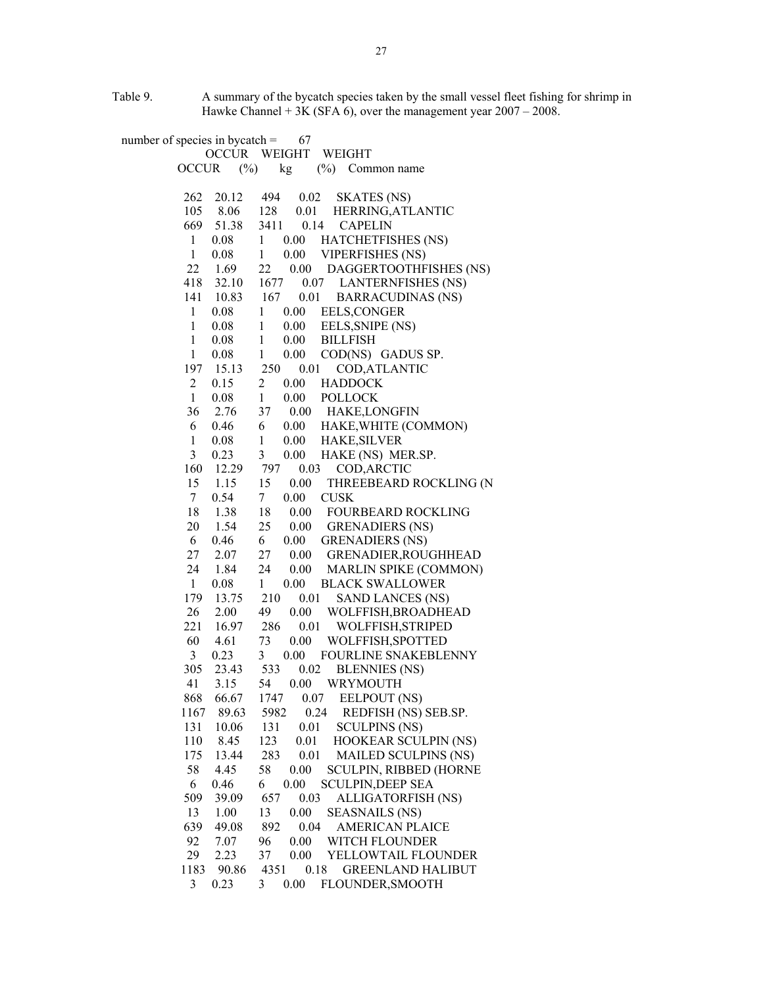Table 9. A summary of the bycatch species taken by the small vessel fleet fishing for shrimp in Hawke Channel  $+ 3K$  (SFA 6), over the management year  $2007 - 2008$ .

number of species in bycatch  $=$  67 OCCUR WEIGHT WEIGHT OCCUR (%) kg (%) Common name 262 20.12 494 0.02 SKATES (NS) 105 8.06 128 0.01 HERRING,ATLANTIC 669 51.38 3411 0.14 CAPELIN 1 0.08 1 0.00 HATCHETFISHES (NS) 1 0.08 1 0.00 VIPERFISHES (NS) 22 1.69 22 0.00 DAGGERTOOTHFISHES (NS) 418 32.10 1677 0.07 LANTERNFISHES (NS) 141 10.83 167 0.01 BARRACUDINAS (NS) 1 0.08 1 0.00 EELS,CONGER 1 0.08 1 0.00 EELS,SNIPE (NS) 1 0.08 1 0.00 BILLFISH 1 0.08 1 0.00 COD(NS) GADUS SP. 197 15.13 250 0.01 COD,ATLANTIC 2 0.15 2 0.00 HADDOCK 1 0.08 1 0.00 POLLOCK 36 2.76 37 0.00 HAKE,LONGFIN 6 0.46 6 0.00 HAKE,WHITE (COMMON) 1 0.08 1 0.00 HAKE,SILVER 3 0.23 3 0.00 HAKE (NS) MER.SP. 160 12.29 797 0.03 COD,ARCTIC 15 1.15 15 0.00 THREEBEARD ROCKLING (N 7 0.54 7 0.00 CUSK 18 1.38 18 0.00 FOURBEARD ROCKLING 20 1.54 25 0.00 GRENADIERS (NS) 6 0.46 6 0.00 GRENADIERS (NS) 27 2.07 27 0.00 GRENADIER,ROUGHHEAD 24 1.84 24 0.00 MARLIN SPIKE (COMMON) 1 0.08 1 0.00 BLACK SWALLOWER 179 13.75 210 0.01 SAND LANCES (NS) 26 2.00 49 0.00 WOLFFISH,BROADHEAD 221 16.97 286 0.01 WOLFFISH,STRIPED 60 4.61 73 0.00 WOLFFISH,SPOTTED 3 0.23 3 0.00 FOURLINE SNAKEBLENNY 305 23.43 533 0.02 BLENNIES (NS) 41 3.15 54 0.00 WRYMOUTH 868 66.67 1747 0.07 EELPOUT (NS) 1167 89.63 5982 0.24 REDFISH (NS) SEB.SP. 131 10.06 131 0.01 SCULPINS (NS)<br>110 8.45 123 0.01 HOOKEAR SCUI 110 8.45 123 0.01 HOOKEAR SCULPIN (NS) 175 13.44 283 0.01 MAILED SCULPINS (NS) 58 4.45 58 0.00 SCULPIN, RIBBED (HORNE 6 0.46 6 0.00 SCULPIN,DEEP SEA 509 39.09 657 0.03 ALLIGATORFISH (NS) 13 1.00 13 0.00 SEASNAILS (NS) 639 49.08 892 0.04 AMERICAN PLAICE 92 7.07 96 0.00 WITCH FLOUNDER 29 2.23 37 0.00 YELLOWTAIL FLOUNDER 1183 90.86 4351 0.18 GREENLAND HALIBUT 3 0.23 3 0.00 FLOUNDER,SMOOTH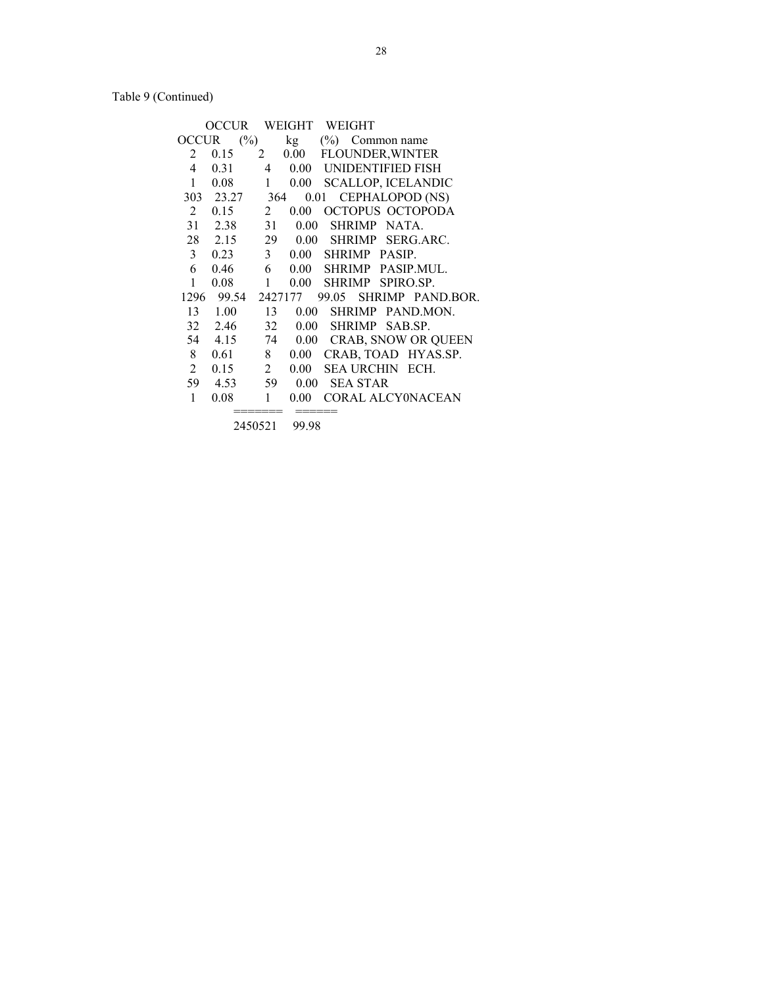Table 9 (Continued)

|                | OCCUR-             |                |          | WEIGHT WEIGHT      |                           |
|----------------|--------------------|----------------|----------|--------------------|---------------------------|
| <b>OCCUR</b>   | $(\%)$             |                | kg       | $(\%)$ Common name |                           |
| 2              | 0.15               | 2              | 0.00     |                    | FLOUNDER, WINTER          |
| 4              | 0.31               | 4              | $0.00\,$ |                    | UNIDENTIFIED FISH         |
| 1              | 0.08               | $\mathbf{1}$   | $0.00\,$ |                    | <b>SCALLOP, ICELANDIC</b> |
|                | 303 23.27          | 364            |          |                    | 0.01 CEPHALOPOD (NS)      |
| $\overline{2}$ | 0.15               | 2              | 0.00     |                    | <b>OCTOPUS OCTOPODA</b>   |
|                | 31 2.38            | 31             | 0.00     | SHRIMP NATA.       |                           |
|                | 28 2.15            | 29             | 0.00     |                    | SHRIMP SERG.ARC.          |
| $\mathfrak{Z}$ | 0.23               | 3 <sup>7</sup> |          | 0.00 SHRIMP PASIP. |                           |
| 6              | 0.46               | 6              |          |                    | 0.00 SHRIMP PASIP.MUL.    |
| 1              | 0.08               | $\mathbf{1}$   | 0.00     |                    | SHRIMP SPIRO.SP.          |
|                | 1296 99.54 2427177 |                |          | 99.05              | SHRIMP PAND.BOR.          |
| 13             | 1.00               | 13             | $0.00\,$ |                    | SHRIMP PAND.MON.          |
|                | 32 2.46            | 32             | $0.00\,$ |                    | SHRIMP SAB.SP.            |
|                | 54 4.15            | 74             |          |                    | 0.00 CRAB, SNOW OR QUEEN  |
| 8              | 0.61               | 8              | $0.00\,$ |                    | CRAB, TOAD HYAS.SP.       |
| $\overline{2}$ | 0.15               | $\overline{2}$ | $0.00\,$ |                    | <b>SEA URCHIN ECH.</b>    |
| 59             | 4.53               | 59             | 0.00     | <b>SEA STAR</b>    |                           |
| 1              | 0.08               | 1              | $0.00\,$ |                    | <b>CORAL ALCYONACEAN</b>  |
|                |                    |                |          |                    |                           |

2450521 99.98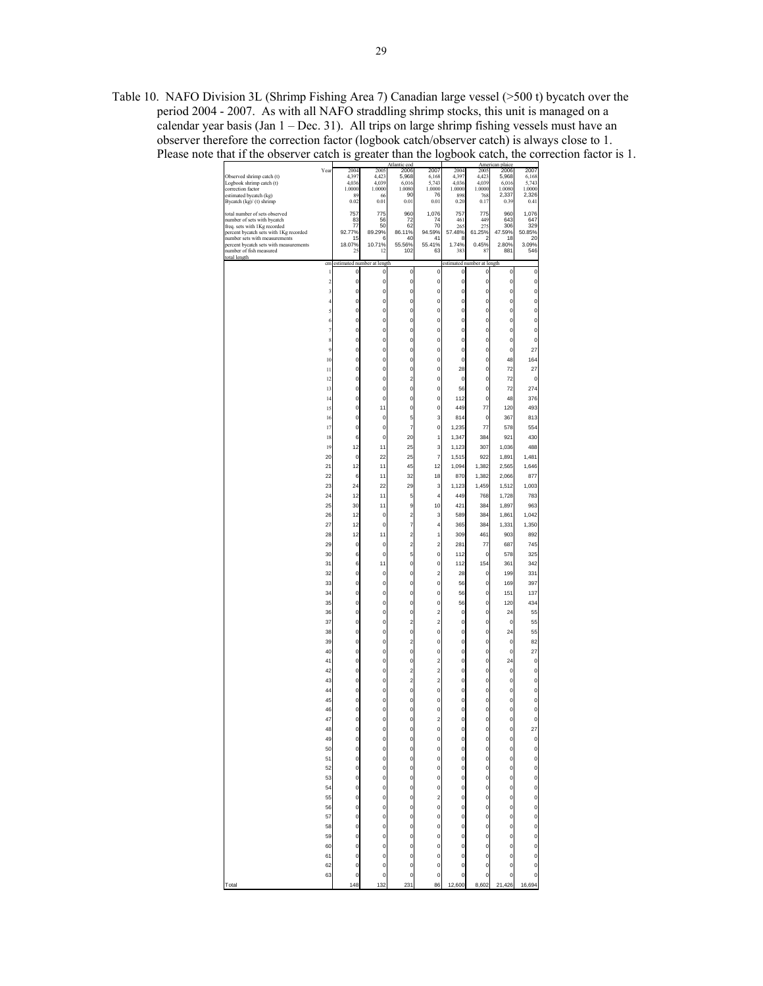Table 10. NAFO Division 3L (Shrimp Fishing Area 7) Canadian large vessel (>500 t) bycatch over the period 2004 - 2007. As with all NAFO straddling shrimp stocks, this unit is managed on a calendar year basis  $(Jan 1 - Dec. 31)$ . All trips on large shrimp fishing vessels must have an observer therefore the correction factor (logbook catch/observer catch) is always close to 1. Please note that if the observer catch is greater than the logbook catch, the correction factor is 1.

|                                                              | Year                    | 2004            | 2005                       | 2006                    | 2007                    | 2004            | 2005                       | 2006            | 2007            |
|--------------------------------------------------------------|-------------------------|-----------------|----------------------------|-------------------------|-------------------------|-----------------|----------------------------|-----------------|-----------------|
| Observed shrimp catch (t)                                    |                         | 4,397           | 4,423                      | 5,968                   | 6,168                   | 4,397           | 4,423                      | 5,968           | 6,168           |
| Logbook shrimp catch (t)<br>correction factor                |                         | 4,036<br>1.0000 | 4,039<br>1.0000            | 6,016<br>1.0080         | 5,743<br>1.0000         | 4,036<br>1.0000 | 4,039<br>1.0000            | 6,016<br>1.0080 | 5,743<br>1.0000 |
| estimated bycatch (kg)                                       |                         | 89              | 66                         | 90                      | 76                      | 898             | 768                        | 2.337           | 2,326           |
| Bycatch (kg)/ (t) shrimp                                     |                         | 0.02            | 0.01                       | 0.01                    | 0.01                    | 0.20            | 0.17                       | 0.39            | 0.41            |
|                                                              |                         |                 |                            |                         |                         |                 |                            |                 |                 |
| total number of sets observed<br>number of sets with bycatch |                         | 757<br>83       | 775<br>56                  | 960<br>72               | 1,076<br>74             | 757<br>461      | 775<br>449                 | 960<br>643      | 1,076<br>647    |
| freq. sets with 1Kg recorded                                 |                         | 77              | 50                         | 62                      | 70                      | 265             | 275                        | 306             | 329             |
| percent bycatch sets with 1Kg recorded                       |                         | 92.77%          | 89.29%                     | 86.11%                  | 94.59%                  | 57.48%          | 61.25%                     | 47.59%          | 50.85%          |
| number sets with measurements                                |                         | 15              | 6                          | 40                      | 41                      | 8               | 2                          | 18              | 20              |
| percent bycatch sets with measurements                       |                         | 18.07%          | 10.71%                     | 55.56%                  | 55.41%                  | 1.74%           | 0.45%                      | 2.80%           | 3.09%           |
| number of fish measured                                      |                         | 25              | 12                         | 102                     | 63                      | 383             | 87                         | 881             | 546             |
| total length                                                 | cm                      |                 | estimated number at length |                         |                         |                 | estimated number at length |                 |                 |
|                                                              |                         |                 |                            |                         |                         |                 |                            |                 |                 |
|                                                              | 1                       | $\mathbf 0$     | 0                          | 0                       | 0                       | 0               | 0                          | $\mathbf 0$     | O               |
|                                                              | $\overline{\mathbf{c}}$ | 0               | 0                          | 0                       | 0                       | 0               | 0                          | $\mathbf 0$     | 0               |
|                                                              | 3                       | 0               | 0                          | 0                       | 0                       | 0               | 0                          | $\circ$         | 0               |
|                                                              |                         | 0               | 0                          | 0                       | 0                       | 0               | 0                          | $\circ$         | 0               |
|                                                              | 4                       |                 |                            |                         |                         |                 |                            |                 |                 |
|                                                              | 5                       | 0               | $\overline{0}$             | $\overline{0}$          | $\mathbf{0}$            | $\mathbf 0$     | 0                          | $\overline{0}$  | O               |
|                                                              | 6                       | 0               | o                          | o                       | 0                       | $\mathbf 0$     | $\overline{0}$             | $\circ$         | 0               |
|                                                              | $\overline{7}$          | 0               | 0                          | 0                       | 0                       | 0               | 0                          | $\overline{0}$  | 0               |
|                                                              |                         |                 |                            |                         |                         |                 |                            |                 |                 |
|                                                              | 8                       | 0               | 0                          | 0                       | 0                       | 0               | 0                          | $\overline{0}$  | 0               |
|                                                              | 9                       | 0               | 0                          | $\overline{0}$          | $\mathbf{0}$            | $\mathbf 0$     | $\overline{0}$             | $\mathbf 0$     | 27              |
|                                                              | 10                      | 0               | $\overline{0}$             | $\overline{0}$          | $\mathbf{0}$            | $\mathbf 0$     | 0                          | 48              | 164             |
|                                                              |                         |                 |                            |                         |                         |                 |                            |                 |                 |
|                                                              | 11                      | 0               | 0                          | 0                       | 0                       | 28              | 0                          | 72              | 27              |
|                                                              | 12                      | 0               | 0                          | $\overline{\mathbf{c}}$ | 0                       | 0               | 0                          | 72              | O               |
|                                                              | 13                      | 0               | 0                          | 0                       | 0                       | 56              | 0                          | 72              | 274             |
|                                                              |                         |                 |                            |                         |                         |                 |                            |                 |                 |
|                                                              | 14                      | 0               | $\overline{0}$             | $\overline{0}$          | $\mathbf{0}$            | 112             | 0                          | 48              | 376             |
|                                                              | 15                      | 0               | 11                         | $\overline{0}$          | $\mathbf{0}$            | 449             | 77                         | 120             | 493             |
|                                                              | 16                      | 0               | 0                          | 5                       | 3                       | 814             | $\pmb{0}$                  | 367             | 813             |
|                                                              | 17                      | 0               | 0                          | 7                       | 0                       | 1,235           | 77                         | 578             | 554             |
|                                                              |                         |                 |                            |                         |                         |                 |                            |                 |                 |
|                                                              | 18                      | 6               | 0                          | 20                      | 1                       | 1,347           | 384                        | 921             | 430             |
|                                                              | 19                      | 12              | 11                         | 25                      | 3                       | 1,123           | 307                        | 1,036           | 488             |
|                                                              | 20                      | $\mathbf 0$     | 22                         | 25                      | 7                       | 1,515           | 922                        | 1,891           | 1,481           |
|                                                              |                         |                 |                            |                         |                         |                 |                            |                 |                 |
|                                                              | 21                      | 12              | 11                         | 45                      | 12                      | 1,094           | 1,382                      | 2,565           | 1,646           |
|                                                              | 22                      | 6               | 11                         | 32                      | 18                      | 870             | 1,382                      | 2,066           | 877             |
|                                                              | 23                      | 24              | 22                         | 29                      | 3                       | 1,123           | 1,459                      | 1,512           | 1,003           |
|                                                              |                         |                 |                            |                         |                         |                 |                            |                 |                 |
|                                                              | 24                      | 12              | 11                         | 5                       | 4                       | 449             | 768                        | 1,728           | 783             |
|                                                              | 25                      | 30              | 11                         | 9                       | 10                      | 421             | 384                        | 1,897           | 963             |
|                                                              | 26                      | 12              | 0                          | $\overline{\mathbf{c}}$ | 3                       | 589             | 384                        | 1,861           | 1,042           |
|                                                              |                         |                 |                            |                         |                         |                 |                            |                 |                 |
|                                                              | 27                      | 12              | 0                          | 7                       | 4                       | 365             | 384                        | 1,331           | 1,350           |
|                                                              | 28                      | 12              | 11                         | $\overline{a}$          | 1                       | 309             | 461                        | 903             | 892             |
|                                                              | 29                      | $\mathbf 0$     | 0                          | $\overline{a}$          | $\overline{a}$          | 281             | 77                         | 687             | 745             |
|                                                              | 30                      | 6               | $\overline{0}$             | 5                       | 0                       | 112             | 0                          | 578             | 325             |
|                                                              |                         |                 |                            |                         |                         |                 |                            |                 |                 |
|                                                              | 31                      | 6               | 11                         | 0                       | 0                       | 112             | 154                        | 361             | 342             |
|                                                              | 32                      | 0               | 0                          | 0                       | $\overline{a}$          | 28              | 0                          | 199             | 331             |
|                                                              | 33                      | 0               | $\overline{0}$             | $\overline{0}$          | $\mathbf{0}$            | 56              | 0                          | 169             | 397             |
|                                                              |                         |                 |                            |                         |                         |                 |                            |                 |                 |
|                                                              | 34                      | 0               | 0                          | 0                       | 0                       | 56              | 0                          | 151             | 137             |
|                                                              | 35                      | 0               | 0                          | 0                       | 0                       | 56              | 0                          | 120             | 434             |
|                                                              | 36                      | 0               | 0                          | 0                       | $\overline{c}$          | 0               | 0                          | 24              | 55              |
|                                                              |                         |                 |                            | $\overline{\mathbf{c}}$ | $\overline{\mathbf{c}}$ |                 |                            |                 |                 |
|                                                              | 37                      | 0               | 0                          |                         |                         | 0               | 0                          | 0               | 55              |
|                                                              | 38                      | 0               | $\overline{0}$             | $\overline{0}$          | $\mathbf{0}$            | $\mathbf 0$     | 0                          | 24              | 55              |
|                                                              | 39                      | O               | 0                          | $\overline{\mathbf{c}}$ | 0                       | 0               | $\overline{0}$             | $\mathbf 0$     | 82              |
|                                                              | 40                      | 0               | 0                          | 0                       | 0                       | 0               | 0                          | $\overline{0}$  | 27              |
|                                                              |                         |                 |                            |                         |                         |                 |                            |                 |                 |
|                                                              | 41                      | 0               | 0                          | 0                       | $\overline{\mathbf{c}}$ | 0               | 0                          | 24              | 0               |
|                                                              | 42                      | 0               | 0                          | $\overline{\mathbf{c}}$ | $\overline{\mathbf{c}}$ | 0               | 0                          | $\pmb{0}$       | 0               |
|                                                              | 43                      | 0               | $\overline{0}$             | $\overline{a}$          | $\overline{a}$          | $\mathbf 0$     | 0                          | $\mathbf{0}$    | O               |
|                                                              | 44                      | 0               | 0                          | 0                       | 0                       | 0               | 0                          | $\circ$         | O               |
|                                                              |                         |                 |                            |                         |                         |                 |                            |                 |                 |
|                                                              | 45                      | 0               | 0                          | 0                       | 0                       | 0               | 0                          | $\overline{0}$  | O               |
|                                                              | 46                      | 0               | O                          | 0                       | 0                       | 0               | 0                          | o               | O               |
|                                                              | 47                      | 0               | $\overline{0}$             | $\overline{0}$          | $\overline{a}$          | $\mathbf 0$     | $\overline{0}$             | $\mathbf 0$     | $\overline{0}$  |
|                                                              | 48                      | 0               | 0                          | 0                       | 0                       | 0               | 0                          |                 | 27              |
|                                                              |                         |                 |                            |                         |                         |                 |                            | 0               |                 |
|                                                              | 49                      | 0               | 0                          | 0                       | 0                       | 0               | 0                          | $\circ$         | O               |
|                                                              | 50                      | 0               | 0                          | $\mathbf{0}$            | 0                       | 0               | 0                          | $\circ$         | 0               |
|                                                              | 51                      | 0               | 0                          | 0                       | 0                       | 0               | 0                          | $\overline{0}$  | 0               |
|                                                              |                         |                 |                            |                         |                         |                 |                            |                 |                 |
|                                                              | 52                      | $\mathbf 0$     | 0                          | 0                       | $\mathbf 0$             | 0               | $\overline{0}$             | $\overline{0}$  | o               |
|                                                              | 53                      | 0               | 0                          | 0                       | 0                       | 0               | 0                          | $\circ$         | $\circ$         |
|                                                              | 54                      | $\pmb{0}$       | 0                          | o                       | O                       | 0               | 0                          | $\circ$         | o               |
|                                                              | 55                      | 0               | o                          | o                       | $\overline{c}$          | 0               | 0                          | $\circ$         | o               |
|                                                              |                         |                 |                            |                         |                         |                 |                            |                 |                 |
|                                                              | 56                      | 0               | 0                          | 0                       | 0                       | 0               | 0                          | $\overline{0}$  | 0               |
|                                                              | 57                      | $\mathbf 0$     | 0                          | 0                       | 0                       | 0               | 0                          | $\overline{0}$  | O               |
|                                                              |                         |                 | 0                          | 0                       | $\mathbf 0$             | 0               | 0                          | $\circ$         | o               |
|                                                              |                         |                 |                            |                         |                         |                 |                            |                 |                 |
|                                                              | 58                      | 0               |                            |                         |                         |                 |                            |                 |                 |
|                                                              | 59                      | 0               | 0                          | 0                       | 0                       | 0               | 0                          | $\circ$         | o               |
|                                                              | 60                      | 0               | 0                          | 0                       | 0                       | 0               | 0                          | $\overline{0}$  | 0               |
|                                                              |                         |                 |                            |                         |                         |                 |                            |                 |                 |
|                                                              | 61                      | 0               | 0                          | 0                       | 0                       | 0               | 0                          | $\overline{0}$  | O               |
|                                                              | 62                      | $\mathbf 0$     | 0                          | 0                       | $\mathbf 0$             | 0               | 0                          | $\overline{0}$  | 0               |
|                                                              | 63                      | 0               | $\mathbf{0}$               | 0                       | 0                       | $\mathbf 0$     | 0                          | $\mathbf{0}$    | O               |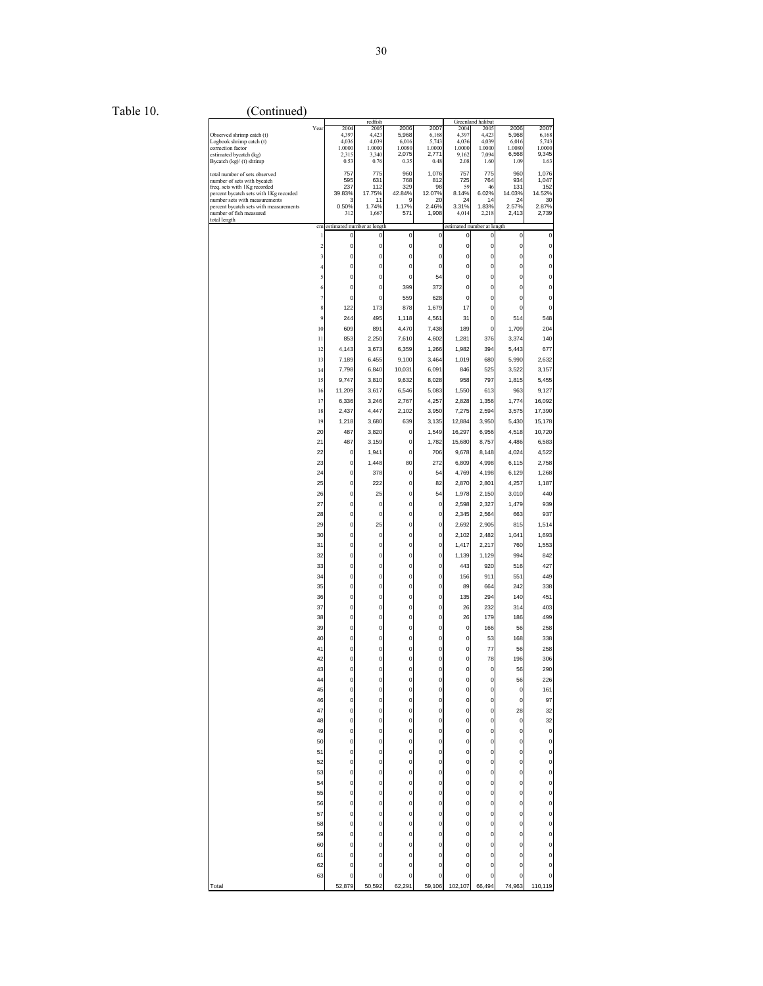Table 10. (Continued)

|                                        |                         |                            | redfish     |           |             |                            | Greenland halibut |             |         |
|----------------------------------------|-------------------------|----------------------------|-------------|-----------|-------------|----------------------------|-------------------|-------------|---------|
|                                        | Year                    | 2004                       | 2005        | 2006      | 2007        | 2004                       | 2005              | 2006        | 2007    |
| Observed shrimp catch (t)              |                         | 4,397                      | 4,423       | 5,968     | 6,168       | 4,397                      | 4,423             | 5,968       | 6,168   |
| Logbook shrimp catch (t)               |                         | 4,036                      | 4,039       | 6,016     | 5.743       | 4,036                      | 4,039             | 6,016       | 5,743   |
| correction factor                      |                         | 1.0000                     | 1.0000      | 1.0080    | 1.0000      | 1.0000                     | 1.0000            | 1.0080      | 1.0000  |
| estimated bycatch (kg)                 |                         | 2,315                      | 3,340       | 2,075     | 2.771       | 9,162                      | 7,094             | 6,568       | 9,345   |
| Bycatch (kg)/ (t) shrimp               |                         | 0.53                       | 0.76        | 0.35      | 0.48        | 2.08                       | 1.60              | 1.09        | 1.63    |
| total number of sets observed          |                         | 757                        | 775         | 960       | 1,076       | 757                        | 775               | 960         | 1,076   |
| number of sets with bycatch            |                         | 595                        | 631         | 768       | 812         | 725                        | 764               | 934         | 1,047   |
| freq. sets with 1Kg recorded           |                         | 237                        | 112         | 329       | 98          | 59                         | 46                | 131         | 152     |
| percent bycatch sets with 1Kg recorded |                         | 39.83%                     | 17.75%      | 42.84%    | 12.07%      | 8.14%                      | 6.02%             | 14.03%      | 14.52%  |
| number sets with measurements          |                         | З                          | 11          | 9         | 20          | 24                         | 14                | 24          | 30      |
| percent bycatch sets with measurements |                         | 0.50%                      | 1.74%       | 1.17%     | 2.46%       | 3.31%                      | 1.83%             | 2.57%       | 2.87%   |
| number of fish measured                |                         | 312                        | 1,667       | 571       | 1,908       | 4,014                      | 2,218             | 2,413       | 2,739   |
| total length                           |                         |                            |             |           |             |                            |                   |             |         |
|                                        | cm                      | estimated number at length |             |           |             | estimated number at length |                   |             |         |
|                                        | 1                       | 0                          | 0           | $\pmb{0}$ | 0           | 0                          | 0                 | $\mathbf 0$ | 0       |
|                                        | $\overline{\mathbf{c}}$ | $\mathbf 0$                | $\pmb{0}$   | 0         | $\pmb{0}$   | 0                          | 0                 | O           | 0       |
|                                        |                         |                            |             |           |             |                            |                   |             |         |
|                                        | 3                       | $\mathbf 0$                | 0           | 0         | $\mathbf 0$ | 0                          | 0                 | 0           | 0       |
|                                        | 4                       | $\mathbf 0$                | 0           | 0         | $\mathbf 0$ | 0                          | 0                 | O           | 0       |
|                                        | 5                       | $\mathbf{0}$               | 0           | 0         | 54          | O                          | 0                 | 0           | 0       |
|                                        |                         |                            |             |           |             |                            |                   |             |         |
|                                        | 6                       | $\mathbf 0$                | $\mathbf 0$ | 399       | 372         | 0                          | 0                 | O           | 0       |
|                                        | $\overline{7}$          | $\mathbf 0$                | $\mathbf 0$ | 559       | 628         | $\mathbf 0$                | 0                 | 0           | 0       |
|                                        |                         |                            |             |           |             |                            |                   |             |         |
|                                        | 8                       | 122                        | 173         | 878       | 1,679       | 17                         | 0                 | O           | 0       |
|                                        | $\overline{9}$          | 244                        | 495         | 1,118     | 4,561       | 31                         | 0                 | 514         | 548     |
|                                        | 10                      | 609                        | 891         | 4,470     | 7,438       | 189                        | $\pmb{0}$         | 1,709       | 204     |
|                                        |                         |                            |             |           |             |                            |                   |             |         |
|                                        | 11                      | 853                        | 2,250       | 7,610     | 4,602       | 1,281                      | 376               | 3,374       | 140     |
|                                        | 12                      | 4,143                      | 3,673       | 6,359     | 1,266       | 1,982                      | 394               | 5,443       | 677     |
|                                        | 13                      | 7,189                      | 6,455       | 9,100     | 3,464       | 1,019                      | 680               | 5,990       | 2,632   |
|                                        |                         |                            |             |           |             |                            |                   |             |         |
|                                        | 14                      | 7,798                      | 6,840       | 10,031    | 6,091       | 846                        | 525               | 3,522       | 3,157   |
|                                        | 15                      | 9,747                      | 3,810       | 9,632     | 8,028       | 958                        | 797               | 1,815       | 5,455   |
|                                        | 16                      | 11,209                     | 3,617       | 6,546     | 5,083       | 1,550                      | 613               | 963         | 9,127   |
|                                        |                         |                            |             |           |             |                            |                   |             |         |
|                                        | 17                      | 6,336                      | 3,246       | 2,767     | 4,257       | 2,828                      | 1,356             | 1,774       | 16,092  |
|                                        | 18                      | 2,437                      | 4,447       | 2,102     | 3,950       | 7,275                      | 2,594             | 3,575       | 17,390  |
|                                        | 19                      | 1,218                      | 3,680       | 639       | 3,135       | 12,884                     | 3,950             | 5,430       | 15,178  |
|                                        |                         |                            |             |           |             |                            |                   |             |         |
|                                        | 20                      | 487                        | 3,820       | 0         | 1,549       | 16,297                     | 6,956             | 4,518       | 10,720  |
|                                        | 21                      | 487                        | 3,159       | 0         | 1,782       | 15,680                     | 8,757             | 4,486       | 6,583   |
|                                        |                         |                            |             |           |             | 9.678                      |                   |             |         |
|                                        | 22                      | 0                          | 1,941       | 0         | 706         |                            | 8,148             | 4,024       | 4,522   |
|                                        | 23                      | $\mathbf 0$                | 1,448       | 80        | 272         | 6,809                      | 4,998             | 6,115       | 2,758   |
|                                        | 24                      | $\mathbf 0$                | 378         | 0         | 54          | 4,769                      | 4,198             | 6.129       | 1,268   |
|                                        |                         |                            |             |           |             |                            |                   |             |         |
|                                        | 25                      | $\mathbf 0$                | 222         | 0         | 82          | 2,870                      | 2,801             | 4,257       | 1,187   |
|                                        | 26                      | $\mathbf 0$                | 25          | 0         | 54          | 1,978                      | 2,150             | 3,010       | 440     |
|                                        | 27                      | $\mathbf 0$                | $\pmb{0}$   | 0         | $\pmb{0}$   | 2,598                      | 2,327             | 1,479       | 939     |
|                                        |                         |                            |             |           |             |                            |                   |             |         |
|                                        | 28                      | $\mathbf 0$                | $\mathbf 0$ | 0         | $\mathbf 0$ | 2,345                      | 2,564             | 663         | 937     |
|                                        | 29                      | $\mathbf 0$                | 25          | 0         | 0           | 2,692                      | 2,905             | 815         | 1,514   |
|                                        | 30                      | $\mathbf 0$                | $\mathbf 0$ | 0         | $\mathbf 0$ | 2,102                      | 2,482             | 1,041       | 1,693   |
|                                        |                         |                            |             |           |             |                            |                   |             |         |
|                                        | 31                      | $\mathbf 0$                | 0           | 0         | 0           | 1,417                      | 2,217             | 760         | 1,553   |
|                                        | 32                      | $\mathbf 0$                | 0           | 0         | $\mathbf 0$ | 1,139                      | 1,129             | 994         | 842     |
|                                        | 33                      | $\mathbf 0$                | 0           | 0         | 0           | 443                        | 920               | 516         | 427     |
|                                        |                         |                            |             |           |             |                            |                   |             |         |
|                                        | 34                      | $\mathbf 0$                | 0           | 0         | $\mathbf 0$ | 156                        | 911               | 551         | 449     |
|                                        | 35                      | $\mathbf 0$                | 0           | 0         | $\pmb{0}$   | 89                         | 664               | 242         | 338     |
|                                        | 36                      | $\mathbf 0$                | 0           | 0         | $\mathbf 0$ | 135                        | 294               | 140         | 451     |
|                                        |                         |                            |             |           |             |                            |                   |             |         |
|                                        | 37                      | $\mathbf 0$                | 0           | 0         | 0           | 26                         | 232               | 314         | 403     |
|                                        | 38                      | $\mathbf 0$                | 0           | 0         | 0           | 26                         | 179               | 186         | 499     |
|                                        | 39                      | $\mathbf{0}$               | 0           | 0         | $\mathbf 0$ | 0                          | 166               | 56          | 258     |
|                                        |                         |                            |             |           |             |                            |                   |             |         |
|                                        | 40                      | $\mathbf 0$                | 0           | 0         | $\pmb{0}$   | 0                          | 53                | 168         | 338     |
|                                        | 41                      | $\mathbf 0$                | 0           | 0         | $\mathbf 0$ | 0                          | 77                | 56          | 258     |
|                                        | 42                      | $\mathbf 0$                | 0           | 0         | $\mathbf 0$ | O                          | 78                | 196         | 306     |
|                                        |                         |                            |             |           |             |                            |                   |             |         |
|                                        | 43                      | $\mathbf 0$                | 0           | 0         | $\mathbf 0$ | 0                          | $\mathbf 0$       | 56          | 290     |
|                                        | 44                      | $\boldsymbol{0}$           | 0           | 0         | 0           | $\mathbf{0}$               | 0                 | 56          | 226     |
|                                        | 45                      | $\mathbf 0$                | 0           | 0         | 0           | 0                          | 0                 | $\pmb{0}$   | 161     |
|                                        |                         | $\mathbf 0$                | 0           | 0         | $\pmb{0}$   | 0                          |                   | 0           | 97      |
|                                        | 46                      |                            |             |           |             |                            | 0                 |             |         |
|                                        | 47                      | $\mathbf 0$                | 0           | 0         | $\mathbf 0$ | 0                          | 0                 | 28          | 32      |
|                                        | 48                      | $\mathbf 0$                | 0           | 0         | $\pmb{0}$   | 0                          | 0                 | 0           | 32      |
|                                        | 49                      | $\mathbf 0$                | 0           | 0         | $\pmb{0}$   | 0                          | 0                 | $\mathbf 0$ |         |
|                                        |                         |                            |             |           |             |                            |                   |             | 0       |
|                                        | 50                      | $\mathbf 0$                | 0           | 0         | 0           | o                          | 0                 | 0           | 0       |
|                                        | 51                      | $\mathbf 0$                | 0           | 0         | $\pmb{0}$   | 0                          | 0                 | 0           | 0       |
|                                        | 52                      | $\mathbf 0$                | 0           | 0         | 0           | o                          | 0                 | O           | 0       |
|                                        |                         |                            |             |           |             |                            |                   |             |         |
|                                        | 53                      | $\mathbf 0$                | 0           | 0         | $\pmb{0}$   | 0                          | 0                 | 0           | 0       |
|                                        | 54                      | $\mathbf 0$                | 0           | 0         | 0           | 0                          | 0                 | 0           | 0       |
|                                        | 55                      | $\mathbf 0$                | 0           | 0         | $\mathbf 0$ | 0                          | 0                 | 0           | 0       |
|                                        |                         |                            |             |           |             |                            |                   |             |         |
|                                        | 56                      | $\pmb{0}$                  | 0           | 0         | $\mathbf 0$ | 0                          | 0                 | 0           | 0       |
|                                        | 57                      | $\mathbf 0$                | 0           | 0         | $\pmb{0}$   | o                          | 0                 | 0           | 0       |
|                                        | 58                      | $\mathbf 0$                | 0           | 0         | 0           | 0                          | 0                 |             |         |
|                                        |                         |                            |             |           |             |                            |                   | 0           | 0       |
|                                        | 59                      | $\mathbf 0$                | 0           | 0         | $\pmb{0}$   | 0                          | 0                 | 0           | 0       |
|                                        | 60                      | $\mathbf 0$                | 0           | 0         | 0           | O                          | 0                 | 0           | 0       |
|                                        |                         |                            |             |           |             |                            |                   |             |         |
|                                        | 61                      | $\mathbf 0$                | 0           | 0         | $\pmb{0}$   | 0                          | 0                 | 0           | 0       |
|                                        | 62                      | $\mathbf 0$                | 0           | 0         | $\mathbf 0$ | 0                          | $\mathbf 0$       | $\pmb{0}$   | 0       |
|                                        | 63                      | 0                          | 0           | 0         | 0           | 0                          | 0                 | 0           | 0       |
| Total                                  |                         | 52,879                     | 50,592      | 62,291    | 59,106      | 102,107                    | 66,494            | 74,963      | 110,119 |
|                                        |                         |                            |             |           |             |                            |                   |             |         |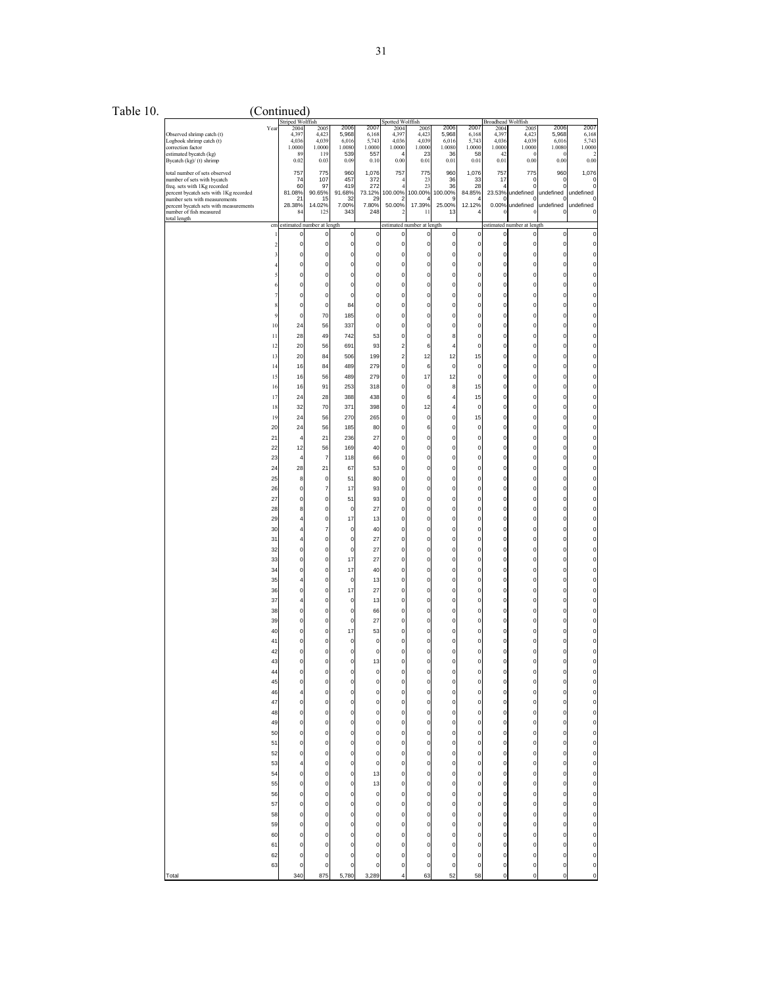| Table 10 |  |
|----------|--|
|          |  |
|          |  |

 $10.$  (Continued)

|                                                                         |         | Striped Wolffish |                            |               |                | Spotted Wolffish        |                                           |                |                | <b>Broadhead Wolffish</b> |                            |                |                                      |
|-------------------------------------------------------------------------|---------|------------------|----------------------------|---------------|----------------|-------------------------|-------------------------------------------|----------------|----------------|---------------------------|----------------------------|----------------|--------------------------------------|
|                                                                         | Yea     | 2004<br>4,397    | 2005                       | 2006<br>5,968 | 2007           | 2004                    | 2005                                      | 2006<br>5,968  | 2007           | 2004<br>4,397             | 2005                       | 2006<br>5,968  | 2007                                 |
| Observed shrimp catch (t)<br>Logbook shrimp catch (t)                   |         | 4,036            | 4,423<br>4,039             | 6,016         | 6,168<br>5,743 | 4,397<br>4,036          | 4,423<br>4,039                            | 6,016          | 6,168<br>5,743 | 4,036                     | 4,423<br>4,039             | 6,016          | 6,168<br>5,743                       |
| correction factor                                                       |         | 1.0000           | 1.0000                     | 1.0080        | 1.0000         | 1.0000                  | 1.0000                                    | 1.0080         | 1.0000         | 1.0000                    | 1.0000                     | 1.0080         | 1.0000                               |
| estimated bycatch (kg)<br>Bycatch (kg)/ (t) shrimp                      |         | 89<br>0.02       | 119<br>0.03                | 539<br>0.09   | 557<br>0.10    | 0.00                    | 23<br>0.01                                | 36<br>0.01     | 58<br>0.01     | 42<br>0.01                | -6<br>0.00                 | 0<br>0.00      | $\overline{2}$<br>0.00               |
|                                                                         |         |                  |                            |               |                |                         |                                           |                |                |                           |                            |                |                                      |
| total number of sets observed                                           |         | 757              | 775<br>107                 | 960<br>457    | 1,076          | 757                     | 775                                       | 960<br>36      | 1,076          | 757                       | 775                        | 960            | 1,076                                |
| number of sets with bycatch<br>freq. sets with 1Kg recorded             |         | 74<br>60         | 97                         | 419           | 372<br>272     |                         | 23<br>23                                  | 36             | 33<br>28       | 17<br>4                   | 0<br>$\Omega$              | 0<br>0         | $\circ$<br>$^{\circ}$                |
| percent bycatch sets with 1Kg recorded                                  |         | 81.08%           | 90.65%                     | 91.68%        | 73.12%         | 100.00%                 | 100.00%                                   | 100.00%        | 84.85%         | 23.53%                    | undefined                  | undefined      | undefined                            |
| number sets with measurements<br>percent bycatch sets with measurements |         | 21<br>28.38%     | 15<br>14.02%               | 32<br>7.00%   | 29<br>7.80%    | 50.00%                  | 17.39%                                    | c<br>25.00%    | Δ<br>12.12%    | c<br>0.00%                | ſ<br>undefined             | C<br>undefined | $^{\circ}$<br>undefined              |
| number of fish measured                                                 |         | 84               | 125                        | 343           | 248            |                         | 11                                        | 13             | 4              |                           |                            | C              | $\circ$                              |
| total length                                                            |         |                  |                            |               |                |                         |                                           |                |                |                           |                            |                |                                      |
|                                                                         | cm<br>1 | 0                | estimated number at length |               |                |                         | estimated number at length<br>$\mathbf 0$ |                |                |                           | estimated number at length | 0              | $\mathbf 0$                          |
|                                                                         |         |                  | 0                          | 0             | $\pmb{0}$      | $\pmb{0}$               |                                           | $\circ$        | 0              | $\circ$                   | $\boldsymbol{0}$           |                |                                      |
|                                                                         |         | 0                | $\pmb{0}$                  | 0             | $\pmb{0}$      | 0                       | 0                                         | $\circ$        | 0              | $\circ$                   | $\circ$                    | 0              | 0                                    |
|                                                                         |         | 0                | $\mathbf 0$                | 0             | $\mathbf 0$    | $\Omega$                | 0                                         | $\mathbf 0$    | $\mathbf{0}$   | $\overline{0}$            | $\mathbf{0}$               | 0              | 0                                    |
|                                                                         |         | 0                | $\pmb{0}$                  | $\mathbf 0$   | $\mathbf 0$    | 0                       | 0                                         | $\pmb{0}$      | 0              | $\overline{0}$            | $\pmb{0}$                  | 0              | O                                    |
|                                                                         |         | 0                | $\mathbf 0$                | $\mathbf 0$   | $\mathbf 0$    | 0                       | 0                                         | $\circ$        | $\mathbf 0$    | $\overline{0}$            | $\circ$                    | 0              |                                      |
|                                                                         |         | 0                | $\mathbf 0$                | 0             | 0              | $\Omega$                | 0                                         | $\pmb{0}$      | 0              | $\overline{0}$            | $\pmb{0}$                  | 0              |                                      |
|                                                                         |         | 0                | $\mathbf 0$                | 0             | $\mathbf 0$    | 0                       | 0                                         | $\mathbf 0$    | $\mathbf{0}$   | $\circ$                   | 0                          | 0              |                                      |
|                                                                         |         | 0                | $\pmb{0}$                  | 84            | $\mathbf 0$    | $\Omega$                | $\mathbf 0$                               | $\circ$        | 0              | $\overline{0}$            | $\mathbf 0$                | 0              | 0                                    |
|                                                                         |         | 0                | 70                         | 185           | 0              | 0                       | 0                                         | $\mathbf{0}$   | 0              | 0                         | 0                          | 0              |                                      |
|                                                                         |         |                  |                            |               |                |                         |                                           |                |                |                           |                            |                |                                      |
|                                                                         | 10      | 24               | 56                         | 337           | $\mathbf 0$    | $\Omega$                | 0                                         | $\mathbf 0$    | 0              | $\overline{0}$            | $\pmb{0}$                  | $\mathbf 0$    | 0                                    |
|                                                                         | 11      | 28               | 49                         | 742           | 53             | 0                       | 0                                         | 8              | 0              | $\pmb{0}$                 | 0                          | 0              |                                      |
|                                                                         | 12      | 20               | 56                         | 691           | 93             | $\overline{\mathbf{c}}$ | 6                                         | 4              | $\mathbf{0}$   | $\pmb{0}$                 | $\pmb{0}$                  | 0              | 0                                    |
|                                                                         | 13      | 20               | 84                         | 506           | 199            | 2                       | 12                                        | 12             | 15             | $\circ$                   | $\pmb{0}$                  | 0              |                                      |
|                                                                         | 14      | 16               | 84                         | 489           | 279            | 0                       | 6                                         | $\mathbf 0$    | 0              | $\mathbf 0$               | $\mathbf 0$                | 0              |                                      |
|                                                                         | 15      | 16               | 56                         | 489           | 279            | 0                       | 17                                        | 12             | 0              | $\pmb{0}$                 | $\mathbf 0$                | 0              | O                                    |
|                                                                         | 16      | 16               | 91                         | 253           | 318            | 0                       | $\mathbf 0$                               | 8              | 15             | $\overline{0}$            | $\circ$                    | 0              |                                      |
|                                                                         |         |                  | 28                         |               | 438            | $\Omega$                |                                           | $\overline{4}$ |                | $\circ$                   | $\mathbf 0$                | 0              | O                                    |
|                                                                         | 17      | 24               |                            | 388           |                |                         | 6                                         |                | 15             |                           |                            |                |                                      |
|                                                                         | 18      | 32               | 70                         | 371           | 398            | 0                       | 12                                        | 4              | 0              | $\circ$                   | $\pmb{0}$                  | $\mathbf 0$    |                                      |
|                                                                         | 19      | 24               | 56                         | 270           | 265            | $\Omega$                | $\mathbf 0$                               | $\mathbf 0$    | 15             | $\overline{0}$            | $\mathbf 0$                | $\mathbf 0$    | 0                                    |
|                                                                         | 20      | 24               | 56                         | 185           | 80             | 0                       | 6                                         | 0              | 0              | 0                         | 0                          | 0              |                                      |
|                                                                         | 21      | 4                | 21                         | 236           | 27             | $\Omega$                | $\mathbf 0$                               | $\circ$        | 0              | $\overline{0}$            | $\pmb{0}$                  | $\mathbf 0$    | 0                                    |
|                                                                         | 22      | 12               | 56                         | 169           | 40             | 0                       | 0                                         | 0              | 0              | $\pmb{0}$                 | 0                          | 0              |                                      |
|                                                                         | 23      | $\overline{4}$   | $\overline{7}$             | 118           | 66             | $\Omega$                | $\mathbf 0$                               | $\mathbf 0$    | 0              | $\pmb{0}$                 | $\pmb{0}$                  | 0              | 0                                    |
|                                                                         | 24      | 28               | 21                         | 67            | 53             | 0                       | 0                                         | $\pmb{0}$      | 0              | $\circ$                   | $\pmb{0}$                  | 0              |                                      |
|                                                                         |         |                  |                            |               |                |                         |                                           |                |                |                           |                            |                |                                      |
|                                                                         | 25      | 8                | $\mathbf 0$                | 51            | 80             | 0                       | 0                                         | $\mathbf 0$    | $\mathbf{0}$   | $\mathbf 0$               | $\mathbf 0$                | 0              |                                      |
|                                                                         | 26      | 0                | $\overline{7}$             | 17            | 93             | 0                       | 0                                         | $\pmb{0}$      | 0              | $\circ$                   | $\mathbf 0$                | 0              | n                                    |
|                                                                         | 27      | 0                | $\mathbf 0$                | 51            | 93             | 0                       | $\mathbf 0$                               | $\circ$        | $\mathbf{0}$   | $\overline{0}$            | $\circ$                    | 0              |                                      |
|                                                                         | 28      | 8                | $\mathbf 0$                | 0             | 27             | $\Omega$                | 0                                         | $\pmb{0}$      | 0              | $\overline{0}$            | $\pmb{0}$                  | 0              | n                                    |
|                                                                         | 29      | 4                | $\pmb{0}$                  | 17            | 13             | 0                       | 0                                         | 0              | 0              | $\pmb{0}$                 | 0                          | 0              |                                      |
|                                                                         | 30      | 4                | $\overline{7}$             | 0             | 40             | $\Omega$                | $\mathbf 0$                               | $\circ$        | 0              | $\overline{0}$            | $\mathbf 0$                | 0              | 0                                    |
|                                                                         | 31      | 4                | $\mathbf 0$                | 0             | 27             | 0                       | 0                                         | $\pmb{0}$      | 0              | 0                         | 0                          | 0              |                                      |
|                                                                         |         | 0                | $\mathbf 0$                | $\mathbf 0$   | 27             | $\Omega$                | $\mathbf 0$                               | $\circ$        | 0              | $\overline{0}$            | $\mathbf 0$                | $\mathbf 0$    | 0                                    |
|                                                                         | 32      |                  |                            |               |                |                         |                                           |                |                |                           |                            |                |                                      |
|                                                                         | 33      | 0                | $\pmb{0}$                  | 17            | 27             | 0                       | 0                                         | 0              | 0              | $\pmb{0}$                 | 0                          | 0              |                                      |
|                                                                         | 34      | 0                | $\mathbf 0$                | 17            | 40             | $\Omega$                | $\mathbf 0$                               | $\pmb{0}$      | 0              | $\pmb{0}$                 | $\pmb{0}$                  | 0              | 0                                    |
|                                                                         | 35      | 4                | $\mathbf 0$                | 0             | 13             | 0                       | 0                                         | $\pmb{0}$      | 0              | $\circ$                   | $\mathbf 0$                | 0              | O                                    |
|                                                                         | 36      | 0                | $\mathbf 0$                | 17            | 27             | 0                       | 0                                         | $\mathbf 0$    | $\mathbf{0}$   | $\mathbf 0$               | $\mathbf 0$                | 0              |                                      |
|                                                                         | 37      | 4                | $\mathbf 0$                | 0             | 13             | 0                       | 0                                         | $\pmb{0}$      | 0              | $\pmb{0}$                 | $\mathbf 0$                | 0              | n                                    |
|                                                                         | 38      | 0                | $\mathbf 0$                | 0             | 66             | 0                       | $\mathbf 0$                               | $\circ$        | $\mathbf{0}$   | $\overline{0}$            | $\circ$                    | 0              |                                      |
|                                                                         | 39      | 0                | $\mathbf 0$                | 0             | 27             | $\Omega$                | 0                                         | $\mathbf{0}$   | 0              | $\circ$                   | $\pmb{0}$                  | 0              | n                                    |
|                                                                         | 40      | 0                | $\pmb{0}$                  | 17            | 53             | 0                       | 0                                         | 0              | 0              | $\pmb{0}$                 | 0                          | 0              |                                      |
|                                                                         | 41      | 0                | $\mathbf 0$                | 0             | 0              | $\Omega$                | $\mathbf 0$                               | $\mathbf 0$    | $\mathbf{0}$   | $\mathbf 0$               | $\mathbf 0$                | $\Omega$       |                                      |
|                                                                         |         |                  |                            |               |                |                         |                                           |                |                |                           |                            |                |                                      |
|                                                                         | 42      | 0                | 0                          | 0             | 0              | 0                       | 0                                         | 0              | 0              | 0                         | 0                          | 0              |                                      |
|                                                                         | 43      | 0                | $\mathbf 0$                | $\mathbf 0$   | 13             | $\Omega$                | $\mathbf 0$                               | $\mathbf 0$    | 0              | $\circ$                   | 0                          | 0              | 0                                    |
|                                                                         | 44      | 0                | $\mathbf 0$                | $\mathbf 0$   | 0              |                         | O                                         | $\mathbf{0}$   | 0              | $\circ$                   | $\mathbf{0}$               | 0              | 0                                    |
|                                                                         | 45      | 0                | $\pmb{0}$                  | 0             | 0              | 0                       | 0                                         | 0              | 0              | $\boldsymbol{0}$          | $\boldsymbol{0}$           | 0              | 0                                    |
|                                                                         | 46      | 4                | $\mathbf 0$                | $\mathbf 0$   | $\pmb{0}$      | 0                       | 0                                         | $\mathbf 0$    | 0              | $\mathbf{0}$              | $\mathbf{0}$               | $\mathbf 0$    | 0                                    |
|                                                                         | 47      | 0                | $\mathbf 0$                | 0             | $\mathbf 0$    | 0                       | $\mathbf 0$                               | $\pmb{0}$      | 0              | $\circ$                   | $\pmb{0}$                  | $\mathbf 0$    | 0                                    |
|                                                                         | 48      | $\mathbf 0$      | $\mathbf 0$                | $\mathbf 0$   | $\mathbf 0$    | 0                       | $\mathbf 0$                               | $\mathbf 0$    | 0              | $\mathbf 0$               | $\mathbf{0}$               | $\mathbf 0$    | $\mathbf{0}$                         |
|                                                                         | 49      | $\bf{0}$         | $\mathbf{0}$               | 0             | $\mathbf 0$    | 0                       | $\mathbf 0$                               | $\circ$        | 0              | $\mathbf{0}$              | $\circ$                    | $\mathbf 0$    | O                                    |
|                                                                         | 50      | $\mathbf 0$      | $\mathbf 0$                | $\mathbf 0$   | $\mathbf 0$    | 0                       | $\pmb{0}$                                 | $\mathbf 0$    | 0              | $\mathbf 0$               | $\mathbf{0}$               | 0              | $\mathbf{0}$                         |
|                                                                         |         |                  |                            |               |                |                         |                                           |                |                |                           |                            |                |                                      |
|                                                                         | 51      | $\mathbf 0$      | $\mathbf 0$                | $\mathbf 0$   | $\mathbf 0$    | 0                       | 0                                         | $\mathbf 0$    | 0              | $\mathbf{0}$              | $\mathbf 0$                | $\mathbf 0$    | $\mathbf{0}$                         |
|                                                                         | 52      | $\mathbf 0$      | $\mathbf{0}$               | 0             | $\mathbf 0$    | 0                       | $\pmb{0}$                                 | $\circ$        | 0              | $\circ$                   | $\mathbf{0}$               | $\mathbf 0$    | O                                    |
|                                                                         | 53      | 4                | $\mathbf 0$                | $\mathbf 0$   | $\mathbf 0$    | 0                       | 0                                         | $\mathbf{0}$   | 0              | $\mathbf 0$               | $\mathbf 0$                | 0              | $\mathbf{0}$                         |
|                                                                         | 54      | $\bf{0}$         | $\mathbf 0$                | 0             | 13             | 0                       | $\pmb{0}$                                 | $\mathbf 0$    | $\mathbf 0$    | $\circ$                   | $\mathbf 0$                | $\mathbf 0$    | 0                                    |
|                                                                         | 55      | $\bf{0}$         | $\mathbf{0}$               | 0             | 13             | 0                       | $\mathbf 0$                               | $\mathbf 0$    | 0              | $\mathbf 0$               | $\mathbf 0$                | 0              | $\circ$                              |
|                                                                         | 56      | $\bf{0}$         | $\mathbf 0$                | 0             | $\pmb{0}$      | 0                       | $\mathbf 0$                               | $\mathbf 0$    | $\mathbf 0$    | $\circ$                   | $\mathbf 0$                | $\mathbf 0$    | $\circ$                              |
|                                                                         | 57      | 0                | $\mathbf 0$                | 0             | $\mathbf 0$    | 0                       | $\pmb{0}$                                 | $\mathbf 0$    | $\mathbf 0$    | $\mathbf{0}$              | $\mathbf{0}$               | $\mathbf 0$    | O                                    |
|                                                                         | 58      | $\bf{0}$         | $\mathbf{0}$               | 0             | $\mathbf 0$    | 0                       | $\mathbf 0$                               | $\mathbf 0$    | $\mathbf 0$    | $\mathbf 0$               | $\mathbf 0$                | 0              | $\circ$                              |
|                                                                         | 59      | $\mathbf 0$      | $\mathbf 0$                | $\mathbf 0$   | $\mathbf 0$    | 0                       | $\pmb{0}$                                 | $\mathbf 0$    | 0              | $\circ$                   | $\mathbf 0$                | 0              | $\mathbf{0}$                         |
|                                                                         |         |                  |                            |               |                |                         |                                           |                |                |                           |                            |                |                                      |
|                                                                         | 60      | $\bf{0}$         | $\mathbf{0}$               | $\mathbf 0$   | $\mathbf 0$    | 0                       | $\mathbf 0$                               | $\mathbf 0$    | 0              | $\mathbf 0$               | $\mathbf{0}$               | $\mathbf 0$    | $\mathbf{0}$                         |
|                                                                         | 61      | 0                | $\mathbf 0$                | 0             | $\mathbf 0$    | 0                       | $\mathbf 0$                               | $\mathbf 0$    | 0              | $\mathbf 0$               | $\mathbf 0$                | 0              | $\begin{matrix} 0 \\ 0 \end{matrix}$ |
|                                                                         | 62      | 0                | $\mathbf 0$                | 0             | 0              | 0                       | 0                                         | $\mathbf{0}$   | 0              | $\mathbf 0$               | $\mathbf 0$                | 0              |                                      |
|                                                                         | 63      | $\bf{0}$         | $\mathbf 0$                | 0             | 0              | 0                       | $\pmb{0}$                                 | $\mathbf 0$    | 0              | $\mathbf{0}$              | $\mathbf 0$                | $\mathbf 0$    | $\circ$                              |
| Total                                                                   |         | 340              | 875                        | 5,780         | 3,289          |                         | 63                                        | 52             | 58             | 0                         | 0                          | 0              | $\mathbf{o}$                         |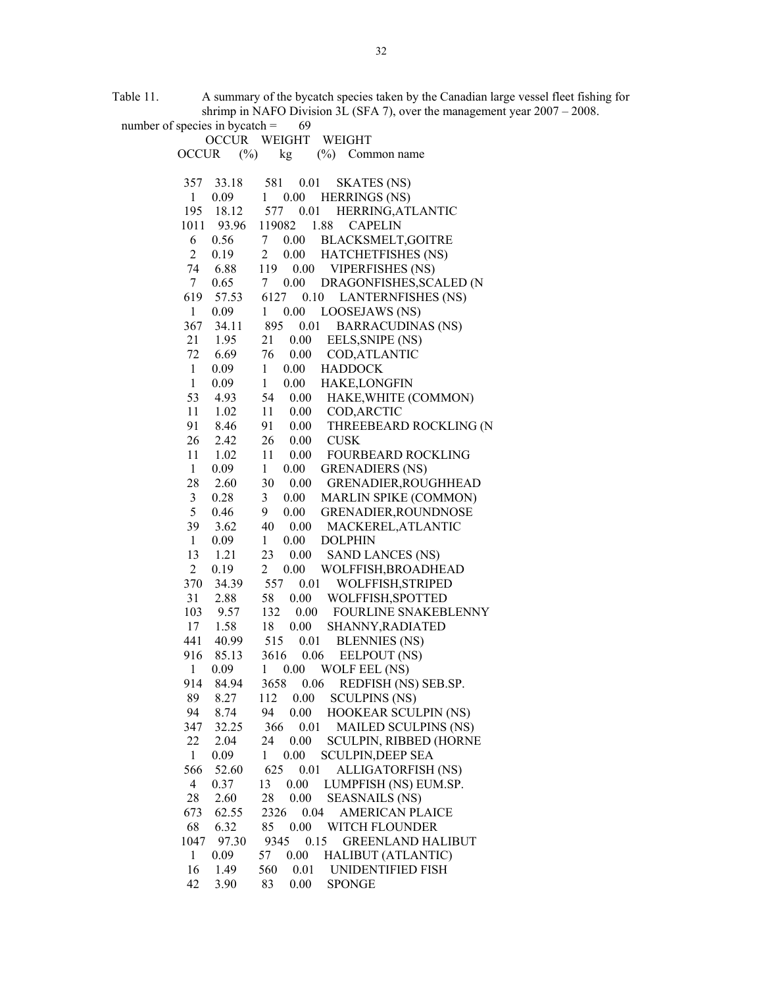Table 11. A summary of the bycatch species taken by the Canadian large vessel fleet fishing for shrimp in NAFO Division 3L (SFA 7), over the management year  $2007 - 2008$ .<br>ies in bycatch = 69

| number of species in bycatch $=$ | 69                                                         |
|----------------------------------|------------------------------------------------------------|
|                                  | OCCUR WEIGHT WEIGHT                                        |
| $(\%)$<br><b>OCCUR</b>           | $(\%)$ Common name<br>kg                                   |
|                                  |                                                            |
| 33.18<br>357                     | 581<br>0.01<br><b>SKATES</b> (NS)                          |
| $\mathbf{1}$<br>0.09             | 0.00<br><b>HERRINGS (NS)</b><br>1                          |
| 195<br>18.12                     | 577<br>0.01<br>HERRING, ATLANTIC                           |
| 1011 93.96                       | 1.88<br>119082<br><b>CAPELIN</b>                           |
| 6<br>0.56                        | $7\overline{ }$<br>BLACKSMELT, GOITRE<br>0.00              |
| $\overline{2}$<br>0.19           | HATCHETFISHES (NS)<br>$\overline{2}$<br>0.00               |
| 74<br>6.88                       | <b>VIPERFISHES (NS)</b><br>119<br>0.00                     |
| $\tau$<br>0.65                   | 0.00<br>DRAGONFISHES, SCALED (N<br>7                       |
| 619<br>57.53                     | 6127<br>0.10<br><b>LANTERNFISHES (NS)</b>                  |
| 1<br>0.09                        | 0.00<br><b>LOOSEJAWS</b> (NS)<br>$\mathbf{1}$              |
| 367<br>34.11                     | 895<br>0.01<br><b>BARRACUDINAS (NS)</b>                    |
| $\frac{1.95}{6}$<br>21           | 0.00<br>21<br>EELS, SNIPE (NS)                             |
| 6.69<br>72                       | 76<br>0.00<br>COD, ATLANTIC                                |
| $\mathbf{1}$<br>0.09             | $\mathbf{1}$<br>0.00<br><b>HADDOCK</b>                     |
| 0.09<br>$\mathbf{1}$             | $\mathbf{1}$<br>0.00<br>HAKE, LONGFIN                      |
| 4.93<br>53                       | 54<br>0.00<br>HAKE, WHITE (COMMON)                         |
| 11<br>1.02                       | 11<br>0.00<br>COD, ARCTIC                                  |
| 91<br>8.46                       | 0.00<br>91<br>THREEBEARD ROCKLING (N                       |
| 26<br>2.42                       | 26<br>0.00<br><b>CUSK</b>                                  |
| 11<br>1.02                       | 11<br>0.00<br><b>FOURBEARD ROCKLING</b>                    |
| $\mathbf{1}$<br>0.09             | $\mathbf{1}$<br>0.00<br><b>GRENADIERS (NS)</b>             |
| 28<br>2.60                       | 30<br>0.00<br>GRENADIER, ROUGHHEAD                         |
| 3<br>0.28                        | $\mathfrak{Z}$<br>MARLIN SPIKE (COMMON)<br>0.00            |
| 5<br>0.46                        | GRENADIER, ROUNDNOSE<br>9<br>0.00                          |
| 39<br>3.62                       | 40<br>0.00<br>MACKEREL, ATLANTIC                           |
| $\mathbf{1}$<br>0.09             | $\mathbf{1}$<br>0.00<br><b>DOLPHIN</b>                     |
| 13<br>1.21                       | 23<br><b>SAND LANCES (NS)</b><br>0.00                      |
| $\overline{2}$<br>0.19           | $\overline{2}$<br>WOLFFISH, BROADHEAD<br>0.00              |
| 370<br>34.39                     | 557<br>0.01<br>WOLFFISH, STRIPED                           |
| 31<br>2.88                       | 58<br>0.00 WOLFFISH, SPOTTED                               |
| 103<br>9.57                      | 0.00 FOURLINE SNAKEBLENNY<br>132                           |
| 17<br>1.58                       | 0.00<br>18<br>SHANNY, RADIATED                             |
| 441<br>40.99                     | 0.01<br>515<br><b>BLENNIES (NS)</b>                        |
| 916<br>85.13                     | 3616 0.06<br>EELPOUT (NS)                                  |
| $\mathbf{1}$<br>0.09             | 0.00<br>WOLF EEL (NS)<br>1<br>0.06<br>REDFISH (NS) SEB.SP. |
| 914<br>84.94<br>89<br>8.27       | 3658<br>112<br>0.00<br><b>SCULPINS (NS)</b>                |
| 94<br>8.74                       | 94<br>0.00<br><b>HOOKEAR SCULPIN (NS)</b>                  |
| 347<br>32.25                     | 366<br>0.01<br><b>MAILED SCULPINS (NS)</b>                 |
| 22<br>2.04                       | 24<br>0.00<br>SCULPIN, RIBBED (HORNE                       |
| 0.09<br>$\mathbf{1}$             | 0.00<br><b>SCULPIN, DEEP SEA</b><br>1                      |
| 566<br>52.60                     | 625<br>ALLIGATORFISH (NS)<br>0.01                          |
| 4<br>0.37                        | 13<br>0.00<br>LUMPFISH (NS) EUM.SP.                        |
| 28<br>2.60                       | 0.00<br>28<br><b>SEASNAILS (NS)</b>                        |
| 673<br>62.55                     | 2326<br>0.04<br><b>AMERICAN PLAICE</b>                     |
| 68<br>6.32                       | 85<br>0.00<br>WITCH FLOUNDER                               |
| 97.30<br>1047                    | 9345<br>0.15<br><b>GREENLAND HALIBUT</b>                   |
| $\mathbf{1}$<br>0.09             | 57<br>0.00<br><b>HALIBUT (ATLANTIC)</b>                    |
| 16<br>1.49                       | 560<br>0.01<br>UNIDENTIFIED FISH                           |
| 42<br>3.90                       | 83<br>0.00<br><b>SPONGE</b>                                |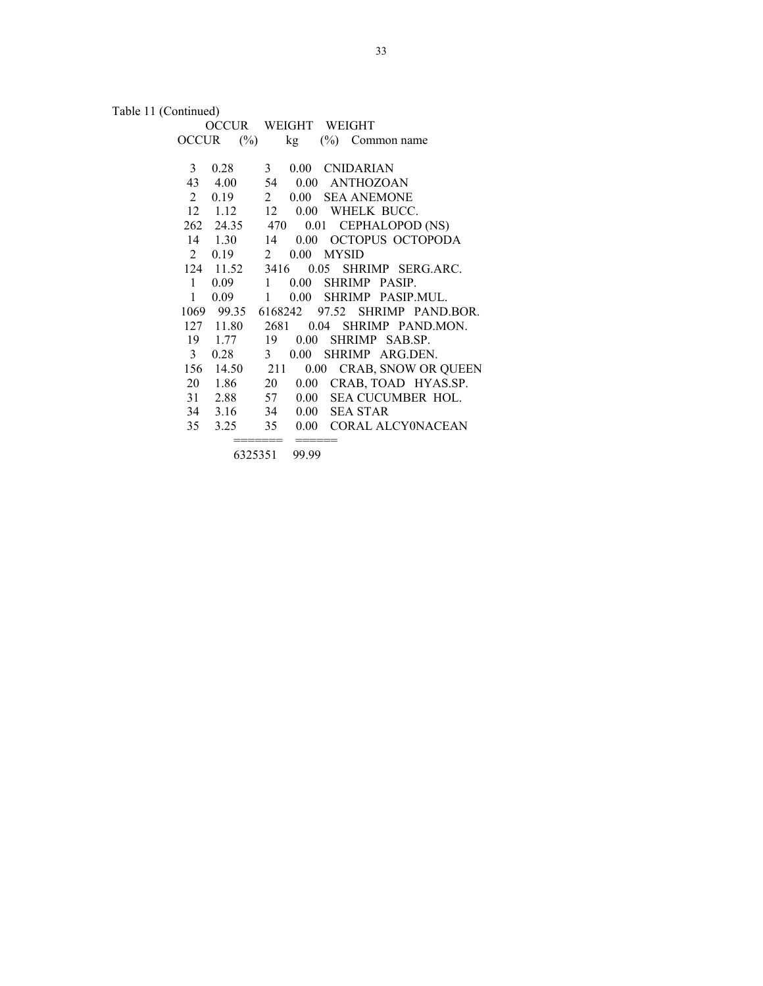Table 11 (Continued)

|                        | OCCUR WEIGHT WEIGHT                       |
|------------------------|-------------------------------------------|
| OCCUR                  | $(\%)$<br>kg<br>$(\%)$<br>Common name     |
|                        |                                           |
| 0.28<br>$\mathfrak{Z}$ | 0.00 CNIDARIAN<br>$\mathbf{3}$            |
| 43<br>4.00             | 0.00 ANTHOZOAN<br>54                      |
| $\overline{2}$<br>0.19 | 2<br>0.00 SEA ANEMONE                     |
| $12 \quad 1.12$        | 12<br>0.00 WHELK BUCC.                    |
|                        | 262 24.35 470 0.01 CEPHALOPOD (NS)        |
| 14 1.30                | 0.00 OCTOPUS OCTOPODA<br>14               |
| $\mathbf{2}$<br>0.19   | $0.00$ MYSID<br>2                         |
| 124 11.52              | 3416 0.05 SHRIMP SERG.ARC.                |
| $\mathbf{1}$<br>0.09   | 0.00 SHRIMP PASIP.<br>$\mathbf{1}$        |
| $\mathbf{1}$<br>0.09   | $\mathbf{1}$<br>0.00 SHRIMP PASIP.MUL.    |
|                        | 1069 99.35 6168242 97.52 SHRIMP PAND.BOR. |
| 127 11.80              | 2681<br>0.04 SHRIMP PAND.MON.             |
| 19 1.77                | 19<br>0.00<br>SHRIMP SAB.SP.              |
| 3 <sup>7</sup><br>0.28 | 3 <sup>1</sup><br>0.00<br>SHRIMP ARG.DEN. |
| 156 14.50              | 0.00 CRAB, SNOW OR QUEEN<br>211           |
| 20 1.86                | 20<br>0.00 CRAB, TOAD HYAS.SP.            |
| 31 2.88                | SEA CUCUMBER HOL.<br>57<br>0.00           |
| 34 3.16                | 34<br>0.00<br><b>SEA STAR</b>             |
| 35<br>3.25             | 0.00 CORAL ALCY0NACEAN<br>35              |
|                        |                                           |

6325351 99.99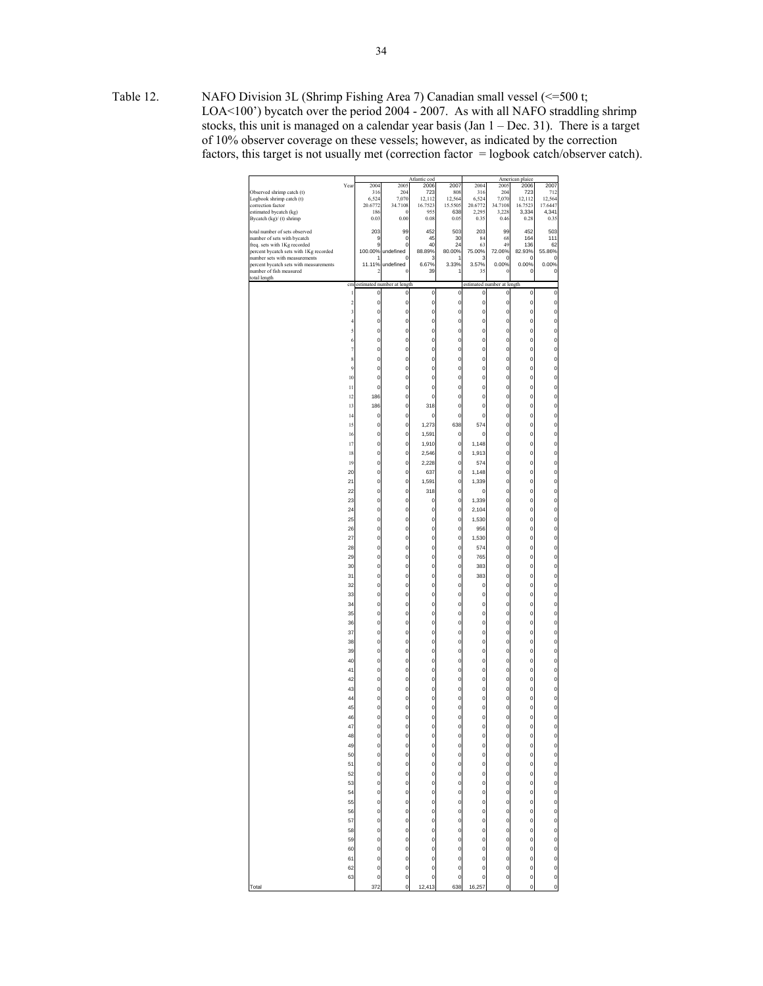Table 12. NAFO Division 3L (Shrimp Fishing Area 7) Canadian small vessel (<=500 t; LOA<100') bycatch over the period 2004 - 2007. As with all NAFO straddling shrimp stocks, this unit is managed on a calendar year basis (Jan 1 – Dec. 31). There is a target of 10% observer coverage on these vessels; however, as indicated by the correction factors, this target is not usually met (correction factor = logbook catch/observer catch).

|                                        |                |              |                            | Atlantic cod |              |                |                            | American plaice |              |
|----------------------------------------|----------------|--------------|----------------------------|--------------|--------------|----------------|----------------------------|-----------------|--------------|
|                                        | Year           | 2004         | 2005                       | 2006         | 2007         | 2004           | 2005                       | 2006            | 2007         |
| Observed shrimp catch (t)              |                | 316          | 204                        | 723          | 808          | 316            | 204                        | 723             | 712          |
| Logbook shrimp catch (t)               |                | 6,524        | 7,070                      | 12,112       | 12,564       | 6,524          | 7,070                      | 12,112          | 12.564       |
| correction factor                      |                | 20.6772      | 34.7108                    | 16.7523      | 15.5505      | 20.6772        | 34.7108                    | 16.7523         | 17.6447      |
| estimated bycatch (kg)                 |                | 186          | $\sqrt{ }$                 | 955          | 638          | 2.295          | 3,228                      | 3,334           | 4,341        |
| Bycatch (kg)/ (t) shrimp               |                | 0.03         | 0.00                       | 0.08         | 0.05         | 0.35           | 0.46                       | 0.28            | 0.35         |
| total number of sets observed          |                | 203          | 99                         | 452          | 503          | 203            | 99                         | 452             | 503          |
| number of sets with bycatch            |                | 9            | $\circ$                    | 45           | 30           | 84             | 68                         | 164             | 111          |
| freq. sets with 1Kg recorded           |                | 9            | 0                          | 40           | 24           | 63             | 49                         | 136             | 62           |
| percent bycatch sets with 1Kg recorded |                | 100.00%      | undefined                  | 88.89%       | 80.00%       | 75.00%         | 72.06%                     | 82.93%          | 55.86%       |
| number sets with measurements          |                | 1            | O                          | 3            | 1            | 3              | 0                          | O               | 0            |
| percent bycatch sets with measurements |                | 11.11%       | undefined                  | 6.67%        | 3.33%        | 3.57%          | 0.00%                      | 0.00%           | 0.00%        |
| number of fish measured                |                | 2            | $\overline{0}$             | 39           |              | 35             | 0                          | 0               | 0            |
| total length                           |                |              |                            |              |              |                |                            |                 |              |
|                                        | cm             |              | estimated number at length |              |              |                | estimated number at length |                 |              |
|                                        | 1              | 0            | 0                          | 0            | 0            | 0              | 0                          | 0               | 0            |
|                                        | $\overline{a}$ | 0            | O                          | 0            | 0            | 0              | $\mathbf{0}$               | 0               | 0            |
|                                        | 3              | 0            | O                          | 0            | 0            | o              | 0                          | 0               | $\mathbf 0$  |
|                                        |                |              |                            |              |              |                |                            |                 |              |
|                                        | $\overline{4}$ | $\mathbf{0}$ | O                          | $\mathbf{0}$ | $\mathbf{0}$ | o              | $\mathbf 0$                | $\mathbf 0$     | $\mathbf 0$  |
|                                        | 5              | $\mathbf{0}$ | $\mathbf 0$                | $\mathbf{0}$ | $\mathbf{0}$ | o              | $\mathbf{0}$               | $\mathbf{0}$    | $\mathbf 0$  |
|                                        | 6              | $\mathbf{0}$ | $\mathbf{0}$               | $\mathbf{0}$ | $\mathbf{0}$ | $\overline{0}$ | $\mathbf{0}$               | $\mathbf 0$     | $\mathbf{0}$ |
|                                        |                |              |                            |              |              |                |                            |                 |              |
|                                        | 7              | $\mathbf{0}$ | $\mathbf 0$                | $\mathbf{0}$ | $\mathbf{0}$ | o              | $\mathbf{0}$               | $\mathbf{0}$    | $\mathbf 0$  |
|                                        | 8              | $\mathbf{0}$ | $\mathbf 0$                | $\mathbf{0}$ | $\mathbf{0}$ | o              | $\mathbf 0$                | $\mathbf{0}$    | $\mathbf 0$  |
|                                        | $\overline{9}$ | $\mathbf{0}$ | $\mathbf 0$                | $\mathbf{0}$ | O            | o              | $\mathbf{0}$               | $\mathbf{0}$    | $\mathbf 0$  |
|                                        | 10             | $\mathbf{0}$ | $\mathbf 0$                | $\mathbf{0}$ |              | $\mathbf{0}$   | $\mathbf{0}$               | 0               | $\mathbf 0$  |
|                                        |                |              |                            |              | 0            |                |                            |                 |              |
|                                        | 11             | $\mathbf{0}$ | $\mathbf 0$                | $\mathbf{0}$ | O            | o              | o                          | $\mathbf{0}$    | $\mathbf 0$  |
|                                        | 12             | 186          | $\mathbf 0$                | $\mathbf{0}$ | 0            | o              | 0                          | $\mathbf{0}$    | $\mathbf 0$  |
|                                        | 13             | 186          | $\mathbf 0$                | 318          | O            | o              | $\mathbf{0}$               | $\mathbf{0}$    | $\mathbf 0$  |
|                                        |                |              |                            |              |              |                |                            |                 |              |
|                                        | 14             | 0            | $\mathbf 0$                | 0            | 0            | o              | 0                          | 0               | $\mathbf 0$  |
|                                        | 15             | 0            | $\mathbf{o}$               | 1,273        | 638          | 574            | 0                          | O               | $\mathbf 0$  |
|                                        | 16             | 0            | $\circ$                    | 1,591        | 0            | 0              | 0                          | 0               | $\mathbf 0$  |
|                                        | 17             | 0            | $\mathbf 0$                | 1,910        | 0            | 1,148          | 0                          | o               | $\mathbf{0}$ |
|                                        |                |              |                            |              |              |                |                            |                 |              |
|                                        | 18             | 0            | $\mathbf 0$                | 2,546        | 0            | 1,913          | o                          | 0               | $\mathbf 0$  |
|                                        | 19             | 0            | $\mathbf{0}$               | 2,228        | 0            | 574            | 0                          | 0               | 0            |
|                                        | 20             | 0            | O                          | 637          | 0            | 1,148          | 0                          | 0               | 0            |
|                                        | 21             | 0            | $\mathbf{0}$               | 1,591        | 0            | 1,339          | 0                          | 0               | 0            |
|                                        |                |              |                            |              |              |                |                            |                 |              |
|                                        | 22             | 0            | O                          | 318          | 0            | 0              | 0                          | 0               | 0            |
|                                        | 23             | 0            | $\mathbf{0}$               | 0            | 0            | 1,339          | 0                          | 0               | 0            |
|                                        | 24             | 0            | $\mathbf 0$                | 0            | 0            | 2,104          | 0                          | 0               | 0            |
|                                        |                |              |                            |              |              |                |                            |                 |              |
|                                        | 25             | $\mathbf{0}$ | $\mathbf{0}$               | $\mathbf 0$  | $\mathbf 0$  | 1,530          | $\mathbf{0}$               | $\mathbf 0$     | $\mathbf{0}$ |
|                                        | 26             | $\mathbf{0}$ | $\mathbf 0$                | $\mathbf{0}$ | $\mathbf{0}$ | 956            | $\mathbf{0}$               | $\mathbf{0}$    | $\mathbf 0$  |
|                                        | 27             | $\mathbf{0}$ | $\mathbf 0$                | $\mathbf{0}$ | $\mathbf 0$  | 1,530          | $\mathbf 0$                | $\mathbf{0}$    | $\mathbf 0$  |
|                                        | 28             | $\mathbf{0}$ | $\mathbf 0$                | $\mathbf{0}$ | $\mathbf 0$  | 574            | $\mathbf{0}$               | $\mathbf{0}$    | $\mathbf 0$  |
|                                        |                |              |                            |              |              |                |                            |                 |              |
|                                        | 29             | $\mathbf{0}$ | $\mathbf{0}$               | $\mathbf{0}$ | $\mathbf 0$  | 765            | $\mathbf{0}$               | 0               | $\mathbf{0}$ |
|                                        | 30             | o            | $\mathbf 0$                | $\mathbf{0}$ | O            | 383            | o                          | $\mathbf{0}$    | $\mathbf 0$  |
|                                        | 31             | 0            | $\mathbf 0$                | $\mathbf{0}$ | 0            | 383            | 0                          | $\mathbf{0}$    | $\mathbf 0$  |
|                                        |                | $\mathbf{0}$ | $\mathbf 0$                |              |              |                |                            | $\mathbf{0}$    |              |
|                                        | 32             |              |                            | $\mathbf 0$  | O            | 0              | $\mathbf{0}$               |                 | $\mathbf 0$  |
|                                        | 33             | 0            | $\mathbf 0$                | $\mathbf{0}$ | O            | o              | $\mathbf{0}$               | 0               | $\mathbf 0$  |
|                                        | 34             | o            | $\mathbf 0$                | $\mathbf{0}$ | O            | o              | o                          | $\mathbf{0}$    | $\mathbf 0$  |
|                                        | 35             | 0            | $\mathbf 0$                | $\mathbf{0}$ | O            | o              | 0                          | $\mathbf{0}$    | $\mathbf 0$  |
|                                        |                |              |                            |              |              |                |                            |                 |              |
|                                        | 36             | 0            | $\mathbf 0$                | $\mathbf 0$  | 0            | o              | 0                          | 0               | $\mathbf 0$  |
|                                        | 37             | 0            | $\mathbf 0$                | $\mathbf{0}$ | O            | o              | 0                          | 0               | $\mathbf 0$  |
|                                        | 38             | 0            | $\mathbf{o}$               | $\mathbf 0$  | O            | $\circ$        | 0                          | O               | $\mathbf 0$  |
|                                        | 39             | 0            | $\mathbf{0}$               | $\mathbf 0$  | O            | $\mathbf{0}$   | 0                          | 0               | $\mathbf 0$  |
|                                        |                |              | $\mathbf{o}$               | $\mathbf 0$  | O            | $\circ$        |                            |                 | $\mathbf 0$  |
|                                        | 40             | 0            |                            |              |              |                | 0                          | 0               |              |
|                                        | 41             | 0            | $\mathbf 0$                | 0            | 0            | o              | 0                          | 0               | $\mathbf 0$  |
|                                        | 42             | 0            | O                          | 0            | 0            | o              | 0                          | 0               | 0            |
|                                        | 43             | 0            | $\mathbf 0$                | 0            | 0            | o              | 0                          | 0               | 0            |
|                                        |                |              | O                          |              |              | o              |                            |                 |              |
|                                        | 44             | 0            |                            | 0            | 0            |                | 0                          | 0               | 0            |
|                                        | 45             | 0            | O                          | 0            | 0            | o              | 0                          | 0               | 0            |
|                                        | 46             | 0            | O                          | 0            | 0            | o              | 0                          | 0               | 0            |
|                                        | 47             | $\mathbf{0}$ | $\mathbf{0}$               | $\mathsf{o}$ | $\mathbf{0}$ | $\mathbf{0}$   | $\mathbf{0}$               | o               | $\mathbf 0$  |
|                                        |                |              |                            |              |              |                |                            |                 |              |
|                                        | 48             | 0            | $\circ$                    | 0            | 0            | 0              | 0                          | 0               | $\mathbf 0$  |
|                                        | 49             | o            | $\circ$                    | $\mathbf 0$  | 0            | $\circ$        | $\mathbf{0}$               | O               | $\circ$      |
|                                        | 50             | o            | $\circ$                    | $\mathbf 0$  | 0            | o              | 0                          | O               | $\mathbf{0}$ |
|                                        | 51             | o            | $\mathbf{o}$               | $\mathbf 0$  | 0            | $\circ$        | o                          | O               | $\circ$      |
|                                        |                |              |                            |              |              |                |                            |                 |              |
|                                        | 52             | O            | $\mathbf{0}$               | $\mathbf 0$  | 0            | $\mathbf{0}$   | O                          | o               | $\circ$      |
|                                        | 53             | O            | $\circ$                    | $\circ$      | $\circ$      | $\circ$        | 0                          | O               | $\circ$      |
|                                        | 54             | 0            | $\circ$                    | $\mathbf 0$  | 0            | $\circ$        | 0                          | O               | $\circ$      |
|                                        |                |              | $\frac{1}{\sqrt{2}}$       |              |              | $\circ$        |                            |                 | $\circ$      |
|                                        | 55             | O            |                            | $\circ$      | 0            |                | 0                          | O               |              |
|                                        | 56             | O            | $\mathbf{0}$               | $\mathbf{0}$ | 0            | $\circ$        | O                          | O               | $\circ$      |
|                                        | 57             | O            | $\mathbf{o}$               | $\circ$      | 0            | $\circ$        | O                          | 0               | $\mathbf 0$  |
|                                        | 58             |              | $\mathbf{o}$               | $\circ$      | 0            | $\circ$        | 0                          | 0               | $\circ$      |
|                                        |                | 0            |                            |              |              |                |                            |                 |              |
|                                        | 59             | o            | $\circ$                    | $\circ$      | 0            | $\circ$        | O                          | $\mathbf 0$     | $\mathbf{0}$ |
|                                        | 60             | o            | $\mathbf{0}$               | $\mathbf 0$  | 0            | $\mathbf{0}$   | O                          | 0               | $\mathbf 0$  |
|                                        | 61             | 0            | $\mathbf{o}$               | $\mathbf 0$  | 0            | $\mathbf{0}$   | O                          | O               | $\mathbf{0}$ |
|                                        |                |              |                            |              |              |                |                            |                 |              |
|                                        | 62             | 0            | $\circ$                    | $\mathbf 0$  | 0            | $\circ$        | 0                          | O               | $\circ$      |
|                                        | 63             | 0            | $\circ$                    | $\mathbf 0$  | $\mathbf{0}$ | o              | o                          | O               | $\circ$      |
| Total                                  |                | 372          | o                          | 12,413       | 638          | 16,257         | o                          | 0               | $\mathbf 0$  |
|                                        |                |              |                            |              |              |                |                            |                 |              |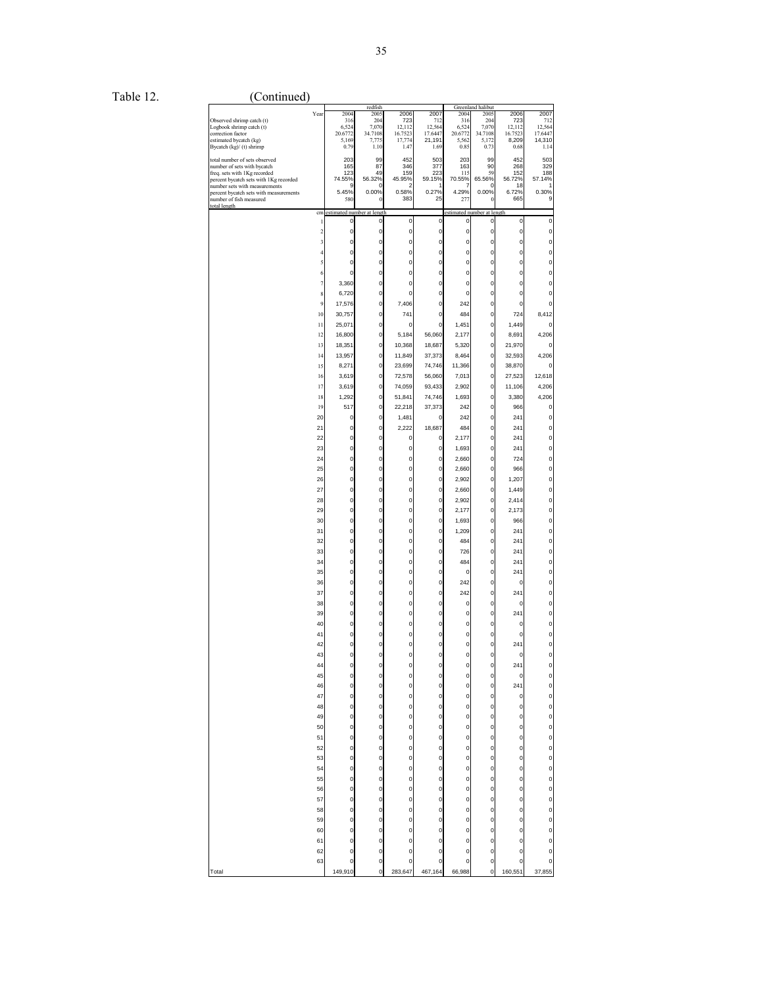Table 12. (Continued)

|                                                                   |                            | redfish        |                         |             |                            | Greenland halibut |              |              |
|-------------------------------------------------------------------|----------------------------|----------------|-------------------------|-------------|----------------------------|-------------------|--------------|--------------|
| Year                                                              | 2004                       | 2005           | 2006                    | 2007        | 2004                       | 2005              | 2006         | 2007         |
| Observed shrimp catch (t)                                         | 316                        | 204            | 723                     | 712         | 316                        | 204               | 723          | 712          |
| Logbook shrimp catch (t)                                          | 6,524                      | 7,070          | 12,112                  | 12,564      | 6,524                      | 7,070             | 12,112       | 12,564       |
| correction factor                                                 | 20.6772                    | 34.7108        | 16.7523                 | 17.6447     | 20.6772                    | 34.7108           | 16.7523      | 17.6447      |
| estimated bycatch (kg)                                            | 5,169                      | 7,775          | 17,774                  | 21,191      | 5,562                      | 5,172             | 8,209        | 14,310       |
| Bycatch (kg)/ (t) shrimp                                          | 0.79                       | 1.10           | 1.47                    | 1.69        | 0.85                       | 0.73              | 0.68         | 1.14         |
|                                                                   |                            |                |                         |             |                            |                   |              |              |
| total number of sets observed                                     | 203                        | 99             | 452                     | 503         | 203                        | 99                | 452          | 503          |
| number of sets with bycatch                                       | 165                        | 87             | 346                     | 377         | 163                        | 90                | 268          | 329          |
| freq. sets with 1Kg recorded                                      | 123<br>74.55%              | 49             | 159                     | 223         | 115<br>70.55%              | 59<br>65.56%      | 152          | 188          |
| percent bycatch sets with 1Kg recorded                            |                            | 56.32%         | 45.95%                  | 59.15%      |                            |                   | 56.72%       | 57.14%       |
| number sets with measurements                                     | 9<br>5.45%                 | 0<br>0.00%     | $\overline{a}$<br>0.58% | 1<br>0.27%  | 7<br>4.29%                 | 0<br>0.00%        | 18<br>6.72%  | 1<br>0.30%   |
| percent bycatch sets with measurements<br>number of fish measured | 580                        | 0              | 383                     | 25          | 277                        | 0                 | 665          | 9            |
| total length                                                      |                            |                |                         |             |                            |                   |              |              |
| cm                                                                | estimated number at length |                |                         |             | estimated number at length |                   |              |              |
|                                                                   |                            |                |                         |             |                            |                   |              |              |
| 1                                                                 | 0                          | $\mathbf 0$    | 0                       | 0           | 0                          | 0                 | 0            | 0            |
| $\overline{\mathbf{c}}$                                           | 0                          | 0              | 0                       | $\pmb{0}$   | 0                          | $\pmb{0}$         | 0            | 0            |
| 3                                                                 | 0                          | $\mathbf{0}$   | 0                       | $\mathbf 0$ | $\mathbf 0$                | $\mathbf 0$       | 0            | 0            |
|                                                                   |                            |                |                         |             |                            |                   |              |              |
| Δ                                                                 | 0                          | 0              | 0                       | $\pmb{0}$   | $\pmb{0}$                  | $\pmb{0}$         | 0            | 0            |
| 5                                                                 | 0                          | $\mathbf{0}$   | 0                       | $\mathbf 0$ | $\mathbf 0$                | $\mathbf 0$       | 0            | 0            |
|                                                                   |                            |                |                         |             |                            |                   |              |              |
| 6                                                                 | 0                          | 0              | 0                       | $\pmb{0}$   | 0                          | 0                 | 0            | 0            |
| 7                                                                 | 3,360                      | $\mathbf{0}$   | 0                       | 0           | $\mathbf 0$                | $\mathbf 0$       | 0            | 0            |
|                                                                   |                            |                |                         |             |                            |                   |              |              |
| 8                                                                 | 6,720                      | $\pmb{0}$      | 0                       | $\pmb{0}$   | $\pmb{0}$                  | $\pmb{0}$         | 0            | 0            |
| $\overline{9}$                                                    | 17,576                     | $\pmb{0}$      | 7,406                   | $\mathbf 0$ | 242                        | $\mathbf 0$       | 0            | $\mathbf{0}$ |
|                                                                   |                            |                |                         |             |                            |                   |              |              |
| 10                                                                | 30,757                     | 0              | 741                     | 0           | 484                        | 0                 | 724          | 8,412        |
| 11                                                                | 25,071                     | 0              | 0                       | $\mathbf 0$ | 1,451                      | $\mathbf 0$       | 1,449        | $\mathbf 0$  |
|                                                                   |                            |                |                         |             |                            |                   |              |              |
| 12                                                                | 16,800                     | 0              | 5,184                   | 56,060      | 2,177                      | 0                 | 8,691        | 4,206        |
| 13                                                                | 18,351                     | $\mathbf 0$    | 10,368                  | 18,687      | 5,320                      | $\pmb{0}$         | 21,970       | 0            |
|                                                                   |                            |                |                         |             |                            |                   |              |              |
| 14                                                                | 13,957                     | 0              | 11,849                  | 37,373      | 8,464                      | $\pmb{0}$         | 32,593       | 4,206        |
| 15                                                                | 8,271                      | 0              | 23,699                  | 74,746      | 11,366                     | 0                 | 38,870       | 0            |
|                                                                   |                            |                |                         |             |                            |                   |              |              |
| 16                                                                | 3,619                      | 0              | 72,578                  | 56,060      | 7,013                      | 0                 | 27,523       | 12,618       |
| 17                                                                | 3,619                      | $\mathbf 0$    | 74,059                  | 93,433      | 2,902                      | $\pmb{0}$         | 11,106       | 4,206        |
|                                                                   |                            |                |                         |             |                            |                   |              |              |
| 18                                                                | 1,292                      | $\mathbf 0$    | 51,841                  | 74,746      | 1,693                      | $\mathbf 0$       | 3,380        | 4,206        |
| 19                                                                | 517                        | 0              | 22,218                  | 37,373      | 242                        | 0                 | 966          | 0            |
|                                                                   |                            |                |                         |             |                            |                   |              |              |
| 20                                                                | 0                          | 0              | 1,481                   | 0           | 242                        | $\mathbf 0$       | 241          | 0            |
| 21                                                                | 0                          | $\pmb{0}$      | 2,222                   | 18,687      | 484                        | $\pmb{0}$         | 241          | 0            |
| 22                                                                | 0                          | $\mathbf{0}$   | 0                       | 0           |                            | $\mathbf 0$       | 241          | 0            |
|                                                                   |                            |                |                         |             | 2,177                      |                   |              |              |
| 23                                                                | 0                          | 0              | 0                       | 0           | 1,693                      | $\pmb{0}$         | 241          | 0            |
| 24                                                                | 0                          | $\mathbf{0}$   | 0                       | $\mathbf 0$ | 2.660                      | $\mathbf 0$       | 724          | 0            |
|                                                                   |                            |                |                         |             |                            |                   |              |              |
| 25                                                                | 0                          | 0              | 0                       | $\pmb{0}$   | 2,660                      | $\pmb{0}$         | 966          | 0            |
| 26                                                                | 0                          | $\mathbf{0}$   | 0                       | $\pmb{0}$   | 2,902                      | $\pmb{0}$         | 1,207        | 0            |
|                                                                   |                            |                |                         |             |                            |                   |              |              |
| 27                                                                | 0                          | 0              | 0                       | 0           | 2,660                      | 0                 | 1,449        | 0            |
| 28                                                                | 0                          | $\mathbf{0}$   | 0                       | $\mathbf 0$ | 2,902                      | $\mathbf 0$       | 2,414        | 0            |
|                                                                   |                            |                |                         |             |                            |                   |              |              |
| 29                                                                | 0                          | 0              | 0                       | 0           | 2,177                      | $\pmb{0}$         | 2,173        | 0            |
| 30                                                                | 0                          | 0              | 0                       | $\pmb{0}$   | 1,693                      | $\mathbf 0$       | 966          | 0            |
|                                                                   |                            |                |                         |             |                            |                   |              |              |
| 31                                                                | 0                          | 0              | 0                       | 0           | 1,209                      | 0                 | 241          | 0            |
| 32                                                                | 0                          | $\mathbf{0}$   | 0                       | $\pmb{0}$   | 484                        | $\pmb{0}$         | 241          | 0            |
|                                                                   |                            |                |                         |             |                            |                   |              |              |
| 33                                                                | 0                          | 0              | 0                       | 0           | 726                        | 0                 | 241          | 0            |
| 34                                                                | 0                          | $\mathbf 0$    | 0                       | $\pmb{0}$   | 484                        | $\pmb{0}$         | 241          | 0            |
|                                                                   |                            |                |                         |             |                            |                   |              |              |
| 35                                                                | 0                          | $\mathbf{0}$   | 0                       | $\mathbf 0$ | 0                          | $\mathbf 0$       | 241          | 0            |
| 36                                                                | 0                          | 0              | 0                       | $\pmb{0}$   | 242                        | 0                 | 0            | 0            |
| 37                                                                | 0                          | $\mathbf{0}$   | 0                       | $\mathbf 0$ | 242                        | $\mathbf 0$       | 241          | 0            |
|                                                                   |                            |                |                         |             |                            |                   |              |              |
| 38                                                                | 0                          | 0              | 0                       | $\pmb{0}$   | 0                          | $\pmb{0}$         | 0            | 0            |
| 39                                                                | 0                          | $\mathbf{0}$   | 0                       | $\mathbf 0$ | $\mathbf 0$                | $\mathbf 0$       | 241          | 0            |
|                                                                   |                            |                |                         |             |                            |                   |              |              |
| 40                                                                | 0                          | 0              | 0                       | 0           | 0                          | 0                 | 0            | 0            |
| 41                                                                | 0                          | $\mathbf{0}$   | 0                       | 0           | $\mathbf 0$                | $\mathbf{0}$      | 0            | 0            |
|                                                                   |                            |                |                         |             |                            |                   |              |              |
| 42                                                                | 0                          | $\pmb{0}$      | 0                       | $\mathbf 0$ | $\pmb{0}$                  | $\pmb{0}$         | 241          | 0            |
| 43                                                                | $\mathbf{0}$               | $\circ$        | $\mathbf 0$             | $\mathbf 0$ | $\mathbf 0$                | $\mathbf 0$       | 0            | $\mathbf 0$  |
|                                                                   |                            |                |                         |             |                            |                   |              |              |
| 44                                                                | 0                          | 0              | 0                       | 0           | 0                          | 0                 | 241          | 0            |
| 45                                                                | 0                          | 0              | 0                       | 0           | 0                          | 0                 | 0            | 0            |
| 46                                                                | 0                          | 0              | 0                       | 0           | $\mathbf{0}$               | 0                 | 241          | 0            |
|                                                                   |                            |                |                         |             |                            |                   |              |              |
| 47                                                                | 0                          | $\pmb{0}$      | 0                       | $\mathbf 0$ | $\mathbf 0$                | $\pmb{0}$         | 0            | 0            |
| 48                                                                | 0                          | 0              | 0                       | 0           | 0                          | 0                 | 0            | 0            |
|                                                                   |                            |                |                         |             |                            |                   |              |              |
| 49                                                                | 0                          | $\mathbf 0$    | O                       | $\pmb{0}$   | $\mathbf 0$                | $\mathbf 0$       | 0            | 0            |
| 50                                                                | 0                          | $\pmb{0}$      | 0                       | 0           | 0                          | 0                 | 0            | 0            |
|                                                                   |                            |                |                         |             |                            |                   |              |              |
| 51                                                                | 0                          | $\pmb{0}$      | 0                       | $\mathbf 0$ | $\mathbf 0$                | $\pmb{0}$         | $\mathbf{0}$ | 0            |
| 52                                                                | 0                          | $\mathbf 0$    | O                       | $\mathbf 0$ | 0                          | $\mathbf 0$       | 0            | O            |
|                                                                   |                            |                |                         |             |                            |                   |              |              |
| 53                                                                | 0                          | $\pmb{0}$      | 0                       | $\pmb{0}$   | 0                          | $\pmb{0}$         | 0            | 0            |
| 54                                                                | 0                          | $\mathbf{0}$   | 0                       | 0           | $\mathbf 0$                | $\mathbf 0$       | 0            | 0            |
| 55                                                                | 0                          | $\mathbf 0$    | 0                       | $\mathbf 0$ | $\pmb{0}$                  | $\pmb{0}$         | 0            | 0            |
|                                                                   |                            |                |                         |             |                            |                   |              |              |
| 56                                                                | 0                          | $\mathbf 0$    | 0                       | $\pmb{0}$   | $\mathbf 0$                | $\mathbf 0$       | 0            | 0            |
| 57                                                                | 0                          | $\pmb{0}$      | 0                       | 0           | $\mathbf 0$                | $\pmb{0}$         | 0            | 0            |
|                                                                   |                            |                |                         |             |                            |                   |              |              |
| 58                                                                | 0                          | $\mathbf{0}$   | 0                       | 0           | $\mathbf 0$                | $\mathbf 0$       | 0            | 0            |
| 59                                                                | 0                          | $\pmb{0}$      | 0                       | $\mathbf 0$ | $\pmb{0}$                  | $\pmb{0}$         | 0            | 0            |
|                                                                   |                            |                |                         |             |                            |                   |              |              |
| 60                                                                | 0                          | $\mathbf 0$    | 0                       | 0           | $\mathbf{0}$               | $\mathbf 0$       | 0            | O            |
| 61                                                                | 0                          | 0              | 0                       | 0           | 0                          | 0                 | 0            | 0            |
|                                                                   |                            |                |                         |             |                            |                   |              |              |
| 62                                                                | 0                          | $\mathbf{0}$   | 0                       | $\mathbf 0$ | $\mathbf{0}$               | $\mathbf 0$       | 0            | 0            |
| 63                                                                | 0                          | 0              | 0                       | 0           | $\mathbf{0}$               | 0                 | 0            | 0            |
|                                                                   |                            |                |                         |             |                            |                   |              |              |
| Total                                                             | 149,910                    | $\overline{0}$ | 283,647                 | 467,164     | 66,988                     | $\overline{0}$    | 160,551      | 37,855       |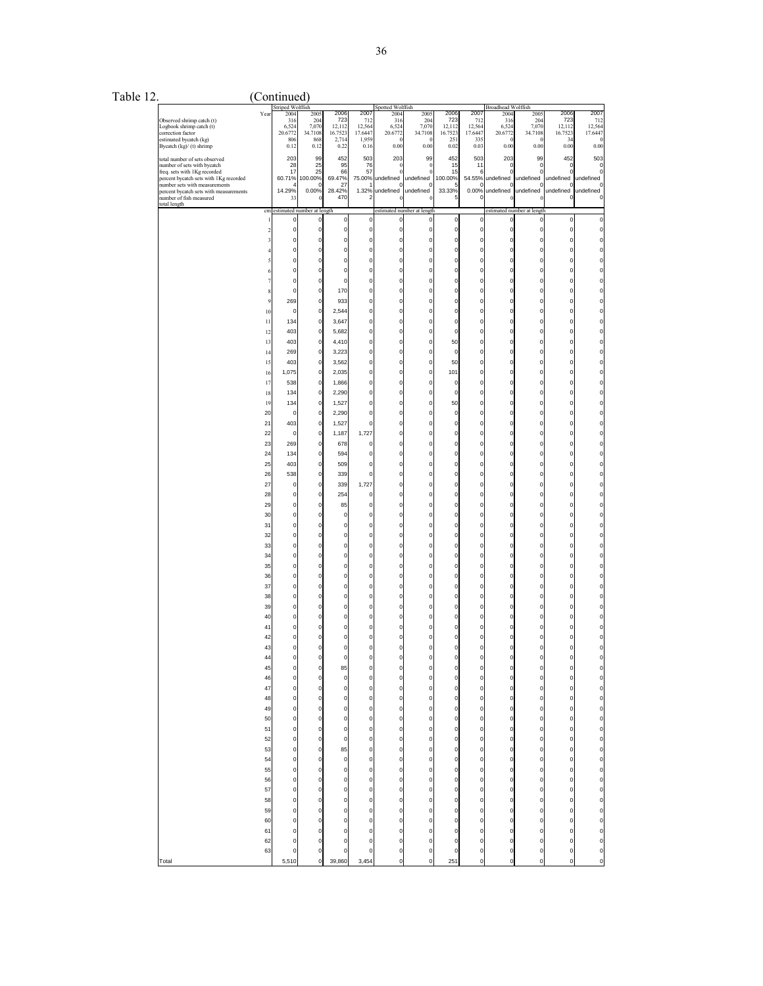| `able 12. |  |  |
|-----------|--|--|
|-----------|--|--|

| Table 12. |                                                                                                                                                                                                                                  |                                                                                                                                                                                                                                                                                                                                       | (Continued)                                                                                                                                                                                                                                                                                                                                                                                                                                                                                   |                                                                                                                                                                                                                                                                                                                                                                                                                                                                                                                                                                                                                                          |                                                                                                                                                                                                                                                                                                                                                                                                                                                                                                                                                                                                                                                                |                                                                                                                                                                                                                                                                                                                                                                                                                                                                                                                                                                                                                                                                                                                                                 |                                                                                                                                                                                                                                                                                                                                                                                                                                                      |                                                                                                                                                                                                                                                                                                                                                                                                                                                                                                                                                                                                                                                                                                                                                                                                                                 |                                                                                                                                                                                                                                                                                                                                                                                                                                                                                                                                                                                                           |                                                                                                                                                                                                                                                                                                                                                                                                                                                                     |                                                                                                                                                                                                                                                                                                                                                                                                                                                                                                                                 |                                                                                                                                                                                                                                                                                                                                                                                                        |                                                                                                                                                                                                                                                                                                                                                                                                                                                                                                                                                                                                                                                                                     |                                                                                                                                                                                                                                                                                                                                                                                                                                                                                                                       |
|-----------|----------------------------------------------------------------------------------------------------------------------------------------------------------------------------------------------------------------------------------|---------------------------------------------------------------------------------------------------------------------------------------------------------------------------------------------------------------------------------------------------------------------------------------------------------------------------------------|-----------------------------------------------------------------------------------------------------------------------------------------------------------------------------------------------------------------------------------------------------------------------------------------------------------------------------------------------------------------------------------------------------------------------------------------------------------------------------------------------|------------------------------------------------------------------------------------------------------------------------------------------------------------------------------------------------------------------------------------------------------------------------------------------------------------------------------------------------------------------------------------------------------------------------------------------------------------------------------------------------------------------------------------------------------------------------------------------------------------------------------------------|----------------------------------------------------------------------------------------------------------------------------------------------------------------------------------------------------------------------------------------------------------------------------------------------------------------------------------------------------------------------------------------------------------------------------------------------------------------------------------------------------------------------------------------------------------------------------------------------------------------------------------------------------------------|-------------------------------------------------------------------------------------------------------------------------------------------------------------------------------------------------------------------------------------------------------------------------------------------------------------------------------------------------------------------------------------------------------------------------------------------------------------------------------------------------------------------------------------------------------------------------------------------------------------------------------------------------------------------------------------------------------------------------------------------------|------------------------------------------------------------------------------------------------------------------------------------------------------------------------------------------------------------------------------------------------------------------------------------------------------------------------------------------------------------------------------------------------------------------------------------------------------|---------------------------------------------------------------------------------------------------------------------------------------------------------------------------------------------------------------------------------------------------------------------------------------------------------------------------------------------------------------------------------------------------------------------------------------------------------------------------------------------------------------------------------------------------------------------------------------------------------------------------------------------------------------------------------------------------------------------------------------------------------------------------------------------------------------------------------|-----------------------------------------------------------------------------------------------------------------------------------------------------------------------------------------------------------------------------------------------------------------------------------------------------------------------------------------------------------------------------------------------------------------------------------------------------------------------------------------------------------------------------------------------------------------------------------------------------------|---------------------------------------------------------------------------------------------------------------------------------------------------------------------------------------------------------------------------------------------------------------------------------------------------------------------------------------------------------------------------------------------------------------------------------------------------------------------|---------------------------------------------------------------------------------------------------------------------------------------------------------------------------------------------------------------------------------------------------------------------------------------------------------------------------------------------------------------------------------------------------------------------------------------------------------------------------------------------------------------------------------|--------------------------------------------------------------------------------------------------------------------------------------------------------------------------------------------------------------------------------------------------------------------------------------------------------------------------------------------------------------------------------------------------------|-------------------------------------------------------------------------------------------------------------------------------------------------------------------------------------------------------------------------------------------------------------------------------------------------------------------------------------------------------------------------------------------------------------------------------------------------------------------------------------------------------------------------------------------------------------------------------------------------------------------------------------------------------------------------------------|-----------------------------------------------------------------------------------------------------------------------------------------------------------------------------------------------------------------------------------------------------------------------------------------------------------------------------------------------------------------------------------------------------------------------------------------------------------------------------------------------------------------------|
|           | Observed shrimp catch (t)<br>Logbook shrimp catch (t)<br>correction factor<br>estimated bycatch (kg)<br>Bycatch (kg)/ (t) shrimp<br>total number of sets observed<br>number of sets with bycatch<br>freq. sets with 1Kg recorded | Year                                                                                                                                                                                                                                                                                                                                  | Striped Wolffish<br>2004<br>316<br>6,524<br>20.6772<br>806<br>0.12<br>203<br>28<br>17                                                                                                                                                                                                                                                                                                                                                                                                         | 2005<br>204<br>7,070<br>34.7108<br>868<br>0.12<br>99<br>25<br>25                                                                                                                                                                                                                                                                                                                                                                                                                                                                                                                                                                         | 2006<br>723<br>12,112<br>16.7523<br>2,714<br>0.22<br>452<br>95<br>66                                                                                                                                                                                                                                                                                                                                                                                                                                                                                                                                                                                           | 2007<br>712<br>12,564<br>17.6447<br>1,959<br>0.16<br>503<br>76<br>57                                                                                                                                                                                                                                                                                                                                                                                                                                                                                                                                                                                                                                                                            | Spotted Wolffish<br>2004<br>316<br>6,524<br>20.6772<br>0<br>0.00<br>203<br>C<br>$\Omega$                                                                                                                                                                                                                                                                                                                                                             | 2005<br>204<br>7,070<br>34.7108<br>-<br>0.00<br>99<br>-                                                                                                                                                                                                                                                                                                                                                                                                                                                                                                                                                                                                                                                                                                                                                                         | 2006<br>723<br>12,112<br>16.7523<br>251<br>0.02<br>452<br>15<br>15                                                                                                                                                                                                                                                                                                                                                                                                                                                                                                                                        | 2007<br>712<br>12,564<br>17.6447<br>335<br>0.03<br>503<br>11<br>6                                                                                                                                                                                                                                                                                                                                                                                                   | <b>Broadhead Wolffish</b><br>2004<br>316<br>6,524<br>20.6772<br>0<br>0.00<br>203<br>0<br>0                                                                                                                                                                                                                                                                                                                                                                                                                                      | 2005<br>204<br>7,070<br>34.7108<br>0.00<br>99<br>C                                                                                                                                                                                                                                                                                                                                                     | 2006<br>723<br>12,112<br>16.7523<br>34<br>0.00<br>452<br>0                                                                                                                                                                                                                                                                                                                                                                                                                                                                                                                                                                                                                          | 2007<br>712<br>12,564<br>17.6447<br>$0.00\,$<br>503<br>0<br>$\mathbf 0$                                                                                                                                                                                                                                                                                                                                                                                                                                               |
|           | percent bycatch sets with 1Kg recorded<br>number sets with measurements<br>percent bycatch sets with measurements<br>number of fish measured<br>total length                                                                     |                                                                                                                                                                                                                                                                                                                                       | 60.71%<br>14.29%<br>33                                                                                                                                                                                                                                                                                                                                                                                                                                                                        | 100.00%<br>c<br>0.00%                                                                                                                                                                                                                                                                                                                                                                                                                                                                                                                                                                                                                    | 69.47%<br>27<br>28.42%<br>470                                                                                                                                                                                                                                                                                                                                                                                                                                                                                                                                                                                                                                  | 75.00%<br>1.32%<br>$\overline{c}$                                                                                                                                                                                                                                                                                                                                                                                                                                                                                                                                                                                                                                                                                                               | undefined<br>0<br>undefined<br>0                                                                                                                                                                                                                                                                                                                                                                                                                     | undefined<br>C<br>undefined                                                                                                                                                                                                                                                                                                                                                                                                                                                                                                                                                                                                                                                                                                                                                                                                     | 100.00%<br>33.33%                                                                                                                                                                                                                                                                                                                                                                                                                                                                                                                                                                                         | 54.55%<br>C<br>0.00%                                                                                                                                                                                                                                                                                                                                                                                                                                                | undefined<br>C<br>undefined                                                                                                                                                                                                                                                                                                                                                                                                                                                                                                     | undefined<br>undefined                                                                                                                                                                                                                                                                                                                                                                                 | undefined<br>undefined undefined<br>0                                                                                                                                                                                                                                                                                                                                                                                                                                                                                                                                                                                                                                               | undefined<br>$\mathbf 0$                                                                                                                                                                                                                                                                                                                                                                                                                                                                                              |
|           | Total                                                                                                                                                                                                                            | g<br>10<br>11<br>12<br>13<br>14<br>15<br>16<br>17<br>18<br>19<br>20<br>21<br>22<br>23<br>24<br>25<br>26<br>27<br>28<br>29<br>30<br>31<br>32<br>33<br>34<br>35<br>36<br>37<br>38<br>39<br>40<br>41<br>42<br>43<br>44<br>45<br>46<br>47<br>48<br>49<br>50<br>51<br>52<br>53<br>54<br>55<br>56<br>57<br>58<br>59<br>60<br>61<br>62<br>63 | 0<br>0<br>$\Omega$<br>$\Omega$<br>0<br>$\mathbf 0$<br>$\mathbf 0$<br>269<br>0<br>134<br>403<br>403<br>269<br>403<br>1,075<br>538<br>134<br>134<br>$\pmb{0}$<br>403<br>$\mathbf 0$<br>269<br>134<br>403<br>538<br>0<br>0<br>0<br>$\Omega$<br>0<br>Ó<br>$\Omega$<br>$\mathbf 0$<br>$\Omega$<br>Ó<br>0<br>$\Omega$<br>0<br>0<br>0<br>0<br>$\Omega$<br>0<br>0<br>0<br>0<br>0<br>0<br>0<br>0<br>0<br>$\mathbf 0$<br>0<br>0<br>$\mathbf 0$<br>0<br>0<br>0<br>0<br>0<br>0<br>$\overline{0}$<br>5,510 | $\mathbf 0$<br>$\Omega$<br>0<br>0<br>0<br>$\pmb{0}$<br>$\pmb{0}$<br>$\mathbf 0$<br>$\mathbf 0$<br>$\mathbf 0$<br>$\pmb{0}$<br>$\mathbf 0$<br>$\pmb{0}$<br>0<br>$\mathbf 0$<br>0<br>$\mathbf 0$<br>$\mathbf 0$<br>0<br>$\mathbf 0$<br>0<br>$\pmb{0}$<br>$\mathbf 0$<br>$\mathbf 0$<br>0<br>0<br>$\Omega$<br>O<br>O<br>0<br>O<br>$\Omega$<br>C<br>O<br>C<br>O<br>$\mathbf 0$<br>$\mathbf 0$<br>$\mathbf 0$<br>$\mathbf 0$<br>$\mathbf 0$<br>$\pmb{0}$<br>$\mathbf 0$<br>$\mathbf 0$<br>$\mathbf 0$<br>$\mathbf 0$<br>$\mathbf 0$<br>$\mathbf 0$<br>$\pmb{0}$<br>$\mathbf 0$<br>$\mathbf 0$<br>$\mathbf 0$<br>$\pmb{0}$<br>0<br>0<br>0<br>0 | $\circ$<br>$\mathbf 0$<br>$\mathbf 0$<br>0<br>$\mathbf 0$<br>$\mathbf 0$<br>170<br>933<br>2,544<br>3,647<br>5,682<br>4,410<br>3,223<br>3,562<br>2,035<br>1,866<br>2,290<br>1,527<br>2,290<br>1,527<br>1,187<br>678<br>594<br>509<br>339<br>339<br>254<br>85<br>$\mathbf 0$<br>0<br>$\epsilon$<br>0<br>$\epsilon$<br>$\mathbf 0$<br>0<br>C<br>$\Omega$<br>$\epsilon$<br>0<br>$\circ$<br>85<br>$\pmb{0}$<br>$\mathbf 0$<br>$\mathbf 0$<br>$\mathbf 0$<br>$\mathbf 0$<br>$\mathbf 0$<br>$\mathbf 0$<br>85<br>$\mathbf 0$<br>$\mathbf 0$<br>$\mathbf 0$<br>$\mathbf 0$<br>$\mathbf 0$<br>$\pmb{0}$<br>$\bf{0}$<br>$\mathbf 0$<br>$\mathbf 0$<br>$\bf{0}$<br>39,860 | $\pmb{0}$<br>$\mathbf 0$<br>0<br>$\mathbf 0$<br>$\mathbf 0$<br>$\mathbf 0$<br>$\mathbf 0$<br>0<br>$\mathbf 0$<br>0<br>0<br>$\mathbf 0$<br>$\mathbf 0$<br>0<br>$\mathbf 0$<br>$\mathbf 0$<br>$\mathbf 0$<br>$\mathbf 0$<br>0<br>$\mathbf 0$<br>0<br>1,727<br>0<br>$\mathbf 0$<br>0<br>0<br>1,727<br>0<br>$\mathbf 0$<br>0<br>$\mathbf 0$<br>0<br>0<br>$\mathbf 0$<br>$\mathbf 0$<br>0<br>$\mathbf 0$<br>0<br>0<br>0<br>0<br>$\mathbf 0$<br>$\mathbf 0$<br>0<br>$\mathbf 0$<br>$\mathbf 0$<br>$\mathbf 0$<br>$\mathbf 0$<br>$\mathbf 0$<br>$\mathbf 0$<br>$\mathbf 0$<br>$\mathbf 0$<br>$\circ$<br>$\mathbf 0$<br>$\mathbf 0$<br>$\mathbf{o}$<br>$\circ$<br>$\mathbf 0$<br>$\mathbf 0$<br>$\mathbf 0$<br>$\mathbf 0$<br>$\mathbf 0$<br>0<br>3,454 | 0<br>0<br>0<br>0<br>0<br>0<br>0<br>0<br>0<br>0<br>$\mathbf 0$<br>0<br>$\mathbf 0$<br>0<br>$\mathbf 0$<br>0<br>0<br>0<br>0<br>0<br>0<br>$\mathbf 0$<br>0<br>$\mathbf 0$<br>0<br>$\mathbf 0$<br>0<br>0<br>0<br>0<br>$\mathbf 0$<br>0<br>$\mathbf 0$<br>0<br>$\mathbf 0$<br>0<br>$\mathbf 0$<br>0<br>0<br>0<br>0<br>$\mathbf 0$<br>$\mathbf 0$<br>0<br>0<br>0<br>0<br>0<br>0<br>0<br>0<br>0<br>0<br>0<br>0<br>0<br>0<br>0<br>0<br>0<br>0<br>0<br>0<br>0 | $\mathbf 0$<br>$\mathbf 0$<br>0<br>$\mathbf 0$<br>0<br>$\mathbf 0$<br>0<br>$\mathbf 0$<br>0<br>$\mathbf 0$<br>$\mathbf 0$<br>0<br>$\mathbf 0$<br>$\mathbf 0$<br>$\pmb{0}$<br>$\mathbf 0$<br>$\mathbf 0$<br>$\pmb{0}$<br>$\mathbf 0$<br>0<br>0<br>$\overline{0}$<br>0<br>$\mathbf 0$<br>0<br>$\mathbf 0$<br>$\mathbf 0$<br>$\mathbf 0$<br>$\pmb{0}$<br>$\mathbf 0$<br>$\mathbf 0$<br>0<br>$\overline{0}$<br>0<br>$\mathbf 0$<br>0<br>$\mathbf 0$<br>$\mathbf 0$<br>$\mathbf 0$<br>0<br>$\mathbf 0$<br>0<br>$\mathbf 0$<br>$\mathbf 0$<br>$\mathbf 0$<br>$\mathbf 0$<br>$\mathbf 0$<br>$\mathbf 0$<br>$\mathbf 0$<br>$\mathbf{0}$<br>$\mathbf 0$<br>$\mathbf 0$<br>$\mathbf{0}$<br>$\mathbf 0$<br>$\mathbf{0}$<br>$\mathbf 0$<br>$\mathbf 0$<br>$\mathbf 0$<br>$\mathbf 0$<br>$\mathbf 0$<br>$\mathbf 0$<br>$\mathbf 0$<br>0<br>0 | $\mathbf 0$<br>$\Omega$<br>$\mathbf 0$<br>n<br>Ò<br>O<br>O<br>O<br>0<br>50<br>C<br>50<br>101<br>$\mathbf 0$<br>$\Omega$<br>50<br>$\Omega$<br>٥<br>O<br>O<br>O<br>$\mathbf 0$<br>n<br>$\Omega$<br>$\Omega$<br>Ò<br>$\Omega$<br>O<br>Ó<br>$\Omega$<br>٥<br>$\mathbf 0$<br>O<br>Ò<br>O<br>n<br>$\circ$<br>$\mathbf{0}$<br>$\overline{0}$<br>$\mathbf{0}$<br>$\overline{0}$<br>$\mathbf 0$<br>$\circ$<br>$\mathbf 0$<br>$\circ$<br>$\mathbf{0}$<br>$\mathbf{0}$<br>$\overline{0}$<br>$\mathbf{0}$<br>$\circ$<br>$\mathbf{0}$<br>$\overline{0}$<br>$\overline{0}$<br>$\overline{0}$<br>$\mathbf 0$<br>Ò<br>251 | 0<br>$\Omega$<br>0<br>0<br>0<br>0<br>0<br>0<br>0<br>0<br>$\mathbf 0$<br>0<br>$\Omega$<br>0<br>0<br>0<br>0<br>0<br>0<br>0<br>0<br>$\Omega$<br>0<br>$\Omega$<br>0<br>0<br>0<br>0<br>0<br>0<br>$\Omega$<br>0<br>$\mathbf 0$<br>0<br>$\Omega$<br>0<br>0<br>0<br>0<br>0<br>0<br>$\Omega$<br>$\Omega$<br>$\mathbf 0$<br>0<br>0<br>0<br>0<br>0<br>$\pmb{0}$<br>$\mathbf 0$<br>$\pmb{0}$<br>$\pmb{0}$<br>0<br>$\pmb{0}$<br>0<br>0<br>0<br>$\bf{0}$<br>0<br>0<br>0<br>0<br>0 | $\circ$<br>$\Omega$<br>$\Omega$<br>$\Omega$<br>$\Omega$<br>$\Omega$<br>0<br>O<br>C<br>0<br>C<br>O<br>$\Omega$<br>$\Omega$<br>$\Omega$<br>0<br>$\Omega$<br>0<br>O<br>0<br>0<br>C<br>$\mathbf 0$<br>C<br>$\Omega$<br>0<br>$\Omega$<br>O<br>C<br>0<br>C<br>$\Omega$<br>C<br>0<br>C<br>$\bf{0}$<br>$\bf{0}$<br>$\mathbf 0$<br>$\bf{0}$<br>$\mathbf 0$<br>0<br>$\bf{0}$<br>$\bf{0}$<br>$\mathbf 0$<br>$\mathbf 0$<br>$\mathbf 0$<br>$\mathbf 0$<br>0<br>0<br>0<br>$\mathbf 0$<br>$\mathbf 0$<br>$\mathbf 0$<br>0<br>$\mathbf 0$<br>0 | 0<br>$\Omega$<br>0<br>$\Omega$<br>0<br>0<br>$\Omega$<br>$\Omega$<br>0<br>0<br>C<br>$\Omega$<br>$\Omega$<br>0<br>$\Omega$<br>$\Omega$<br>$\Omega$<br>0<br>0<br>$\Omega$<br>C<br>Ω<br>$\Omega$<br>C<br>C<br>C<br>$\Omega$<br>$\Omega$<br>C<br>0<br>0<br>0<br>$\pmb{0}$<br>0<br>0<br>$\bf{0}$<br>0<br>$\mathbf 0$<br>$\mathbf 0$<br>0<br>$\mathbf 0$<br>0<br>$\pmb{0}$<br>0<br>0<br>0<br>0<br>0<br>0<br>C | $\mathbf 0$<br>$\Omega$<br>0<br>$\Omega$<br>0<br>$\mathsf 0$<br>0<br>$\mathsf 0$<br>0<br>$\Omega$<br>0<br>$\Omega$<br>0<br>$\mathsf 0$<br>0<br>0<br>$\mathsf 0$<br>0<br>$\mathsf 0$<br>0<br>$\Omega$<br>0<br>$\Omega$<br>0<br>$\mathsf 0$<br>0<br>0<br>$\mathsf 0$<br>0<br>$\mathbf 0$<br>0<br>$\Omega$<br>0<br>$\Omega$<br>0<br>$\mathbf 0$<br>0<br>0<br>0<br>0<br>$\Omega$<br>$\mathbf 0$<br>$\mathbf 0$<br>$\mathbf 0$<br>$\mathbf 0$<br>$\mathbf 0$<br>$\mathbf 0$<br>$\mathbf 0$<br>$\circ$<br>$\mathbf 0$<br>$\circ$<br>$\mathbf 0$<br>$\mathbf 0$<br>$\mathbf 0$<br>$\mathbf 0$<br>$\mathbf 0$<br>$\mathbf 0$<br>$\mathbf 0$<br>$\mathbf 0$<br>$\mathbf 0$<br>$\pmb{0}$<br>0 | 0<br>0<br>0<br>0<br>0<br>0<br>0<br>0<br>0<br>0<br>0<br>0<br>$\mathbf 0$<br>0<br>0<br>0<br>0<br>0<br>0<br>0<br>0<br>$\Omega$<br>0<br>$\mathbf 0$<br>0<br>0<br>0<br>0<br>0<br>0<br>0<br>0<br>0<br>0<br>$\mathbf 0$<br>0<br>0<br>0<br>0<br>0<br>0<br>0<br>0<br>$\mathbf 0$<br>$\mathbf 0$<br>$\circ$<br>$\circ$<br>$\circ$<br>$\circ$<br>$\circ$<br>$\circ$<br>$\circ$<br>$\circ$<br>$\circ$<br>$\circ$<br>$\circ$<br>$\circ$<br>$\circ$<br>$\circ$<br>$\mathbf{o}$<br>$\circ$<br>$\mathbf 0$<br>$\circ$<br>$\mathbf{o}$ |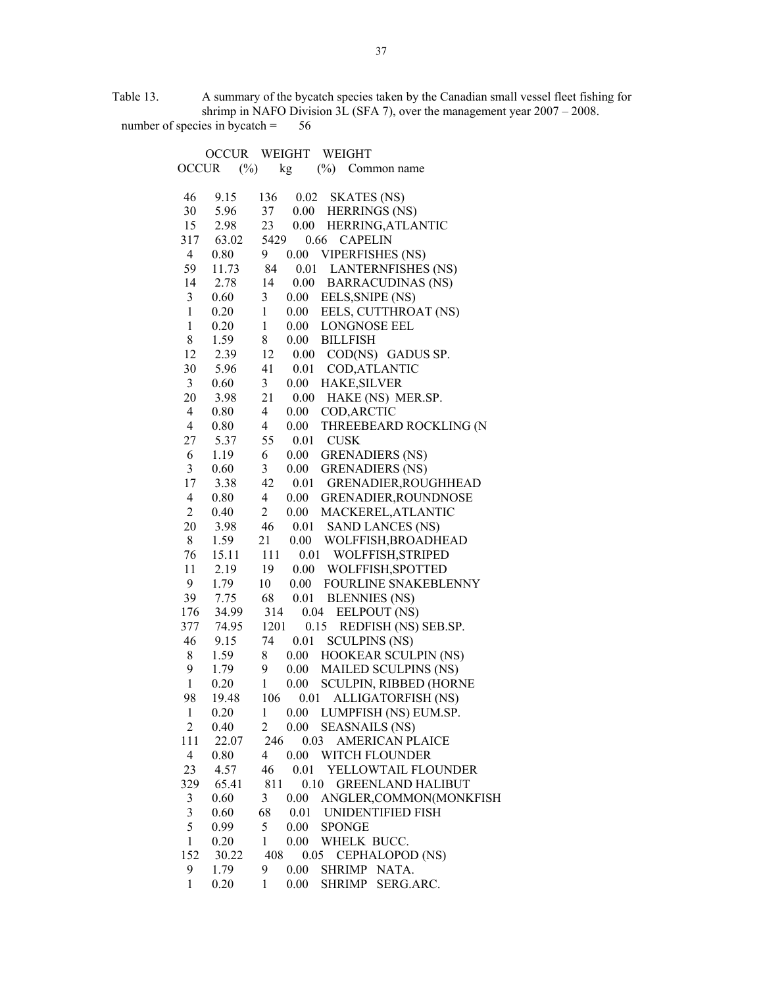Table 13. A summary of the bycatch species taken by the Canadian small vessel fleet fishing for shrimp in NAFO Division 3L (SFA 7), over the management year 2007 – 2008. number of species in bycatch  $= 56$ 

|                         | <b>OCCUR</b> | WEIGHT<br>WEIGHT                                      |
|-------------------------|--------------|-------------------------------------------------------|
| <b>OCCUR</b>            | $(\%)$       | $(\%)$<br>kg<br>Common name                           |
|                         |              |                                                       |
| 46                      | 9.15         | 0.02<br>136<br><b>SKATES</b> (NS)                     |
| 30                      | 5.96         | 0.00 HERRINGS (NS)<br>37                              |
| 15                      | 2.98         | 0.00<br>23<br>HERRING, ATLANTIC                       |
| 317                     | 63.02        | 5429<br>0.66<br><b>CAPELIN</b>                        |
| $\overline{4}$          | 0.80         | <b>VIPERFISHES (NS)</b><br>9<br>0.00                  |
| 59                      | 11.73        | 84<br>0.01<br><b>LANTERNFISHES (NS)</b>               |
| 14                      | 2.78         | 14<br>$0.00\,$<br><b>BARRACUDINAS (NS)</b>            |
| 3                       | 0.60         | $\mathfrak{Z}$<br>0.00<br>EELS, SNIPE (NS)            |
| $\mathbf{1}$            | 0.20         | $\mathbf{1}$<br>$0.00\,$<br>EELS, CUTTHROAT (NS)      |
| $\mathbf{1}$            | 0.20         | $\mathbf{1}$<br>$0.00\,$<br>LONGNOSE EEL              |
| 8                       | 1.59         | 8<br>0.00<br><b>BILLFISH</b>                          |
| 12                      | 2.39         | 12<br>0.00<br>COD(NS) GADUS SP.                       |
| 30                      | 5.96         | 41<br>0.01<br>COD, ATLANTIC                           |
| $\mathfrak{Z}$          | 0.60         | $\mathfrak{Z}$<br>$0.00\,$<br>HAKE, SILVER            |
| 20                      |              | 21<br>0.00                                            |
|                         | 3.98         | HAKE (NS) MER.SP.                                     |
| 4                       | 0.80         | $\overline{4}$<br>$0.00\,$<br>COD, ARCTIC             |
| 4                       | 0.80         | $\overline{4}$<br>0.00<br>THREEBEARD ROCKLING (N      |
| 27                      | 5.37         | 55<br>0.01<br><b>CUSK</b>                             |
| 6                       | 1.19         | 6<br>0.00<br><b>GRENADIERS (NS)</b>                   |
| 3                       | 0.60         | $\mathfrak{Z}$<br>$0.00\,$<br><b>GRENADIERS (NS)</b>  |
| 17                      | 3.38         | 42<br>0.01<br>GRENADIER, ROUGHHEAD                    |
| $\overline{4}$          | 0.80         | $\overline{4}$<br>0.00<br>GRENADIER, ROUNDNOSE        |
| $\overline{2}$          | 0.40         | $\overline{2}$<br>MACKEREL, ATLANTIC<br>$0.00\,$      |
| 20                      | 3.98         | 46<br>0.01<br><b>SAND LANCES (NS)</b>                 |
| 8                       | 1.59         | 21<br>0.00<br>WOLFFISH, BROADHEAD                     |
| 76                      | 15.11        | 111<br>0.01<br>WOLFFISH, STRIPED                      |
| 11                      | 2.19         | 19<br>0.00<br>WOLFFISH, SPOTTED                       |
| 9                       | 1.79         | 10<br>$0.00\,$<br>FOURLINE SNAKEBLENNY                |
| 39                      | 7.75         | 68<br>0.01<br><b>BLENNIES</b> (NS)                    |
| 176                     | 34.99        | 314<br>0.04<br>EELPOUT (NS)                           |
| 377                     | 74.95        | 1201<br>0.15<br>REDFISH (NS) SEB.SP.                  |
| 46                      | 9.15         | <b>SCULPINS (NS)</b><br>74<br>0.01                    |
| 8                       | 1.59         | 8<br>HOOKEAR SCULPIN (NS)<br>$0.00\,$                 |
| 9                       | 1.79         | 9<br>$0.00\,$<br><b>MAILED SCULPINS (NS)</b>          |
| $\mathbf{1}$            | 0.20         | $\mathbf{1}$<br>0.00<br><b>SCULPIN, RIBBED (HORNE</b> |
| 98                      | 19.48        | 106<br>0.01<br>ALLIGATORFISH (NS)                     |
| $\mathbf{1}$            | 0.20         | 0.00 LUMPFISH (NS) EUM.SP.<br>$\mathbf{1}$            |
| $\overline{2}$          | 0.40         | 0.00<br><b>SEASNAILS (NS)</b><br>$\overline{c}$       |
| 111                     | 22.07        | 246<br>0.03<br><b>AMERICAN PLAICE</b>                 |
| $\overline{4}$          | 0.80         | 4<br>0.00<br>WITCH FLOUNDER                           |
| 23                      | 4.57         | 46<br>0.01<br>YELLOWTAIL FLOUNDER                     |
| 329                     | 65.41        | 811<br>0.10<br><b>GREENLAND HALIBUT</b>               |
| 3                       | 0.60         | 3<br>ANGLER, COMMON(MONKFISH<br>0.00                  |
| $\overline{\mathbf{3}}$ | 0.60         | 68<br>0.01<br>UNIDENTIFIED FISH                       |
| 5                       | 0.99         | 5<br>0.00<br><b>SPONGE</b>                            |
|                         |              |                                                       |
| $\mathbf{1}$            | 0.20         | $\mathbf{1}$<br>0.00<br>WHELK BUCC.                   |
| 152                     | 30.22        | 408<br>0.05<br>CEPHALOPOD (NS)                        |
| 9                       | 1.79         | 9<br>0.00<br>SHRIMP NATA.                             |
| $\mathbf{1}$            | 0.20         | 0.00<br>SHRIMP SERG.ARC.<br>1                         |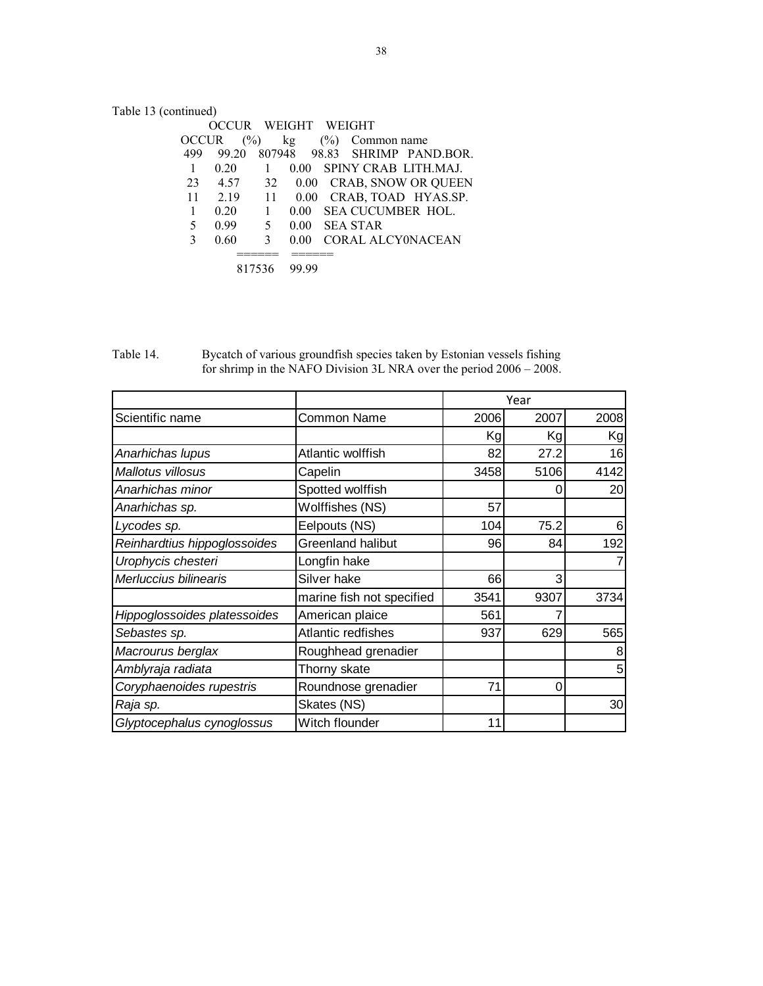# Table 13 (continued)

|              |               |    | WEIGHT WEIGHT |        |             |                               |
|--------------|---------------|----|---------------|--------|-------------|-------------------------------|
| <b>OCCUR</b> | $\frac{6}{2}$ |    | kg            | $(\%)$ | Common name |                               |
| 499          | 99.20         |    |               |        |             | 807948 98.83 SHRIMP PAND.BOR. |
|              | 0.20          | 1  | 0.00          |        |             | SPINY CRAB LITH.MAJ.          |
| 23           | 4.57          |    |               |        |             | 32 0.00 CRAB, SNOW OR QUEEN   |
| 11           | 2.19          | 11 |               |        |             | 0.00 CRAB, TOAD HYAS.SP.      |
|              | 0.20          | 1  | 0.00          |        |             | SEA CUCUMBER HOL.             |
| 5            | 0.99          | 5  | 0.00          |        | SEA STAR    |                               |
| 3            | 0.60          | 3  | 0.00          |        |             | CORAL ALCYONACEAN             |
|              |               |    |               |        |             |                               |
|              | 817536        |    | 99 99         |        |             |                               |
|              |               |    |               |        |             |                               |

Table 14. Bycatch of various groundfish species taken by Estonian vessels fishing for shrimp in the NAFO Division 3L NRA over the period 2006 – 2008.

|                              |                           |      | Year |      |
|------------------------------|---------------------------|------|------|------|
| Scientific name              | <b>Common Name</b>        | 2006 | 2007 | 2008 |
|                              |                           | Kg   | Kg   | Kg   |
| Anarhichas lupus             | Atlantic wolffish         | 82   | 27.2 | 16   |
| Mallotus villosus            | Capelin                   | 3458 | 5106 | 4142 |
| Anarhichas minor             | Spotted wolffish          |      | O    | 20   |
| Anarhichas sp.               | Wolffishes (NS)           | 57   |      |      |
| Lycodes sp.                  | Eelpouts (NS)             | 104  | 75.2 | 6    |
| Reinhardtius hippoglossoides | <b>Greenland halibut</b>  | 96   | 84   | 192  |
| Urophycis chesteri           | Longfin hake              |      |      |      |
| Merluccius bilinearis        | Silver hake               | 66   | 3    |      |
|                              | marine fish not specified | 3541 | 9307 | 3734 |
| Hippoglossoides platessoides | American plaice           | 561  |      |      |
| Sebastes sp.                 | Atlantic redfishes        | 937  | 629  | 565  |
| Macrourus berglax            | Roughhead grenadier       |      |      | 8    |
| Amblyraja radiata            | Thorny skate              |      |      | 5    |
| Coryphaenoides rupestris     | Roundnose grenadier       | 71   | 0    |      |
| Raja sp.                     | Skates (NS)               |      |      | 30   |
| Glyptocephalus cynoglossus   | Witch flounder            | 11   |      |      |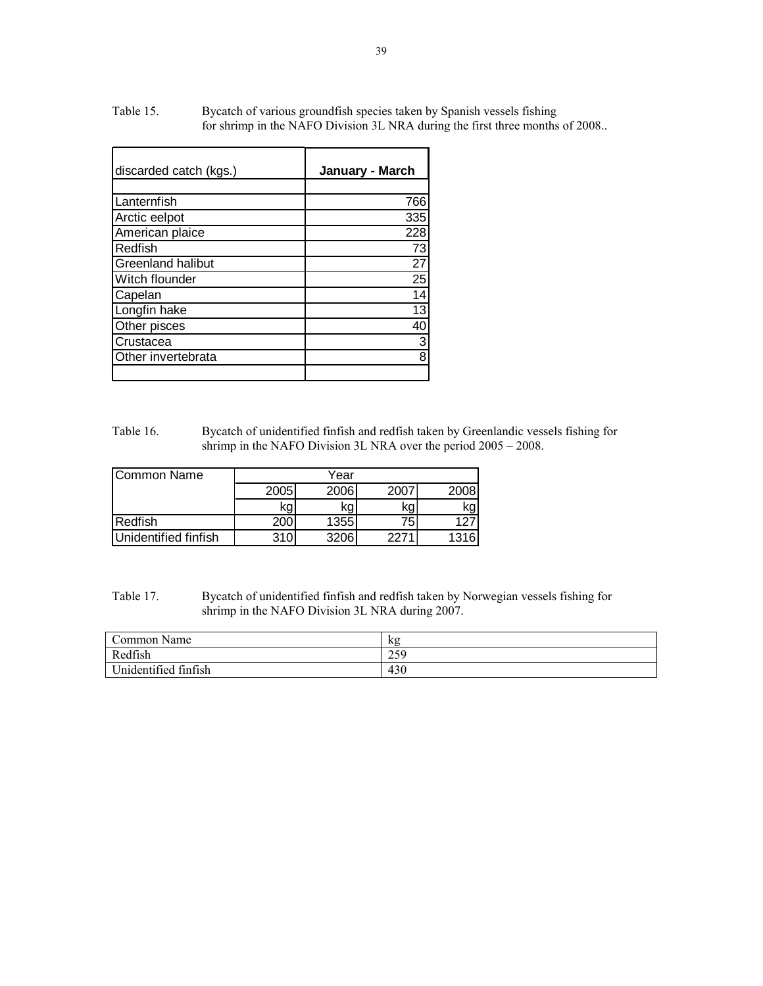| discarded catch (kgs.) | January - March |
|------------------------|-----------------|
|                        |                 |
| Lanternfish            | 766             |
| Arctic eelpot          | 335             |
| American plaice        | 228             |
| Redfish                | 73              |
| Greenland halibut      | 27              |
| Witch flounder         | 25              |
| Capelan                | 14              |
| Longfin hake           | 13              |
| Other pisces           | 40              |
| Crustacea              | 3               |
| Other invertebrata     | 8               |
|                        |                 |

Table 15. Bycatch of various groundfish species taken by Spanish vessels fishing for shrimp in the NAFO Division 3L NRA during the first three months of 2008..

Table 16. Bycatch of unidentified finfish and redfish taken by Greenlandic vessels fishing for shrimp in the NAFO Division 3L NRA over the period 2005 – 2008.

| ICommon Name         | Year |      |      |      |  |  |
|----------------------|------|------|------|------|--|--|
|                      | 2005 | 2006 | 2007 | 2008 |  |  |
|                      | kg   | kg   | kg   | κg   |  |  |
| Redfish              | 200  | 1355 | 75   |      |  |  |
| Unidentified finfish | 310  | 3206 | 2271 | 1316 |  |  |

Table 17. Bycatch of unidentified finfish and redfish taken by Norwegian vessels fishing for shrimp in the NAFO Division 3L NRA during 2007.

| Common Name          | kΩ          |
|----------------------|-------------|
| Redfish              | 250<br>79 ک |
| Unidentified finfish | 430         |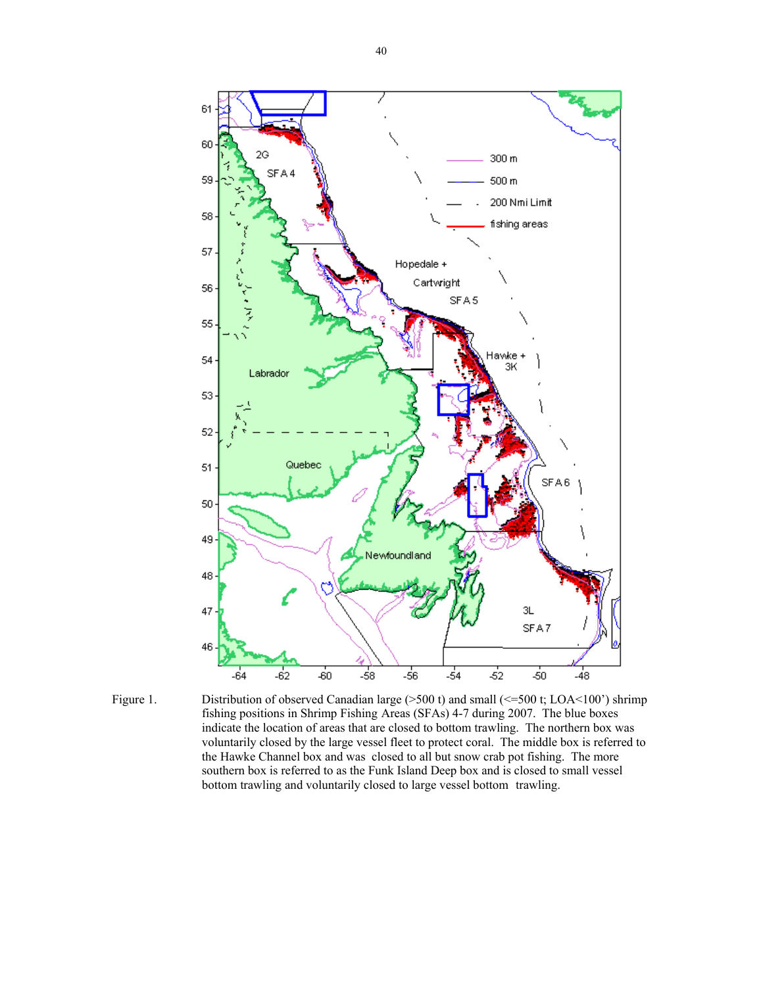

Figure 1. Distribution of observed Canadian large (>500 t) and small (<=500 t; LOA<100') shrimp fishing positions in Shrimp Fishing Areas (SFAs) 4-7 during 2007. The blue boxes indicate the location of areas that are closed to bottom trawling. The northern box was voluntarily closed by the large vessel fleet to protect coral. The middle box is referred to the Hawke Channel box and was closed to all but snow crab pot fishing. The more southern box is referred to as the Funk Island Deep box and is closed to small vessel bottom trawling and voluntarily closed to large vessel bottom trawling.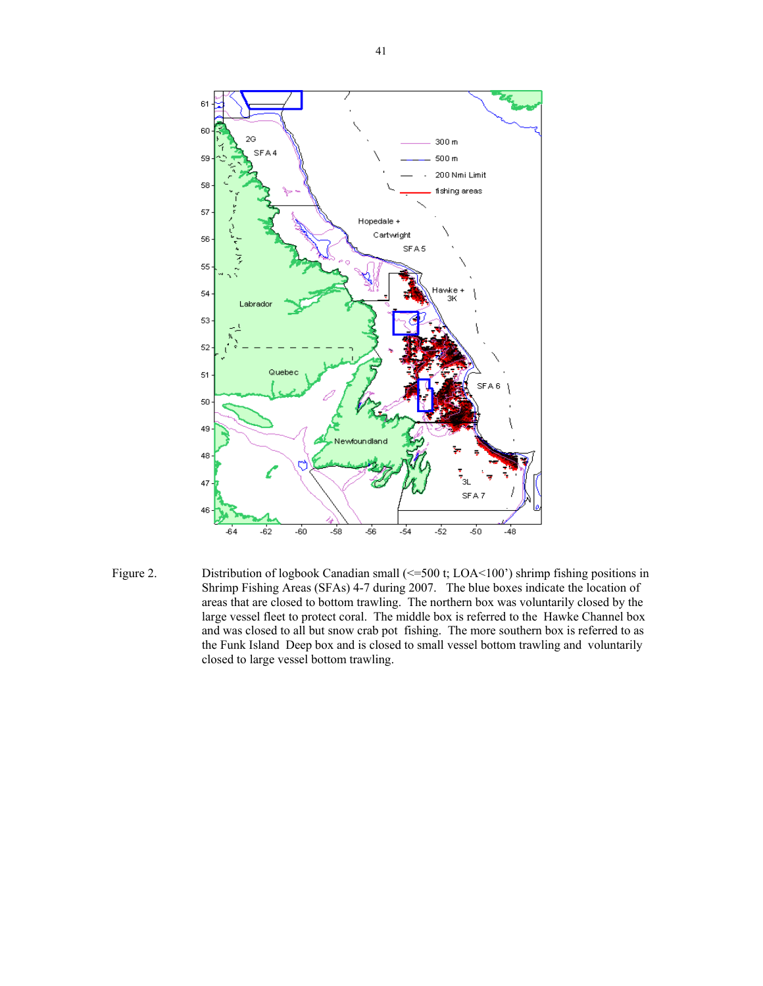

Figure 2. Distribution of logbook Canadian small (<=500 t; LOA<100') shrimp fishing positions in Shrimp Fishing Areas (SFAs) 4-7 during 2007. The blue boxes indicate the location of areas that are closed to bottom trawling. The northern box was voluntarily closed by the large vessel fleet to protect coral. The middle box is referred to the Hawke Channel box and was closed to all but snow crab pot fishing. The more southern box is referred to as the Funk Island Deep box and is closed to small vessel bottom trawling and voluntarily closed to large vessel bottom trawling.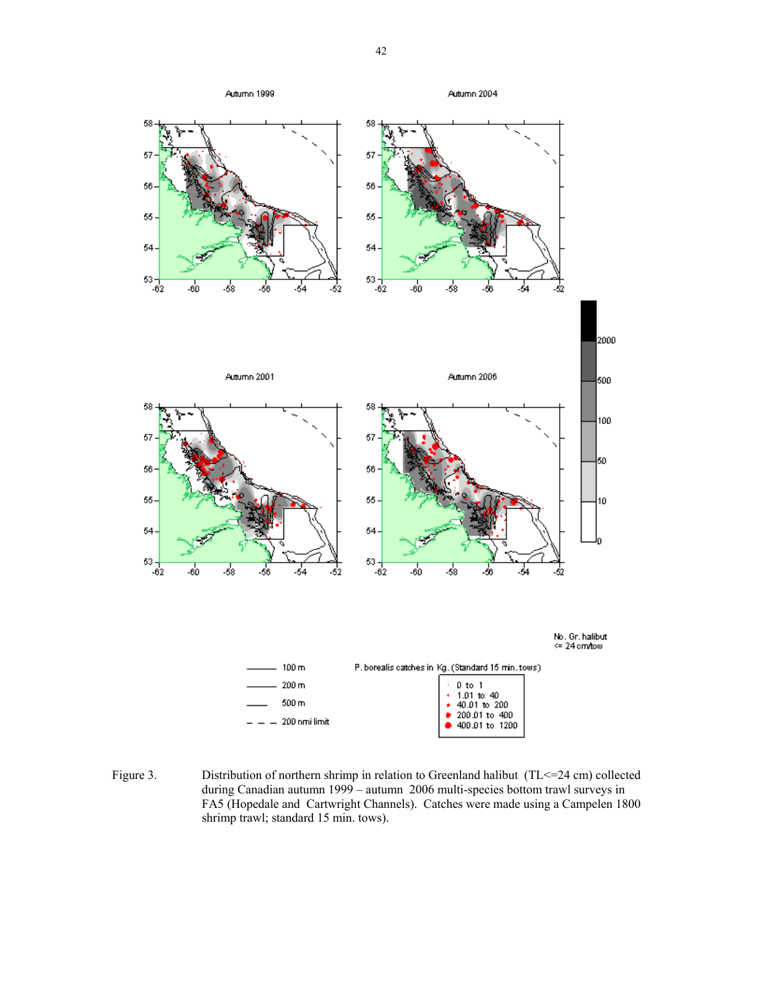

Figure 3. Distribution of northern shrimp in relation to Greenland halibut (TL<=24 cm) collected during Canadian autumn 1999 – autumn 2006 multi-species bottom trawl surveys in FA5 (Hopedale and Cartwright Channels). Catches were made using a Campelen 1800 shrimp trawl; standard 15 min. tows).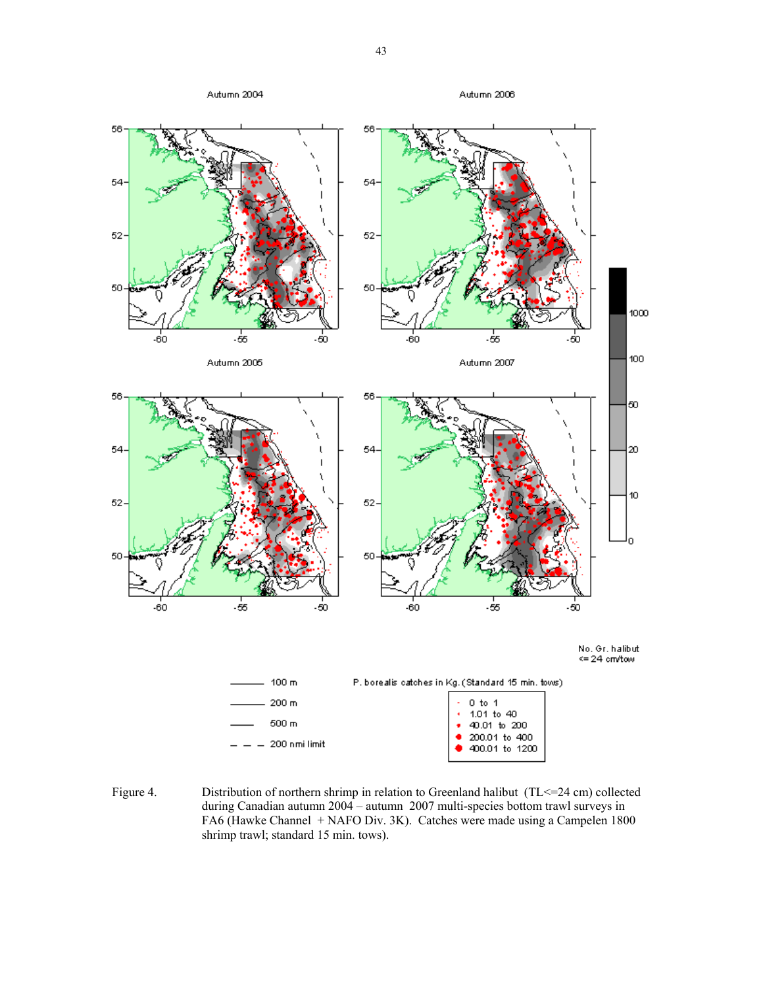

Figure 4. Distribution of northern shrimp in relation to Greenland halibut (TL <= 24 cm) collected during Canadian autumn 2004 – autumn 2007 multi-species bottom trawl surveys in FA6 (Hawke Channel + NAFO Div. 3K). Catches were made using a Campelen 1800 shrimp trawl; standard 15 min. tows).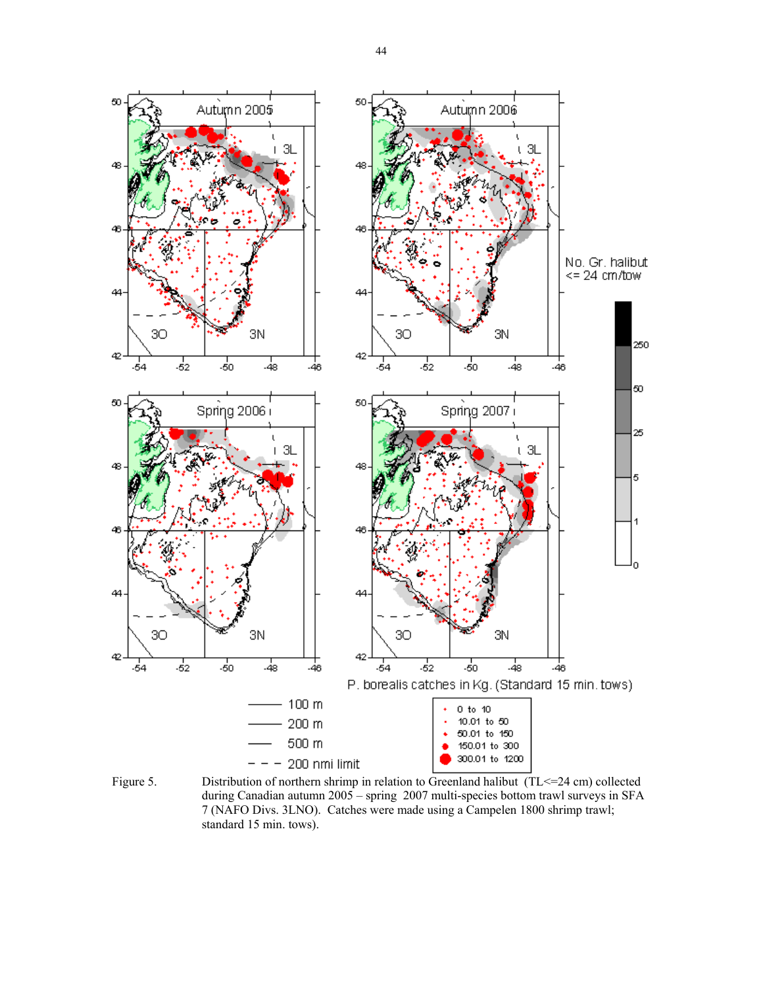

Figure 5. Distribution of northern shrimp in relation to Greenland halibut  $(TL \le 24 \text{ cm})$  collected during Canadian autumn 2005 – spring 2007 multi-species bottom trawl surveys in SFA 7 (NAFO Divs. 3LNO). Catches were made using a Campelen 1800 shrimp trawl; standard 15 min. tows).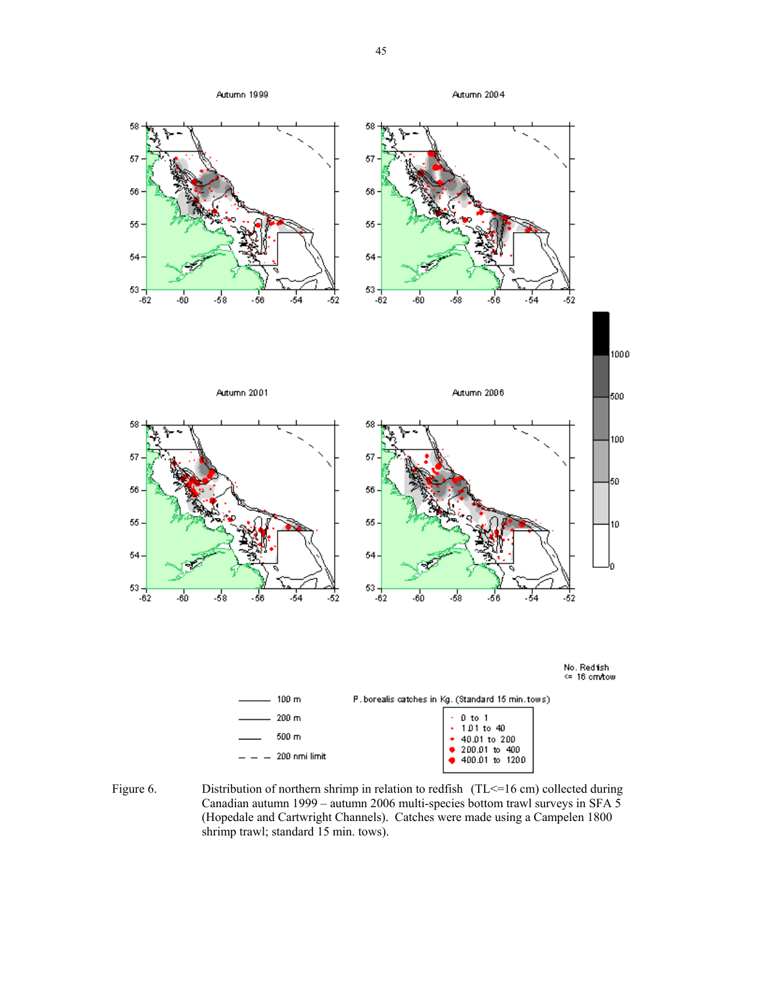

Figure 6. Distribution of northern shrimp in relation to redfish (TL <= 16 cm) collected during Canadian autumn 1999 – autumn 2006 multi-species bottom trawl surveys in SFA 5 (Hopedale and Cartwright Channels). Catches were made using a Campelen 1800 shrimp trawl; standard 15 min. tows).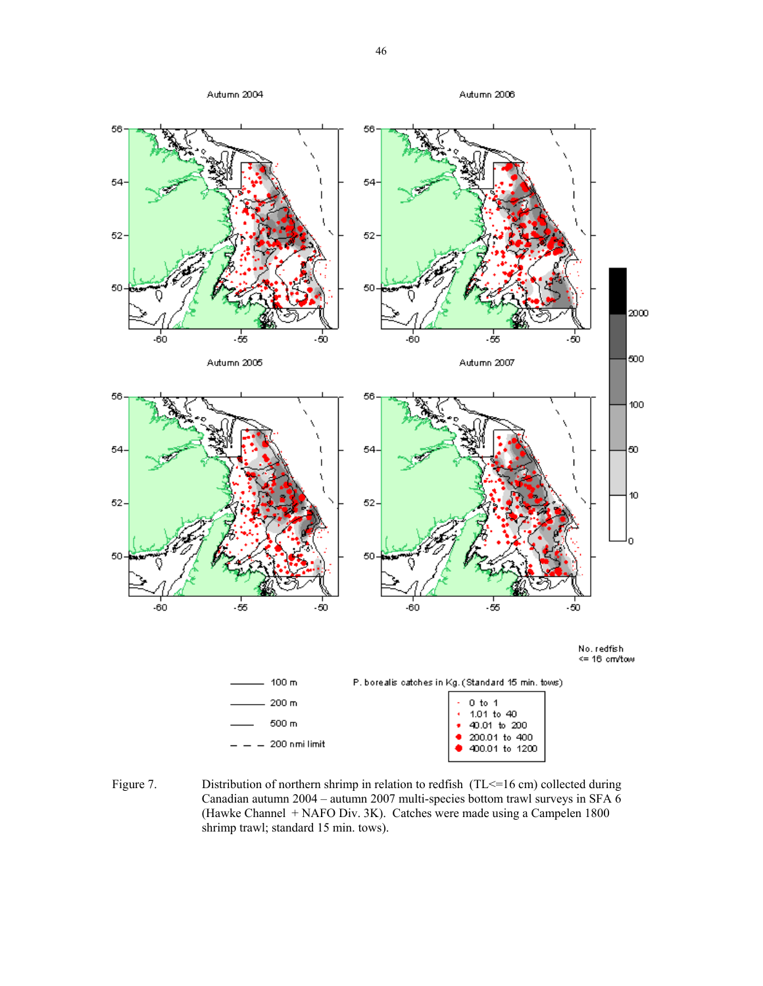

Figure 7. Distribution of northern shrimp in relation to redfish (TL <= 16 cm) collected during Canadian autumn 2004 – autumn 2007 multi-species bottom trawl surveys in SFA 6 (Hawke Channel + NAFO Div. 3K). Catches were made using a Campelen 1800 shrimp trawl; standard 15 min. tows).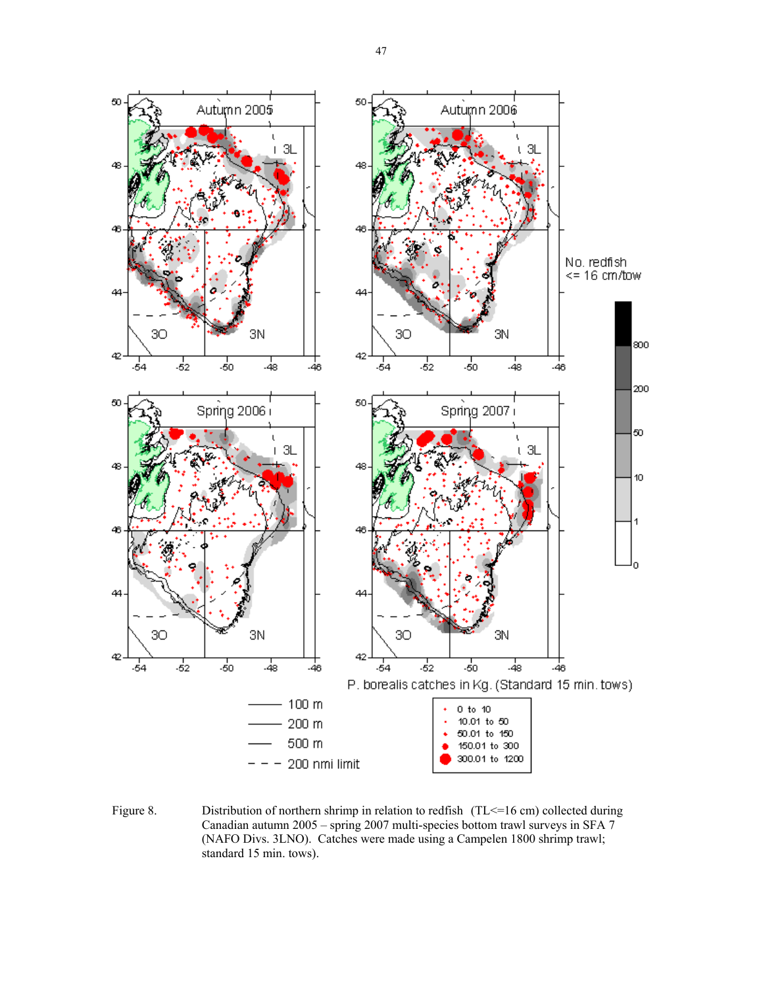

Figure 8. Distribution of northern shrimp in relation to redfish (TL <= 16 cm) collected during Canadian autumn 2005 – spring 2007 multi-species bottom trawl surveys in SFA 7 (NAFO Divs. 3LNO). Catches were made using a Campelen 1800 shrimp trawl; standard 15 min. tows).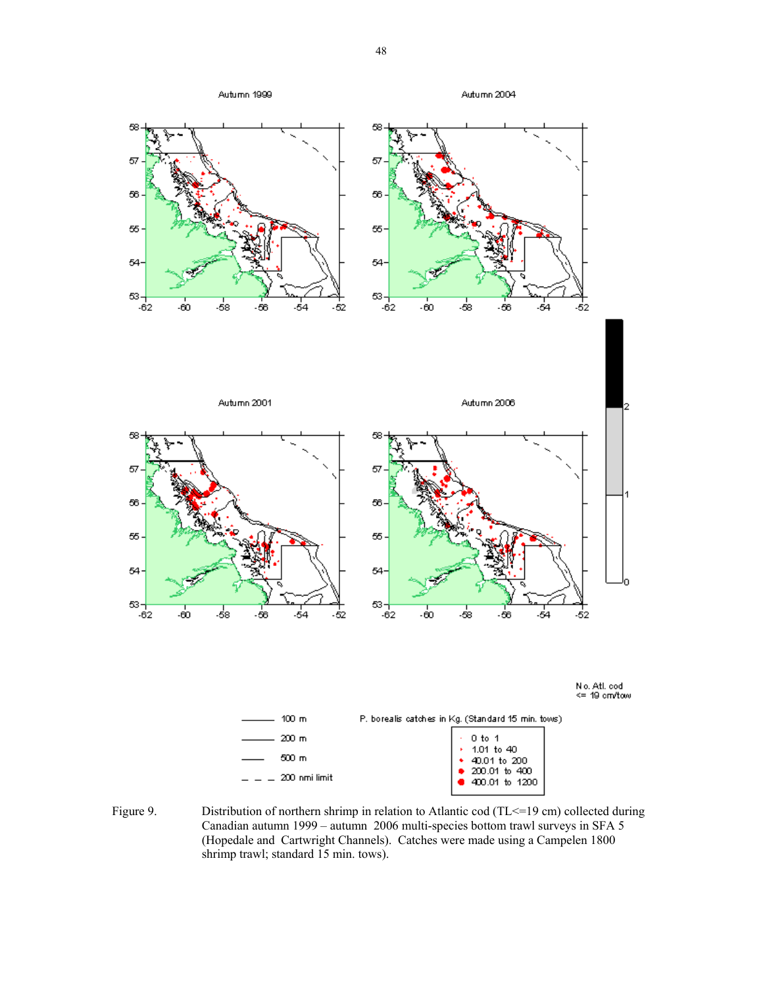

Figure 9. Distribution of northern shrimp in relation to Atlantic cod (TL <= 19 cm) collected during Canadian autumn 1999 – autumn 2006 multi-species bottom trawl surveys in SFA 5 (Hopedale and Cartwright Channels). Catches were made using a Campelen 1800 shrimp trawl; standard 15 min. tows).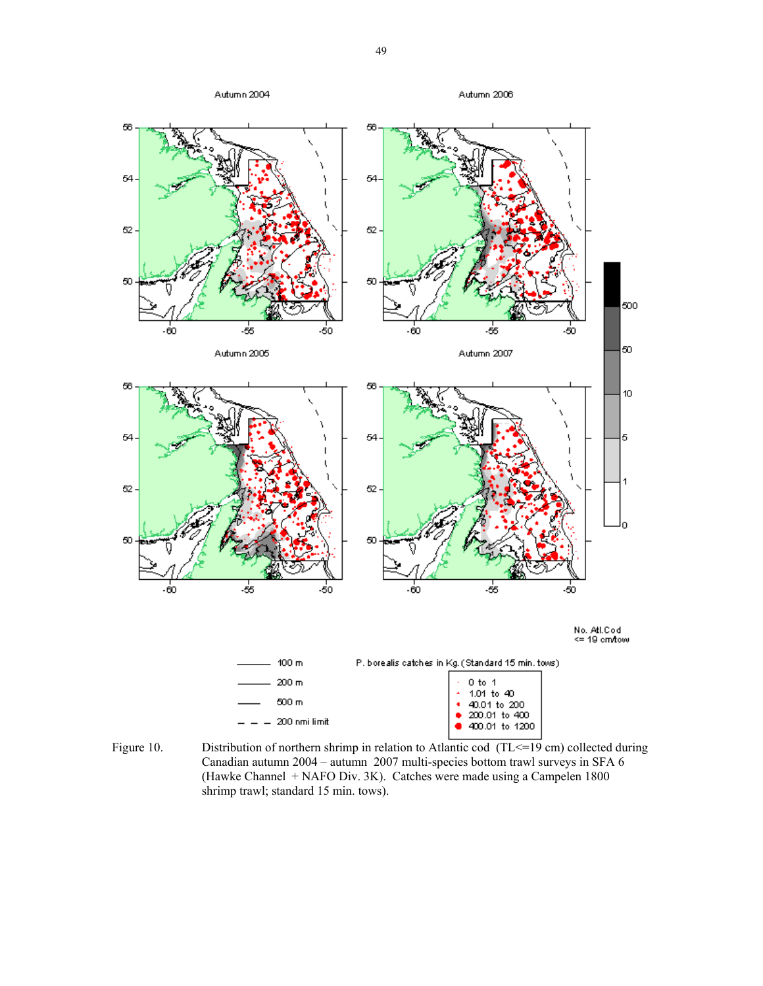

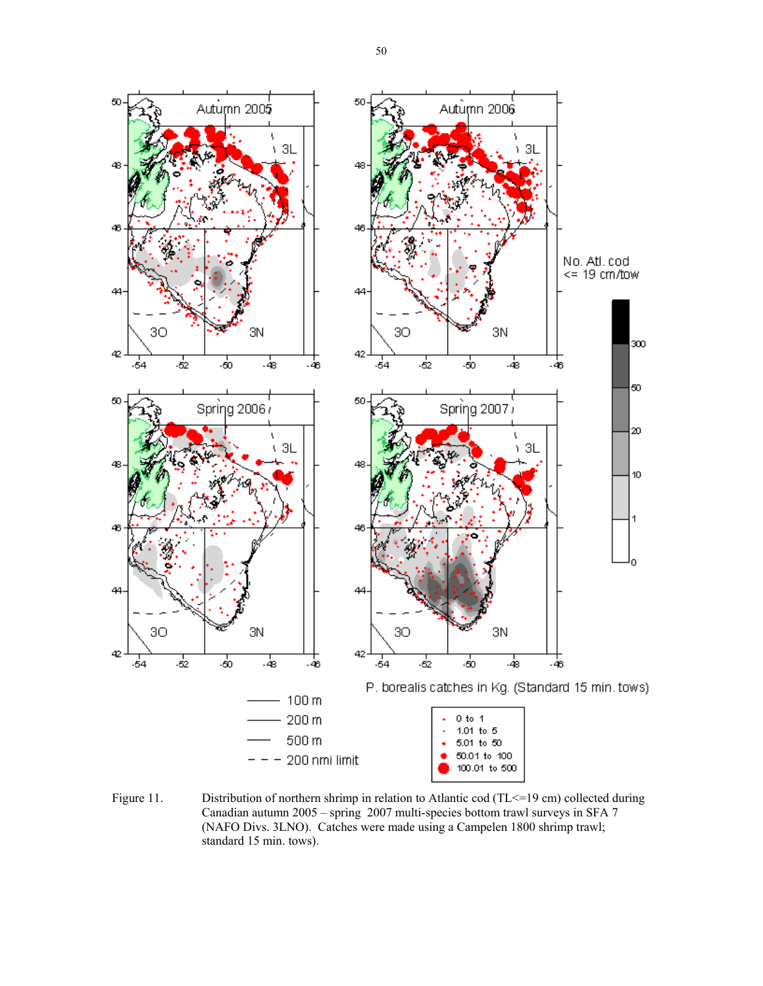

Figure 11. Distribution of northern shrimp in relation to Atlantic cod (TL <= 19 cm) collected during Canadian autumn 2005 – spring 2007 multi-species bottom trawl surveys in SFA 7 (NAFO Divs. 3LNO). Catches were made using a Campelen 1800 shrimp trawl; standard 15 min. tows).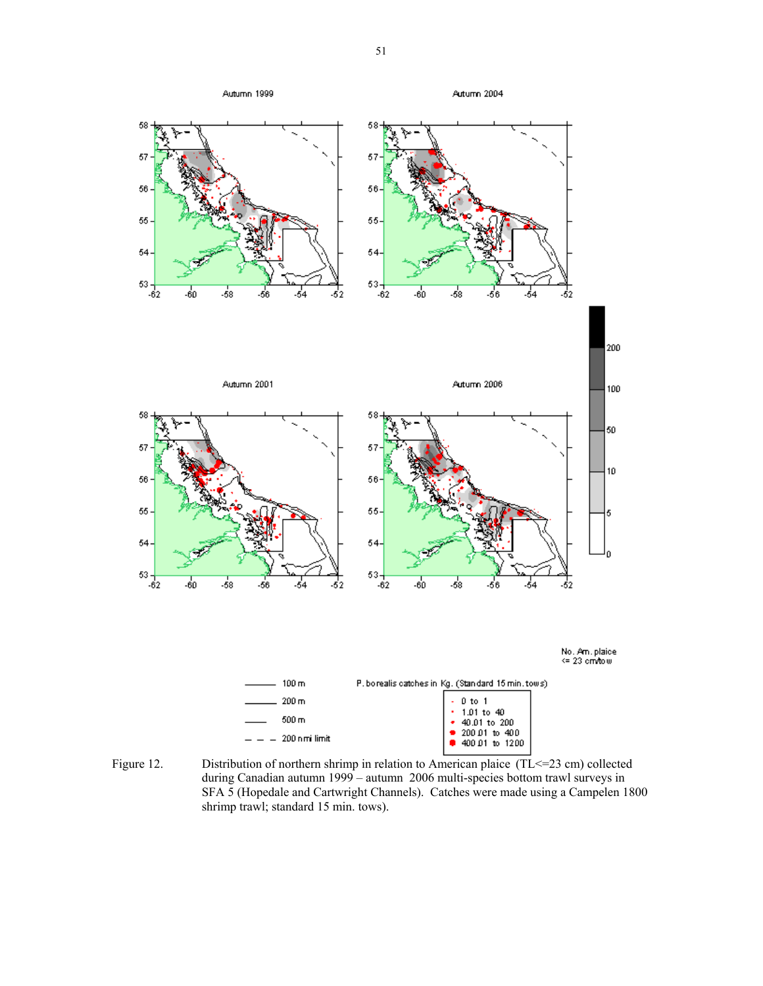

Figure 12. Distribution of northern shrimp in relation to American plaice (TL <= 23 cm) collected during Canadian autumn 1999 – autumn 2006 multi-species bottom trawl surveys in SFA 5 (Hopedale and Cartwright Channels). Catches were made using a Campelen 1800 shrimp trawl; standard 15 min. tows).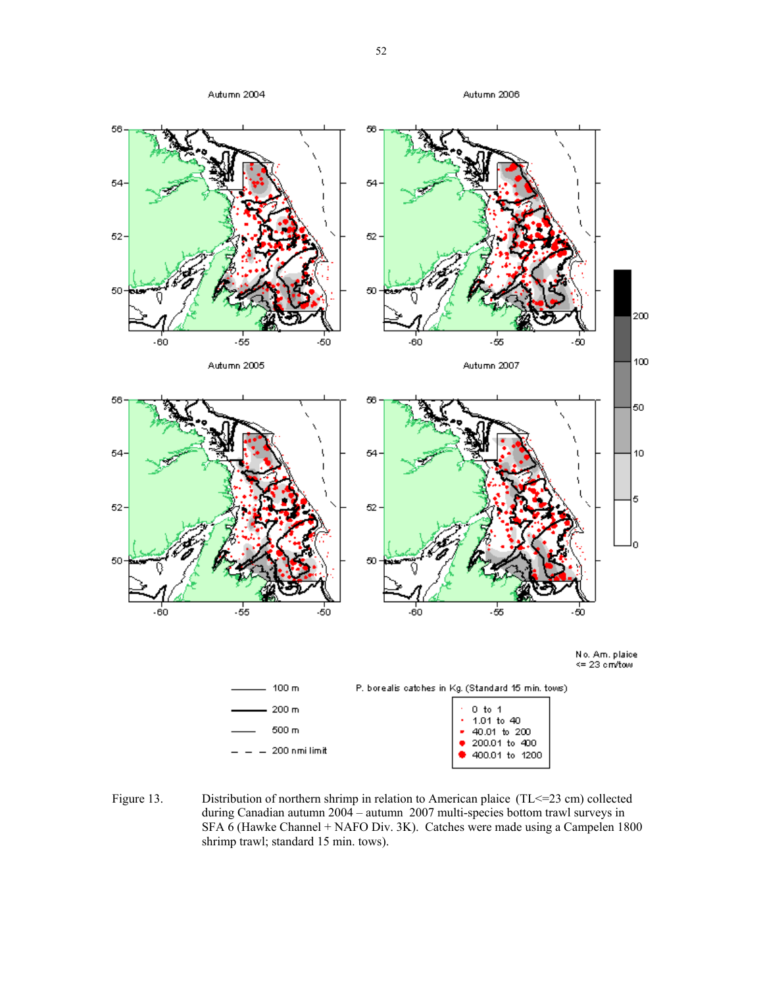

Figure 13. Distribution of northern shrimp in relation to American plaice (TL<=23 cm) collected during Canadian autumn 2004 – autumn 2007 multi-species bottom trawl surveys in SFA 6 (Hawke Channel + NAFO Div. 3K). Catches were made using a Campelen 1800 shrimp trawl; standard 15 min. tows).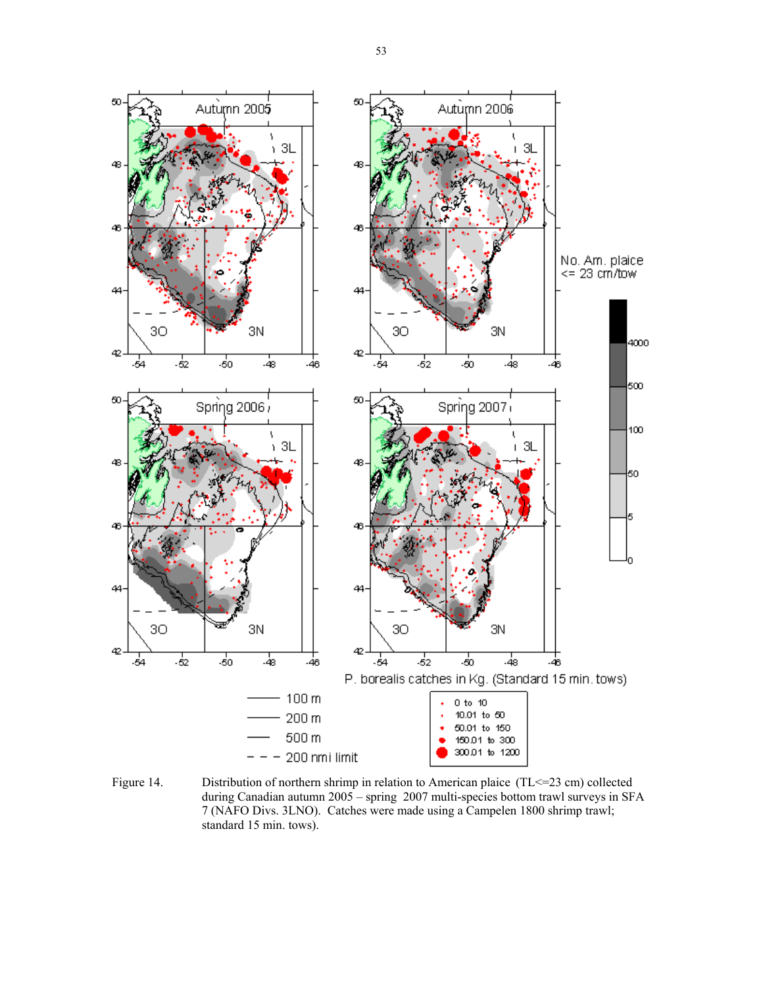

Figure 14. Distribution of northern shrimp in relation to American plaice (TL <= 23 cm) collected during Canadian autumn 2005 – spring 2007 multi-species bottom trawl surveys in SFA 7 (NAFO Divs. 3LNO). Catches were made using a Campelen 1800 shrimp trawl; standard 15 min. tows).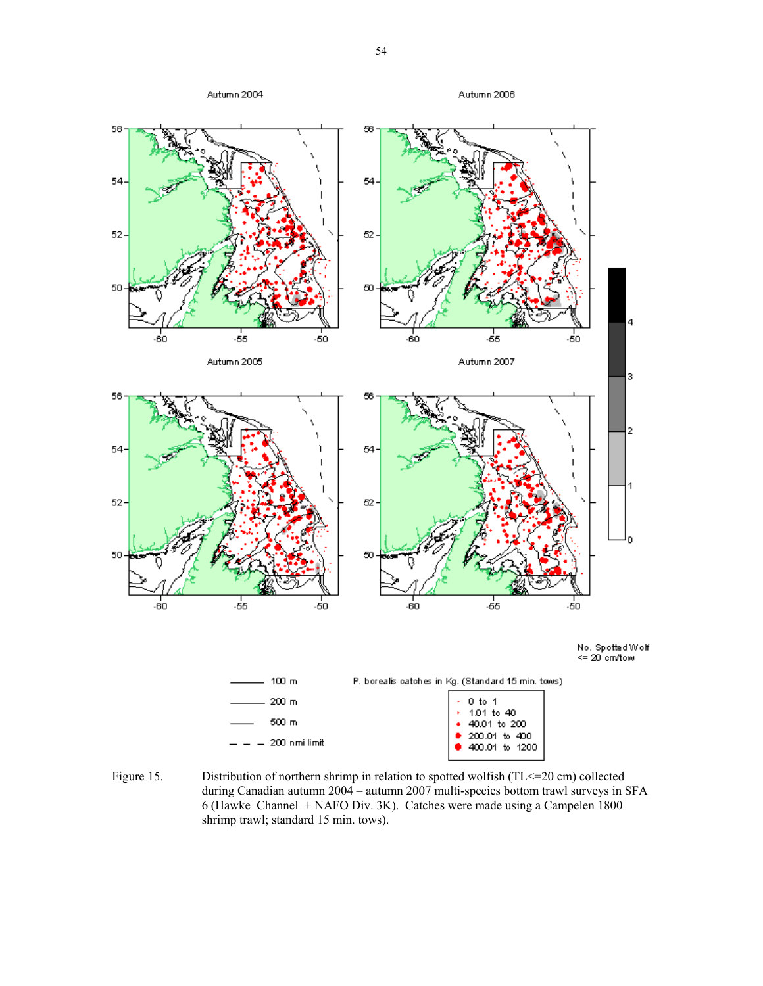

Figure 15. Distribution of northern shrimp in relation to spotted wolfish (TL <= 20 cm) collected during Canadian autumn 2004 – autumn 2007 multi-species bottom trawl surveys in SFA 6 (Hawke Channel + NAFO Div. 3K). Catches were made using a Campelen 1800 shrimp trawl; standard 15 min. tows).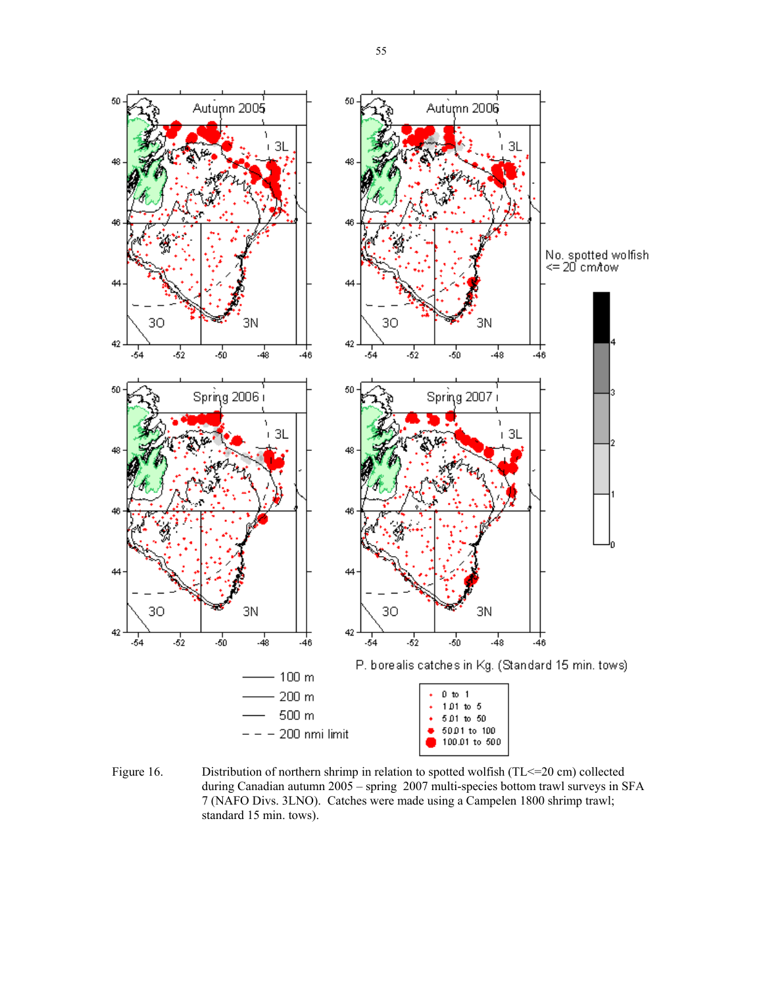

Figure 16. Distribution of northern shrimp in relation to spotted wolfish (TL <= 20 cm) collected during Canadian autumn 2005 – spring 2007 multi-species bottom trawl surveys in SFA 7 (NAFO Divs. 3LNO). Catches were made using a Campelen 1800 shrimp trawl; standard 15 min. tows).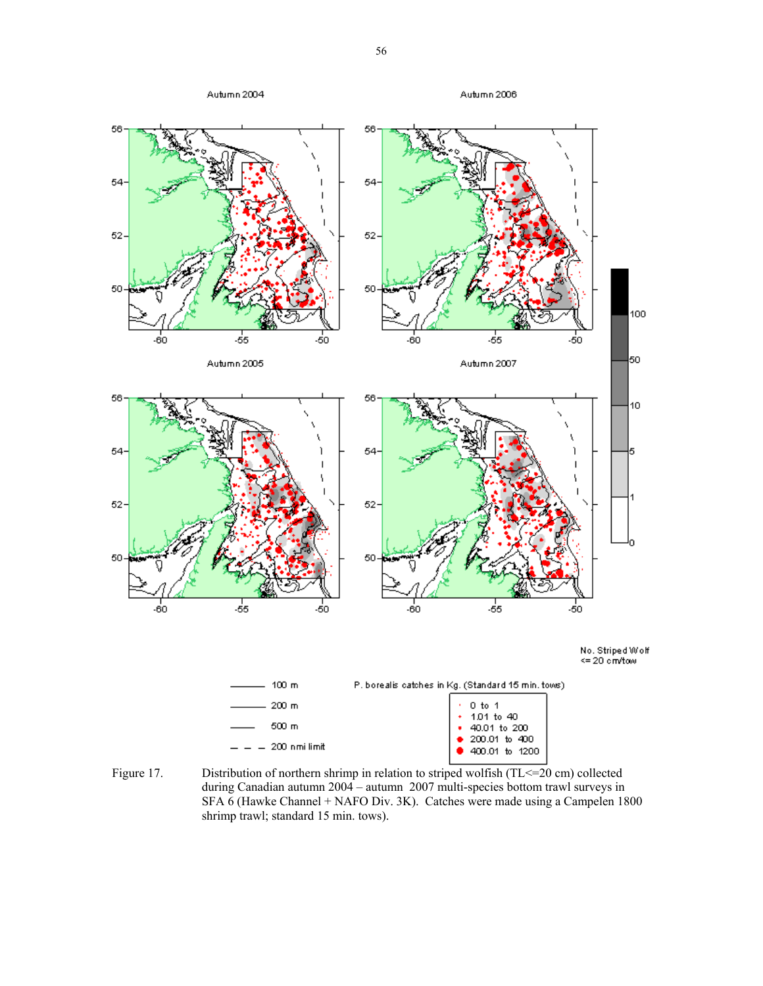

Figure 17. Distribution of northern shrimp in relation to striped wolfish (TL <= 20 cm) collected during Canadian autumn 2004 – autumn 2007 multi-species bottom trawl surveys in SFA 6 (Hawke Channel + NAFO Div. 3K). Catches were made using a Campelen 1800 shrimp trawl; standard 15 min. tows).